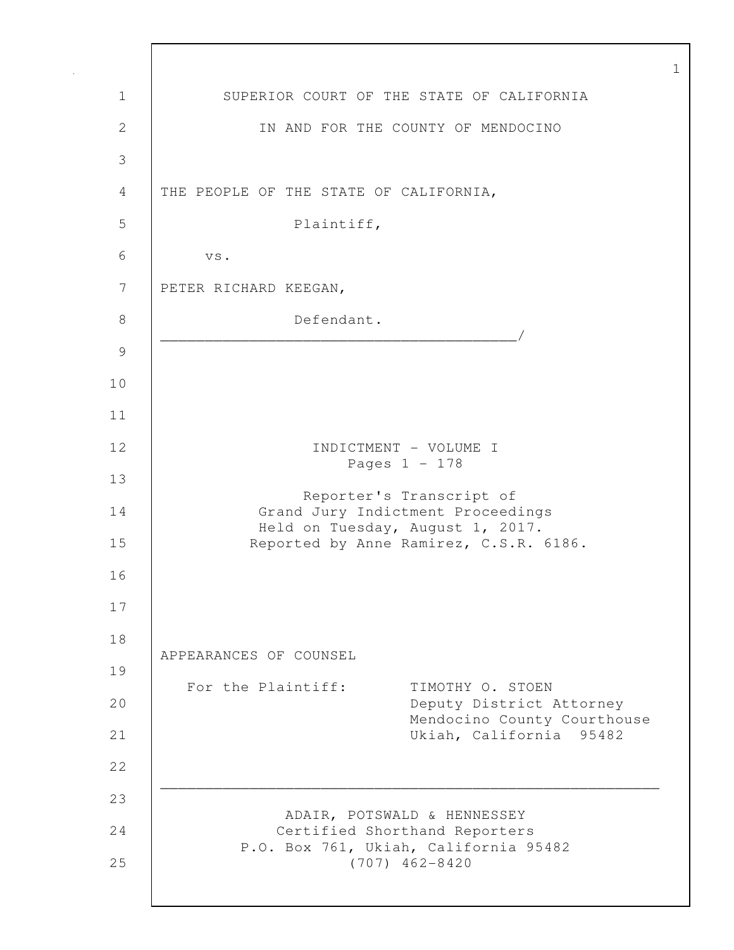1 SUPERIOR COURT OF THE STATE OF CALIFORNIA 2 IN AND FOR THE COUNTY OF MENDOCINO 3 4 THE PEOPLE OF THE STATE OF CALIFORNIA, 5 Plaintiff, 6 vs. 7 PETER RICHARD KEEGAN, 8 Defendant. \_\_\_\_\_\_\_\_\_\_\_\_\_\_\_\_\_\_\_\_\_\_\_\_\_\_\_\_\_\_\_\_\_\_\_\_\_\_\_\_/ 9 10 11 12 INDICTMENT - VOLUME I Pages 1 - 178 13 Reporter's Transcript of 14 Grand Jury Indictment Proceedings Held on Tuesday, August 1, 2017. 15 Reported by Anne Ramirez, C.S.R. 6186. 16 17 18 APPEARANCES OF COUNSEL 19 For the Plaintiff: TIMOTHY O. STOEN 20 Deputy District Attorney Mendocino County Courthouse 21 Ukiah, California 95482 22 \_\_\_\_\_\_\_\_\_\_\_\_\_\_\_\_\_\_\_\_\_\_\_\_\_\_\_\_\_\_\_\_\_\_\_\_\_\_\_\_\_\_\_\_\_\_\_\_\_\_\_\_\_\_\_\_ 23 ADAIR, POTSWALD & HENNESSEY 24 Certified Shorthand Reporters P.O. Box 761, Ukiah, California 95482 25 (707) 462-8420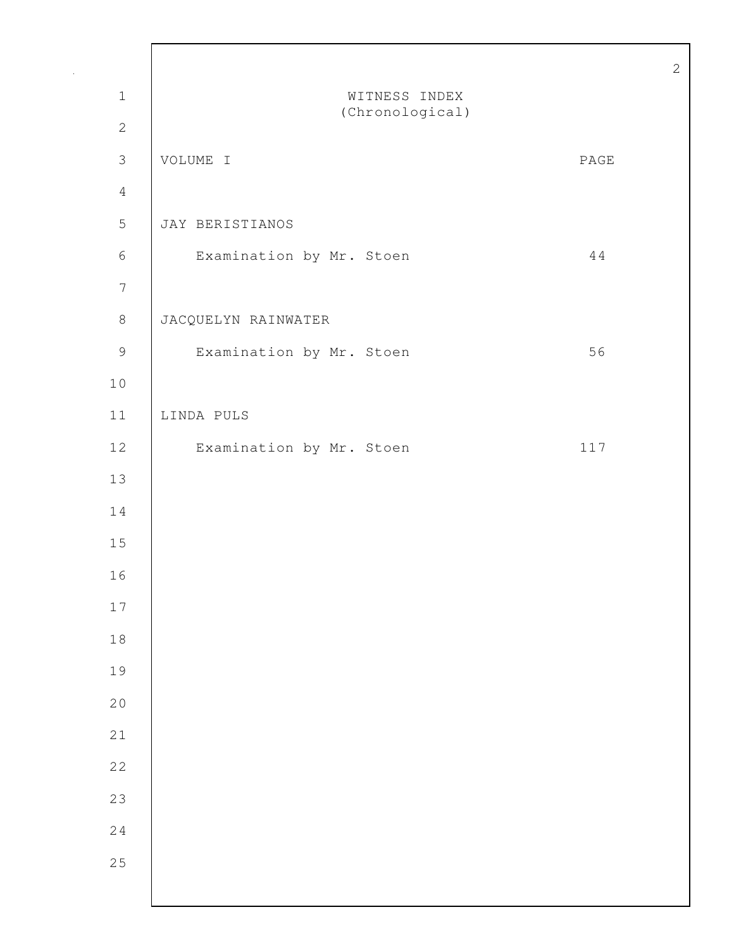| $1\,$            | WITNESS INDEX<br>(Chronological) |                          |
|------------------|----------------------------------|--------------------------|
| $\sqrt{2}$       |                                  |                          |
| $\mathfrak{Z}$   | VOLUME I                         | $\mathop{\mathrm{PAGE}}$ |
| $\overline{4}$   |                                  |                          |
| $\mathsf S$      | JAY BERISTIANOS                  |                          |
| $\sqrt{6}$       | Examination by Mr. Stoen         | 44                       |
| $\boldsymbol{7}$ |                                  |                          |
| $\,8\,$          | JACQUELYN RAINWATER              |                          |
| $\mathcal{G}$    | Examination by Mr. Stoen         | 56                       |
| 10               |                                  |                          |
| 11               | LINDA PULS                       |                          |
| $12$             | Examination by Mr. Stoen         | 117                      |
| 13               |                                  |                          |
| 14               |                                  |                          |
| 15               |                                  |                          |
| 16               |                                  |                          |
| $17\,$           |                                  |                          |
| $1\,8$           |                                  |                          |
| 19               |                                  |                          |
| 20               |                                  |                          |
| 21               |                                  |                          |
| 22               |                                  |                          |
| 23               |                                  |                          |
| 24               |                                  |                          |
| 25               |                                  |                          |
|                  |                                  |                          |

Г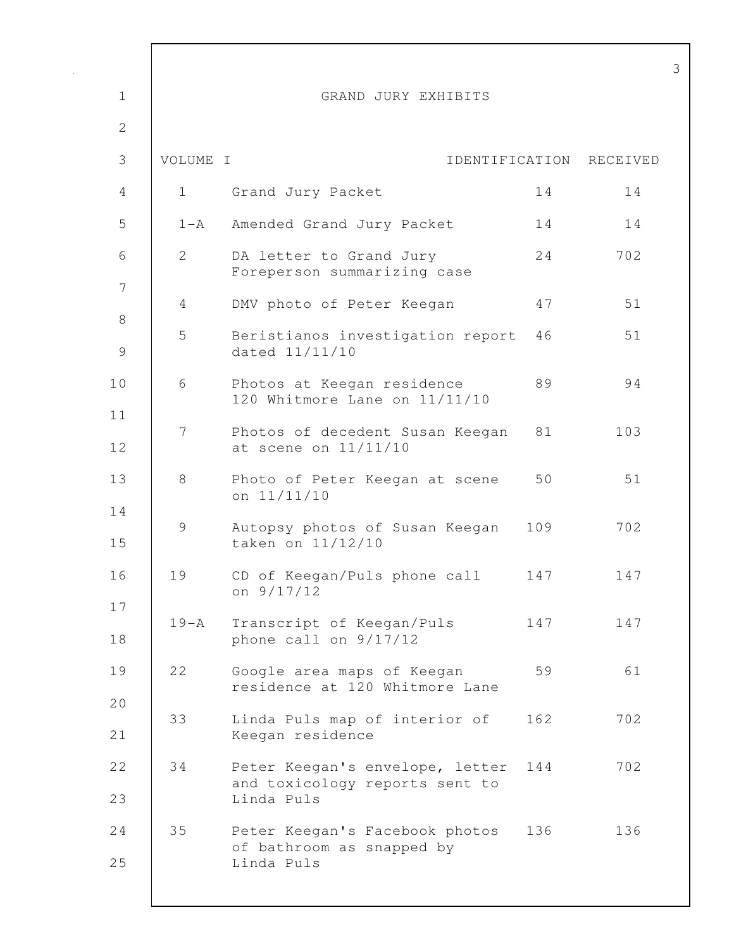| $\mathbf 1$   |                       | GRAND JURY EXHIBITS                                                             |     |          |
|---------------|-----------------------|---------------------------------------------------------------------------------|-----|----------|
| $\mathbf{2}$  |                       |                                                                                 |     |          |
| 3             | VOLUME I              | IDENTIFICATION                                                                  |     | RECEIVED |
| 4             | $\mathbf{1}$          | Grand Jury Packet                                                               | 14  | 14       |
| 5             | $1 - A$               | Amended Grand Jury Packet                                                       | 14  | 14       |
| 6             | $\mathbf{2}^{\prime}$ | DA letter to Grand Jury<br>Foreperson summarizing case                          | 24  | 702      |
| 7<br>$\,8\,$  | 4                     | DMV photo of Peter Keegan                                                       | 47  | 51       |
| $\mathcal{G}$ | 5                     | Beristianos investigation report<br>dated 11/11/10                              | 46  | 51       |
| 10            | 6                     | Photos at Keegan residence<br>120 Whitmore Lane on 11/11/10                     | 89  | 94       |
| 11<br>12      | 7                     | Photos of decedent Susan Keegan<br>at scene on 11/11/10                         | 81  | 103      |
| 13            | 8                     | Photo of Peter Keegan at scene<br>on 11/11/10                                   | 50  | 51       |
| 14<br>15      | 9                     | Autopsy photos of Susan Keegan<br>taken on 11/12/10                             | 109 | 702      |
| 16            | 19                    | CD of Keegan/Puls phone call<br>on 9/17/12                                      | 147 | 147      |
| 17<br>18      | $19 - A$              | Transcript of Keegan/Puls<br>phone call on 9/17/12                              | 147 | 147      |
| 19            | 22                    | Google area maps of Keegan<br>residence at 120 Whitmore Lane                    | 59  | 61       |
| 20<br>21      | 33                    | Linda Puls map of interior of<br>Keegan residence                               | 162 | 702      |
| 22<br>23      | 34                    | Peter Keegan's envelope, letter<br>and toxicology reports sent to<br>Linda Puls | 144 | 702      |
| 24<br>25      | 35                    | Peter Keegan's Facebook photos<br>of bathroom as snapped by<br>Linda Puls       | 136 | 136      |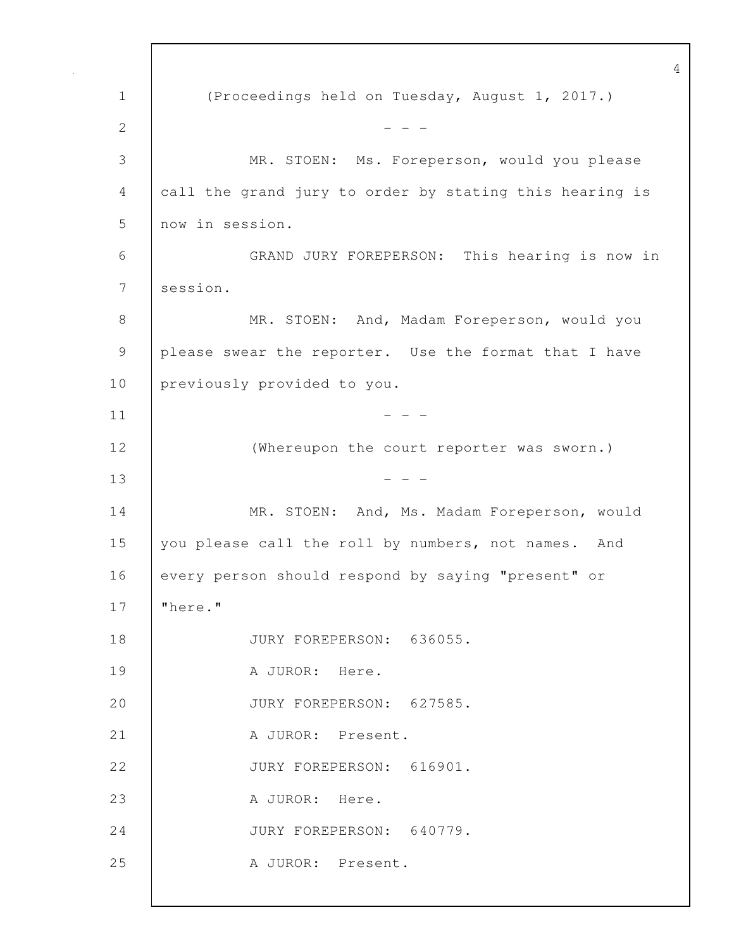1 (Proceedings held on Tuesday, August 1, 2017.) 2  $- - -$ 3 MR. STOEN: Ms. Foreperson, would you please 4 call the grand jury to order by stating this hearing is 5 now in session. 6 GRAND JURY FOREPERSON: This hearing is now in 7 session. 8 MR. STOEN: And, Madam Foreperson, would you 9 please swear the reporter. Use the format that I have 10 previously provided to you.  $11$   $-$ 12 | (Whereupon the court reporter was sworn.)  $13$  - - -14 | MR. STOEN: And, Ms. Madam Foreperson, would 15 you please call the roll by numbers, not names. And 16 every person should respond by saying "present" or 17 "here." 18 | JURY FOREPERSON: 636055. 19 | A JUROR: Here. 20 JURY FOREPERSON: 627585. 21 | A JUROR: Present. 22 JURY FOREPERSON: 616901. 23 | A JUROR: Here. 24 JURY FOREPERSON: 640779. 25 | A JUROR: Present.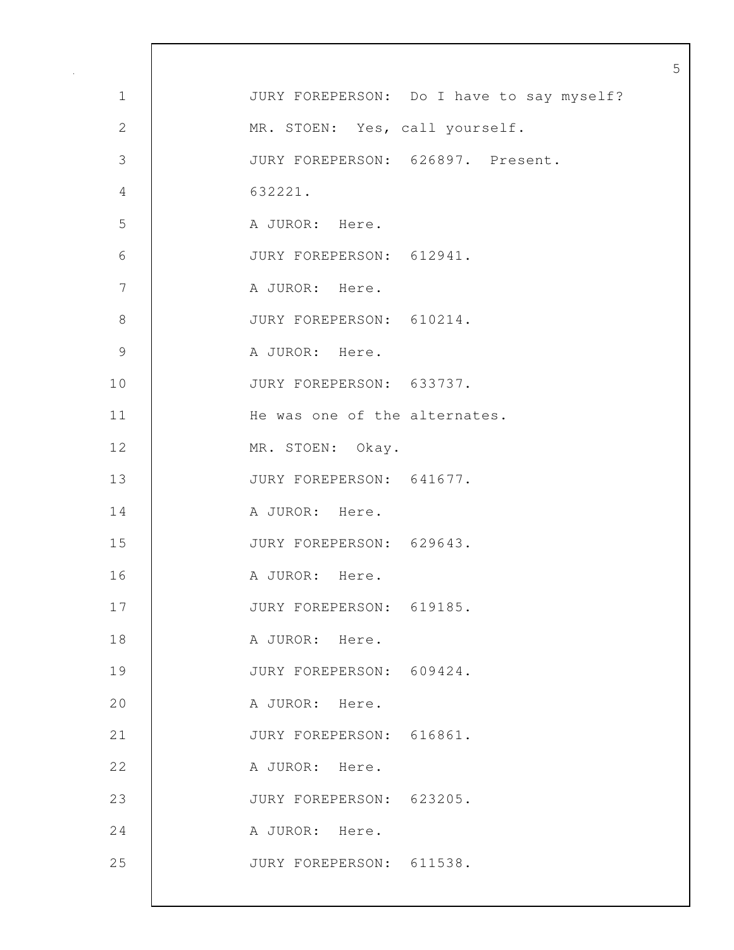| $\mathbf 1$   | JURY FOREPERSON: Do I have to say myself? |
|---------------|-------------------------------------------|
| $\sqrt{2}$    | MR. STOEN: Yes, call yourself.            |
| 3             | JURY FOREPERSON: 626897. Present.         |
| $\sqrt{4}$    | 632221.                                   |
| 5             | A JUROR: Here.                            |
| $\sqrt{6}$    | JURY FOREPERSON: 612941.                  |
| 7             | A JUROR: Here.                            |
| $\,8\,$       | JURY FOREPERSON: 610214.                  |
| $\mathcal{G}$ | A JUROR: Here.                            |
| 10            | JURY FOREPERSON: 633737.                  |
| 11            | He was one of the alternates.             |
| 12            | MR. STOEN: Okay.                          |
| 13            | JURY FOREPERSON: 641677.                  |
| 14            | A JUROR: Here.                            |
| 15            | JURY FOREPERSON: 629643.                  |
| 16            | A JUROR: Here.                            |
| 17            | JURY FOREPERSON: 619185.                  |
| 18            | A JUROR: Here.                            |
| 19            | JURY FOREPERSON: 609424.                  |
| 20            | A JUROR: Here.                            |
| 21            | JURY FOREPERSON: 616861.                  |
| 22            | A JUROR: Here.                            |
| 23            | JURY FOREPERSON: 623205.                  |
| 24            | A JUROR: Here.                            |
| 25            | JURY FOREPERSON: 611538.                  |
|               |                                           |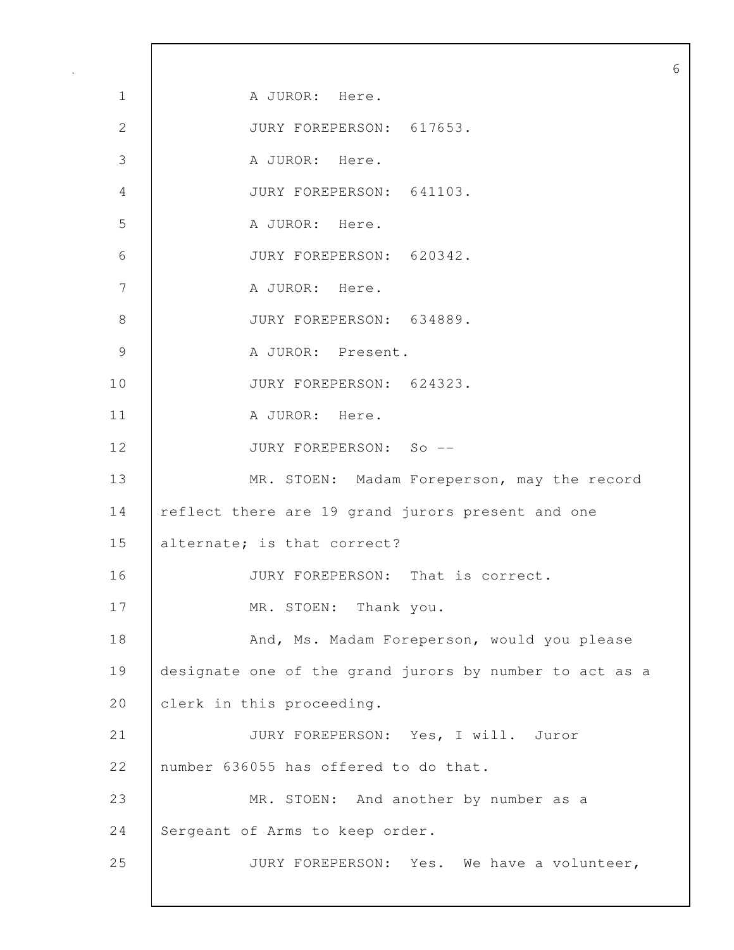1 | A JUROR: Here. 2 JURY FOREPERSON: 617653. 3 A JUROR: Here. 4 JURY FOREPERSON: 641103. 5 A JUROR: Here. 6 JURY FOREPERSON: 620342. 7 | A JUROR: Here. 8 JURY FOREPERSON: 634889. 9 A JUROR: Present. 10 JURY FOREPERSON: 624323. 11 | A JUROR: Here. 12 JURY FOREPERSON: So -- 13 MR. STOEN: Madam Foreperson, may the record 14 | reflect there are 19 grand jurors present and one 15 alternate; is that correct? 16 JURY FOREPERSON: That is correct. 17 MR. STOEN: Thank you. 18 | And, Ms. Madam Foreperson, would you please 19 designate one of the grand jurors by number to act as a 20 clerk in this proceeding. 21 JURY FOREPERSON: Yes, I will. Juror 22 number 636055 has offered to do that. 23 MR. STOEN: And another by number as a 24 Sergeant of Arms to keep order. 25 JURY FOREPERSON: Yes. We have a volunteer,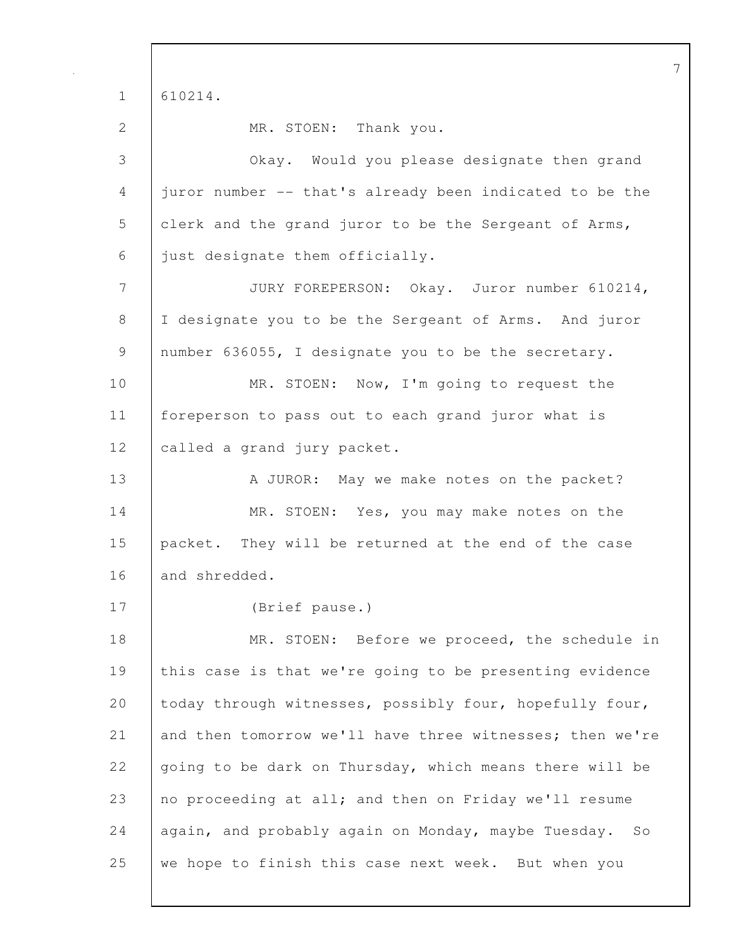1 610214.

2 MR. STOEN: Thank you.

3 Okay. Would you please designate then grand 4 juror number -- that's already been indicated to be the 5 clerk and the grand juror to be the Sergeant of Arms, 6 just designate them officially. 7 JURY FOREPERSON: Okay. Juror number 610214, 8 I designate you to be the Sergeant of Arms. And juror 9 number 636055, I designate you to be the secretary. 10 MR. STOEN: Now, I'm going to request the 11 foreperson to pass out to each grand juror what is 12 called a grand jury packet. 13 A JUROR: May we make notes on the packet? 14 MR. STOEN: Yes, you may make notes on the 15 packet. They will be returned at the end of the case 16 and shredded. 17 (Brief pause.) 18 MR. STOEN: Before we proceed, the schedule in 19 this case is that we're going to be presenting evidence 20 today through witnesses, possibly four, hopefully four, 21 and then tomorrow we'll have three witnesses; then we're 22 going to be dark on Thursday, which means there will be 23 no proceeding at all; and then on Friday we'll resume 24 again, and probably again on Monday, maybe Tuesday. So 25 we hope to finish this case next week. But when you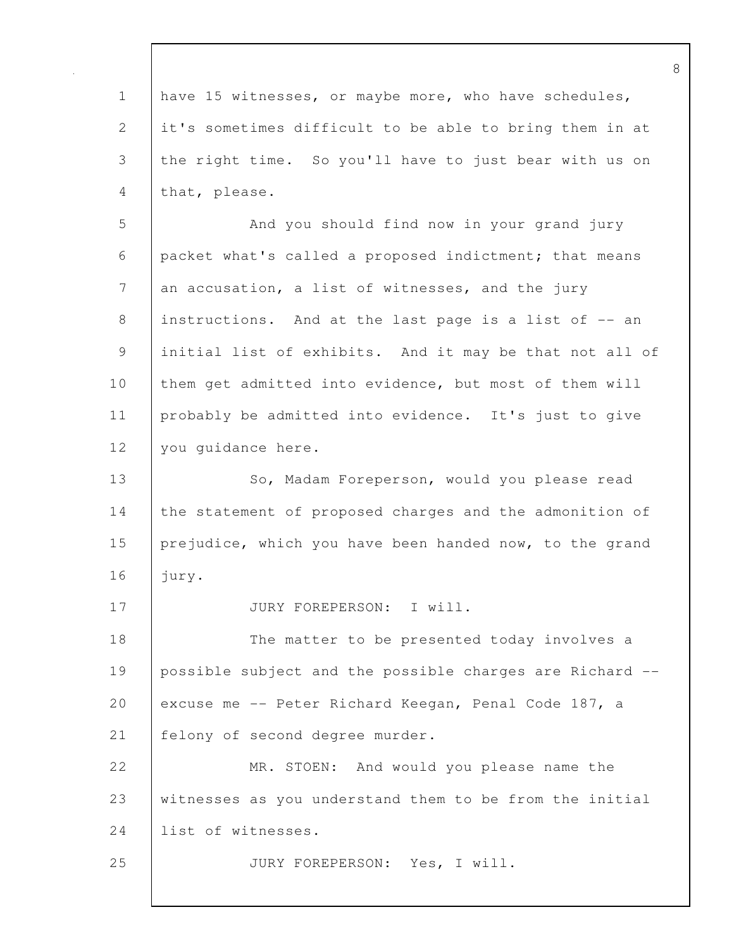1 have 15 witnesses, or maybe more, who have schedules, 2 it's sometimes difficult to be able to bring them in at 3 the right time. So you'll have to just bear with us on 4 that, please. 5 And you should find now in your grand jury 6 packet what's called a proposed indictment; that means 7 an accusation, a list of witnesses, and the jury 8 instructions. And at the last page is a list of -- an 9 initial list of exhibits. And it may be that not all of 10 | them get admitted into evidence, but most of them will 11 probably be admitted into evidence. It's just to give 12 you quidance here. 13 | So, Madam Foreperson, would you please read 14 the statement of proposed charges and the admonition of 15 prejudice, which you have been handed now, to the grand 16 jury. 17 | JURY FOREPERSON: I will. 18 The matter to be presented today involves a 19 possible subject and the possible charges are Richard -- 20 excuse me -- Peter Richard Keegan, Penal Code 187, a 21 | felony of second degree murder. 22 MR. STOEN: And would you please name the 23 witnesses as you understand them to be from the initial 24 list of witnesses. 25 JURY FOREPERSON: Yes, I will.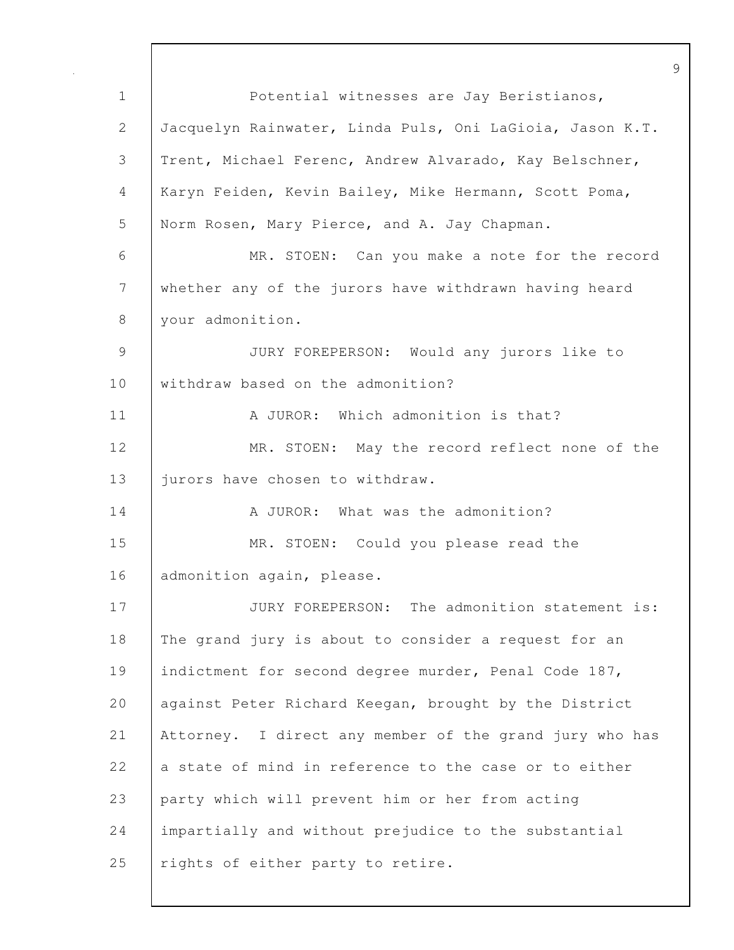1 Potential witnesses are Jay Beristianos, 2 Jacquelyn Rainwater, Linda Puls, Oni LaGioia, Jason K.T. 3 Trent, Michael Ferenc, Andrew Alvarado, Kay Belschner, 4 Karyn Feiden, Kevin Bailey, Mike Hermann, Scott Poma, 5 Norm Rosen, Mary Pierce, and A. Jay Chapman. 6 MR. STOEN: Can you make a note for the record 7 whether any of the jurors have withdrawn having heard 8 | your admonition. 9 JURY FOREPERSON: Would any jurors like to 10 withdraw based on the admonition? 11 | A JUROR: Which admonition is that? 12 MR. STOEN: May the record reflect none of the 13 | jurors have chosen to withdraw. 14 A JUROR: What was the admonition? 15 MR. STOEN: Could you please read the 16 | admonition again, please. 17 JURY FOREPERSON: The admonition statement is: 18 The grand jury is about to consider a request for an 19 | indictment for second degree murder, Penal Code 187, 20 | against Peter Richard Keegan, brought by the District 21 Attorney. I direct any member of the grand jury who has 22  $\vert$  a state of mind in reference to the case or to either 23 party which will prevent him or her from acting 24 impartially and without prejudice to the substantial 25 | rights of either party to retire.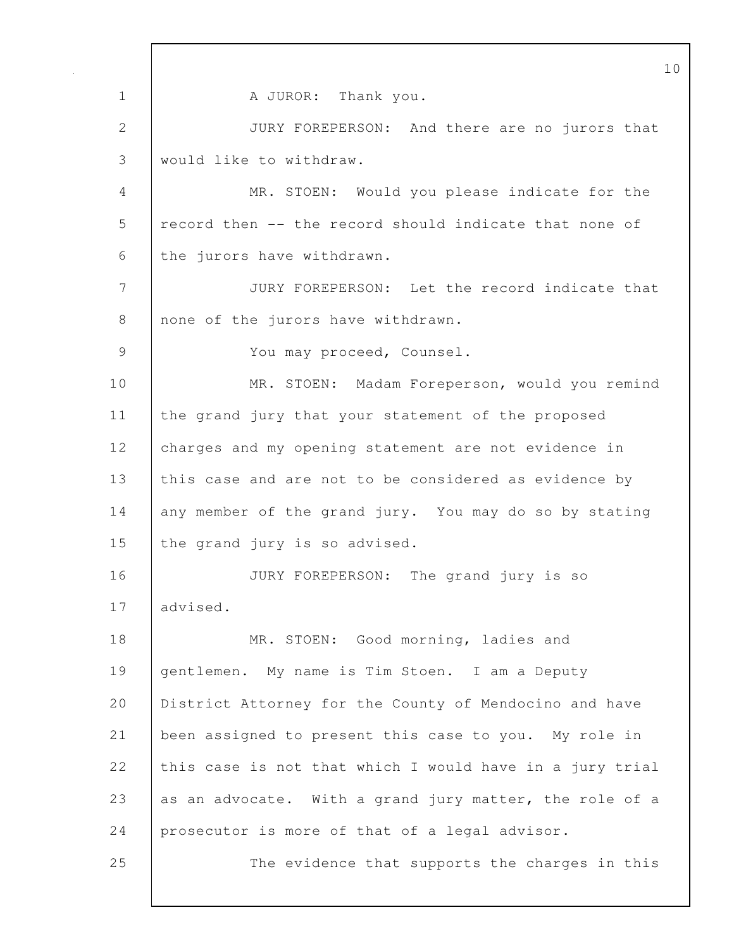10 1 | A JUROR: Thank you. 2 JURY FOREPERSON: And there are no jurors that 3 would like to withdraw. 4 MR. STOEN: Would you please indicate for the 5 record then -- the record should indicate that none of 6 the jurors have withdrawn. 7 JURY FOREPERSON: Let the record indicate that 8 none of the jurors have withdrawn. 9 | You may proceed, Counsel. 10 MR. STOEN: Madam Foreperson, would you remind 11 the grand jury that your statement of the proposed 12 charges and my opening statement are not evidence in 13 this case and are not to be considered as evidence by 14 any member of the grand jury. You may do so by stating 15 the grand jury is so advised. 16 JURY FOREPERSON: The grand jury is so 17 advised. 18 | MR. STOEN: Good morning, ladies and 19 gentlemen. My name is Tim Stoen. I am a Deputy 20 District Attorney for the County of Mendocino and have 21 been assigned to present this case to you. My role in 22 this case is not that which I would have in a jury trial 23 as an advocate. With a grand jury matter, the role of a 24 prosecutor is more of that of a legal advisor. 25 The evidence that supports the charges in this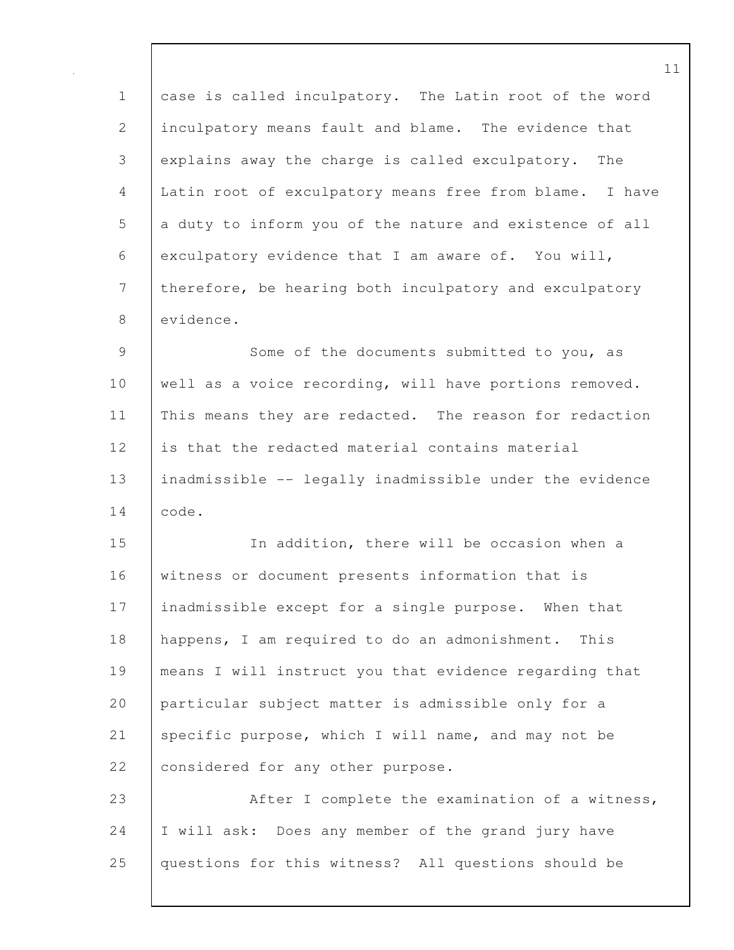1 case is called inculpatory. The Latin root of the word 2 inculpatory means fault and blame. The evidence that 3 explains away the charge is called exculpatory. The 4 Latin root of exculpatory means free from blame. I have 5 a duty to inform you of the nature and existence of all 6 exculpatory evidence that I am aware of. You will, 7 therefore, be hearing both inculpatory and exculpatory 8 evidence.

9 Some of the documents submitted to you, as 10 | well as a voice recording, will have portions removed. 11 This means they are redacted. The reason for redaction 12 is that the redacted material contains material 13 inadmissible -- legally inadmissible under the evidence 14 code.

15 In addition, there will be occasion when a 16 witness or document presents information that is 17 | inadmissible except for a single purpose. When that 18 happens, I am required to do an admonishment. This 19 means I will instruct you that evidence regarding that 20 particular subject matter is admissible only for a 21 specific purpose, which I will name, and may not be 22 considered for any other purpose.

23 After I complete the examination of a witness, 24 I will ask: Does any member of the grand jury have 25 questions for this witness? All questions should be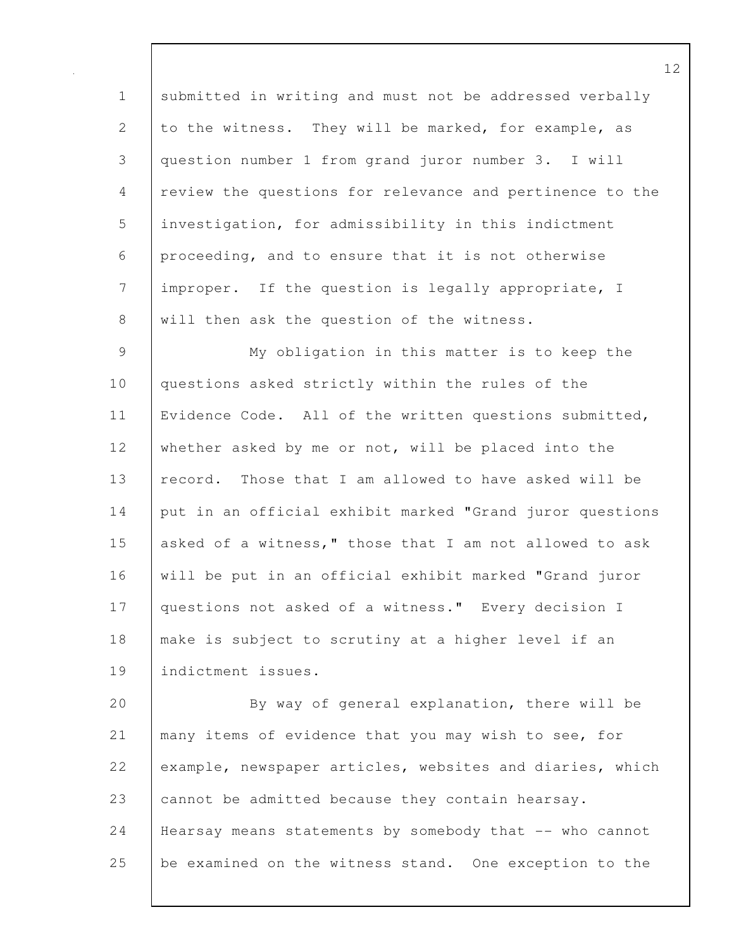1 submitted in writing and must not be addressed verbally 2 to the witness. They will be marked, for example, as 3 question number 1 from grand juror number 3. I will 4 review the questions for relevance and pertinence to the 5 investigation, for admissibility in this indictment 6 proceeding, and to ensure that it is not otherwise 7 improper. If the question is legally appropriate, I 8 will then ask the question of the witness.

9 My obligation in this matter is to keep the 10 questions asked strictly within the rules of the 11 Evidence Code. All of the written questions submitted, 12 whether asked by me or not, will be placed into the 13 record. Those that I am allowed to have asked will be 14 put in an official exhibit marked "Grand juror questions 15 asked of a witness," those that I am not allowed to ask 16 will be put in an official exhibit marked "Grand juror 17 | questions not asked of a witness." Every decision I 18 | make is subject to scrutiny at a higher level if an 19 indictment issues.

20 By way of general explanation, there will be 21 many items of evidence that you may wish to see, for 22 example, newspaper articles, websites and diaries, which 23 cannot be admitted because they contain hearsay. 24 | Hearsay means statements by somebody that -- who cannot 25 be examined on the witness stand. One exception to the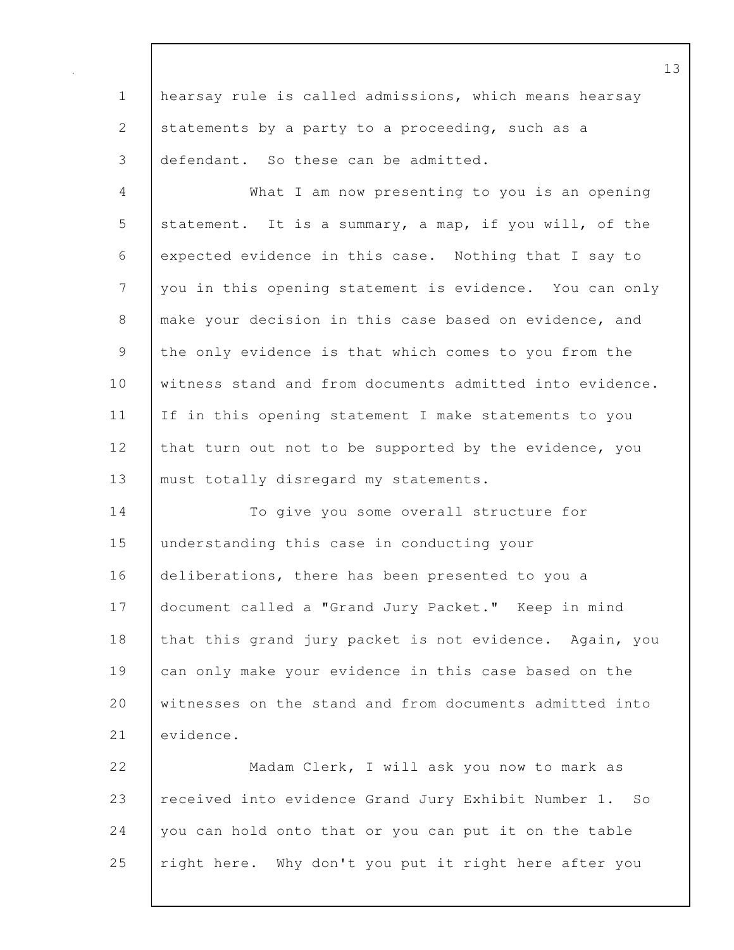1 hearsay rule is called admissions, which means hearsay 2 statements by a party to a proceeding, such as a 3 defendant. So these can be admitted.

4 What I am now presenting to you is an opening 5 statement. It is a summary, a map, if you will, of the 6 expected evidence in this case. Nothing that I say to 7 you in this opening statement is evidence. You can only 8 | make your decision in this case based on evidence, and 9 the only evidence is that which comes to you from the 10 witness stand and from documents admitted into evidence. 11 If in this opening statement I make statements to you 12 that turn out not to be supported by the evidence, you 13 | must totally disregard my statements.

14 To give you some overall structure for 15 understanding this case in conducting your 16 deliberations, there has been presented to you a 17 document called a "Grand Jury Packet." Keep in mind 18 that this grand jury packet is not evidence. Again, you 19 can only make your evidence in this case based on the 20 witnesses on the stand and from documents admitted into 21 evidence.

22 Wadam Clerk, I will ask you now to mark as 23 received into evidence Grand Jury Exhibit Number 1. So  $24$  you can hold onto that or you can put it on the table 25 | right here. Why don't you put it right here after you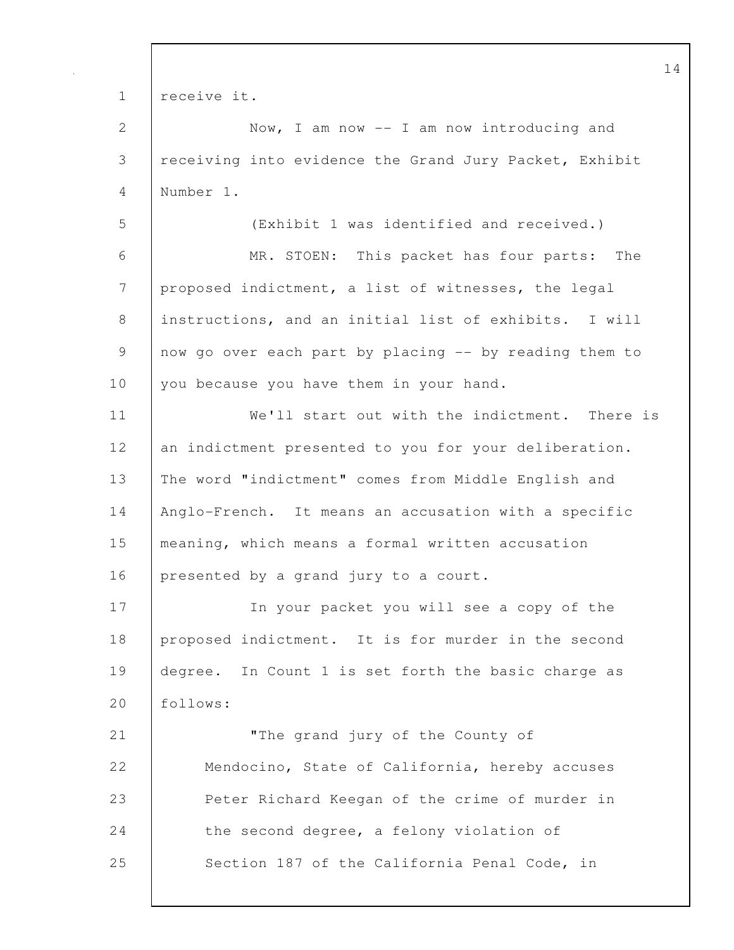1 | receive it. 2 | Now, I am now -- I am now introducing and 3 receiving into evidence the Grand Jury Packet, Exhibit 4 Number 1. 5 (Exhibit 1 was identified and received.) 6 MR. STOEN: This packet has four parts: The 7 proposed indictment, a list of witnesses, the legal 8 instructions, and an initial list of exhibits. I will 9 | now go over each part by placing -- by reading them to 10 you because you have them in your hand. 11 We'll start out with the indictment. There is 12 an indictment presented to you for your deliberation. 13 The word "indictment" comes from Middle English and 14 Anglo-French. It means an accusation with a specific 15 meaning, which means a formal written accusation 16 presented by a grand jury to a court. 17 In your packet you will see a copy of the 18 proposed indictment. It is for murder in the second 19 degree. In Count 1 is set forth the basic charge as 20 follows: 21 **The grand jury of the County of** 22 Mendocino, State of California, hereby accuses 23 Peter Richard Keegan of the crime of murder in 24 the second degree, a felony violation of 25 | Section 187 of the California Penal Code, in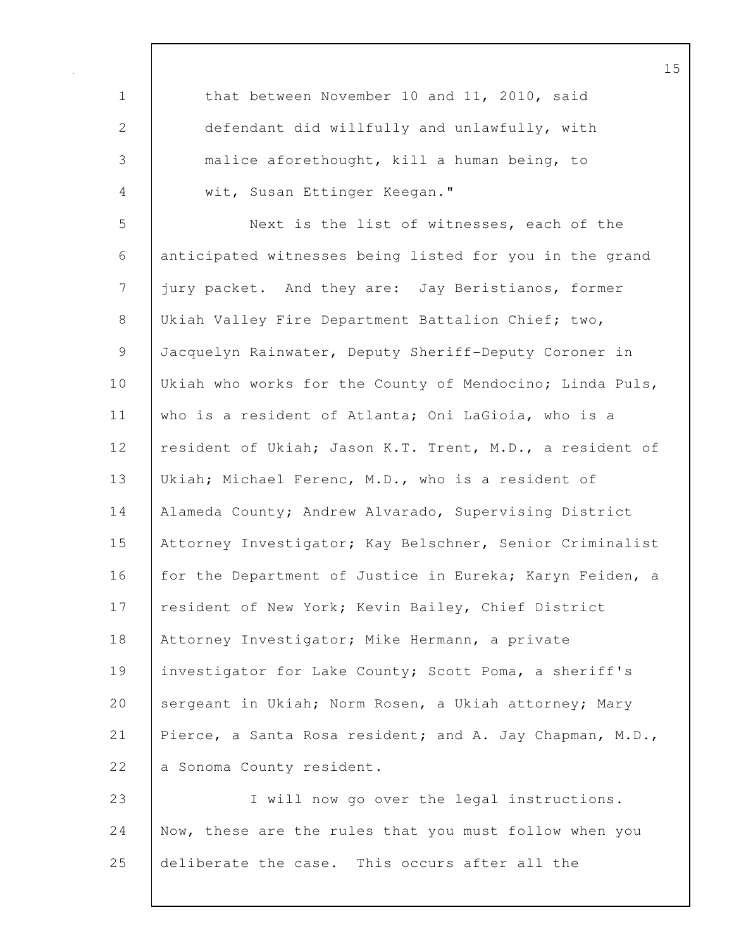1 that between November 10 and 11, 2010, said 2 defendant did willfully and unlawfully, with 3 malice aforethought, kill a human being, to 4 | wit, Susan Ettinger Keegan." 5 Next is the list of witnesses, each of the 6 anticipated witnesses being listed for you in the grand 7 jury packet. And they are: Jay Beristianos, former 8 Ukiah Valley Fire Department Battalion Chief; two, 9 Jacquelyn Rainwater, Deputy Sheriff-Deputy Coroner in 10 | Ukiah who works for the County of Mendocino; Linda Puls, 11 who is a resident of Atlanta; Oni LaGioia, who is a 12 | resident of Ukiah; Jason K.T. Trent, M.D., a resident of 13 Ukiah; Michael Ferenc, M.D., who is a resident of 14 Alameda County; Andrew Alvarado, Supervising District 15 Attorney Investigator; Kay Belschner, Senior Criminalist 16 for the Department of Justice in Eureka; Karyn Feiden, a 17 | resident of New York; Kevin Bailey, Chief District 18 Attorney Investigator; Mike Hermann, a private 19 investigator for Lake County; Scott Poma, a sheriff's 20 sergeant in Ukiah; Norm Rosen, a Ukiah attorney; Mary 21 Pierce, a Santa Rosa resident; and A. Jay Chapman, M.D., 22 a Sonoma County resident. 23 I will now go over the legal instructions. 24 Now, these are the rules that you must follow when you 25 deliberate the case. This occurs after all the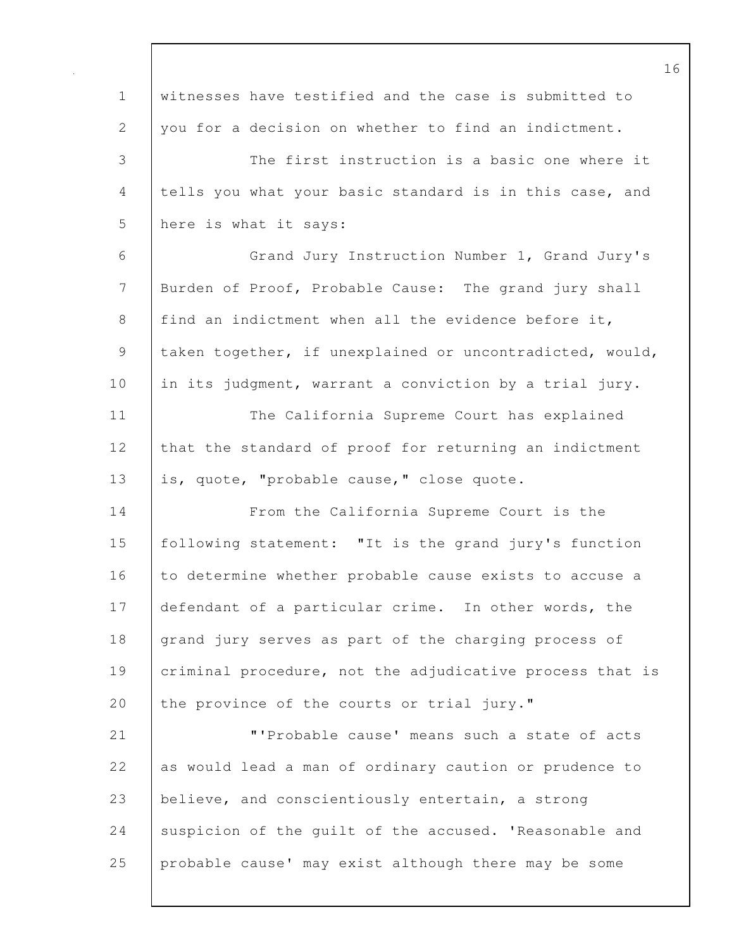| $\mathbf 1$ | witnesses have testified and the case is submitted to    |
|-------------|----------------------------------------------------------|
| 2           | you for a decision on whether to find an indictment.     |
| 3           | The first instruction is a basic one where it            |
| 4           | tells you what your basic standard is in this case, and  |
| 5           | here is what it says:                                    |
| 6           | Grand Jury Instruction Number 1, Grand Jury's            |
| 7           | Burden of Proof, Probable Cause: The grand jury shall    |
| 8           | find an indictment when all the evidence before it,      |
| 9           | taken together, if unexplained or uncontradicted, would, |
| 10          | in its judgment, warrant a conviction by a trial jury.   |
| 11          | The California Supreme Court has explained               |
| 12          | that the standard of proof for returning an indictment   |
| 13          | is, quote, "probable cause," close quote.                |
| 14          | From the California Supreme Court is the                 |
| 15          | following statement: "It is the grand jury's function    |
| 16          | to determine whether probable cause exists to accuse a   |
| 17          | defendant of a particular crime. In other words, the     |
| 18          | grand jury serves as part of the charging process of     |
| 19          | criminal procedure, not the adjudicative process that is |
| 20          | the province of the courts or trial jury."               |
| 21          | "'Probable cause' means such a state of acts             |
| 22          | as would lead a man of ordinary caution or prudence to   |
| 23          | believe, and conscientiously entertain, a strong         |
| 24          | suspicion of the guilt of the accused. 'Reasonable and   |
| 25          | probable cause' may exist although there may be some     |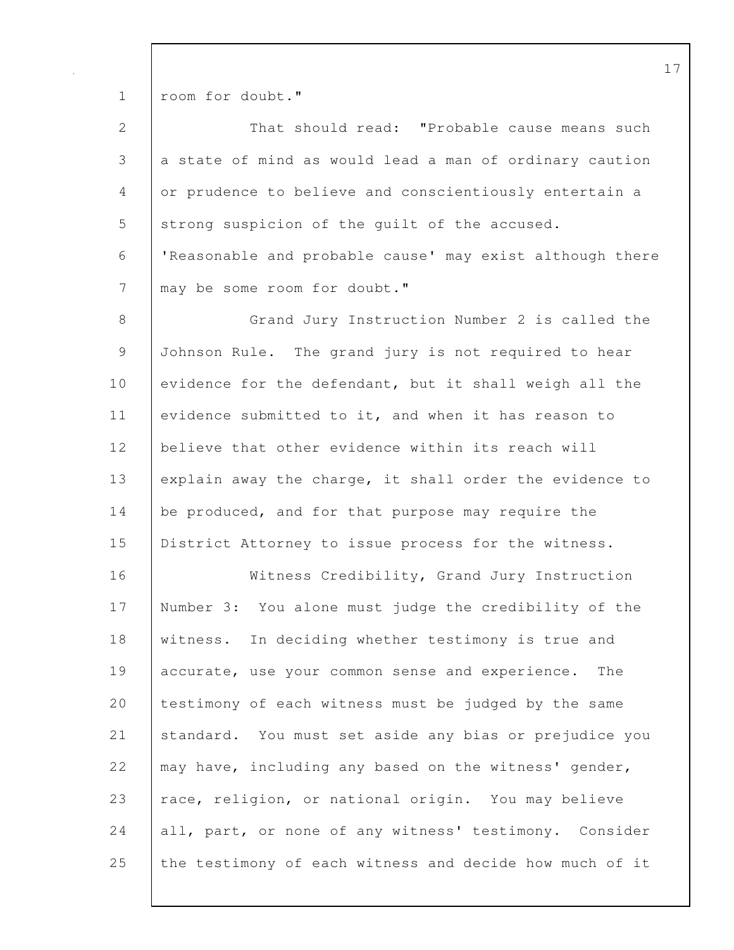1 room for doubt."

| $\overline{2}$ | That should read: "Probable cause means such             |
|----------------|----------------------------------------------------------|
| 3              | a state of mind as would lead a man of ordinary caution  |
| 4              | or prudence to believe and conscientiously entertain a   |
| 5              | strong suspicion of the quilt of the accused.            |
| 6              | 'Reasonable and probable cause' may exist although there |
| $\overline{7}$ | may be some room for doubt."                             |
| 8              | Grand Jury Instruction Number 2 is called the            |
| $\mathsf 9$    | Johnson Rule. The grand jury is not required to hear     |
| 10             | evidence for the defendant, but it shall weigh all the   |
| 11             | evidence submitted to it, and when it has reason to      |
| 12             | believe that other evidence within its reach will        |
| 13             | explain away the charge, it shall order the evidence to  |
| 14             | be produced, and for that purpose may require the        |
| 15             | District Attorney to issue process for the witness.      |
| 16             | Witness Credibility, Grand Jury Instruction              |
| 17             | Number 3: You alone must judge the credibility of the    |
| 18             | witness. In deciding whether testimony is true and       |
| 19             | accurate, use your common sense and experience.<br>The   |
| 20             | testimony of each witness must be judged by the same     |
| 21             | standard. You must set aside any bias or prejudice you   |
| 22             | may have, including any based on the witness' gender,    |
| 23             | race, religion, or national origin. You may believe      |
| 24             | all, part, or none of any witness' testimony. Consider   |
| 25             | the testimony of each witness and decide how much of it  |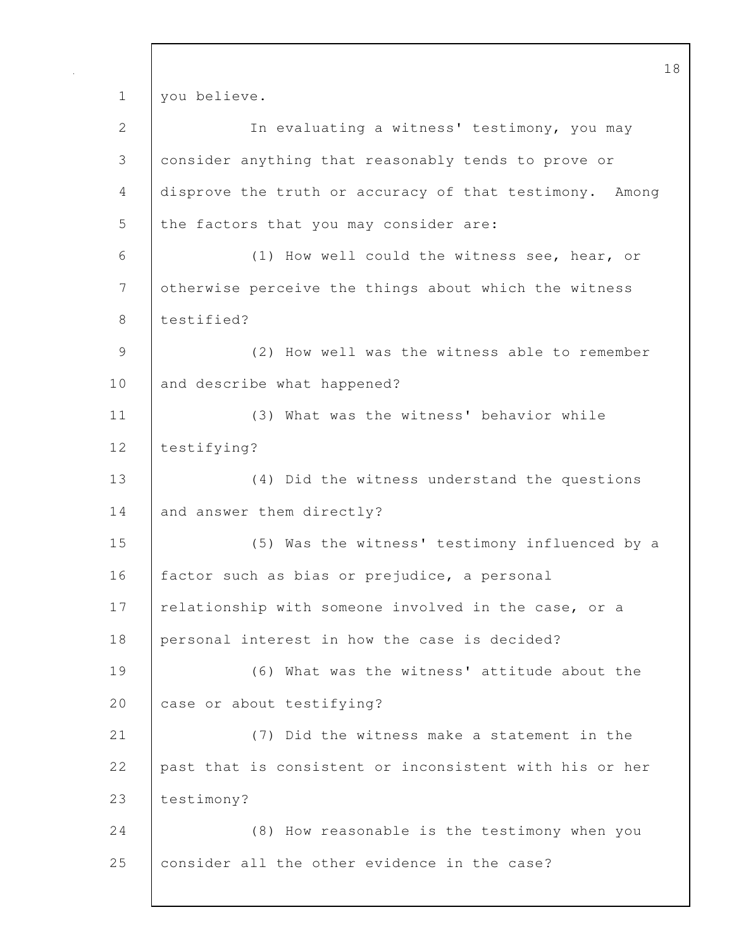18 1 you believe. 2 In evaluating a witness' testimony, you may 3 consider anything that reasonably tends to prove or 4 disprove the truth or accuracy of that testimony. Among 5 the factors that you may consider are: 6 (1) How well could the witness see, hear, or 7 | otherwise perceive the things about which the witness 8 testified? 9 (2) How well was the witness able to remember 10 and describe what happened? 11 (3) What was the witness' behavior while 12 | testifying? 13 (4) Did the witness understand the questions 14 and answer them directly? 15 (5) Was the witness' testimony influenced by a 16 factor such as bias or prejudice, a personal 17 | relationship with someone involved in the case, or a 18 personal interest in how the case is decided? 19 (6) What was the witness' attitude about the 20 case or about testifying? 21 (7) Did the witness make a statement in the 22 past that is consistent or inconsistent with his or her 23 | testimony? 24 (8) How reasonable is the testimony when you 25 consider all the other evidence in the case?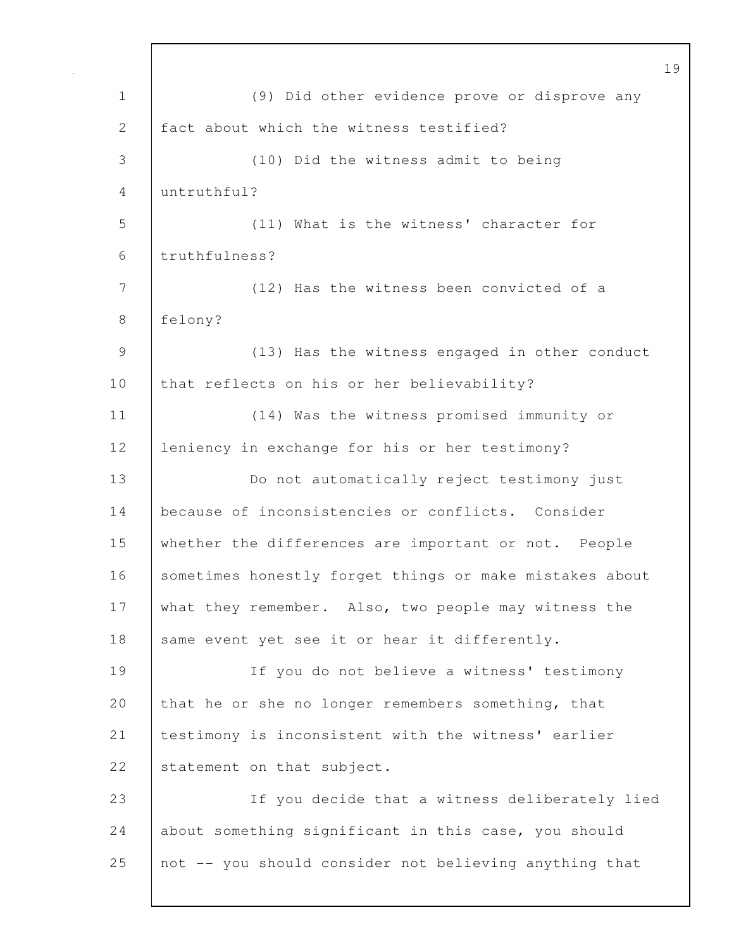| $\mathbf 1$ | (9) Did other evidence prove or disprove any            |
|-------------|---------------------------------------------------------|
| 2           | fact about which the witness testified?                 |
| 3           | (10) Did the witness admit to being                     |
| 4           | untruthful?                                             |
| 5           | (11) What is the witness' character for                 |
| 6           | truthfulness?                                           |
| 7           | (12) Has the witness been convicted of a                |
| 8           | felony?                                                 |
| $\mathsf 9$ | (13) Has the witness engaged in other conduct           |
| 10          | that reflects on his or her believability?              |
| 11          | (14) Was the witness promised immunity or               |
| 12          | leniency in exchange for his or her testimony?          |
| 13          | Do not automatically reject testimony just              |
| 14          | because of inconsistencies or conflicts. Consider       |
| 15          | whether the differences are important or not. People    |
| 16          | sometimes honestly forget things or make mistakes about |
| 17          | what they remember. Also, two people may witness the    |
| 18          | same event yet see it or hear it differently.           |
| 19          | If you do not believe a witness' testimony              |
| 20          | that he or she no longer remembers something, that      |
| 21          | testimony is inconsistent with the witness' earlier     |
| 22          | statement on that subject.                              |
| 23          | If you decide that a witness deliberately lied          |
| 24          | about something significant in this case, you should    |
| 25          | not -- you should consider not believing anything that  |
|             |                                                         |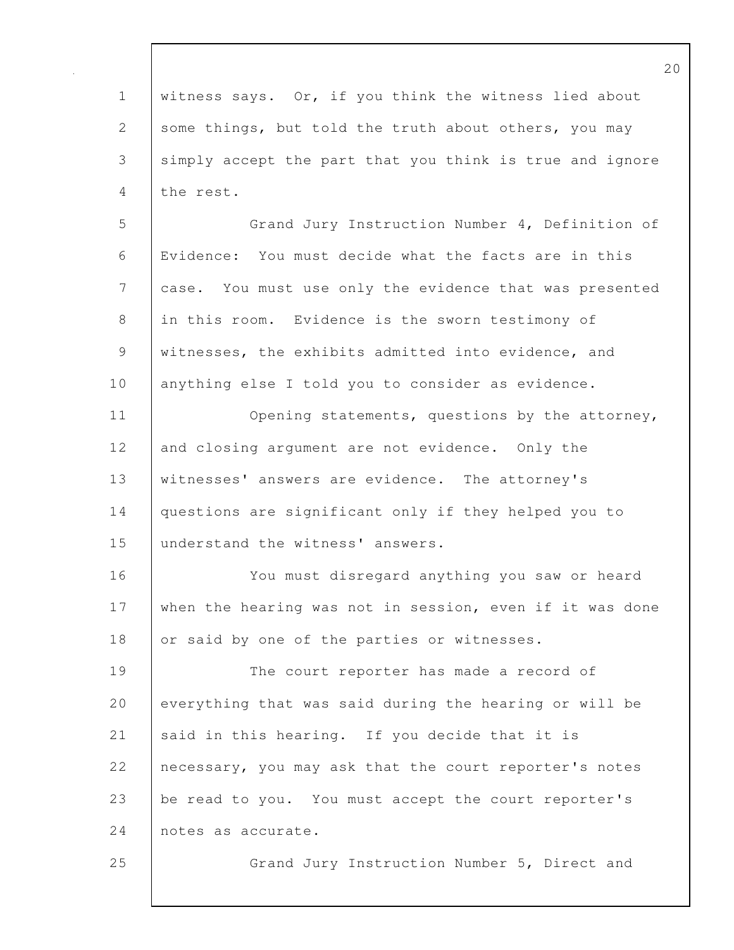20 1 witness says. Or, if you think the witness lied about 2 some things, but told the truth about others, you may 3 simply accept the part that you think is true and ignore 4 the rest. 5 Grand Jury Instruction Number 4, Definition of 6 Evidence: You must decide what the facts are in this 7 case. You must use only the evidence that was presented 8 in this room. Evidence is the sworn testimony of 9 witnesses, the exhibits admitted into evidence, and 10 | anything else I told you to consider as evidence. 11 | Opening statements, questions by the attorney, 12 and closing argument are not evidence. Only the 13 witnesses' answers are evidence. The attorney's 14 questions are significant only if they helped you to 15 understand the witness' answers. 16 You must disregard anything you saw or heard 17 when the hearing was not in session, even if it was done 18 or said by one of the parties or witnesses. 19 The court reporter has made a record of 20 everything that was said during the hearing or will be 21 said in this hearing. If you decide that it is 22 necessary, you may ask that the court reporter's notes 23 be read to you. You must accept the court reporter's 24 notes as accurate. 25 Grand Jury Instruction Number 5, Direct and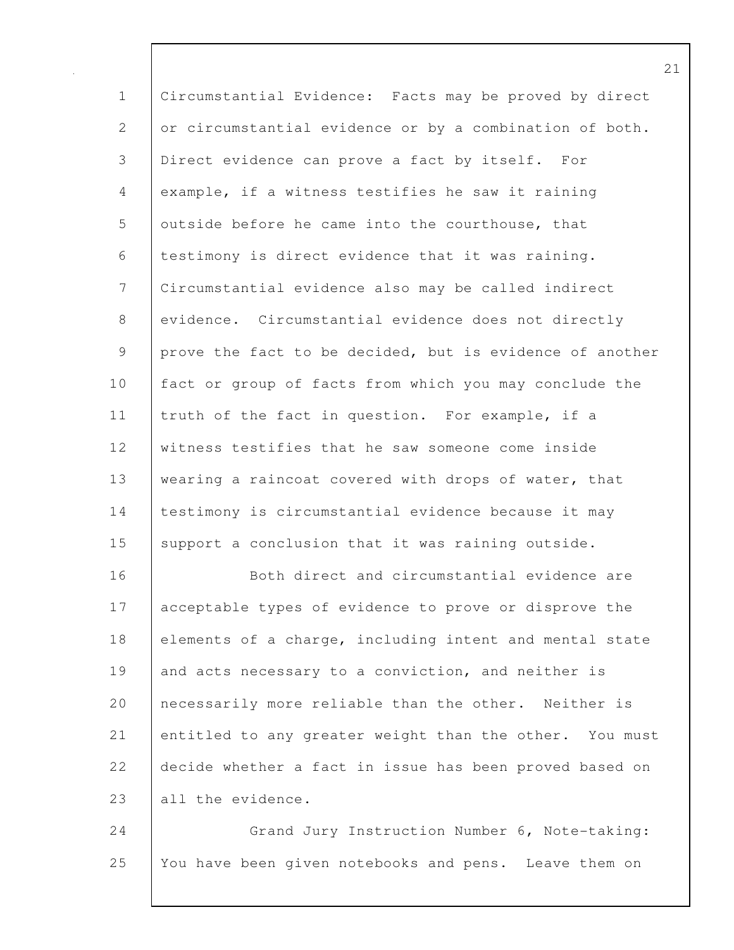1 Circumstantial Evidence: Facts may be proved by direct 2 or circumstantial evidence or by a combination of both. 3 Direct evidence can prove a fact by itself. For 4 example, if a witness testifies he saw it raining 5 outside before he came into the courthouse, that 6 testimony is direct evidence that it was raining. 7 Circumstantial evidence also may be called indirect 8 evidence. Circumstantial evidence does not directly 9 prove the fact to be decided, but is evidence of another 10 fact or group of facts from which you may conclude the 11 | truth of the fact in question. For example, if a 12 witness testifies that he saw someone come inside 13 wearing a raincoat covered with drops of water, that 14 | testimony is circumstantial evidence because it may 15 support a conclusion that it was raining outside. 16 | Both direct and circumstantial evidence are 17 acceptable types of evidence to prove or disprove the 18 elements of a charge, including intent and mental state

19 and acts necessary to a conviction, and neither is 20 | necessarily more reliable than the other. Neither is 21 entitled to any greater weight than the other. You must 22 decide whether a fact in issue has been proved based on 23 all the evidence.

24 | Grand Jury Instruction Number 6, Note-taking: 25 You have been given notebooks and pens. Leave them on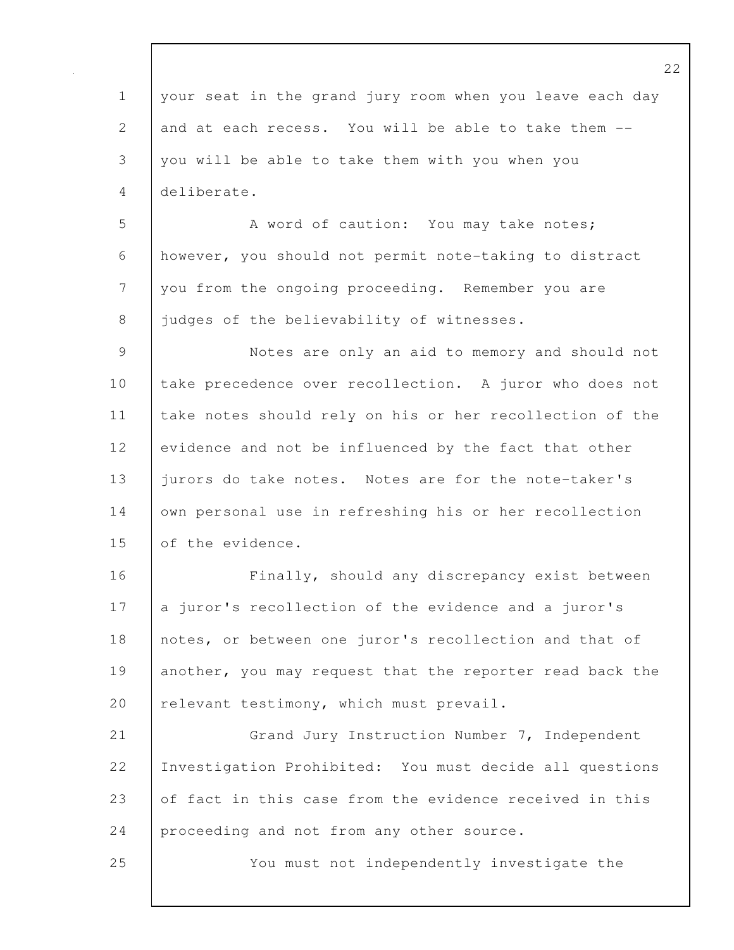|                 | 2                                                        |
|-----------------|----------------------------------------------------------|
| $\mathbf 1$     | your seat in the grand jury room when you leave each day |
| 2               | and at each recess. You will be able to take them --     |
| 3               | you will be able to take them with you when you          |
| 4               | deliberate.                                              |
| 5               | A word of caution: You may take notes;                   |
| 6               | however, you should not permit note-taking to distract   |
| $7\phantom{.0}$ | you from the ongoing proceeding. Remember you are        |
| 8               | judges of the believability of witnesses.                |
| $\mathcal{G}$   | Notes are only an aid to memory and should not           |
| 10              | take precedence over recollection. A juror who does not  |
| 11              | take notes should rely on his or her recollection of the |
| 12              | evidence and not be influenced by the fact that other    |
| 13              | jurors do take notes. Notes are for the note-taker's     |
| 14              | own personal use in refreshing his or her recollection   |
| 15              | of the evidence.                                         |
| 16              | Finally, should any discrepancy exist between            |
| 17              | a juror's recollection of the evidence and a juror's     |
| 18              | notes, or between one juror's recollection and that of   |
| 19              | another, you may request that the reporter read back the |
| 20              | relevant testimony, which must prevail.                  |
| 21              | Grand Jury Instruction Number 7, Independent             |
| 22              | Investigation Prohibited: You must decide all questions  |
| 23              | of fact in this case from the evidence received in this  |
| 24              | proceeding and not from any other source.                |
| 25              | You must not independently investigate the               |
|                 |                                                          |

 $\mathbf l$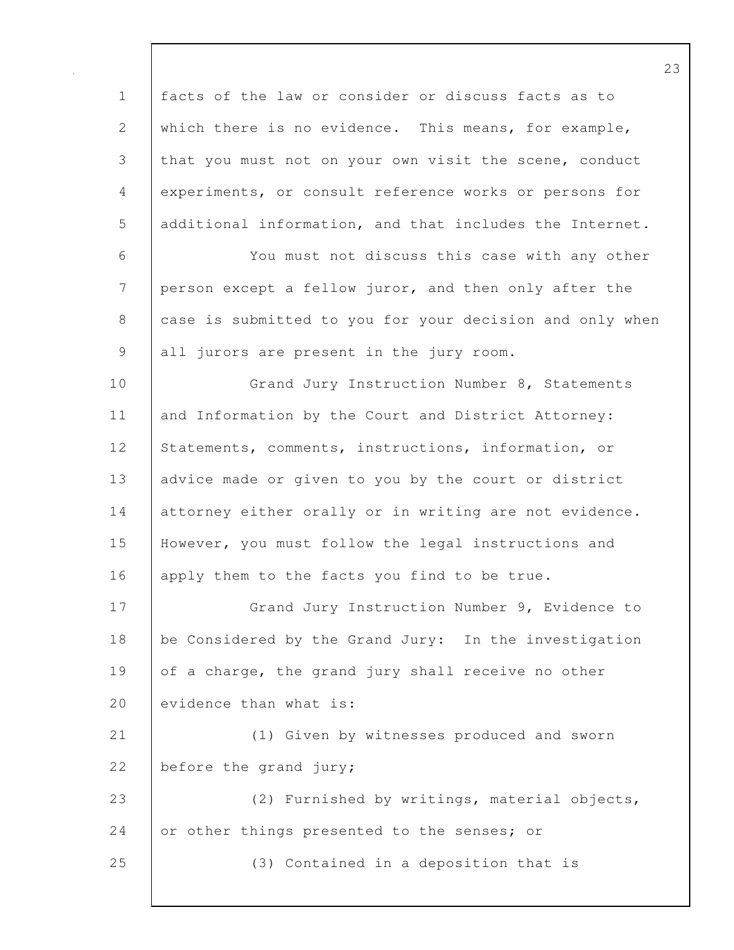1 facts of the law or consider or discuss facts as to 2 which there is no evidence. This means, for example, 3 that you must not on your own visit the scene, conduct 4 experiments, or consult reference works or persons for 5 additional information, and that includes the Internet. 6 You must not discuss this case with any other 7 person except a fellow juror, and then only after the 8 case is submitted to you for your decision and only when 9 all jurors are present in the jury room. 10 Grand Jury Instruction Number 8, Statements 11 and Information by the Court and District Attorney: 12 Statements, comments, instructions, information, or 13 advice made or given to you by the court or district 14 attorney either orally or in writing are not evidence. 15 However, you must follow the legal instructions and 16 apply them to the facts you find to be true. 17 | Grand Jury Instruction Number 9, Evidence to 18 be Considered by the Grand Jury: In the investigation 19 of a charge, the grand jury shall receive no other 20  $\blacksquare$  evidence than what is: 21 (1) Given by witnesses produced and sworn 22 before the grand jury; 23 (2) Furnished by writings, material objects, 24 or other things presented to the senses; or 25 (3) Contained in a deposition that is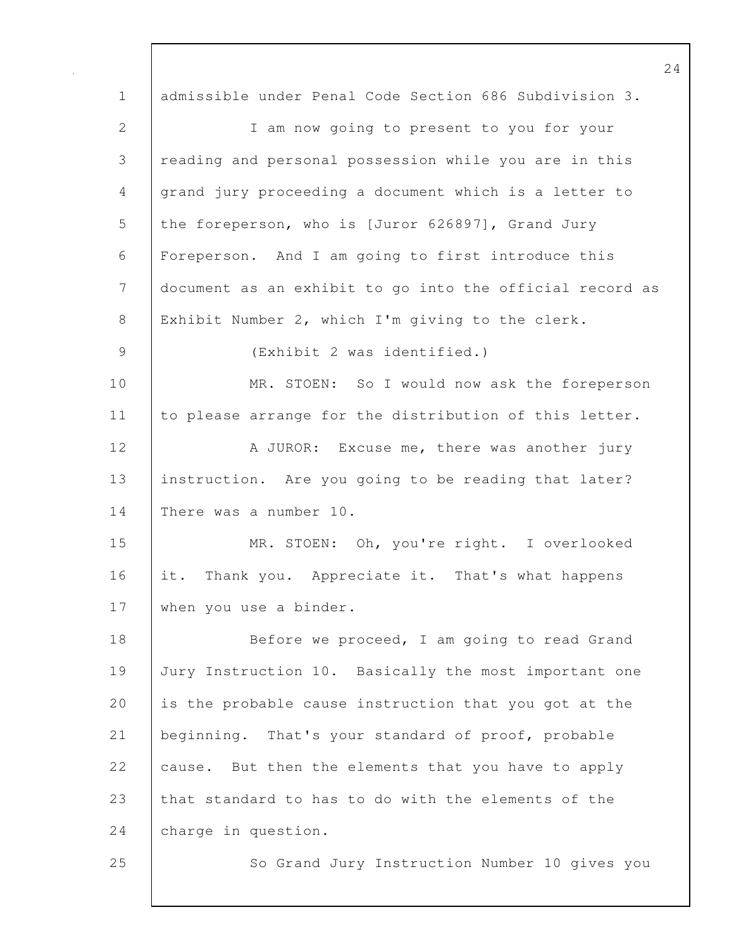24 1 admissible under Penal Code Section 686 Subdivision 3. 2 I am now going to present to you for your 3 reading and personal possession while you are in this 4 grand jury proceeding a document which is a letter to 5 the foreperson, who is [Juror 626897], Grand Jury 6 Foreperson. And I am going to first introduce this 7 document as an exhibit to go into the official record as 8 Exhibit Number 2, which I'm giving to the clerk. 9 (Exhibit 2 was identified.) 10 MR. STOEN: So I would now ask the foreperson 11 to please arrange for the distribution of this letter. 12 A JUROR: Excuse me, there was another jury 13 | instruction. Are you going to be reading that later? 14 There was a number 10. 15 MR. STOEN: Oh, you're right. I overlooked 16 it. Thank you. Appreciate it. That's what happens 17 when you use a binder. 18 Before we proceed, I am going to read Grand 19 Jury Instruction 10. Basically the most important one 20 is the probable cause instruction that you got at the 21 beginning. That's your standard of proof, probable 22 cause. But then the elements that you have to apply 23 that standard to has to do with the elements of the 24 charge in question. 25 So Grand Jury Instruction Number 10 gives you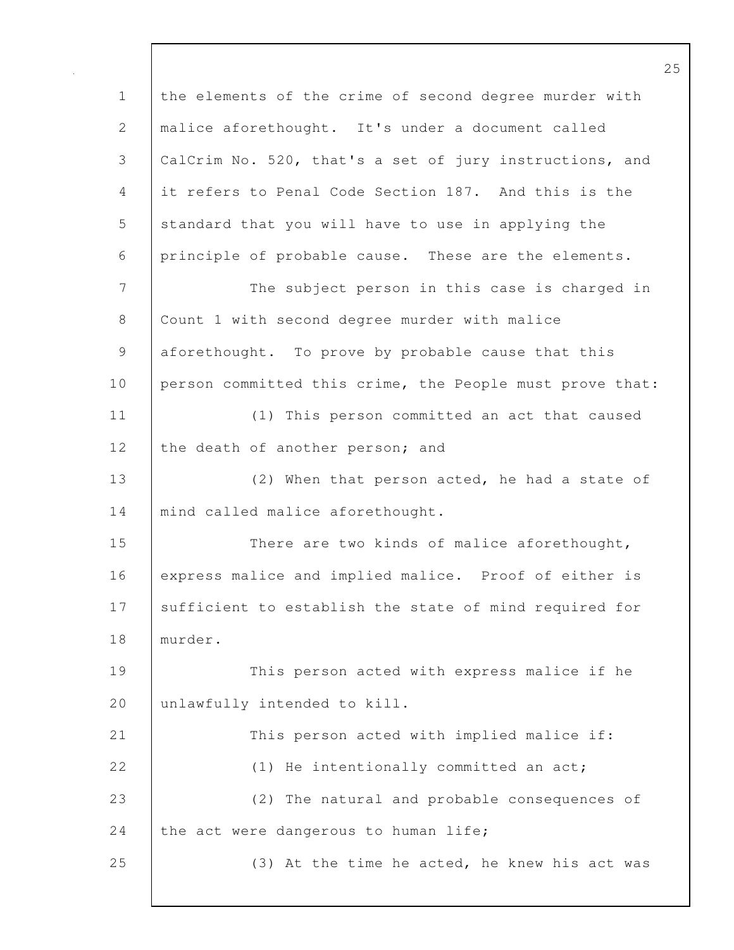1 the elements of the crime of second degree murder with 2 malice aforethought. It's under a document called 3 CalCrim No. 520, that's a set of jury instructions, and 4 it refers to Penal Code Section 187. And this is the 5 standard that you will have to use in applying the 6 principle of probable cause. These are the elements. 7 The subject person in this case is charged in 8 | Count 1 with second degree murder with malice 9 aforethought. To prove by probable cause that this 10 person committed this crime, the People must prove that: 11 (1) This person committed an act that caused 12 the death of another person; and 13 (2) When that person acted, he had a state of 14 | mind called malice aforethought. 15 There are two kinds of malice aforethought, 16 express malice and implied malice. Proof of either is 17 | sufficient to establish the state of mind required for 18 murder. 19 This person acted with express malice if he 20 unlawfully intended to kill. 21 This person acted with implied malice if: 22 (1) He intentionally committed an act; 23 (2) The natural and probable consequences of 24 the act were dangerous to human life; 25 (3) At the time he acted, he knew his act was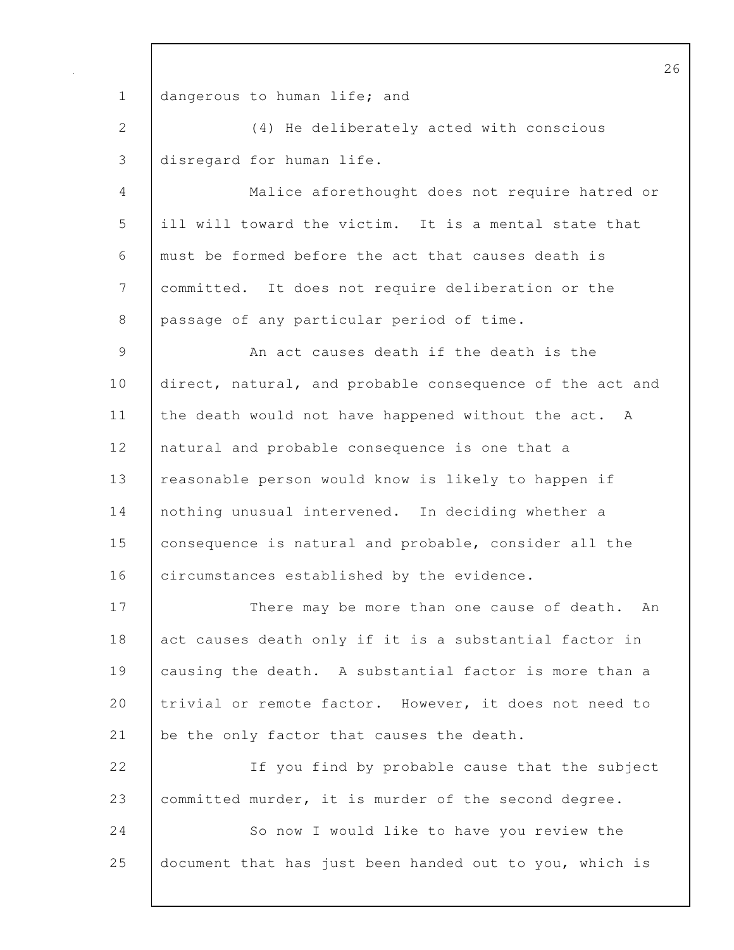1 | dangerous to human life; and 2 (4) He deliberately acted with conscious 3 disregard for human life. 4 Malice aforethought does not require hatred or 5 ill will toward the victim. It is a mental state that 6 must be formed before the act that causes death is 7 committed. It does not require deliberation or the 8 passage of any particular period of time. 9 An act causes death if the death is the 10 direct, natural, and probable consequence of the act and 11 the death would not have happened without the act. A 12 | natural and probable consequence is one that a 13 | reasonable person would know is likely to happen if 14 nothing unusual intervened. In deciding whether a 15 consequence is natural and probable, consider all the 16 circumstances established by the evidence. 17 | There may be more than one cause of death. An 18 act causes death only if it is a substantial factor in 19 causing the death. A substantial factor is more than a 20 trivial or remote factor. However, it does not need to 21 be the only factor that causes the death. 22 | If you find by probable cause that the subject 23 committed murder, it is murder of the second degree. 24 So now I would like to have you review the 25 document that has just been handed out to you, which is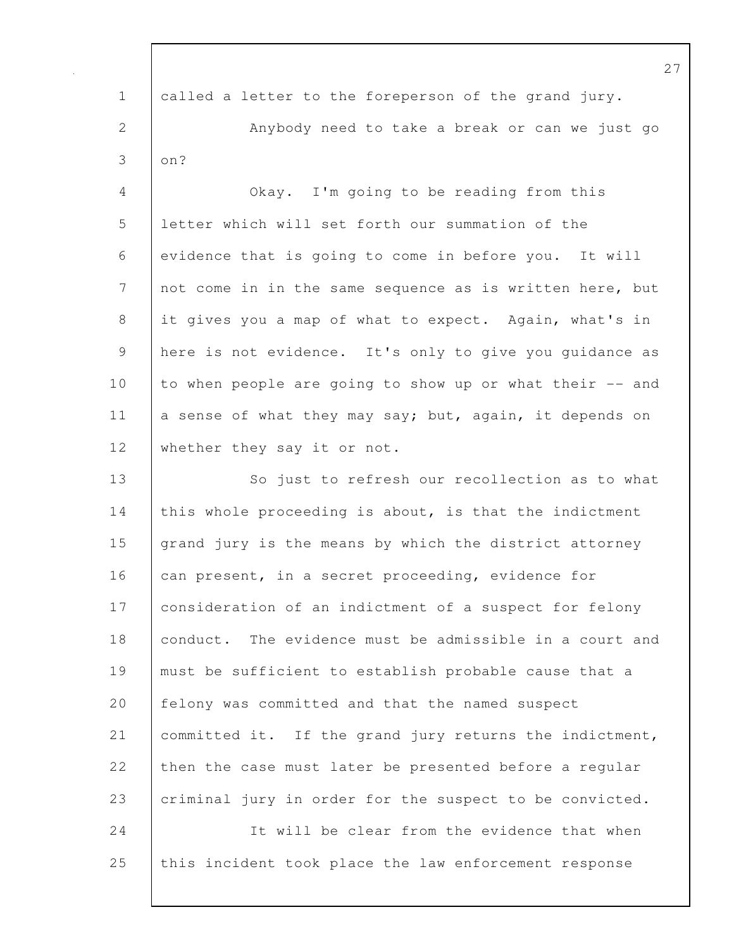| $\mathbf 1$  | called a letter to the foreperson of the grand jury.     |
|--------------|----------------------------------------------------------|
| $\mathbf{2}$ | Anybody need to take a break or can we just go           |
| 3            | on?                                                      |
| 4            | Okay. I'm going to be reading from this                  |
| 5            | letter which will set forth our summation of the         |
| 6            | evidence that is going to come in before you. It will    |
| 7            | not come in in the same sequence as is written here, but |
| 8            | it gives you a map of what to expect. Again, what's in   |
| $\mathsf 9$  | here is not evidence. It's only to give you guidance as  |
| 10           | to when people are going to show up or what their -- and |
| 11           | a sense of what they may say; but, again, it depends on  |
| 12           | whether they say it or not.                              |
| 13           | So just to refresh our recollection as to what           |
| 14           | this whole proceeding is about, is that the indictment   |
| 15           | grand jury is the means by which the district attorney   |
| 16           | can present, in a secret proceeding, evidence for        |
| 17           | consideration of an indictment of a suspect for felony   |
| 18           | conduct. The evidence must be admissible in a court and  |
| 19           | must be sufficient to establish probable cause that a    |
| 20           | felony was committed and that the named suspect          |
| 21           | committed it. If the grand jury returns the indictment,  |
| 22           | then the case must later be presented before a regular   |
| 23           | criminal jury in order for the suspect to be convicted.  |
| 24           | It will be clear from the evidence that when             |
| 25           | this incident took place the law enforcement response    |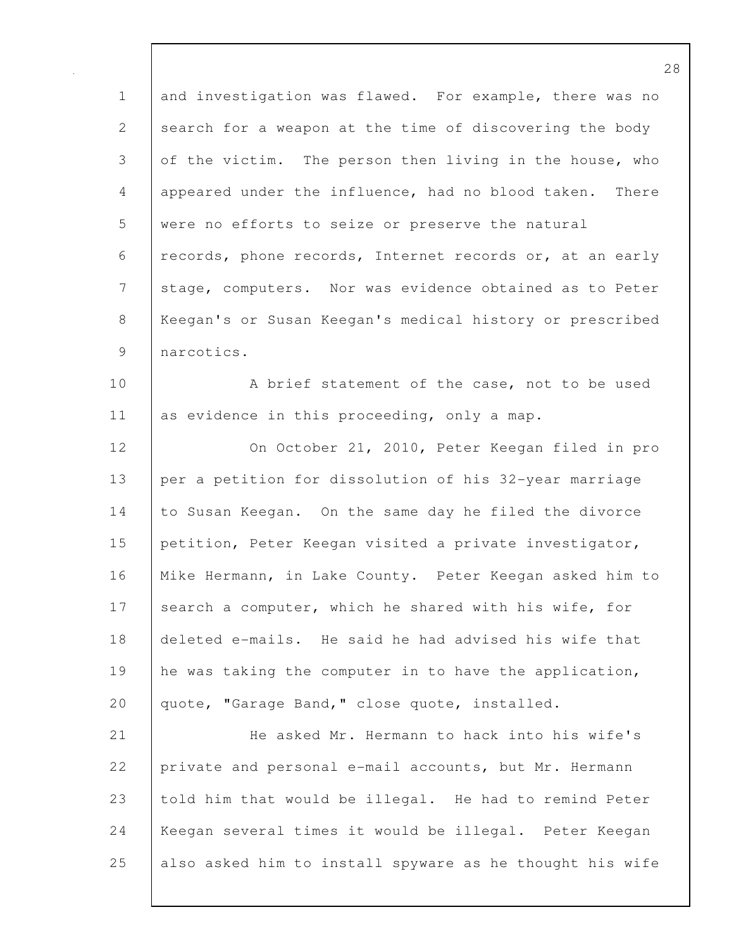1 and investigation was flawed. For example, there was no 2 search for a weapon at the time of discovering the body 3 of the victim. The person then living in the house, who 4 appeared under the influence, had no blood taken. There 5 were no efforts to seize or preserve the natural 6 records, phone records, Internet records or, at an early 7 stage, computers. Nor was evidence obtained as to Peter 8 Keegan's or Susan Keegan's medical history or prescribed 9 narcotics.

10 A brief statement of the case, not to be used 11 as evidence in this proceeding, only a map.

12 | On October 21, 2010, Peter Keegan filed in pro 13 per a petition for dissolution of his 32-year marriage 14 to Susan Keegan. On the same day he filed the divorce 15 petition, Peter Keegan visited a private investigator, 16 Mike Hermann, in Lake County. Peter Keegan asked him to 17 search a computer, which he shared with his wife, for 18 deleted e-mails. He said he had advised his wife that 19 he was taking the computer in to have the application, 20 | quote, "Garage Band," close quote, installed.

21 He asked Mr. Hermann to hack into his wife's 22 private and personal e-mail accounts, but Mr. Hermann 23 told him that would be illegal. He had to remind Peter 24 Keegan several times it would be illegal. Peter Keegan 25 also asked him to install spyware as he thought his wife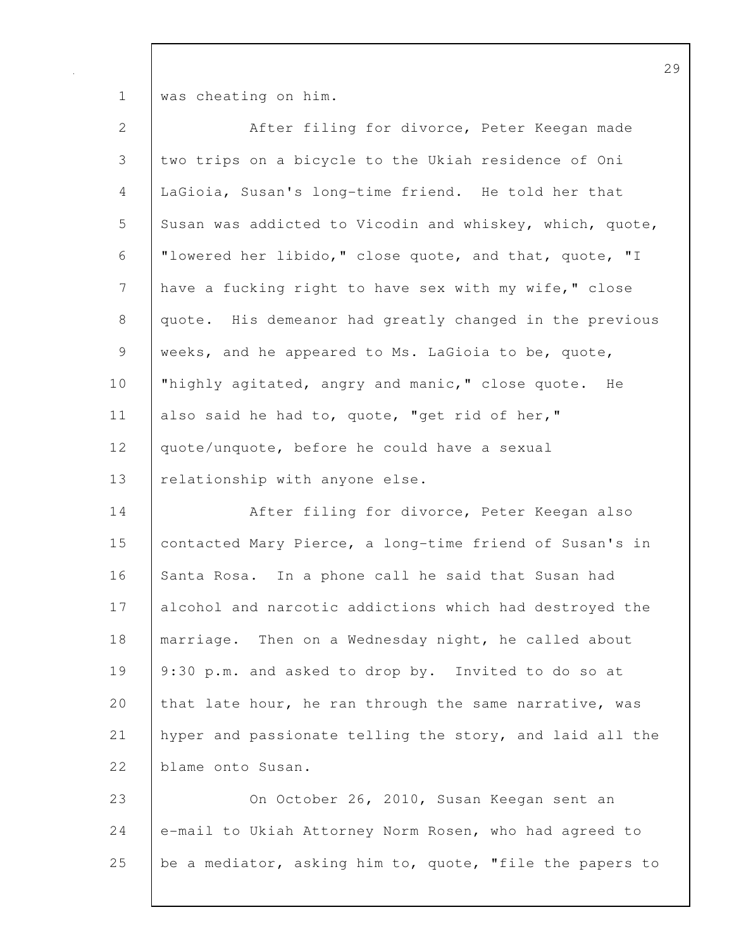1 was cheating on him.

| $\mathbf{2}$   | After filing for divorce, Peter Keegan made              |
|----------------|----------------------------------------------------------|
| $\mathfrak{Z}$ | two trips on a bicycle to the Ukiah residence of Oni     |
| $\overline{4}$ | LaGioia, Susan's long-time friend. He told her that      |
| 5              | Susan was addicted to Vicodin and whiskey, which, quote, |
| 6              | "lowered her libido," close quote, and that, quote, "I   |
| $\overline{7}$ | have a fucking right to have sex with my wife," close    |
| $8\,$          | quote. His demeanor had greatly changed in the previous  |
| $\mathsf 9$    | weeks, and he appeared to Ms. LaGioia to be, quote,      |
| 10             | "highly agitated, angry and manic," close quote. He      |
| 11             | also said he had to, quote, "get rid of her,"            |
| 12             | quote/unquote, before he could have a sexual             |
| 13             | relationship with anyone else.                           |
| 14             | After filing for divorce, Peter Keegan also              |
| 15             | contacted Mary Pierce, a long-time friend of Susan's in  |
| 16             | Santa Rosa. In a phone call he said that Susan had       |
| 17             | alcohol and narcotic addictions which had destroyed the  |
| 18             | marriage. Then on a Wednesday night, he called about     |
| 19             | 9:30 p.m. and asked to drop by. Invited to do so at      |
| 20             | that late hour, he ran through the same narrative, was   |
| 21             | hyper and passionate telling the story, and laid all the |
| 22             | blame onto Susan.                                        |
| 23             | On October 26, 2010, Susan Keegan sent an                |
|                |                                                          |
| 24             | e-mail to Ukiah Attorney Norm Rosen, who had agreed to   |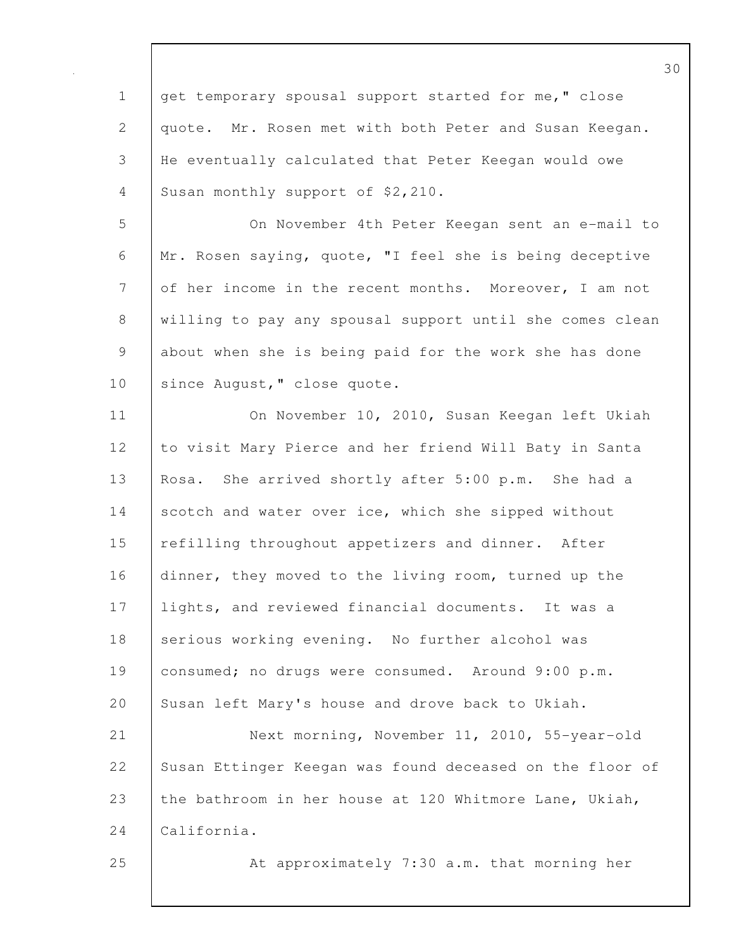1 get temporary spousal support started for me, " close 2 quote. Mr. Rosen met with both Peter and Susan Keegan. 3 He eventually calculated that Peter Keegan would owe 4 Susan monthly support of \$2,210.

5 On November 4th Peter Keegan sent an e-mail to 6 Mr. Rosen saying, quote, "I feel she is being deceptive 7 of her income in the recent months. Moreover, I am not 8 willing to pay any spousal support until she comes clean 9 about when she is being paid for the work she has done 10 | since August, " close quote.

11 On November 10, 2010, Susan Keegan left Ukiah 12 to visit Mary Pierce and her friend Will Baty in Santa 13 Rosa. She arrived shortly after 5:00 p.m. She had a 14 scotch and water over ice, which she sipped without 15 refilling throughout appetizers and dinner. After 16 dinner, they moved to the living room, turned up the 17 lights, and reviewed financial documents. It was a 18 serious working evening. No further alcohol was 19 consumed; no drugs were consumed. Around 9:00 p.m. 20 Susan left Mary's house and drove back to Ukiah.

21 Next morning, November 11, 2010, 55-year-old 22 Susan Ettinger Keegan was found deceased on the floor of 23 the bathroom in her house at 120 Whitmore Lane, Ukiah, 24 California.

25 At approximately 7:30 a.m. that morning her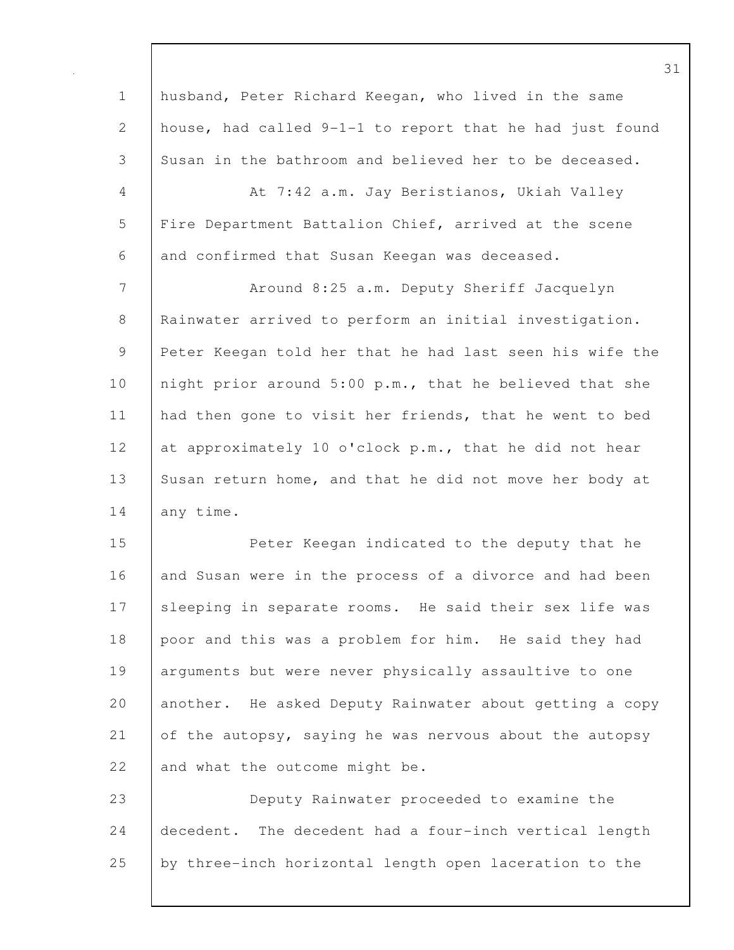1 husband, Peter Richard Keegan, who lived in the same 2 house, had called 9-1-1 to report that he had just found 3 Susan in the bathroom and believed her to be deceased. 4 At 7:42 a.m. Jay Beristianos, Ukiah Valley 5 | Fire Department Battalion Chief, arrived at the scene 6 and confirmed that Susan Keegan was deceased. 7 | Around 8:25 a.m. Deputy Sheriff Jacquelyn 8 Rainwater arrived to perform an initial investigation. 9 Peter Keegan told her that he had last seen his wife the 10 | night prior around 5:00 p.m., that he believed that she 11 | had then gone to visit her friends, that he went to bed 12 at approximately 10 o'clock p.m., that he did not hear 13 Susan return home, and that he did not move her body at 14 any time. 15 Peter Keegan indicated to the deputy that he 16 and Susan were in the process of a divorce and had been 17 Sleeping in separate rooms. He said their sex life was 18 poor and this was a problem for him. He said they had 19 | arguments but were never physically assaultive to one 20 another. He asked Deputy Rainwater about getting a copy 21 of the autopsy, saying he was nervous about the autopsy 22 and what the outcome might be. 23 Deputy Rainwater proceeded to examine the 24 decedent. The decedent had a four-inch vertical length

25 by three-inch horizontal length open laceration to the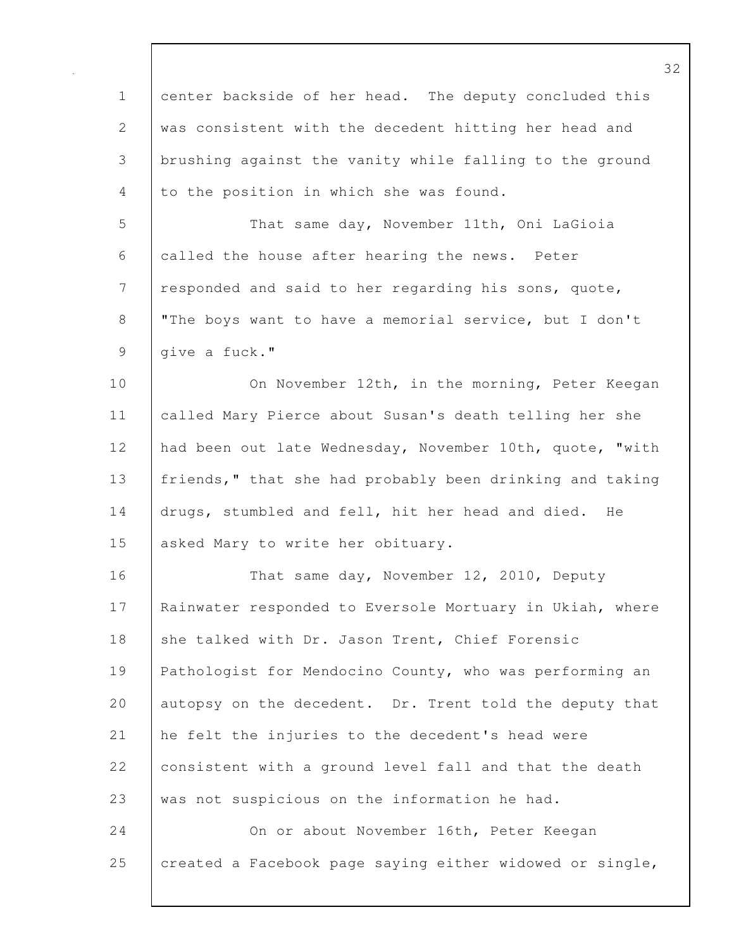| $\mathbf 1$    | center backside of her head. The deputy concluded this   |
|----------------|----------------------------------------------------------|
| 2              | was consistent with the decedent hitting her head and    |
| 3              | brushing against the vanity while falling to the ground  |
| 4              | to the position in which she was found.                  |
| 5              | That same day, November 11th, Oni LaGioia                |
| 6              | called the house after hearing the news. Peter           |
| $\overline{7}$ | responded and said to her regarding his sons, quote,     |
| $8\,$          | "The boys want to have a memorial service, but I don't   |
| $\mathsf 9$    | give a fuck."                                            |
| 10             | On November 12th, in the morning, Peter Keegan           |
| 11             | called Mary Pierce about Susan's death telling her she   |
| 12             | had been out late Wednesday, November 10th, quote, "with |
| 13             | friends," that she had probably been drinking and taking |
| 14             | drugs, stumbled and fell, hit her head and died.<br>He   |
| 15             | asked Mary to write her obituary.                        |
| 16             | That same day, November 12, 2010, Deputy                 |
| 17             | Rainwater responded to Eversole Mortuary in Ukiah, where |
| 18             | she talked with Dr. Jason Trent, Chief Forensic          |
| 19             | Pathologist for Mendocino County, who was performing an  |
| 20             | autopsy on the decedent. Dr. Trent told the deputy that  |
| 21             | he felt the injuries to the decedent's head were         |
| 22             | consistent with a ground level fall and that the death   |
| 23             | was not suspicious on the information he had.            |
| 24             | On or about November 16th, Peter Keegan                  |
| 25             | created a Facebook page saying either widowed or single, |
|                |                                                          |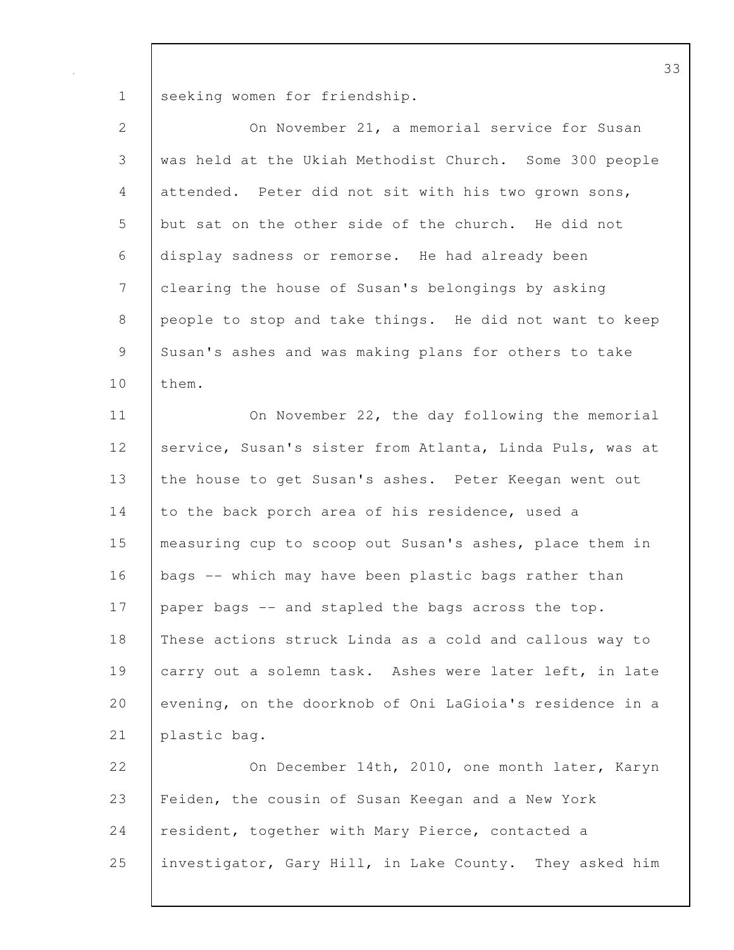1 seeking women for friendship.

| $\mathbf{2}$   | On November 21, a memorial service for Susan             |
|----------------|----------------------------------------------------------|
| $\mathfrak{Z}$ | was held at the Ukiah Methodist Church. Some 300 people  |
| $\overline{4}$ | attended. Peter did not sit with his two grown sons,     |
| 5              | but sat on the other side of the church. He did not      |
| 6              | display sadness or remorse. He had already been          |
| $7\phantom{.}$ | clearing the house of Susan's belongings by asking       |
| $\,8\,$        | people to stop and take things. He did not want to keep  |
| $\overline{9}$ | Susan's ashes and was making plans for others to take    |
| 10             | them.                                                    |
| 11             | On November 22, the day following the memorial           |
| 12             | service, Susan's sister from Atlanta, Linda Puls, was at |
| 13             | the house to get Susan's ashes. Peter Keegan went out    |
| 14             | to the back porch area of his residence, used a          |
| 15             | measuring cup to scoop out Susan's ashes, place them in  |
| 16             | bags -- which may have been plastic bags rather than     |
| 17             | paper bags -- and stapled the bags across the top.       |
| 18             | These actions struck Linda as a cold and callous way to  |
| 19             | carry out a solemn task. Ashes were later left, in late  |
| 20             | evening, on the doorknob of Oni LaGioia's residence in a |
| 21             | plastic bag.                                             |
| 22             | On December 14th, 2010, one month later, Karyn           |
| 23             | Feiden, the cousin of Susan Keegan and a New York        |
| 24             | resident, together with Mary Pierce, contacted a         |
| 25             | investigator, Gary Hill, in Lake County. They asked him  |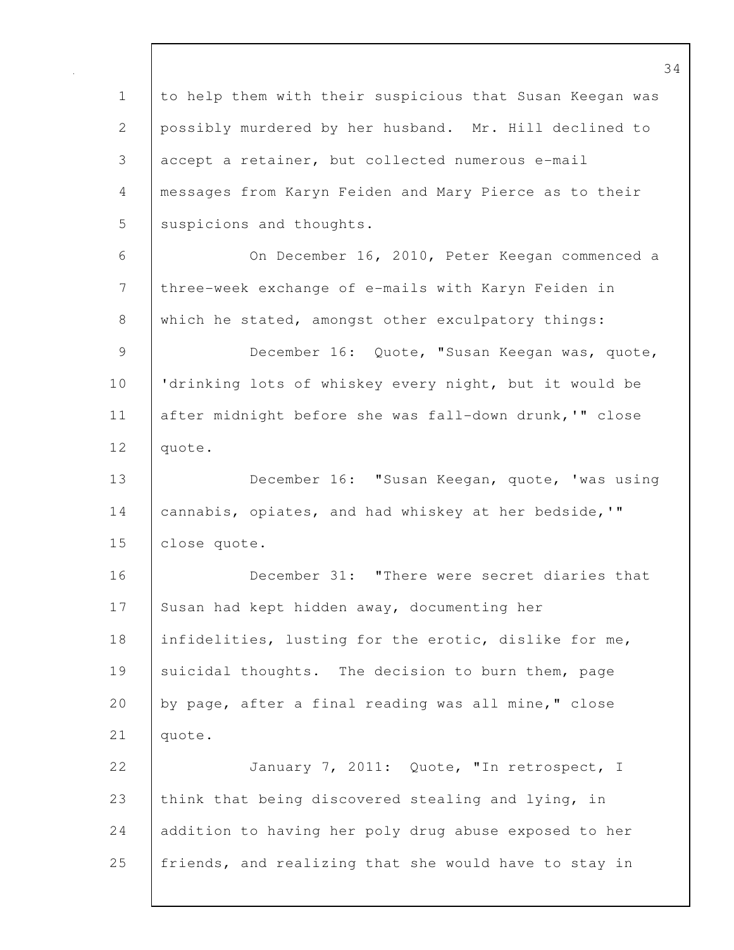1 to help them with their suspicious that Susan Keegan was 2 possibly murdered by her husband. Mr. Hill declined to 3 accept a retainer, but collected numerous e-mail 4 messages from Karyn Feiden and Mary Pierce as to their 5 suspicions and thoughts. 6 On December 16, 2010, Peter Keegan commenced a 7 three-week exchange of e-mails with Karyn Feiden in 8 which he stated, amongst other exculpatory things: 9 December 16: Quote, "Susan Keegan was, quote, 10 'drinking lots of whiskey every night, but it would be 11 after midnight before she was fall-down drunk,'" close 12 quote. 13 December 16: "Susan Keegan, quote, 'was using 14 | cannabis, opiates, and had whiskey at her bedside,'" 15 | close quote. 16 December 31: "There were secret diaries that 17 Susan had kept hidden away, documenting her 18 | infidelities, lusting for the erotic, dislike for me, 19 suicidal thoughts. The decision to burn them, page 20 by page, after a final reading was all mine," close 21 quote. 22 January 7, 2011: Quote, "In retrospect, I 23 think that being discovered stealing and lying, in 24 addition to having her poly drug abuse exposed to her 25 friends, and realizing that she would have to stay in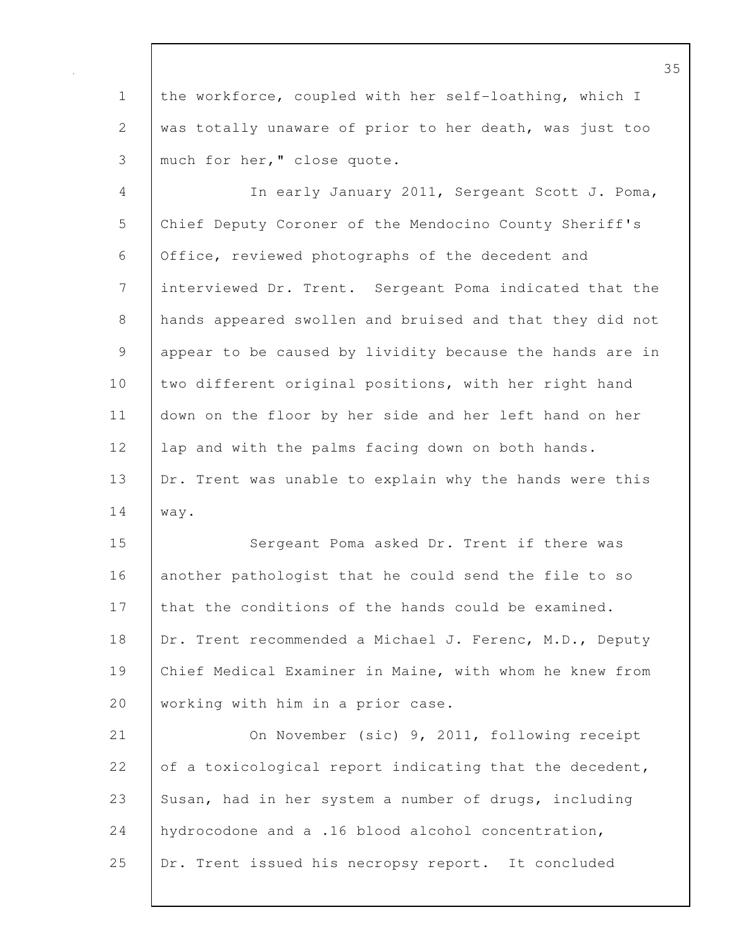1 the workforce, coupled with her self-loathing, which I 2 was totally unaware of prior to her death, was just too 3 | much for her, " close quote.

4 In early January 2011, Sergeant Scott J. Poma, 5 Chief Deputy Coroner of the Mendocino County Sheriff's 6 Office, reviewed photographs of the decedent and 7 interviewed Dr. Trent. Sergeant Poma indicated that the 8 hands appeared swollen and bruised and that they did not 9 appear to be caused by lividity because the hands are in 10 two different original positions, with her right hand 11 down on the floor by her side and her left hand on her 12 | lap and with the palms facing down on both hands. 13 | Dr. Trent was unable to explain why the hands were this 14 way.

15 Sergeant Poma asked Dr. Trent if there was 16 another pathologist that he could send the file to so 17 that the conditions of the hands could be examined. 18 | Dr. Trent recommended a Michael J. Ferenc, M.D., Deputy 19 Chief Medical Examiner in Maine, with whom he knew from 20 | working with him in a prior case.

21 On November (sic) 9, 2011, following receipt 22 of a toxicological report indicating that the decedent, 23 Susan, had in her system a number of drugs, including 24 hydrocodone and a .16 blood alcohol concentration, 25 Dr. Trent issued his necropsy report. It concluded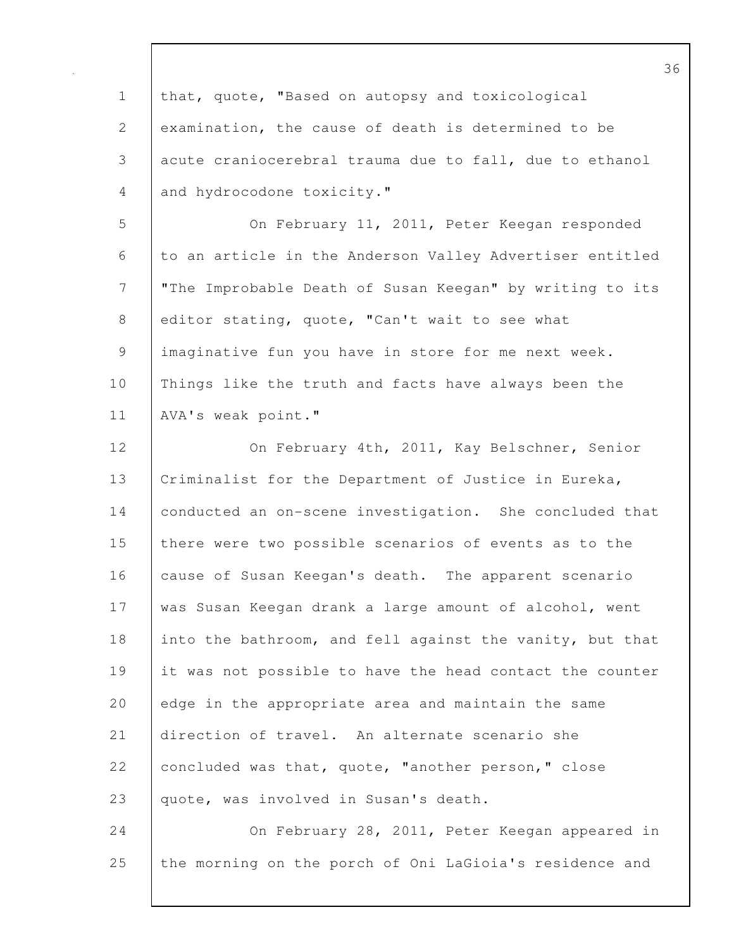1 that, quote, "Based on autopsy and toxicological 2 examination, the cause of death is determined to be 3 acute craniocerebral trauma due to fall, due to ethanol 4 and hydrocodone toxicity." 5 On February 11, 2011, Peter Keegan responded 6 to an article in the Anderson Valley Advertiser entitled 7 "The Improbable Death of Susan Keegan" by writing to its 8 editor stating, quote, "Can't wait to see what 9 imaginative fun you have in store for me next week. 10 Things like the truth and facts have always been the 11 AVA's weak point." 12 On February 4th, 2011, Kay Belschner, Senior 13 | Criminalist for the Department of Justice in Eureka, 14 conducted an on-scene investigation. She concluded that 15 there were two possible scenarios of events as to the 16 cause of Susan Keegan's death. The apparent scenario 17 was Susan Keegan drank a large amount of alcohol, went 18 into the bathroom, and fell against the vanity, but that 19 it was not possible to have the head contact the counter 20 edge in the appropriate area and maintain the same 21 direction of travel. An alternate scenario she 22 concluded was that, quote, "another person," close 23 quote, was involved in Susan's death. 24 On February 28, 2011, Peter Keegan appeared in 25 the morning on the porch of Oni LaGioia's residence and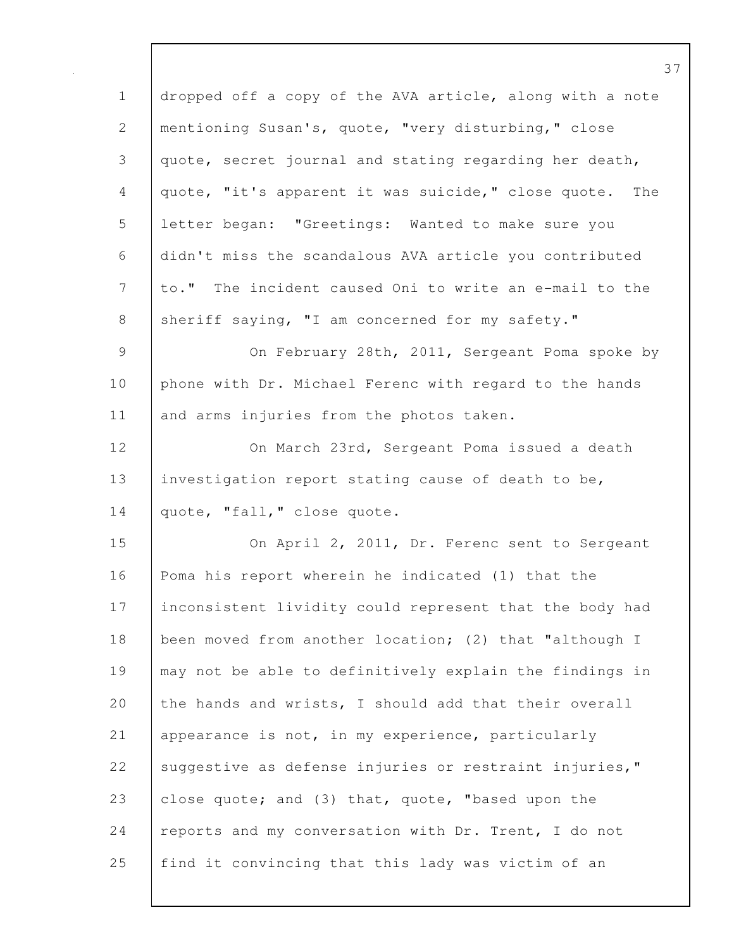1 dropped off a copy of the AVA article, along with a note 2 mentioning Susan's, quote, "very disturbing," close 3 quote, secret journal and stating regarding her death, 4 quote, "it's apparent it was suicide," close quote. The 5 letter began: "Greetings: Wanted to make sure you 6 didn't miss the scandalous AVA article you contributed 7 to." The incident caused Oni to write an e-mail to the 8 sheriff saying, "I am concerned for my safety." 9 On February 28th, 2011, Sergeant Poma spoke by 10 phone with Dr. Michael Ferenc with regard to the hands 11 and arms injuries from the photos taken. 12 On March 23rd, Sergeant Poma issued a death 13 investigation report stating cause of death to be, 14 quote, "fall," close quote. 15 On April 2, 2011, Dr. Ferenc sent to Sergeant 16 Poma his report wherein he indicated (1) that the 17 inconsistent lividity could represent that the body had 18 | been moved from another location; (2) that "although I 19 may not be able to definitively explain the findings in 20 the hands and wrists, I should add that their overall 21 appearance is not, in my experience, particularly 22 Suggestive as defense injuries or restraint injuries," 23 close quote; and (3) that, quote, "based upon the 24 | reports and my conversation with Dr. Trent, I do not 25 find it convincing that this lady was victim of an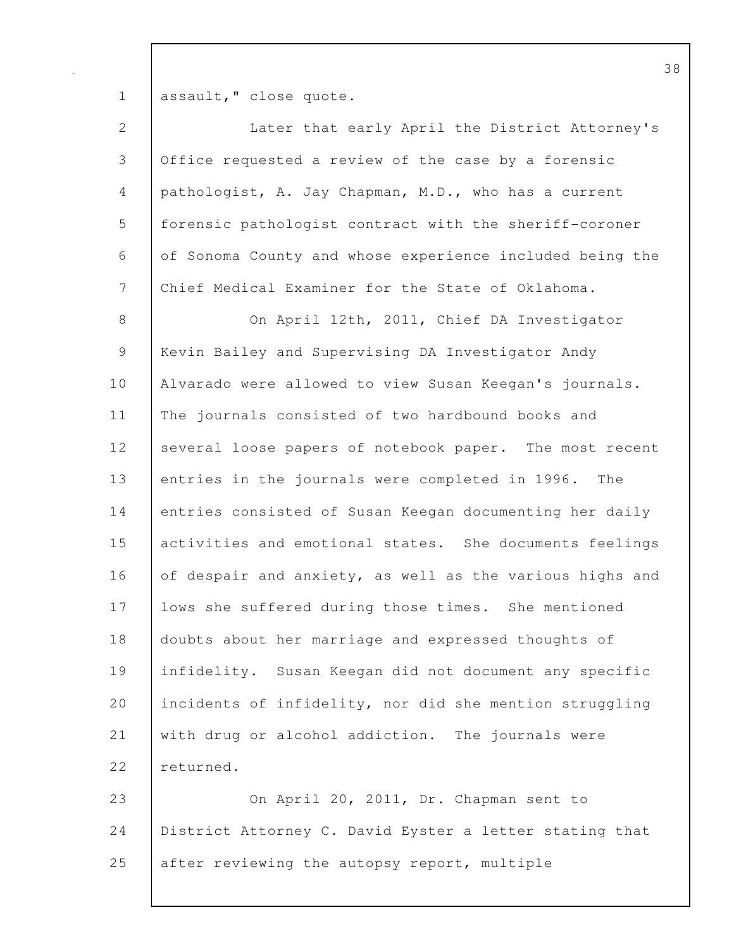1 assault," close quote.

| 2              | Later that early April the District Attorney's           |
|----------------|----------------------------------------------------------|
| $\mathfrak{Z}$ | Office requested a review of the case by a forensic      |
| 4              | pathologist, A. Jay Chapman, M.D., who has a current     |
| 5              | forensic pathologist contract with the sheriff-coroner   |
| 6              | of Sonoma County and whose experience included being the |
| 7              | Chief Medical Examiner for the State of Oklahoma.        |
| $\,8\,$        | On April 12th, 2011, Chief DA Investigator               |
| 9              | Kevin Bailey and Supervising DA Investigator Andy        |
| 10             | Alvarado were allowed to view Susan Keegan's journals.   |
| 11             | The journals consisted of two hardbound books and        |
| 12             | several loose papers of notebook paper. The most recent  |
| 13             | entries in the journals were completed in 1996. The      |
| 14             | entries consisted of Susan Keegan documenting her daily  |
| 15             | activities and emotional states. She documents feelings  |
| 16             | of despair and anxiety, as well as the various highs and |
| 17             | lows she suffered during those times. She mentioned      |
| 18             | doubts about her marriage and expressed thoughts of      |
| 19             | infidelity. Susan Keegan did not document any specific   |
| 20             | incidents of infidelity, nor did she mention struggling  |
| 21             | with drug or alcohol addiction. The journals were        |
| 22             | returned.                                                |
| 23             | On April 20, 2011, Dr. Chapman sent to                   |
| 24             | District Attorney C. David Eyster a letter stating that  |
| 25             | after reviewing the autopsy report, multiple             |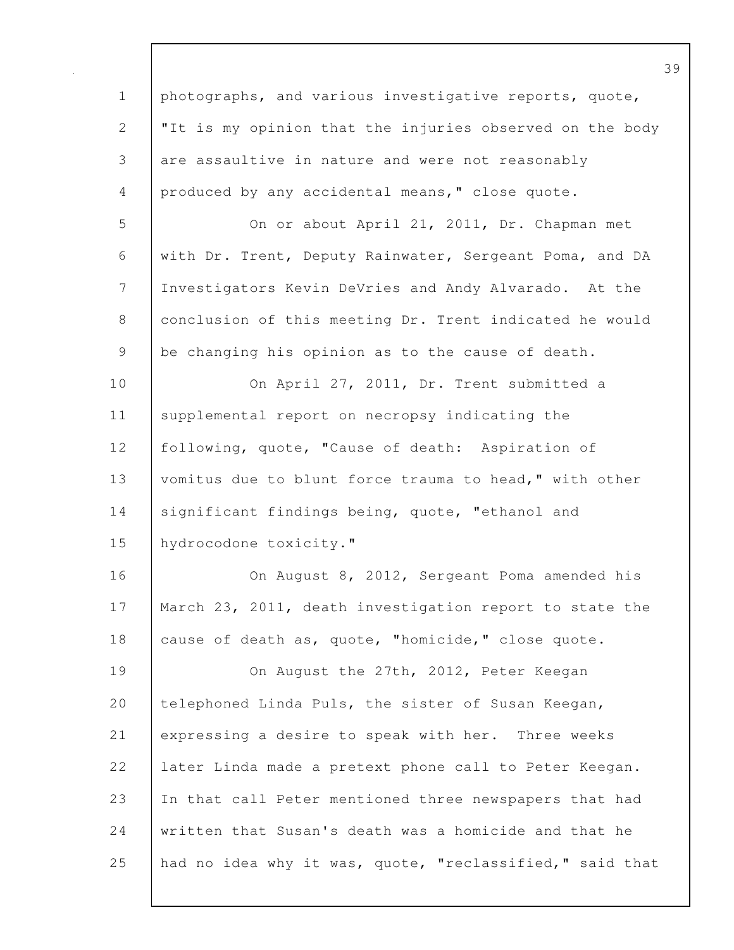1 photographs, and various investigative reports, quote, 2 | "It is my opinion that the injuries observed on the body 3 are assaultive in nature and were not reasonably 4 produced by any accidental means," close quote. 5 On or about April 21, 2011, Dr. Chapman met 6 with Dr. Trent, Deputy Rainwater, Sergeant Poma, and DA 7 Investigators Kevin DeVries and Andy Alvarado. At the 8 conclusion of this meeting Dr. Trent indicated he would 9 be changing his opinion as to the cause of death. 10 | On April 27, 2011, Dr. Trent submitted a 11 | supplemental report on necropsy indicating the 12 | following, quote, "Cause of death: Aspiration of 13 vomitus due to blunt force trauma to head," with other 14 significant findings being, quote, "ethanol and 15 hydrocodone toxicity." 16 On August 8, 2012, Sergeant Poma amended his 17 | March 23, 2011, death investigation report to state the 18 cause of death as, quote, "homicide," close quote. 19 | On August the 27th, 2012, Peter Keegan 20 telephoned Linda Puls, the sister of Susan Keegan, 21 expressing a desire to speak with her. Three weeks 22 later Linda made a pretext phone call to Peter Keegan. 23 In that call Peter mentioned three newspapers that had 24 written that Susan's death was a homicide and that he 25 had no idea why it was, quote, "reclassified," said that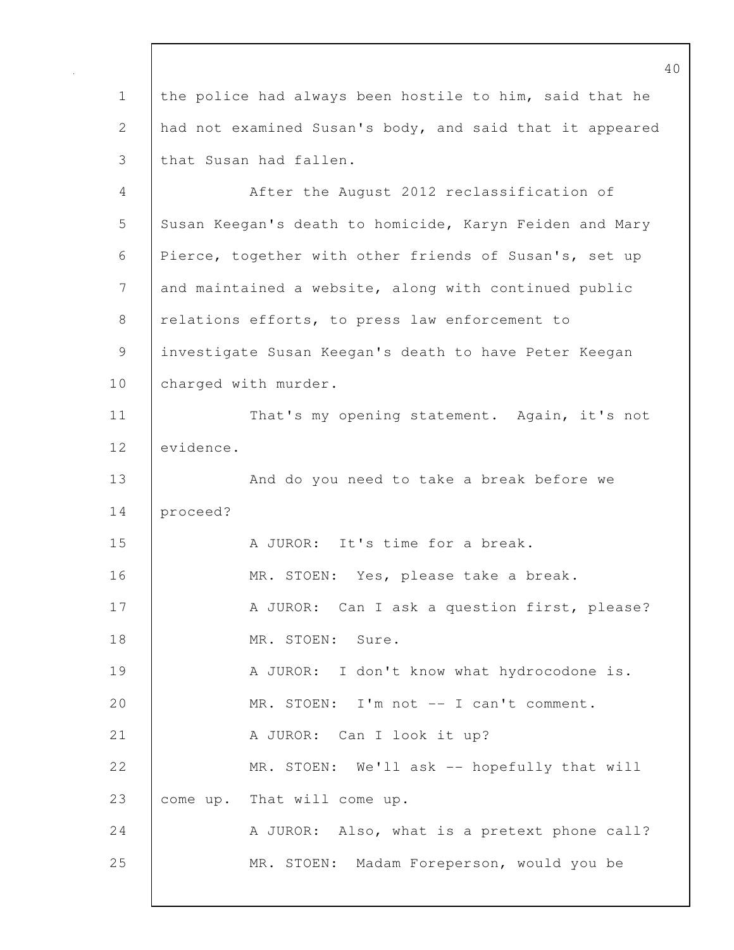1 the police had always been hostile to him, said that he 2 had not examined Susan's body, and said that it appeared 3 that Susan had fallen.

4 After the August 2012 reclassification of 5 Susan Keegan's death to homicide, Karyn Feiden and Mary 6 Pierce, together with other friends of Susan's, set up 7 and maintained a website, along with continued public 8 relations efforts, to press law enforcement to 9 investigate Susan Keegan's death to have Peter Keegan 10 | charged with murder. 11 | That's my opening statement. Again, it's not 12 evidence. 13 **And do you need to take a break before we** 14 proceed? 15 A JUROR: It's time for a break. 16 MR. STOEN: Yes, please take a break. 17 A JUROR: Can I ask a question first, please? 18 MR. STOEN: Sure. 19 | A JUROR: I don't know what hydrocodone is. 20 | MR. STOEN: I'm not -- I can't comment. 21 | A JUROR: Can I look it up? 22 MR. STOEN: We'll ask -- hopefully that will 23 come up. That will come up. 24 A JUROR: Also, what is a pretext phone call? 25 MR. STOEN: Madam Foreperson, would you be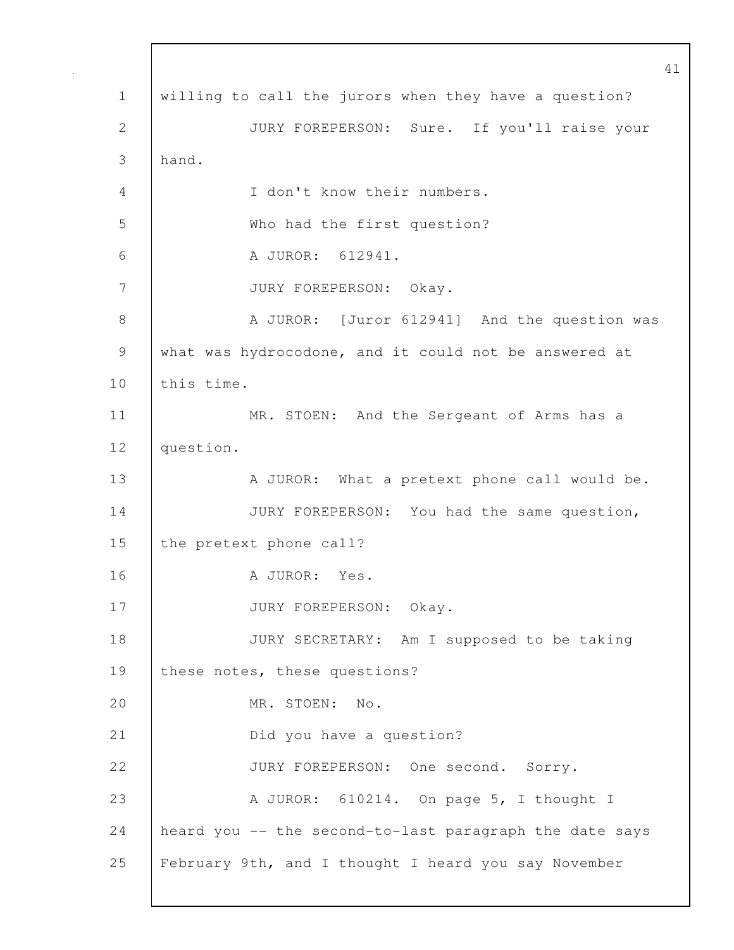41 1 willing to call the jurors when they have a question? 2 JURY FOREPERSON: Sure. If you'll raise your 3 hand. 4 I don't know their numbers. 5 Who had the first question? 6 A JUROR: 612941. 7 JURY FOREPERSON: Okay. 8 A JUROR: [Juror 612941] And the question was 9 what was hydrocodone, and it could not be answered at 10 this time. 11 | MR. STOEN: And the Sergeant of Arms has a 12 question. 13 A JUROR: What a pretext phone call would be. 14 JURY FOREPERSON: You had the same question, 15 the pretext phone call? 16 | A JUROR: Yes. 17 JURY FOREPERSON: Okay. 18 JURY SECRETARY: Am I supposed to be taking 19 | these notes, these questions? 20 MR. STOEN: No. 21 Did you have a question? 22 JURY FOREPERSON: One second. Sorry. 23 A JUROR: 610214. On page 5, I thought I 24 heard you -- the second-to-last paragraph the date says 25 February 9th, and I thought I heard you say November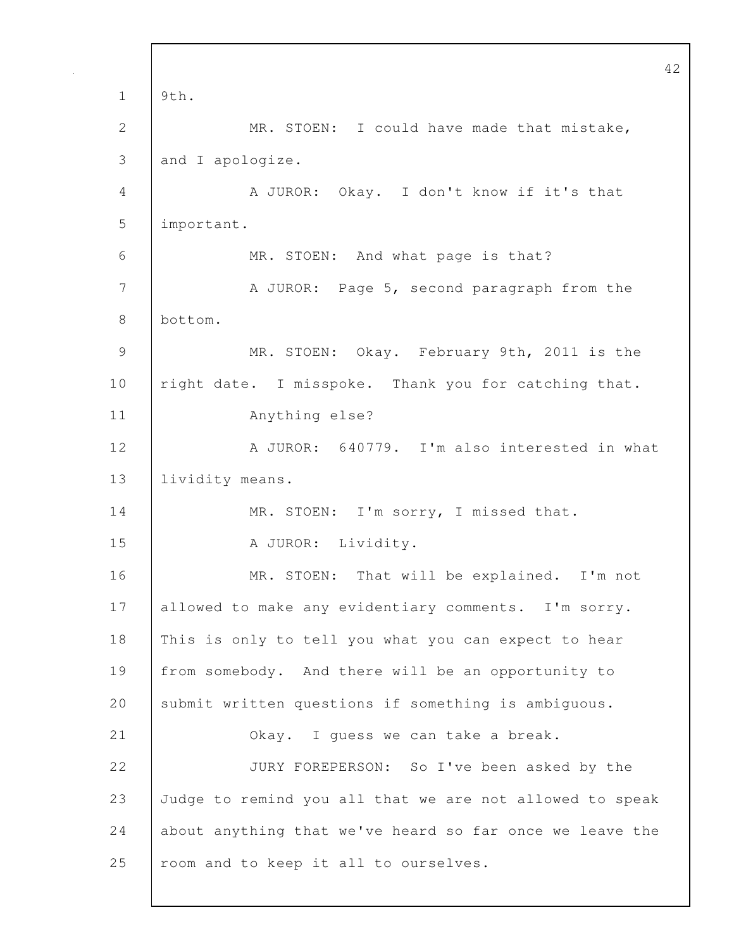42 1 9th. 2 MR. STOEN: I could have made that mistake, 3 and I apologize. 4 A JUROR: Okay. I don't know if it's that 5 important. 6 MR. STOEN: And what page is that? 7 | A JUROR: Page 5, second paragraph from the 8 bottom. 9 MR. STOEN: Okay. February 9th, 2011 is the 10 | right date. I misspoke. Thank you for catching that. 11 Anything else? 12 A JUROR: 640779. I'm also interested in what 13 | lividity means. 14 | MR. STOEN: I'm sorry, I missed that. 15 | A JUROR: Lividity. 16 | MR. STOEN: That will be explained. I'm not 17 | allowed to make any evidentiary comments. I'm sorry. 18 This is only to tell you what you can expect to hear 19 from somebody. And there will be an opportunity to 20 Submit written questions if something is ambiguous. 21 **COLANCE 21** Okay. I guess we can take a break. 22 JURY FOREPERSON: So I've been asked by the 23 Judge to remind you all that we are not allowed to speak 24 about anything that we've heard so far once we leave the 25 | room and to keep it all to ourselves.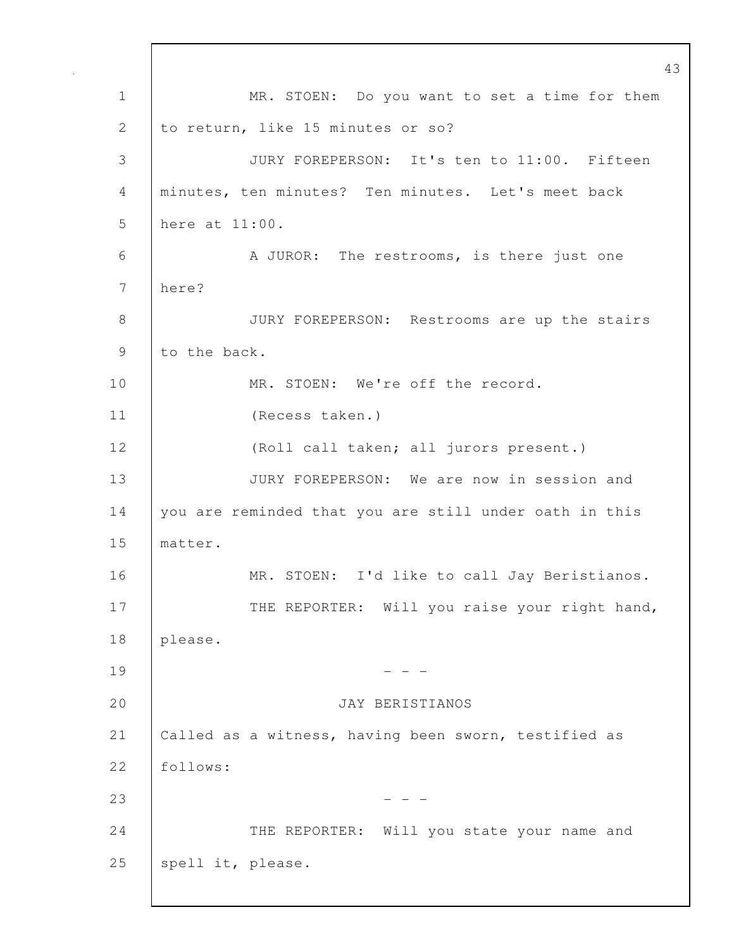43 1 | MR. STOEN: Do you want to set a time for them 2 to return, like 15 minutes or so? 3 JURY FOREPERSON: It's ten to 11:00. Fifteen 4 minutes, ten minutes? Ten minutes. Let's meet back 5 here at 11:00. 6 A JUROR: The restrooms, is there just one 7 here? 8 JURY FOREPERSON: Restrooms are up the stairs 9 to the back. 10 MR. STOEN: We're off the record. 11 (Recess taken.) 12 (Roll call taken; all jurors present.) 13 JURY FOREPERSON: We are now in session and 14 you are reminded that you are still under oath in this 15 matter. 16 | MR. STOEN: I'd like to call Jay Beristianos. 17 | THE REPORTER: Will you raise your right hand, 18 please.  $19$  - - -20 JAY BERISTIANOS 21 Called as a witness, having been sworn, testified as 22 follows: 23 - - - 24 THE REPORTER: Will you state your name and 25 | spell it, please.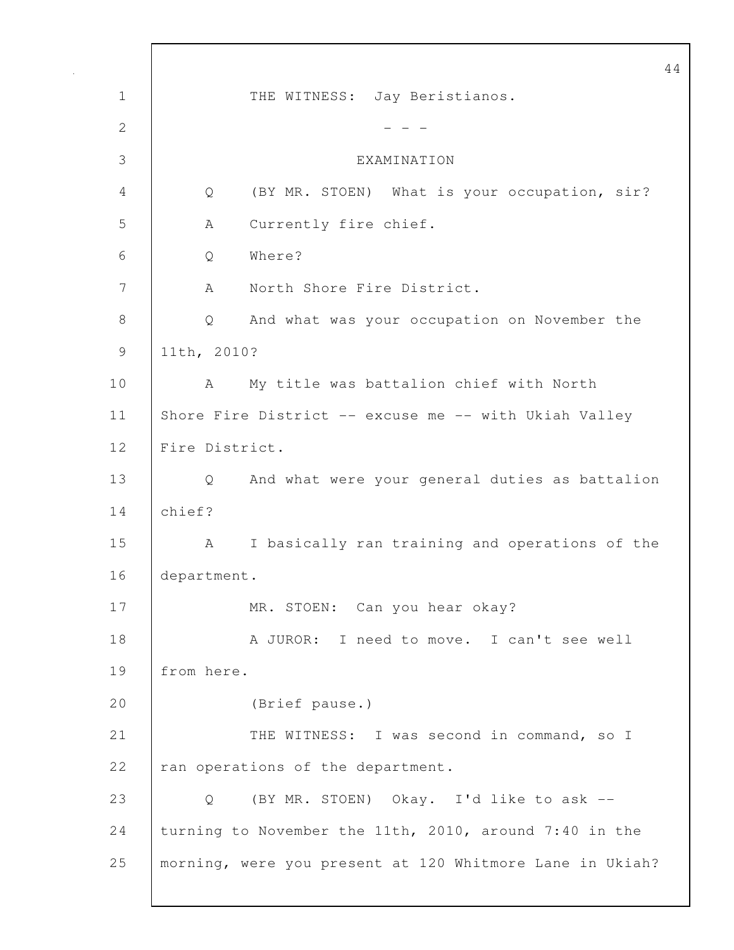44 1 | THE WITNESS: Jay Beristianos. 2  $- - -$ 3 EXAMINATION 4 Q (BY MR. STOEN) What is your occupation, sir? 5 A Currently fire chief. 6 Q Where? 7 | A North Shore Fire District. 8 Q And what was your occupation on November the 9 11th, 2010? 10 A My title was battalion chief with North 11 Shore Fire District -- excuse me -- with Ukiah Valley 12 Fire District. 13 Q And what were your general duties as battalion 14 chief? 15 | A I basically ran training and operations of the 16 department. 17 MR. STOEN: Can you hear okay? 18 A JUROR: I need to move. I can't see well 19 from here. 20 (Brief pause.) 21 | THE WITNESS: I was second in command, so I 22 ran operations of the department. 23 Q (BY MR. STOEN) Okay. I'd like to ask -- 24 turning to November the 11th, 2010, around 7:40 in the 25 morning, were you present at 120 Whitmore Lane in Ukiah?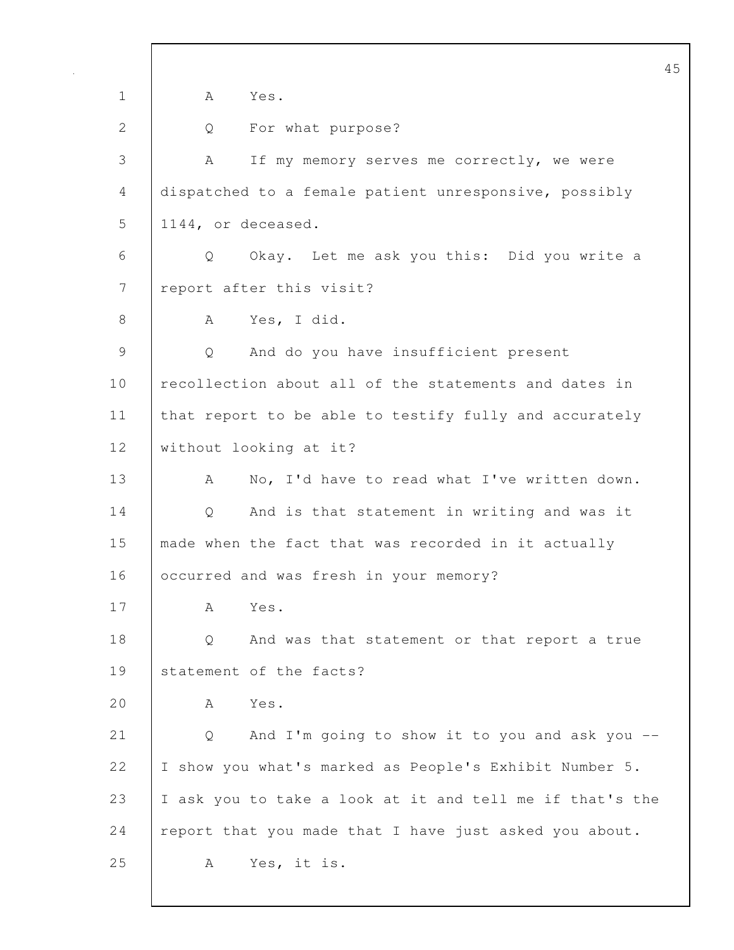45 1 A Yes. 2 Q For what purpose? 3 A If my memory serves me correctly, we were 4 dispatched to a female patient unresponsive, possibly 5 1144, or deceased. 6 Q Okay. Let me ask you this: Did you write a 7 | report after this visit? 8 | A Yes, I did. 9 Q And do you have insufficient present 10 recollection about all of the statements and dates in 11 | that report to be able to testify fully and accurately 12 | without looking at it? 13 A No, I'd have to read what I've written down. 14 Q And is that statement in writing and was it 15 made when the fact that was recorded in it actually 16 **C**occurred and was fresh in your memory? 17 A Yes. 18 | Q And was that statement or that report a true 19 Statement of the facts? 20  $\overline{A}$  Yes. 21 | Q And I'm going to show it to you and ask you --22 | I show you what's marked as People's Exhibit Number 5. 23 I ask you to take a look at it and tell me if that's the 24 | report that you made that I have just asked you about. 25 | A Yes, it is.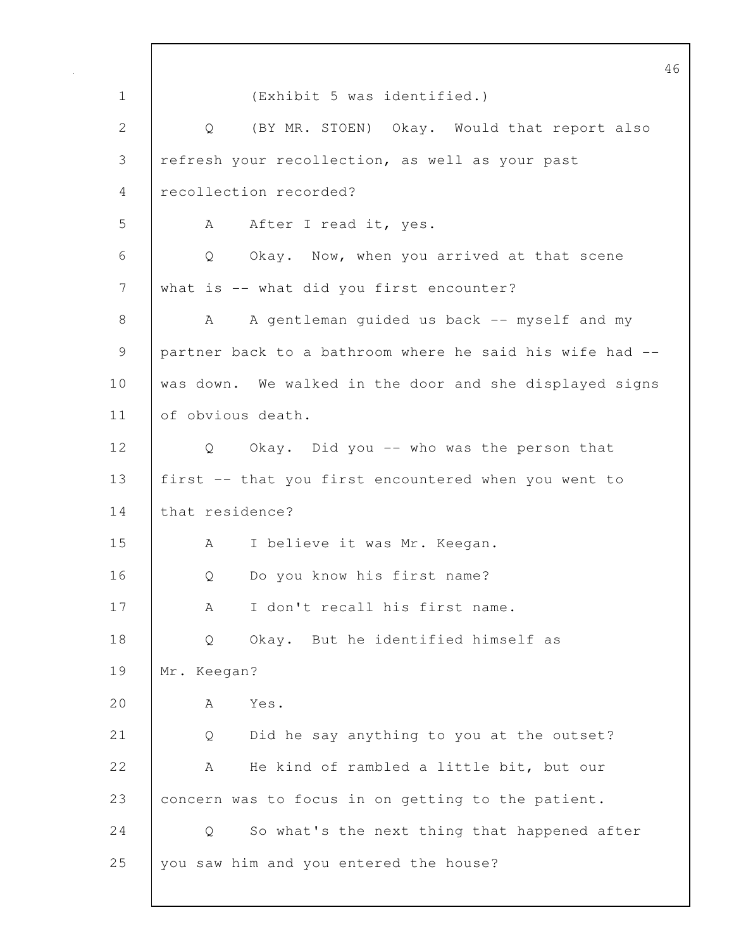46 1 (Exhibit 5 was identified.) 2 Q (BY MR. STOEN) Okay. Would that report also 3 refresh your recollection, as well as your past 4 recollection recorded? 5 A After I read it, yes. 6 Q Okay. Now, when you arrived at that scene 7 what is -- what did you first encounter? 8 | A A gentleman guided us back -- myself and my 9 partner back to a bathroom where he said his wife had -- 10 | was down. We walked in the door and she displayed signs 11 of obvious death. 12 Q Okay. Did you -- who was the person that 13 first -- that you first encountered when you went to 14 that residence? 15 | A I believe it was Mr. Keegan. 16 | O Do you know his first name? 17 A I don't recall his first name. 18 | O Okay. But he identified himself as 19 Mr. Keegan? 20  $A$   $Y_{\text{eS}}$ 21 Q Did he say anything to you at the outset? 22 A He kind of rambled a little bit, but our 23 concern was to focus in on getting to the patient. 24 Q So what's the next thing that happened after 25 you saw him and you entered the house?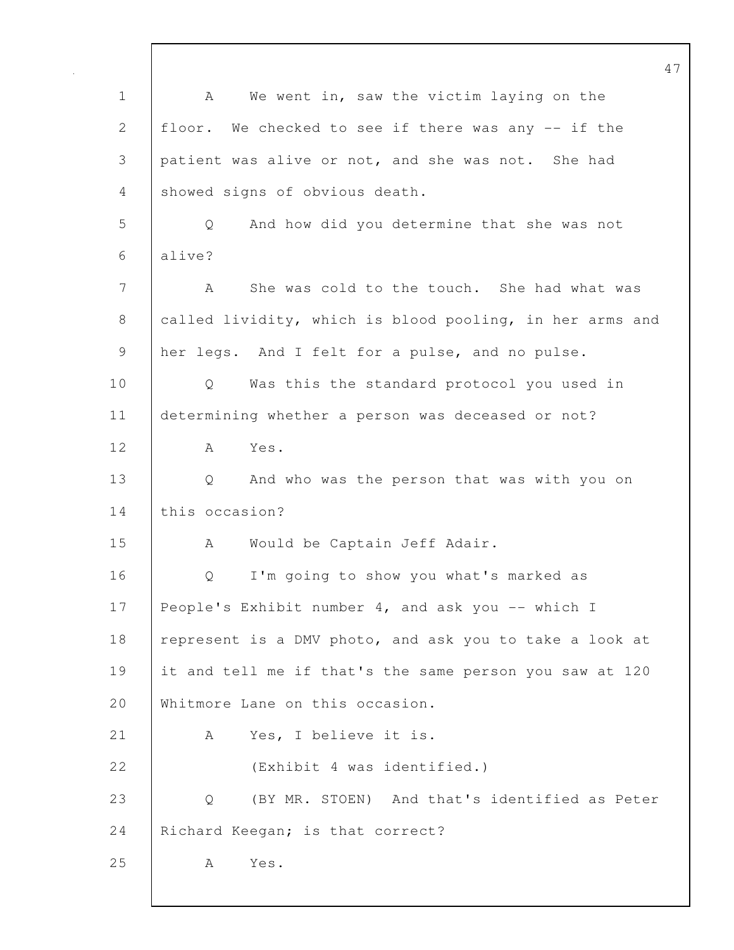47 1 | A We went in, saw the victim laying on the 2 floor. We checked to see if there was any -- if the 3 patient was alive or not, and she was not. She had 4 showed signs of obvious death. 5 Q And how did you determine that she was not 6 alive? 7 A She was cold to the touch. She had what was 8 called lividity, which is blood pooling, in her arms and 9 her legs. And I felt for a pulse, and no pulse. 10 | Q Was this the standard protocol you used in 11 determining whether a person was deceased or not? 12 A Yes. 13 Q And who was the person that was with you on 14 this occasion? 15 | A Would be Captain Jeff Adair. 16 | O I'm going to show you what's marked as 17 People's Exhibit number 4, and ask you -- which I 18 represent is a DMV photo, and ask you to take a look at 19 it and tell me if that's the same person you saw at 120 20 Whitmore Lane on this occasion. 21 | A Yes, I believe it is. 22 (Exhibit 4 was identified.) 23 Q (BY MR. STOEN) And that's identified as Peter 24 Richard Keegan; is that correct? 25 | A Yes.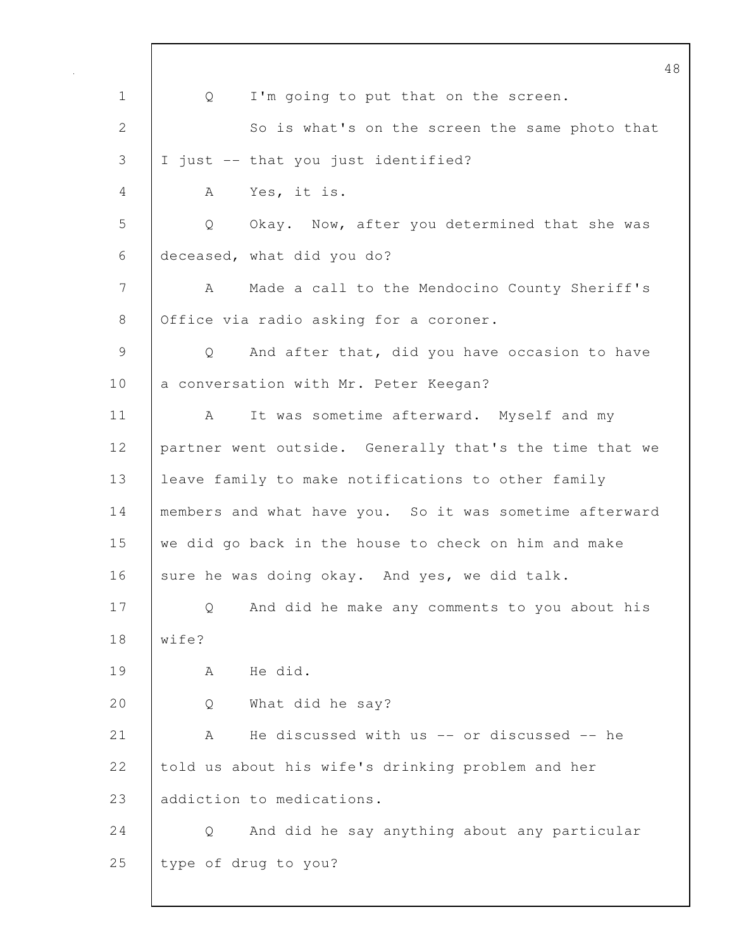|              | 48                                                      |
|--------------|---------------------------------------------------------|
| $\mathbf 1$  | I'm going to put that on the screen.<br>Q               |
| $\mathbf{2}$ | So is what's on the screen the same photo that          |
| 3            | I just -- that you just identified?                     |
| 4            | Yes, it is.<br>A                                        |
| 5            | Okay. Now, after you determined that she was<br>Q       |
| 6            | deceased, what did you do?                              |
| 7            | Made a call to the Mendocino County Sheriff's<br>A      |
| $8\,$        | Office via radio asking for a coroner.                  |
| 9            | And after that, did you have occasion to have<br>Q      |
| 10           | a conversation with Mr. Peter Keegan?                   |
| 11           | It was sometime afterward. Myself and my<br>A           |
| 12           | partner went outside. Generally that's the time that we |
| 13           | leave family to make notifications to other family      |
| 14           | members and what have you. So it was sometime afterward |
| 15           | we did go back in the house to check on him and make    |
| 16           | sure he was doing okay. And yes, we did talk.           |
| 17           | And did he make any comments to you about his<br>Q      |
| 18           | wife?                                                   |
| 19           | He did.<br>А                                            |
| 20           | What did he say?<br>Q                                   |
| 21           | He discussed with us -- or discussed -- he<br>А         |
| 22           | told us about his wife's drinking problem and her       |
| 23           | addiction to medications.                               |
| 24           | And did he say anything about any particular<br>Q       |
| 25           | type of drug to you?                                    |
|              |                                                         |

 $\mathbf l$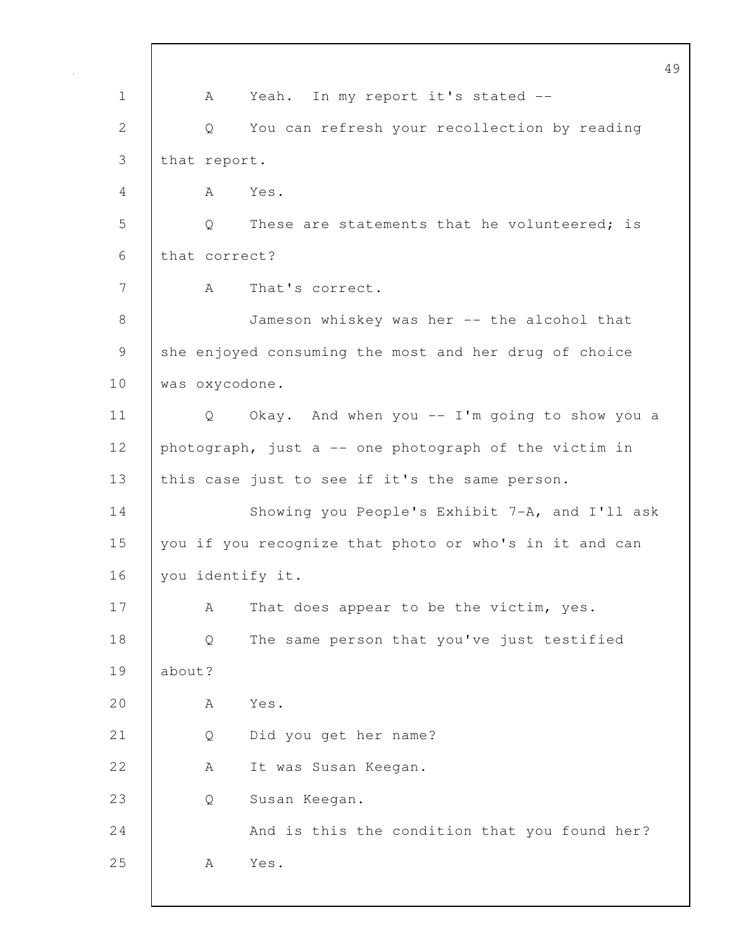49 1 | A Yeah. In my report it's stated --2 Q You can refresh your recollection by reading 3 that report. 4 A Yes. 5 Q These are statements that he volunteered; is 6 that correct? 7 | A That's correct. 8 Jameson whiskey was her -- the alcohol that 9 she enjoyed consuming the most and her drug of choice 10 was oxycodone. 11 Q Okay. And when you -- I'm going to show you a 12 photograph, just a -- one photograph of the victim in 13 | this case just to see if it's the same person. 14 Showing you People's Exhibit 7-A, and I'll ask 15 you if you recognize that photo or who's in it and can 16 | you identify it. 17 A That does appear to be the victim, yes. 18 | Q The same person that you've just testified 19 about? 20 A Yes. 21 Q Did you get her name? 22 A It was Susan Keegan. 23 Q Susan Keegan. 24 | And is this the condition that you found her? 25 | A Yes.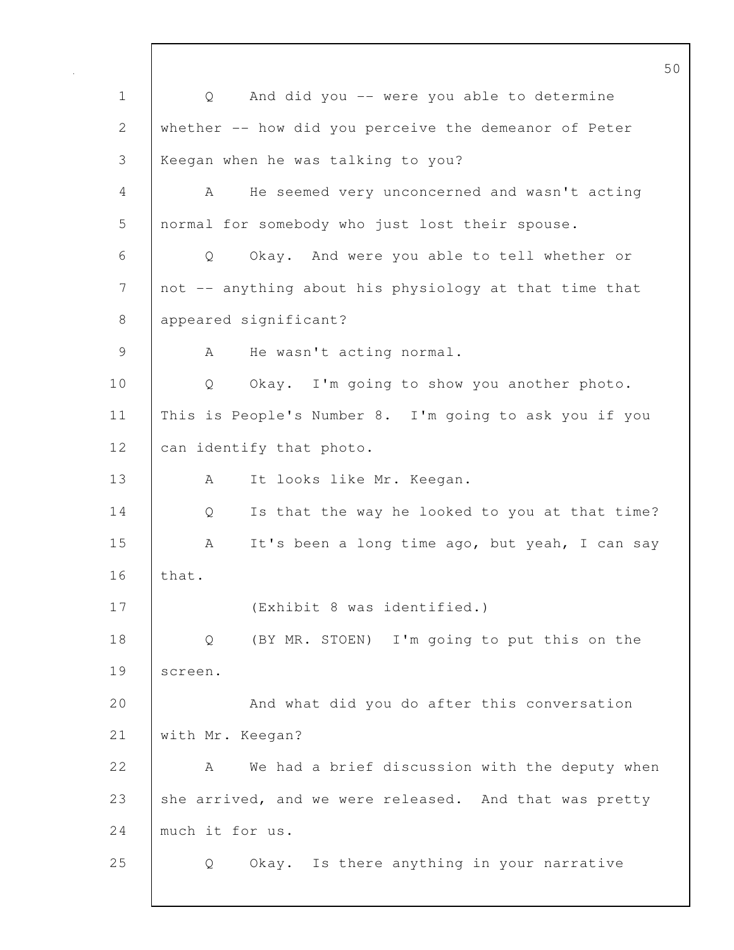50 1 Q And did you -- were you able to determine 2 whether -- how did you perceive the demeanor of Peter 3 Keegan when he was talking to you? 4 A He seemed very unconcerned and wasn't acting 5 normal for somebody who just lost their spouse. 6 Q Okay. And were you able to tell whether or 7 | not -- anything about his physiology at that time that 8 appeared significant? 9 | A He wasn't acting normal. 10 Q Okay. I'm going to show you another photo. 11 This is People's Number 8. I'm going to ask you if you 12 can identify that photo. 13 A It looks like Mr. Keegan. 14 Q Is that the way he looked to you at that time? 15 A It's been a long time ago, but yeah, I can say  $16$  that. 17 (Exhibit 8 was identified.) 18 Q (BY MR. STOEN) I'm going to put this on the 19 screen. 20 And what did you do after this conversation 21 with Mr. Keegan? 22 A We had a brief discussion with the deputy when 23 she arrived, and we were released. And that was pretty 24 much it for us. 25 Q Okay. Is there anything in your narrative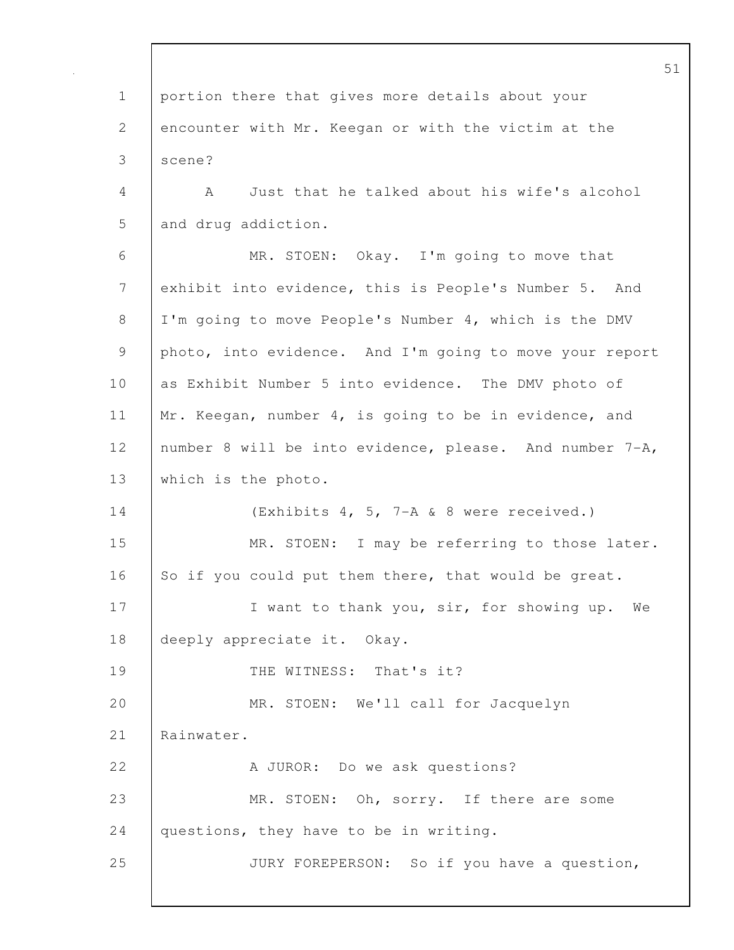1 portion there that gives more details about your 2 encounter with Mr. Keegan or with the victim at the 3 scene? 4 A Just that he talked about his wife's alcohol 5 and drug addiction. 6 MR. STOEN: Okay. I'm going to move that 7 exhibit into evidence, this is People's Number 5. And 8 I'm going to move People's Number 4, which is the DMV 9 photo, into evidence. And I'm going to move your report 10 as Exhibit Number 5 into evidence. The DMV photo of 11 | Mr. Keegan, number 4, is going to be in evidence, and 12 | number 8 will be into evidence, please. And number 7-A, 13 which is the photo. 14 (Exhibits 4, 5, 7-A & 8 were received.) 15 MR. STOEN: I may be referring to those later. 16 So if you could put them there, that would be great. 17 | Twant to thank you, sir, for showing up. We 18 deeply appreciate it. Okay. 19 | THE WITNESS: That's it? 20 | MR. STOEN: We'll call for Jacquelyn 21 Rainwater. 22 A JUROR: Do we ask questions? 23 MR. STOEN: Oh, sorry. If there are some 24 questions, they have to be in writing. 25 JURY FOREPERSON: So if you have a question,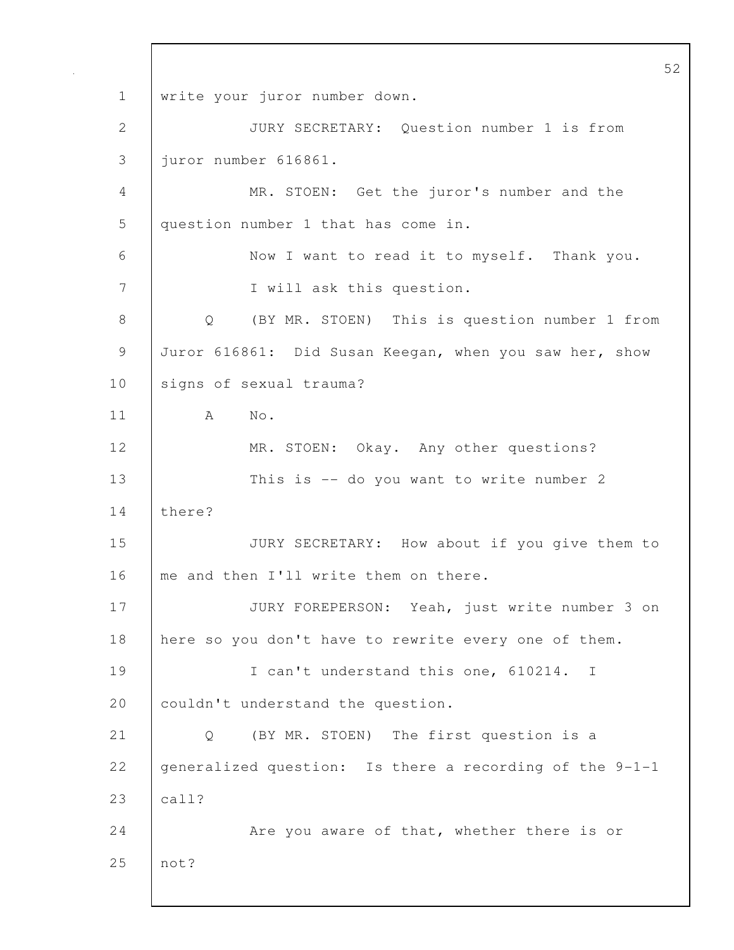52 1 | write your juror number down. 2 JURY SECRETARY: Question number 1 is from 3 juror number 616861. 4 MR. STOEN: Get the juror's number and the 5 question number 1 that has come in. 6 Now I want to read it to myself. Thank you. 7 I will ask this question. 8 Q (BY MR. STOEN) This is question number 1 from 9 Juror 616861: Did Susan Keegan, when you saw her, show 10 signs of sexual trauma? 11 A No. 12 | MR. STOEN: Okay. Any other questions? 13 | This is -- do you want to write number 2 14 there? 15 JURY SECRETARY: How about if you give them to 16 me and then I'll write them on there. 17 | JURY FOREPERSON: Yeah, just write number 3 on 18 here so you don't have to rewrite every one of them. 19 | I can't understand this one, 610214. I 20 couldn't understand the question. 21 Q (BY MR. STOEN) The first question is a 22 generalized question: Is there a recording of the 9-1-1 23 call? 24 Are you aware of that, whether there is or 25 not?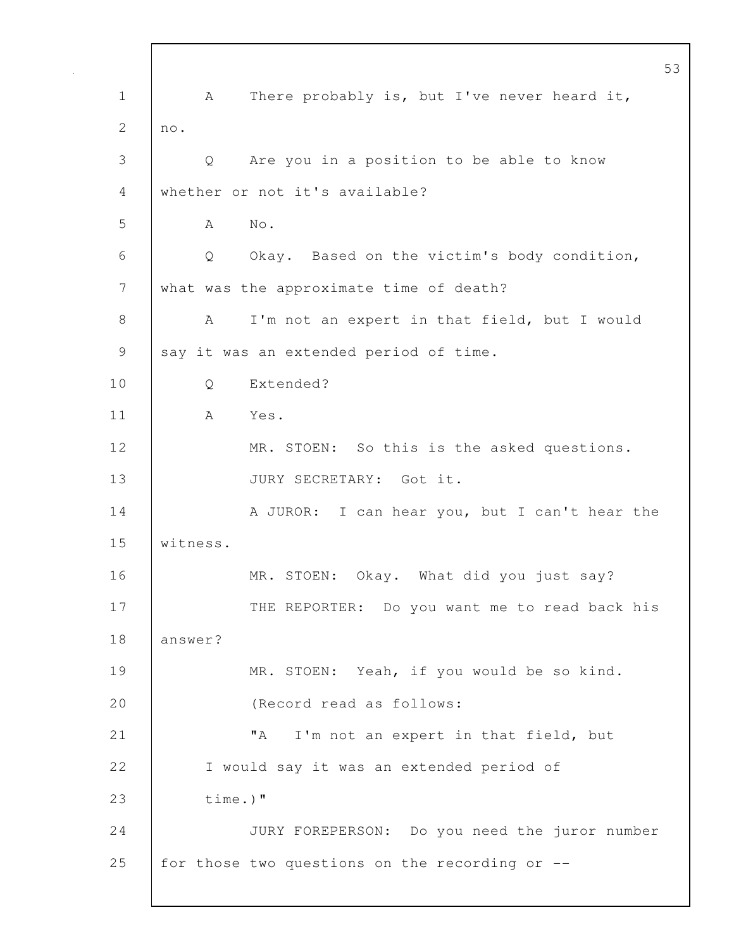53 1 | A There probably is, but I've never heard it, 2  $\ln 0$ . 3 Q Are you in a position to be able to know 4 whether or not it's available? 5 A No. 6 Q Okay. Based on the victim's body condition, 7 what was the approximate time of death? 8 | A I'm not an expert in that field, but I would 9 | say it was an extended period of time. 10 | O Extended? 11 A Yes. 12 MR. STOEN: So this is the asked questions. 13 | JURY SECRETARY: Got it. 14 | A JUROR: I can hear you, but I can't hear the 15 witness. 16 MR. STOEN: Okay. What did you just say? 17 | THE REPORTER: Do you want me to read back his 18 answer? 19 | MR. STOEN: Yeah, if you would be so kind. 20 (Record read as follows: 21 | TA I'm not an expert in that field, but 22 I would say it was an extended period of 23 time.)" 24 JURY FOREPERSON: Do you need the juror number 25 for those two questions on the recording or --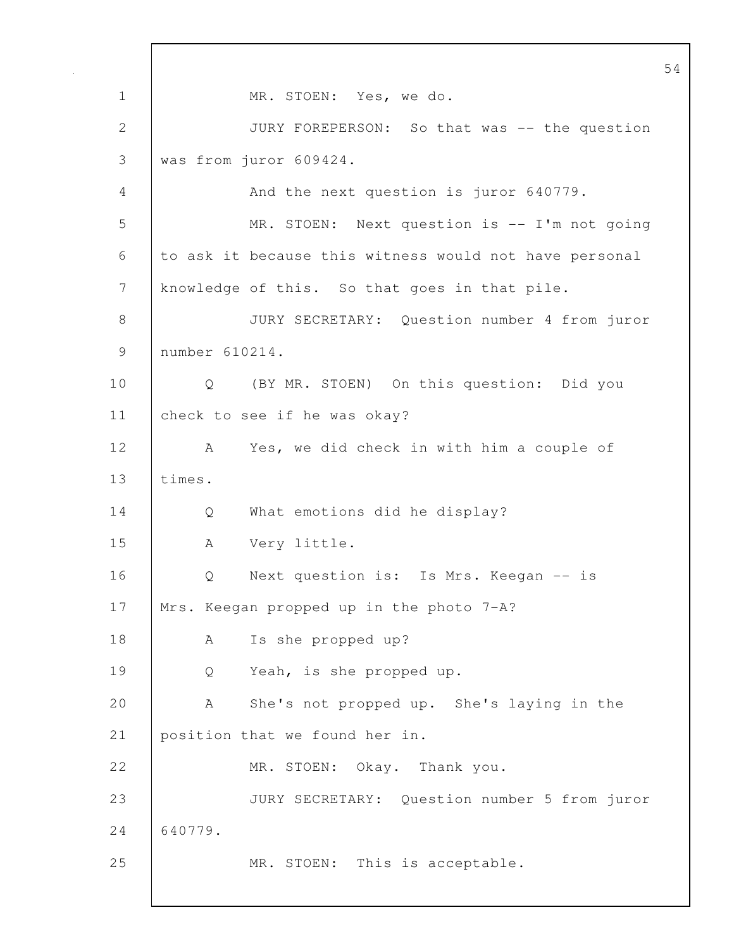54 1 MR. STOEN: Yes, we do. 2 JURY FOREPERSON: So that was -- the question 3 was from juror 609424. 4 And the next question is juror 640779. 5 MR. STOEN: Next question is -- I'm not going 6 to ask it because this witness would not have personal 7 | knowledge of this. So that goes in that pile. 8 JURY SECRETARY: Question number 4 from juror 9 number 610214. 10 | Q (BY MR. STOEN) On this question: Did you 11 check to see if he was okay? 12 A Yes, we did check in with him a couple of 13 times. 14 Q What emotions did he display? 15 A Very little. 16 | O Next question is: Is Mrs. Keegan -- is 17 | Mrs. Keegan propped up in the photo 7-A? 18 | A Is she propped up? 19 Q Yeah, is she propped up. 20 A She's not propped up. She's laying in the 21 position that we found her in. 22 MR. STOEN: Okay. Thank you. 23 JURY SECRETARY: Question number 5 from juror 24 640779. 25 | MR. STOEN: This is acceptable.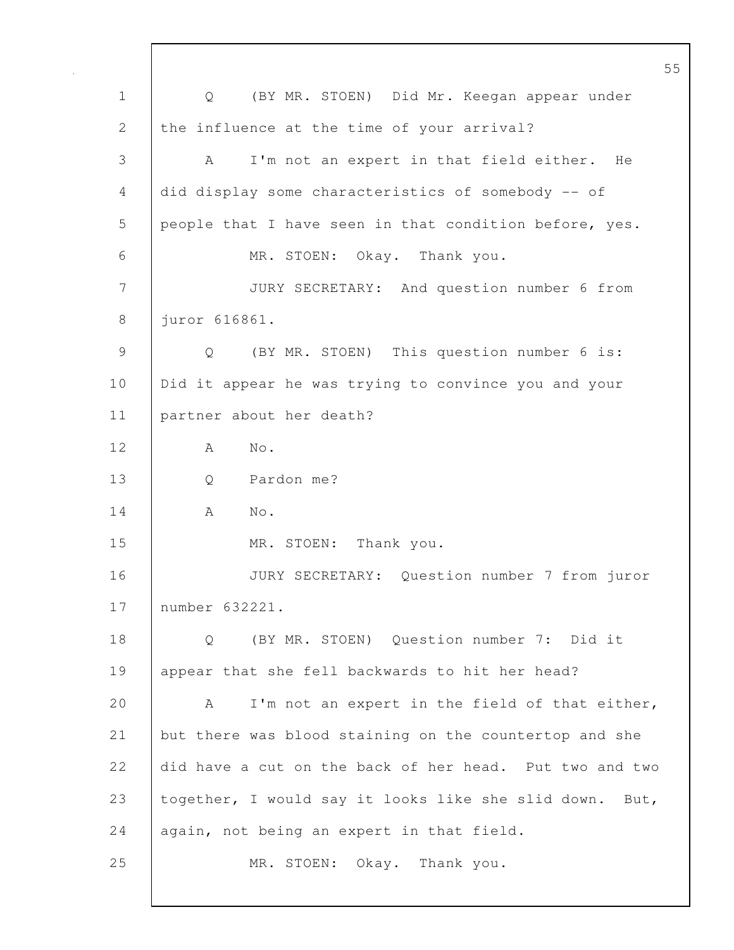55 1 Q (BY MR. STOEN) Did Mr. Keegan appear under 2 the influence at the time of your arrival? 3 A I'm not an expert in that field either. He 4 did display some characteristics of somebody -- of 5 people that I have seen in that condition before, yes. 6 MR. STOEN: Okay. Thank you. 7 JURY SECRETARY: And question number 6 from 8 juror 616861. 9 Q (BY MR. STOEN) This question number 6 is: 10 | Did it appear he was trying to convince you and your 11 partner about her death? 12 A No. 13 Q Pardon me? 14 A No. 15 MR. STOEN: Thank you. 16 JURY SECRETARY: Question number 7 from juror 17 number 632221. 18 | O (BY MR. STOEN) Ouestion number 7: Did it 19 appear that she fell backwards to hit her head? 20 A I'm not an expert in the field of that either, 21 but there was blood staining on the countertop and she 22 did have a cut on the back of her head. Put two and two 23 together, I would say it looks like she slid down. But, 24 again, not being an expert in that field. 25 MR. STOEN: Okay. Thank you.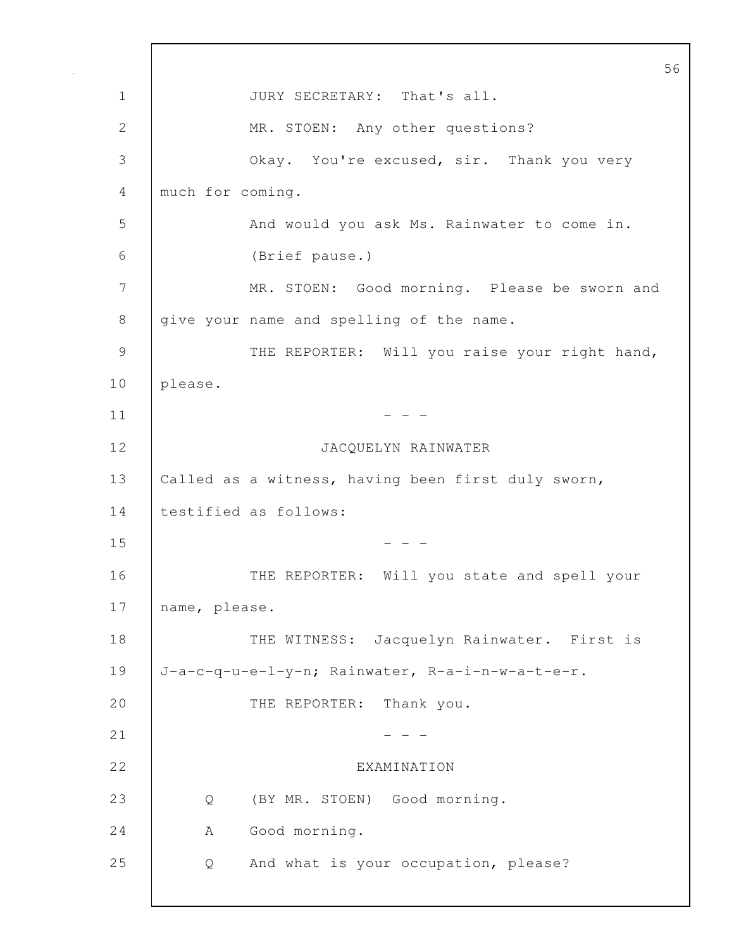56 1 JURY SECRETARY: That's all. 2 MR. STOEN: Any other questions? 3 Okay. You're excused, sir. Thank you very 4 much for coming. 5 And would you ask Ms. Rainwater to come in. 6 (Brief pause.) 7 MR. STOEN: Good morning. Please be sworn and 8 give your name and spelling of the name. 9 | THE REPORTER: Will you raise your right hand, 10 please.  $11$   $-$ 12 JACQUELYN RAINWATER 13 | Called as a witness, having been first duly sworn, 14 | testified as follows:  $15$  - - -16 | THE REPORTER: Will you state and spell your 17 | name, please. 18 | THE WITNESS: Jacquelyn Rainwater. First is 19 J-a-c-q-u-e-l-y-n; Rainwater, R-a-i-n-w-a-t-e-r. 20 THE REPORTER: Thank you.  $21$  - - -22 EXAMINATION 23 Q (BY MR. STOEN) Good morning. 24 | A Good morning. 25 Q And what is your occupation, please?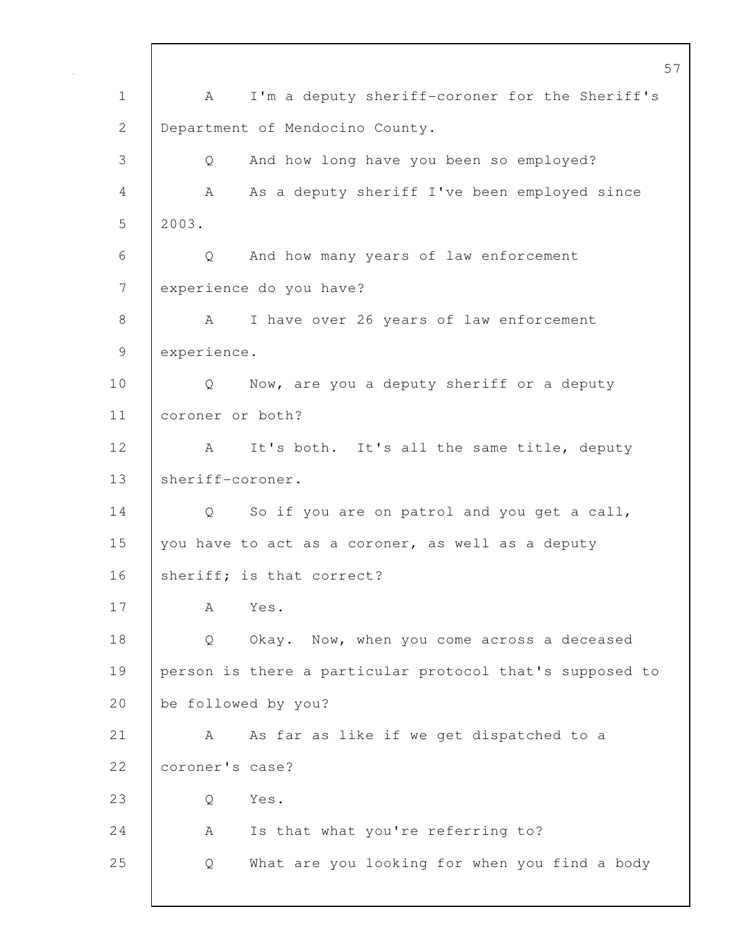57 1 A I'm a deputy sheriff-coroner for the Sheriff's 2 Department of Mendocino County. 3 Q And how long have you been so employed? 4 A As a deputy sheriff I've been employed since 5 2003. 6 Q And how many years of law enforcement 7 | experience do you have? 8 A I have over 26 years of law enforcement 9 experience. 10 | Q Now, are you a deputy sheriff or a deputy 11 coroner or both? 12 | A It's both. It's all the same title, deputy 13 sheriff-coroner. 14 Q So if you are on patrol and you get a call, 15 you have to act as a coroner, as well as a deputy 16 Sheriff; is that correct? 17 A Yes. 18 Q Okay. Now, when you come across a deceased 19 person is there a particular protocol that's supposed to 20 be followed by you? 21 | A As far as like if we get dispatched to a 22 | coroner's case? 23 Q Yes. 24 | A Is that what you're referring to? 25 Q What are you looking for when you find a body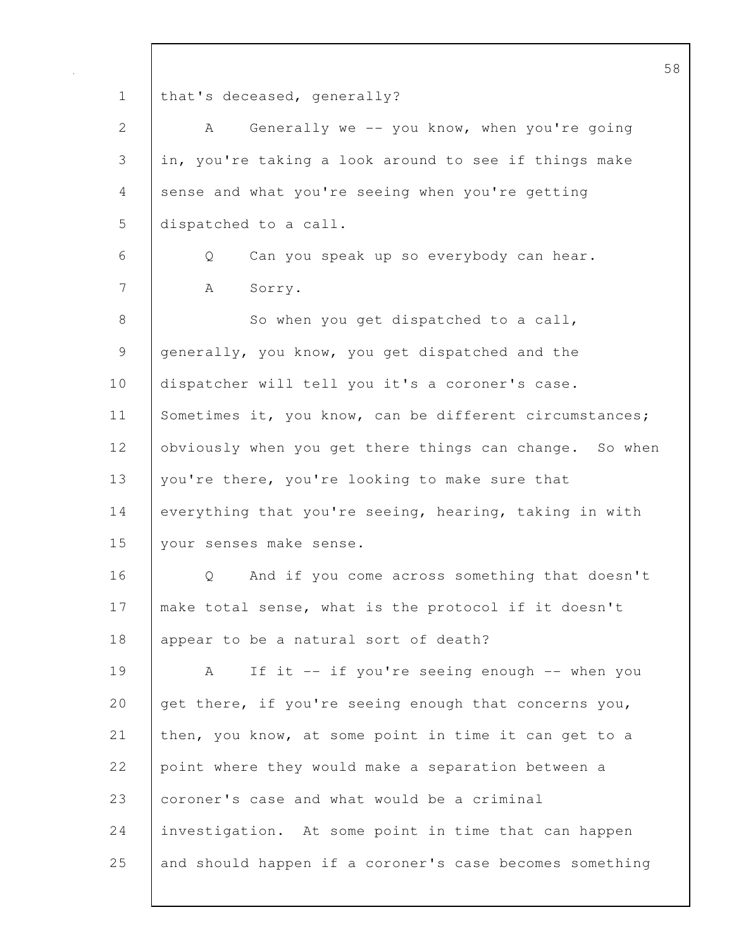58 1 | that's deceased, generally? 2 | A Generally we -- you know, when you're going 3 in, you're taking a look around to see if things make 4 sense and what you're seeing when you're getting 5 dispatched to a call. 6 Q Can you speak up so everybody can hear. 7 | A Sorry. 8 So when you get dispatched to a call, 9 generally, you know, you get dispatched and the 10 dispatcher will tell you it's a coroner's case. 11 Sometimes it, you know, can be different circumstances; 12 | obviously when you get there things can change. So when 13 you're there, you're looking to make sure that 14 everything that you're seeing, hearing, taking in with 15 your senses make sense. 16 | O And if you come across something that doesn't 17 | make total sense, what is the protocol if it doesn't 18 | appear to be a natural sort of death? 19 | A If it -- if you're seeing enough -- when you 20 get there, if you're seeing enough that concerns you, 21 then, you know, at some point in time it can get to a 22 point where they would make a separation between a 23 coroner's case and what would be a criminal 24 investigation. At some point in time that can happen 25 and should happen if a coroner's case becomes something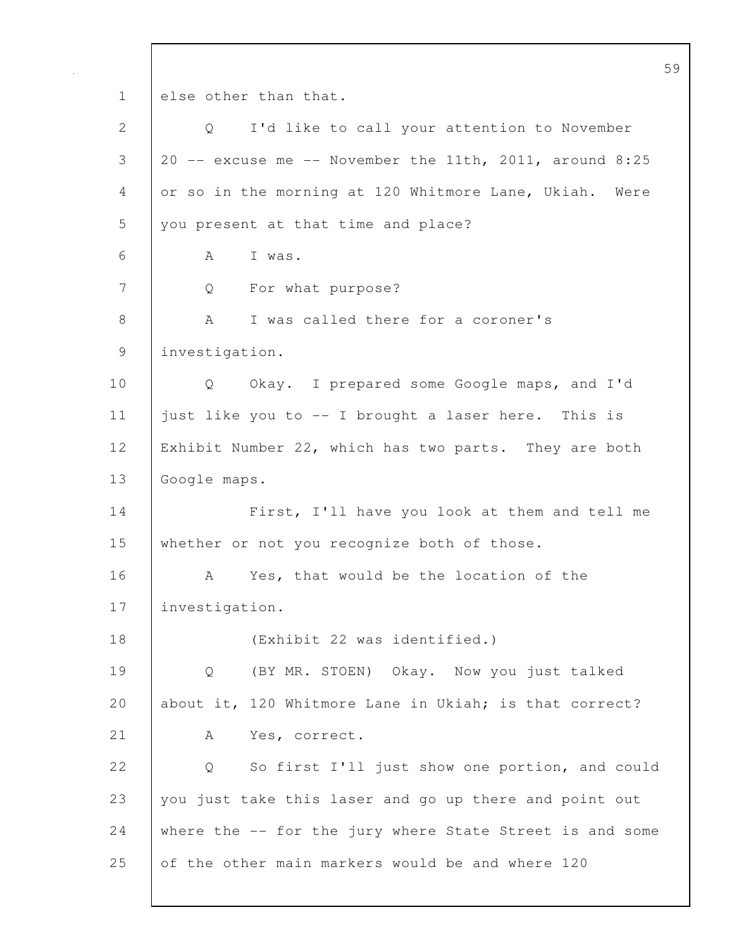59 1 else other than that. 2 Q I'd like to call your attention to November  $3 \mid 20 \text{ --}$  excuse me  $\text{--}$  November the 11th, 2011, around 8:25 4 or so in the morning at 120 Whitmore Lane, Ukiah. Were 5 you present at that time and place? 6 A I was. 7 Q For what purpose? 8 A I was called there for a coroner's 9 investigation. 10 Q Okay. I prepared some Google maps, and I'd 11 just like you to -- I brought a laser here. This is 12 Exhibit Number 22, which has two parts. They are both 13 Google maps. 14 | First, I'll have you look at them and tell me 15 whether or not you recognize both of those. 16 A Yes, that would be the location of the 17 investigation. 18 (Exhibit 22 was identified.) 19 Q (BY MR. STOEN) Okay. Now you just talked 20 about it, 120 Whitmore Lane in Ukiah; is that correct? 21 | A Yes, correct. 22 |  $\circ$  So first I'll just show one portion, and could 23 you just take this laser and go up there and point out 24 where the -- for the jury where State Street is and some 25 of the other main markers would be and where 120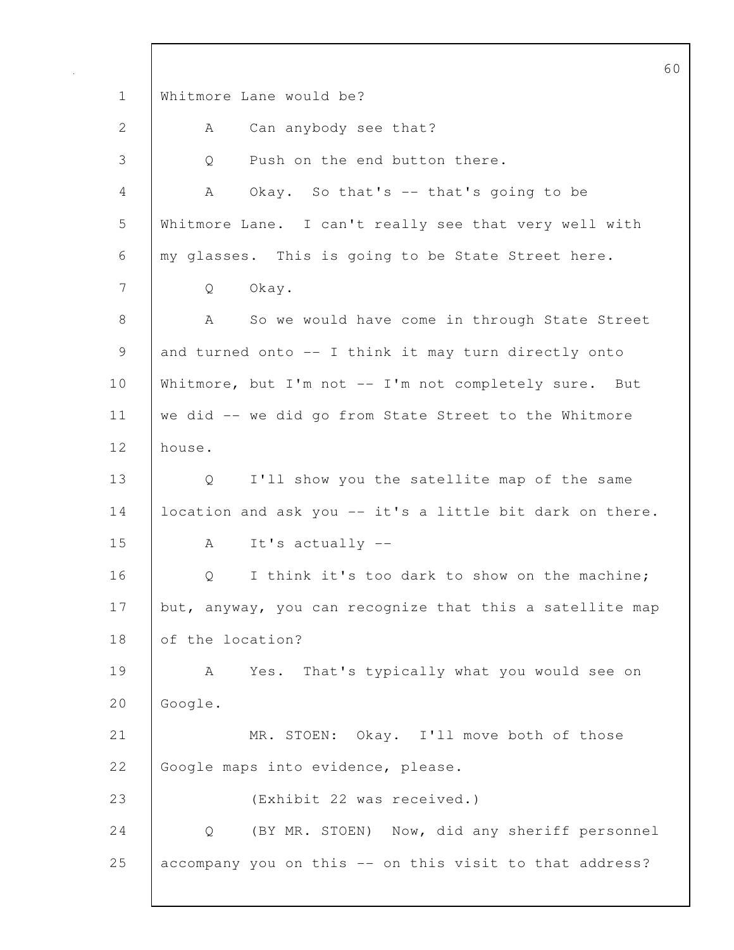60 1 Whitmore Lane would be? 2 | A Can anybody see that? 3 |  $\circ$  Push on the end button there. 4 A Okay. So that's -- that's going to be 5 Whitmore Lane. I can't really see that very well with 6 my glasses. This is going to be State Street here. 7 Q Okay. 8 A So we would have come in through State Street 9 and turned onto -- I think it may turn directly onto 10 | Whitmore, but I'm not -- I'm not completely sure. But 11 we did -- we did go from State Street to the Whitmore 12 house. 13 Q I'll show you the satellite map of the same 14 | location and ask you -- it's a little bit dark on there. 15 A It's actually -- 16 | O I think it's too dark to show on the machine; 17 but, anyway, you can recognize that this a satellite map 18 of the location? 19 | A Yes. That's typically what you would see on 20 Google. 21 MR. STOEN: Okay. I'll move both of those 22 Google maps into evidence, please. 23 (Exhibit 22 was received.) 24 Q (BY MR. STOEN) Now, did any sheriff personnel 25 accompany you on this -- on this visit to that address?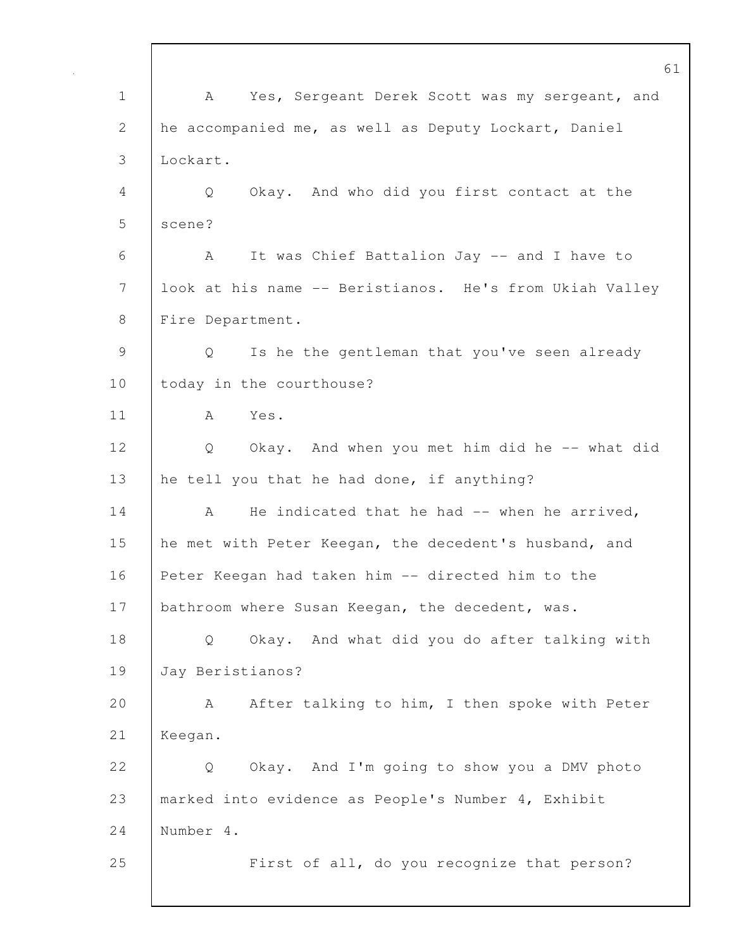61 1 | A Yes, Sergeant Derek Scott was my sergeant, and 2 he accompanied me, as well as Deputy Lockart, Daniel 3 Lockart. 4 Q Okay. And who did you first contact at the 5 | scene? 6 A It was Chief Battalion Jay -- and I have to 7 look at his name -- Beristianos. He's from Ukiah Valley 8 | Fire Department. 9 Q Is he the gentleman that you've seen already 10 | today in the courthouse? 11 A Yes. 12 Q Okay. And when you met him did he -- what did 13 he tell you that he had done, if anything? 14 A He indicated that he had -- when he arrived, 15 he met with Peter Keegan, the decedent's husband, and 16 Peter Keegan had taken him -- directed him to the 17 | bathroom where Susan Keegan, the decedent, was. 18 Q Okay. And what did you do after talking with 19 Jay Beristianos? 20 A After talking to him, I then spoke with Peter 21 Keegan. 22 | O Okay. And I'm going to show you a DMV photo 23 marked into evidence as People's Number 4, Exhibit 24 Number 4. 25 **First of all, do you recognize that person?**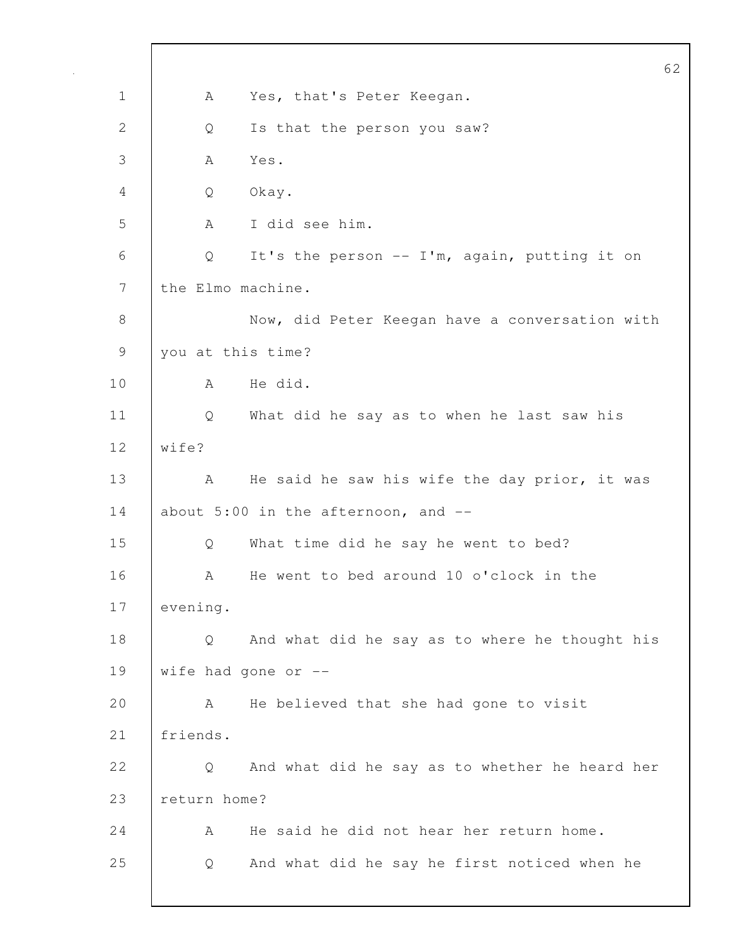62 1 | A Yes, that's Peter Keegan. 2 Q Is that the person you saw? 3 A Yes. 4 Q Okay. 5 A I did see him. 6 Q It's the person -- I'm, again, putting it on 7 the Elmo machine. 8 Now, did Peter Keegan have a conversation with 9 you at this time? 10 A He did. 11 Q What did he say as to when he last saw his 12 wife? 13 | A He said he saw his wife the day prior, it was 14 about 5:00 in the afternoon, and --15 Q What time did he say he went to bed? 16 A He went to bed around 10 o'clock in the 17 evening. 18 Q And what did he say as to where he thought his 19 wife had gone or --20 A He believed that she had gone to visit 21 friends. 22 Q And what did he say as to whether he heard her 23 | return home? 24 A He said he did not hear her return home. 25 Q And what did he say he first noticed when he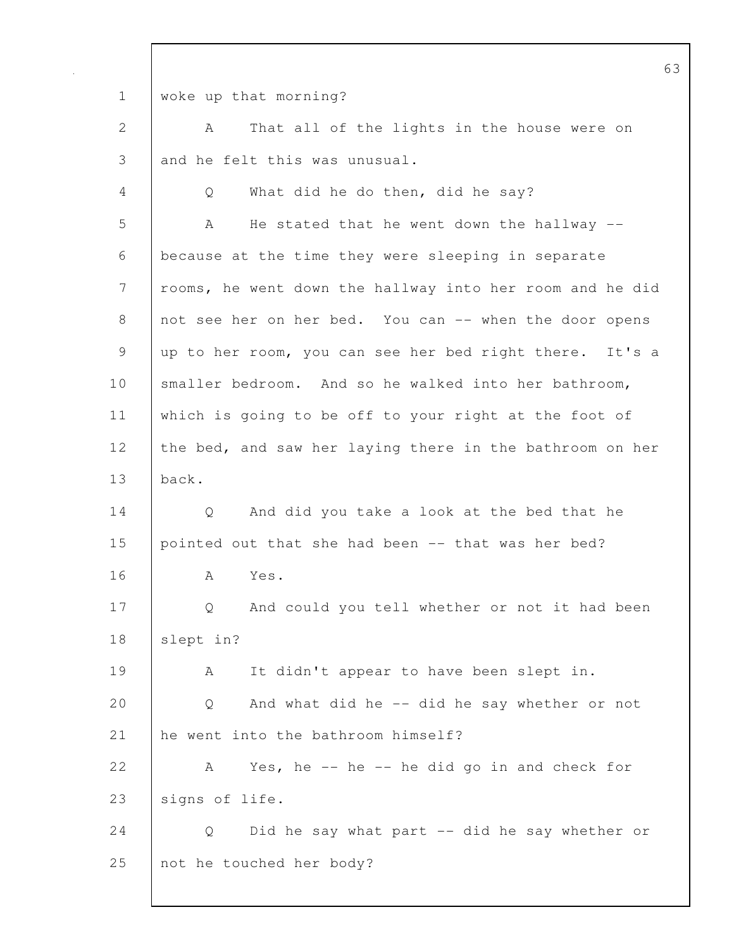1 woke up that morning? 2 A That all of the lights in the house were on 3 and he felt this was unusual. 4 Q What did he do then, did he say? 5 A He stated that he went down the hallway --6 because at the time they were sleeping in separate 7 | rooms, he went down the hallway into her room and he did 8 not see her on her bed. You can -- when the door opens 9 up to her room, you can see her bed right there. It's a 10 Smaller bedroom. And so he walked into her bathroom, 11 which is going to be off to your right at the foot of 12 the bed, and saw her laying there in the bathroom on her 13 back. 14 Q And did you take a look at the bed that he 15 pointed out that she had been -- that was her bed? 16 A Yes. 17 Q And could you tell whether or not it had been 18 | slept in? 19 | A It didn't appear to have been slept in. 20 Q And what did he -- did he say whether or not 21 he went into the bathroom himself? 22 A Yes, he -- he -- he did go in and check for 23 signs of life. 24 | Q Did he say what part -- did he say whether or 25 | not he touched her body?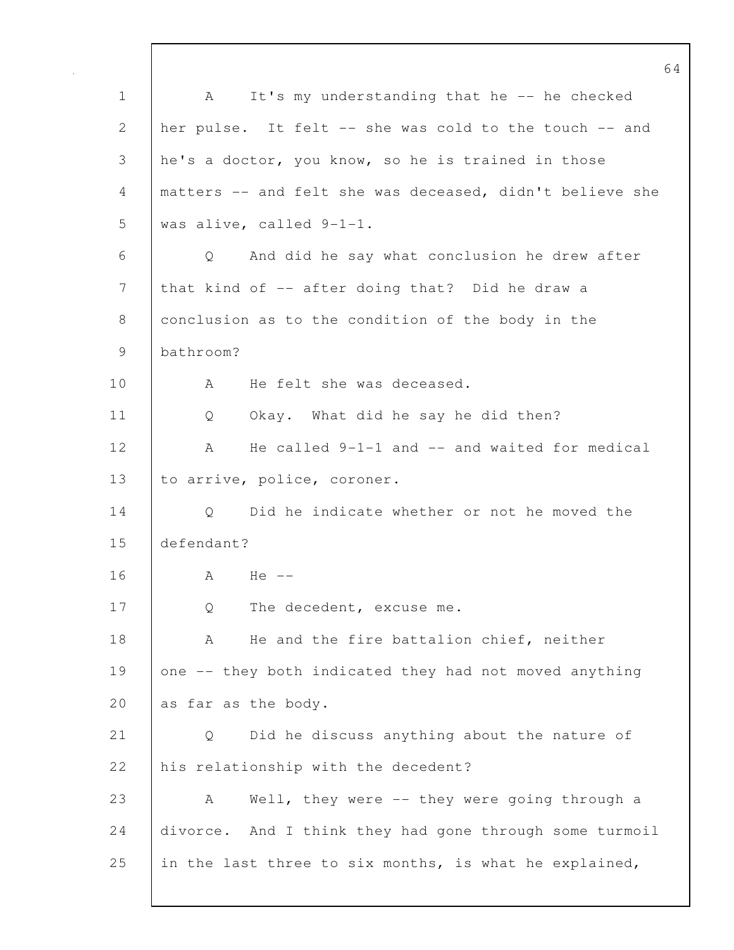1 A It's my understanding that he -- he checked 2 her pulse. It felt -- she was cold to the touch -- and 3 he's a doctor, you know, so he is trained in those 4 matters -- and felt she was deceased, didn't believe she 5 was alive, called 9-1-1. 6 Q And did he say what conclusion he drew after 7 that kind of -- after doing that? Did he draw a 8 conclusion as to the condition of the body in the 9 bathroom? 10 | A He felt she was deceased. 11 Q Okay. What did he say he did then? 12 A He called 9-1-1 and -- and waited for medical 13 | to arrive, police, coroner. 14 | Q Did he indicate whether or not he moved the 15 defendant? 16 A He -- 17 Q The decedent, excuse me. 18 | A He and the fire battalion chief, neither 19 one -- they both indicated they had not moved anything 20 as far as the body. 21 Q Did he discuss anything about the nature of 22 his relationship with the decedent? 23 A Well, they were -- they were going through a 24 divorce. And I think they had gone through some turmoil 25 in the last three to six months, is what he explained,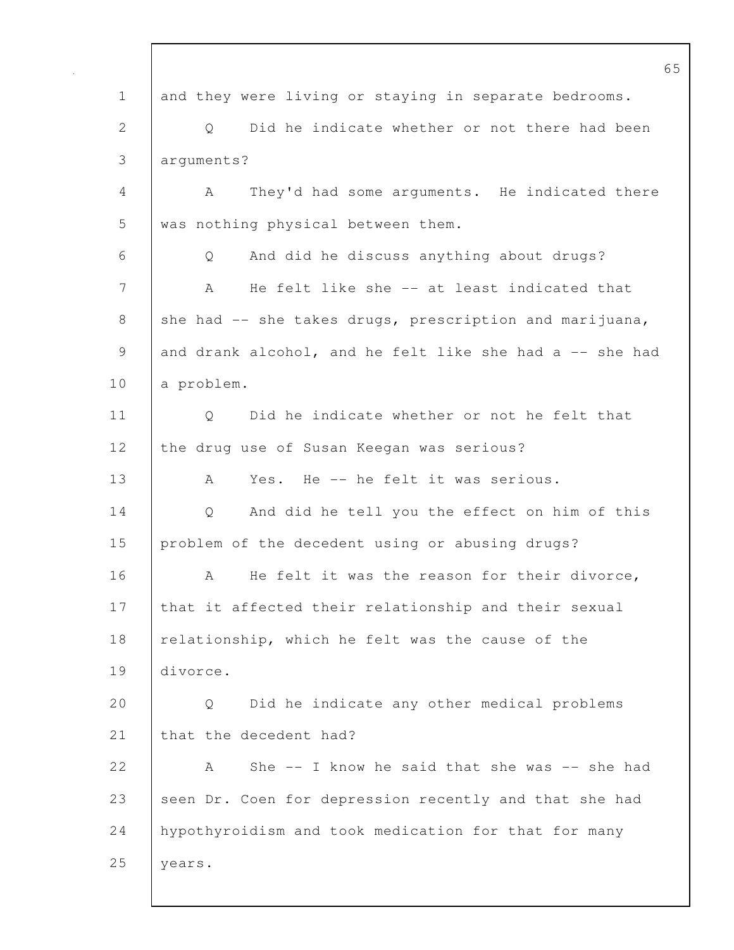65 1 and they were living or staying in separate bedrooms. 2 |  $\circ$  Did he indicate whether or not there had been 3 arguments? 4 A They'd had some arguments. He indicated there 5 was nothing physical between them. 6 Q And did he discuss anything about drugs? 7 A He felt like she -- at least indicated that 8 she had -- she takes drugs, prescription and marijuana, 9 and drank alcohol, and he felt like she had a -- she had 10 a problem. 11 | O Did he indicate whether or not he felt that 12 the drug use of Susan Keegan was serious? 13 A Yes. He -- he felt it was serious. 14 Q And did he tell you the effect on him of this 15 | problem of the decedent using or abusing drugs? 16 A He felt it was the reason for their divorce, 17 | that it affected their relationship and their sexual 18 relationship, which he felt was the cause of the 19 divorce. 20 Q Did he indicate any other medical problems 21 that the decedent had? 22 A She -- I know he said that she was -- she had 23 seen Dr. Coen for depression recently and that she had 24 hypothyroidism and took medication for that for many 25 | years.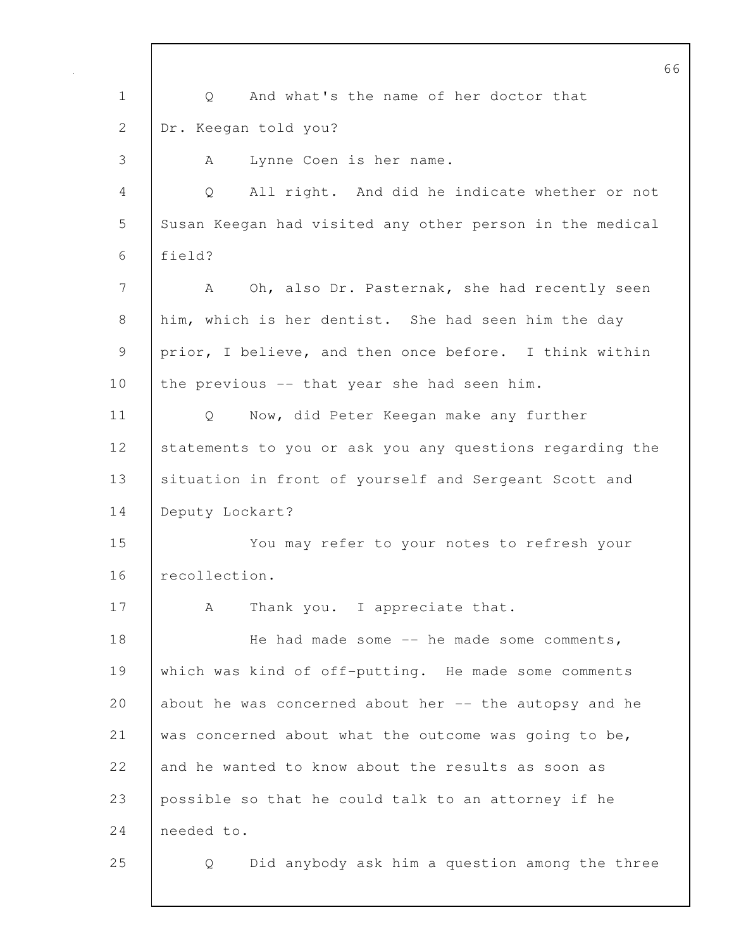66 1 Q And what's the name of her doctor that 2 Dr. Keegan told you? 3 A Lynne Coen is her name. 4 Q All right. And did he indicate whether or not 5 Susan Keegan had visited any other person in the medical 6 field? 7 | A Oh, also Dr. Pasternak, she had recently seen 8 him, which is her dentist. She had seen him the day 9 prior, I believe, and then once before. I think within 10 the previous -- that year she had seen him. 11 | Q Now, did Peter Keegan make any further 12 Statements to you or ask you any questions regarding the 13 | situation in front of yourself and Sergeant Scott and 14 Deputy Lockart? 15 You may refer to your notes to refresh your 16 recollection. 17 | A Thank you. I appreciate that. 18 | He had made some -- he made some comments, 19 which was kind of off-putting. He made some comments 20 about he was concerned about her  $-$  the autopsy and he 21 was concerned about what the outcome was going to be, 22 and he wanted to know about the results as soon as 23 possible so that he could talk to an attorney if he 24 needed to. 25 Q Did anybody ask him a question among the three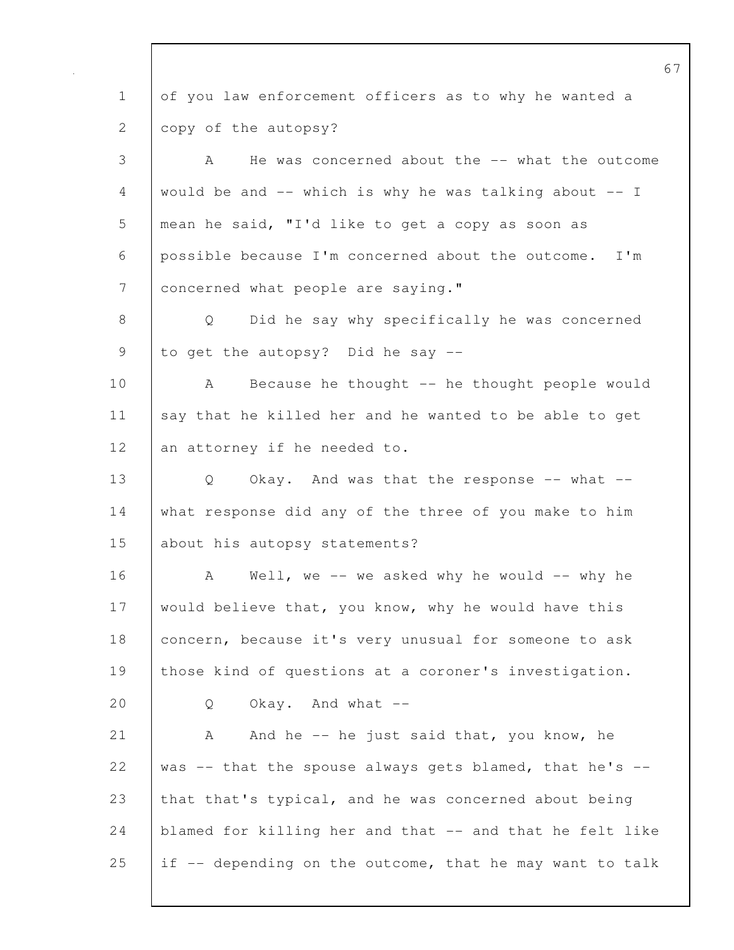1 of you law enforcement officers as to why he wanted a 2 copy of the autopsy? 3 A He was concerned about the -- what the outcome 4 would be and  $--$  which is why he was talking about  $--$  I 5 mean he said, "I'd like to get a copy as soon as 6 possible because I'm concerned about the outcome. I'm 7 | concerned what people are saying." 8 Q Did he say why specifically he was concerned 9 | to get the autopsy? Did he say --10 | A Because he thought -- he thought people would 11 say that he killed her and he wanted to be able to get 12 an attorney if he needed to. 13 Q Okay. And was that the response -- what --14 what response did any of the three of you make to him 15 about his autopsy statements? 16 A Well, we -- we asked why he would -- why he 17 would believe that, you know, why he would have this 18 concern, because it's very unusual for someone to ask 19 those kind of questions at a coroner's investigation.  $20$  Q Okay. And what  $-$ 21 | A And he -- he just said that, you know, he 22 | was  $-$  that the spouse always gets blamed, that he's  $-$ 23 that that's typical, and he was concerned about being 24 blamed for killing her and that -- and that he felt like 25 if  $-$  depending on the outcome, that he may want to talk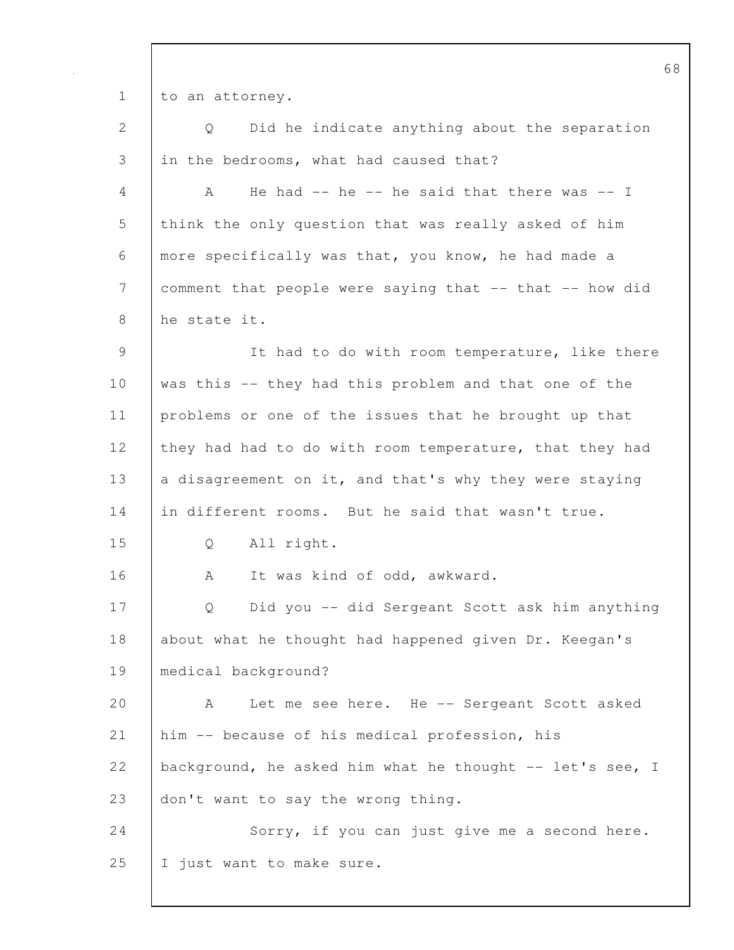1 to an attorney.

2 | Q Did he indicate anything about the separation 3 in the bedrooms, what had caused that?

4 A He had -- he -- he said that there was -- I 5 think the only question that was really asked of him 6 more specifically was that, you know, he had made a 7 comment that people were saying that -- that -- how did 8 he state it.

9 It had to do with room temperature, like there 10 was this -- they had this problem and that one of the 11 problems or one of the issues that he brought up that 12 they had had to do with room temperature, that they had 13  $\vert$  a disagreement on it, and that's why they were staying 14 in different rooms. But he said that wasn't true.

15 Q All right.

16 | A It was kind of odd, awkward.

17 Q Did you -- did Sergeant Scott ask him anything 18 about what he thought had happened given Dr. Keegan's 19 medical background?

20 A Let me see here. He -- Sergeant Scott asked 21 him -- because of his medical profession, his 22 background, he asked him what he thought  $-$  let's see, I 23 don't want to say the wrong thing.

24 | Sorry, if you can just give me a second here. 25 | I just want to make sure.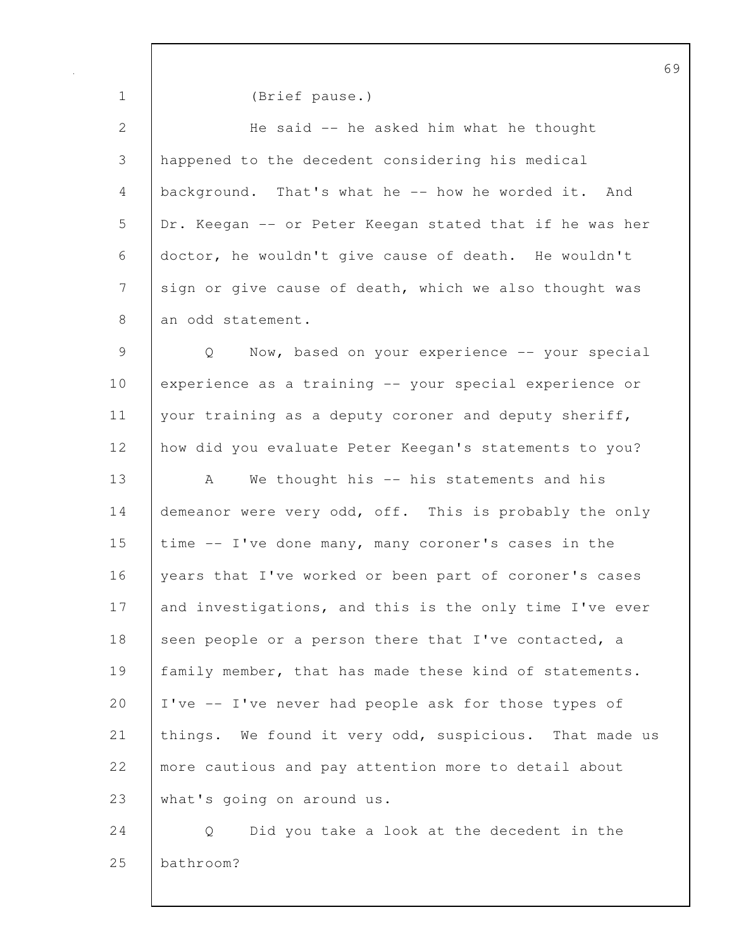| $\mathbf 1$                                               | (Brief pause.)                                          |  |
|-----------------------------------------------------------|---------------------------------------------------------|--|
| $\mathbf{2}$                                              | He said -- he asked him what he thought                 |  |
| 3                                                         | happened to the decedent considering his medical        |  |
| 4                                                         | background. That's what he -- how he worded it. And     |  |
| 5                                                         | Dr. Keegan -- or Peter Keegan stated that if he was her |  |
| 6                                                         | doctor, he wouldn't give cause of death. He wouldn't    |  |
| 7                                                         | sign or give cause of death, which we also thought was  |  |
| 8                                                         | an odd statement.                                       |  |
| $\mathcal{G}% _{M_{1},M_{2}}^{\alpha,\beta}(\mathcal{A})$ | Now, based on your experience -- your special<br>Q      |  |
| 10                                                        | experience as a training -- your special experience or  |  |
| 11                                                        | your training as a deputy coroner and deputy sheriff,   |  |
| 12                                                        | how did you evaluate Peter Keegan's statements to you?  |  |
| 13                                                        | We thought his -- his statements and his<br>A           |  |
| 14                                                        | demeanor were very odd, off. This is probably the only  |  |
| 15                                                        | time -- I've done many, many coroner's cases in the     |  |
| 16                                                        | years that I've worked or been part of coroner's cases  |  |
| 17                                                        | and investigations, and this is the only time I've ever |  |
| 18                                                        | seen people or a person there that I've contacted, a    |  |
| 19                                                        | family member, that has made these kind of statements.  |  |
| 20                                                        | I've -- I've never had people ask for those types of    |  |
| 21                                                        | things. We found it very odd, suspicious. That made us  |  |
| 22                                                        | more cautious and pay attention more to detail about    |  |
| 23                                                        | what's going on around us.                              |  |
| 24                                                        | Did you take a look at the decedent in the<br>Q         |  |

25 bathroom?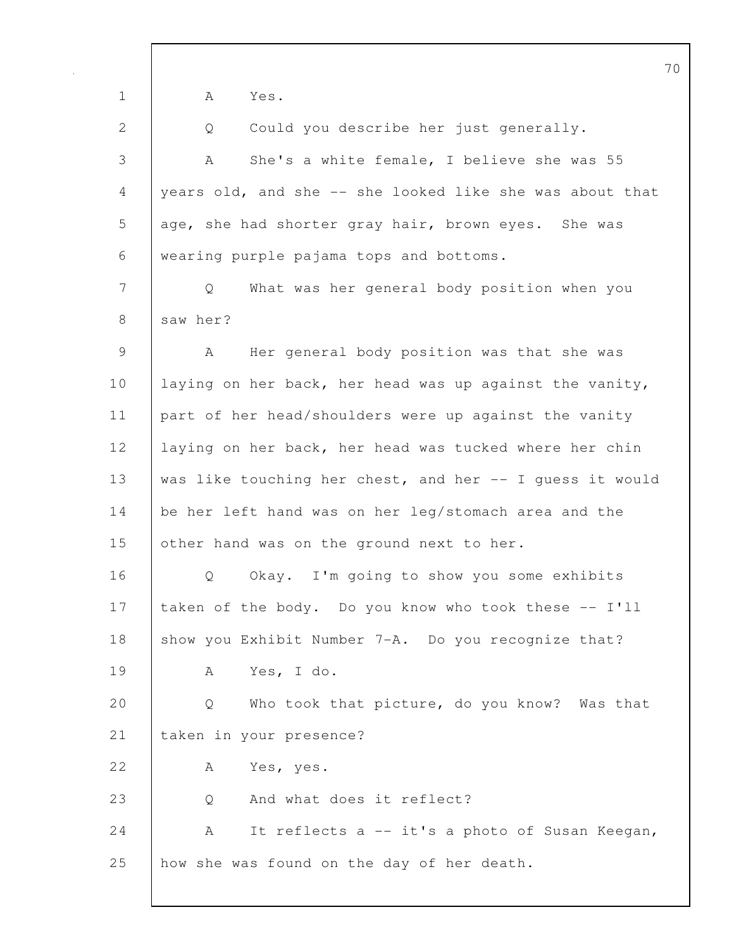70 1 A Yes. 2 Q Could you describe her just generally. 3 A She's a white female, I believe she was 55 4 years old, and she -- she looked like she was about that 5 age, she had shorter gray hair, brown eyes. She was 6 wearing purple pajama tops and bottoms. 7 Q What was her general body position when you 8 saw her? 9 | A Her general body position was that she was 10 laying on her back, her head was up against the vanity, 11 part of her head/shoulders were up against the vanity 12 laying on her back, her head was tucked where her chin 13 was like touching her chest, and her -- I quess it would 14 be her left hand was on her leg/stomach area and the 15 other hand was on the ground next to her. 16 | O Okay. I'm going to show you some exhibits 17 taken of the body. Do you know who took these -- I'll 18 Show you Exhibit Number 7-A. Do you recognize that? 19 A Yes, I do. 20 | Q Who took that picture, do you know? Was that 21 taken in your presence? 22 | A Yes, yes. 23 Q And what does it reflect? 24  $\vert$  A It reflects a -- it's a photo of Susan Keegan, 25 how she was found on the day of her death.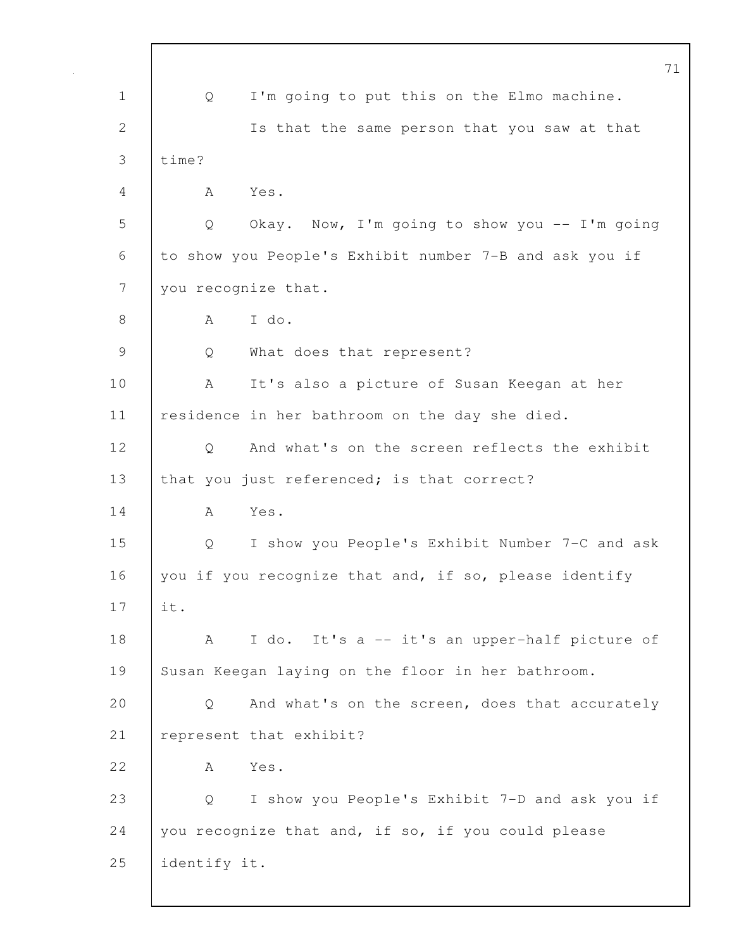|              |              |                                                        | 71 |
|--------------|--------------|--------------------------------------------------------|----|
| $\mathbf 1$  | Q            | I'm going to put this on the Elmo machine.             |    |
| $\mathbf{2}$ |              | Is that the same person that you saw at that           |    |
| 3            | time?        |                                                        |    |
| 4            | A            | Yes.                                                   |    |
| 5            | Q            | Okay. Now, I'm going to show you -- I'm going          |    |
| 6            |              | to show you People's Exhibit number 7-B and ask you if |    |
| 7            |              | you recognize that.                                    |    |
| $8\,$        | A            | I do.                                                  |    |
| 9            | Q            | What does that represent?                              |    |
| 10           | A            | It's also a picture of Susan Keegan at her             |    |
| 11           |              | residence in her bathroom on the day she died.         |    |
| 12           | Q            | And what's on the screen reflects the exhibit          |    |
| 13           |              | that you just referenced; is that correct?             |    |
| 14           | A            | Yes.                                                   |    |
| 15           | Q            | I show you People's Exhibit Number 7-C and ask         |    |
| 16           |              | you if you recognize that and, if so, please identify  |    |
| 17           | it.          |                                                        |    |
| 18           | A            | I do. It's a -- it's an upper-half picture of          |    |
| 19           |              | Susan Keegan laying on the floor in her bathroom.      |    |
| 20           | Q            | And what's on the screen, does that accurately         |    |
| 21           |              | represent that exhibit?                                |    |
| 22           | A            | Yes.                                                   |    |
| 23           | Q            | I show you People's Exhibit 7-D and ask you if         |    |
| 24           |              | you recognize that and, if so, if you could please     |    |
| 25           | identify it. |                                                        |    |
|              |              |                                                        |    |

 $\mathbf{I}$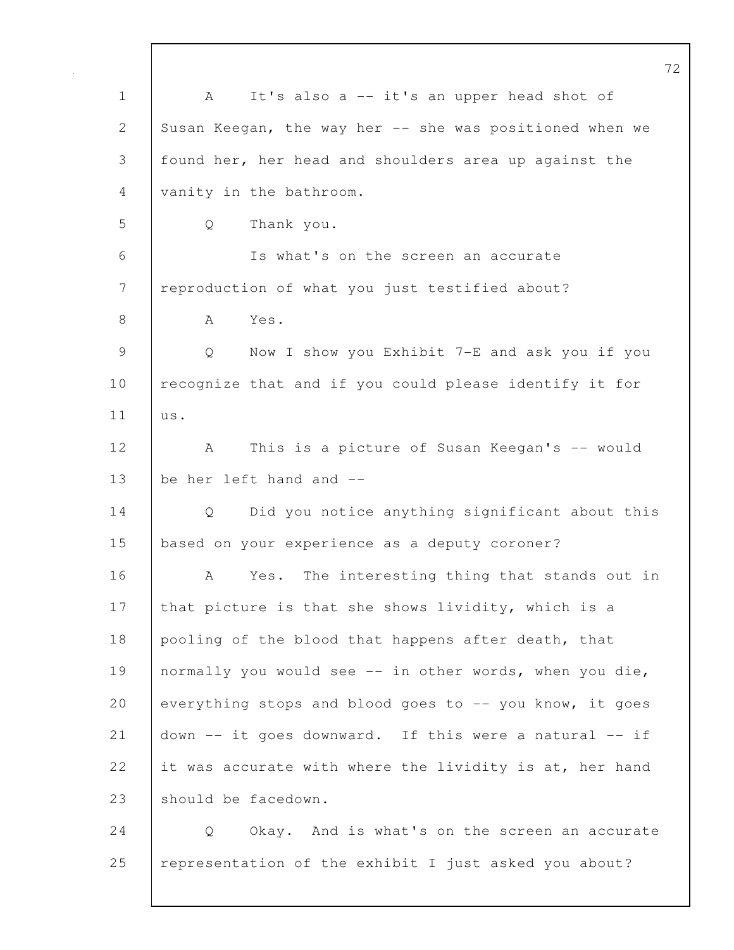72 1 | A It's also a -- it's an upper head shot of 2 Susan Keegan, the way her -- she was positioned when we 3 found her, her head and shoulders area up against the 4 vanity in the bathroom. 5 Q Thank you. 6 Is what's on the screen an accurate 7 reproduction of what you just testified about? 8 | A Yes. 9 Q Now I show you Exhibit 7-E and ask you if you 10 | recognize that and if you could please identify it for 11 us. 12 | A This is a picture of Susan Keegan's -- would 13 | be her left hand and --14 Q Did you notice anything significant about this 15 based on your experience as a deputy coroner? 16 A Yes. The interesting thing that stands out in 17 that picture is that she shows lividity, which is a 18 pooling of the blood that happens after death, that 19 | normally you would see -- in other words, when you die, 20 everything stops and blood goes to  $-$ - you know, it goes 21 down -- it goes downward. If this were a natural -- if 22 it was accurate with where the lividity is at, her hand 23 should be facedown. 24 Q Okay. And is what's on the screen an accurate

25 representation of the exhibit I just asked you about?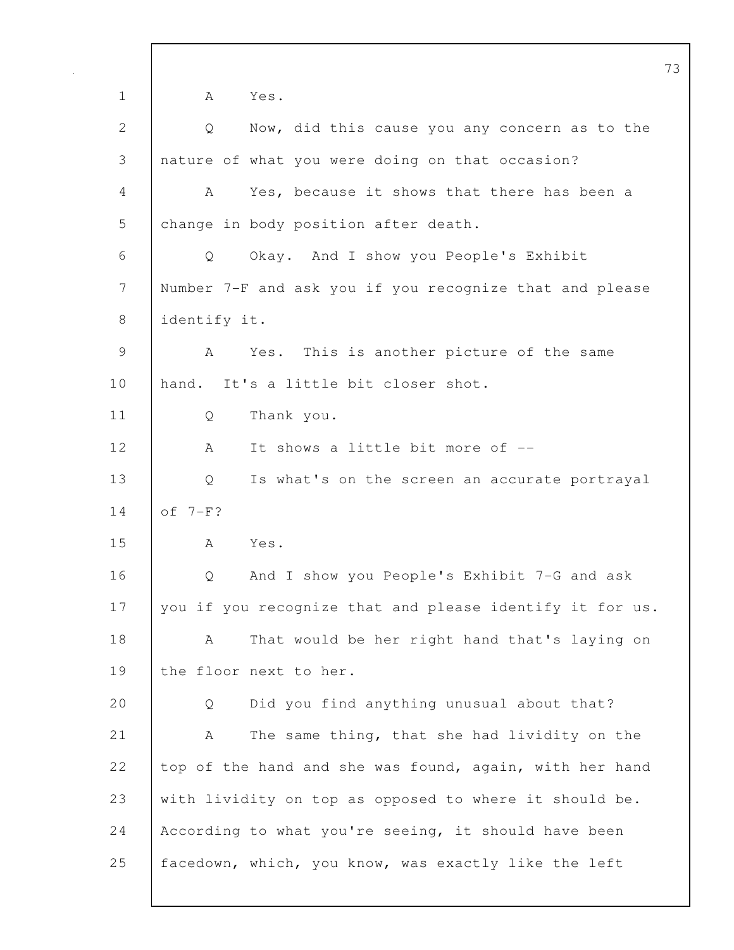1 A Yes. 2 Q Now, did this cause you any concern as to the 3 nature of what you were doing on that occasion? 4 A Yes, because it shows that there has been a 5 change in body position after death. 6 Q Okay. And I show you People's Exhibit 7 Number 7-F and ask you if you recognize that and please 8 identify it. 9 A Yes. This is another picture of the same 10 hand. It's a little bit closer shot. 11 Q Thank you. 12 A It shows a little bit more of --13 Q Is what's on the screen an accurate portrayal 14 of 7-F? 15 A Yes. 16 Q And I show you People's Exhibit 7-G and ask 17 you if you recognize that and please identify it for us. 18 | A That would be her right hand that's laying on 19 the floor next to her. 20 Q Did you find anything unusual about that? 21 | A The same thing, that she had lividity on the 22 top of the hand and she was found, again, with her hand 23 with lividity on top as opposed to where it should be. 24 According to what you're seeing, it should have been 25 facedown, which, you know, was exactly like the left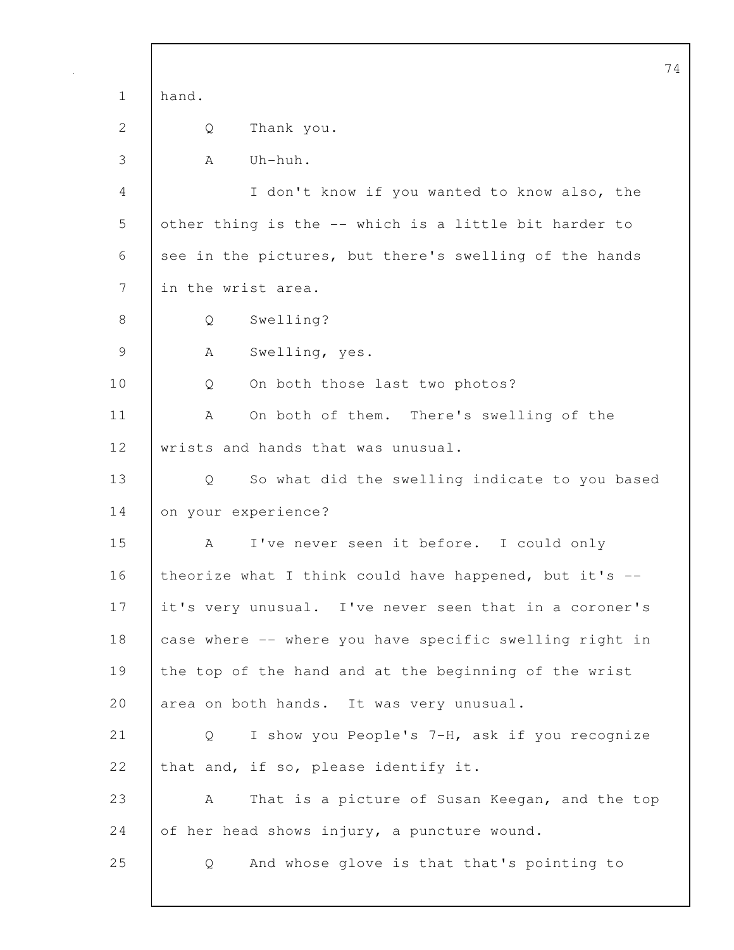74 1 hand. 2 Q Thank you. 3 A Uh-huh. 4 I don't know if you wanted to know also, the 5 other thing is the -- which is a little bit harder to 6 see in the pictures, but there's swelling of the hands 7 in the wrist area. 8 | Q Swelling? 9 A Swelling, yes. 10 Q On both those last two photos? 11 | A On both of them. There's swelling of the 12 wrists and hands that was unusual. 13 Q So what did the swelling indicate to you based 14 on your experience? 15 A I've never seen it before. I could only 16 theorize what I think could have happened, but it's  $-$ 17 it's very unusual. I've never seen that in a coroner's 18 case where -- where you have specific swelling right in 19 the top of the hand and at the beginning of the wrist 20 area on both hands. It was very unusual. 21 Q I show you People's 7-H, ask if you recognize 22 that and, if so, please identify it. 23 A That is a picture of Susan Keegan, and the top 24 of her head shows injury, a puncture wound. 25 Q And whose glove is that that's pointing to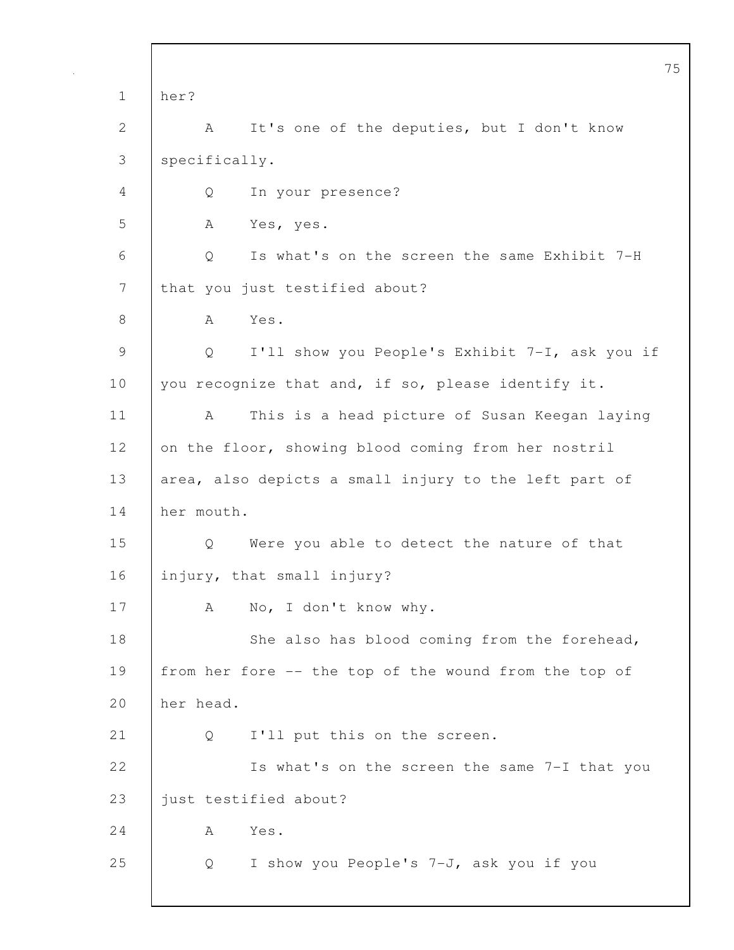75 1 her? 2 | A It's one of the deputies, but I don't know 3 specifically. 4 Q In your presence? 5 A Yes, yes. 6 Q Is what's on the screen the same Exhibit 7-H 7 | that you just testified about? 8 | A Yes. 9 Q I'll show you People's Exhibit 7-I, ask you if 10 | you recognize that and, if so, please identify it. 11 | A This is a head picture of Susan Keegan laying 12 on the floor, showing blood coming from her nostril 13 area, also depicts a small injury to the left part of 14 her mouth. 15 Q Were you able to detect the nature of that 16 injury, that small injury? 17 A No, I don't know why. 18 She also has blood coming from the forehead, 19 from her fore -- the top of the wound from the top of 20 her head. 21 | Q I'll put this on the screen. 22 Is what's on the screen the same 7-I that you 23 | just testified about? 24 A Yes. 25 Q I show you People's 7-J, ask you if you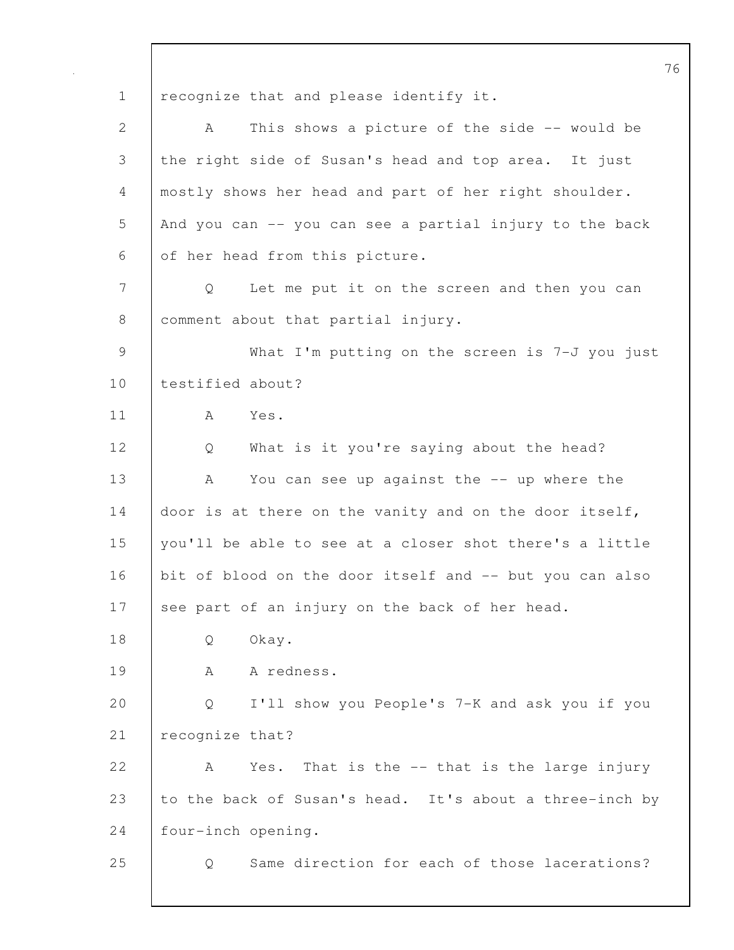76 1 recognize that and please identify it. 2 A This shows a picture of the side -- would be 3 the right side of Susan's head and top area. It just 4 mostly shows her head and part of her right shoulder. 5 And you can -- you can see a partial injury to the back 6 of her head from this picture. 7 Q Let me put it on the screen and then you can 8 comment about that partial injury. 9 What I'm putting on the screen is 7-J you just 10 testified about? 11 A Yes. 12 Q What is it you're saying about the head? 13 A You can see up against the -- up where the 14 door is at there on the vanity and on the door itself, 15 you'll be able to see at a closer shot there's a little 16 bit of blood on the door itself and -- but you can also 17 see part of an injury on the back of her head. 18 | O Okay. 19 | A A redness. 20 Q I'll show you People's 7-K and ask you if you 21 | recognize that? 22 A Yes. That is the -- that is the large injury 23 to the back of Susan's head. It's about a three-inch by 24 four-inch opening. 25 Q Same direction for each of those lacerations?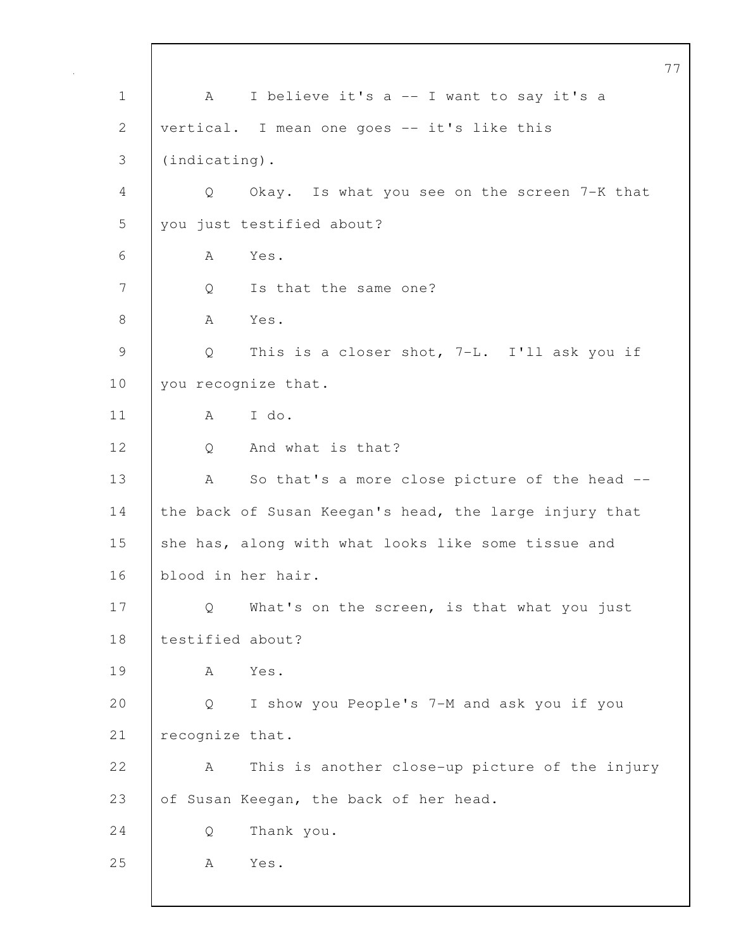77 1 | A I believe it's a -- I want to say it's a 2 vertical. I mean one goes -- it's like this 3 (indicating). 4 Q Okay. Is what you see on the screen 7-K that 5 you just testified about? 6 A Yes. 7 | Q Is that the same one? 8 | A Yes. 9 Q This is a closer shot, 7-L. I'll ask you if 10 you recognize that. 11 A I do. 12 Q And what is that? 13 | A So that's a more close picture of the head --14 the back of Susan Keegan's head, the large injury that 15 she has, along with what looks like some tissue and 16 blood in her hair. 17 Q What's on the screen, is that what you just 18 | testified about? 19 A Yes. 20 Q I show you People's 7-M and ask you if you 21 | recognize that. 22 A This is another close-up picture of the injury 23 of Susan Keegan, the back of her head. 24 Q Thank you. 25 | A Yes.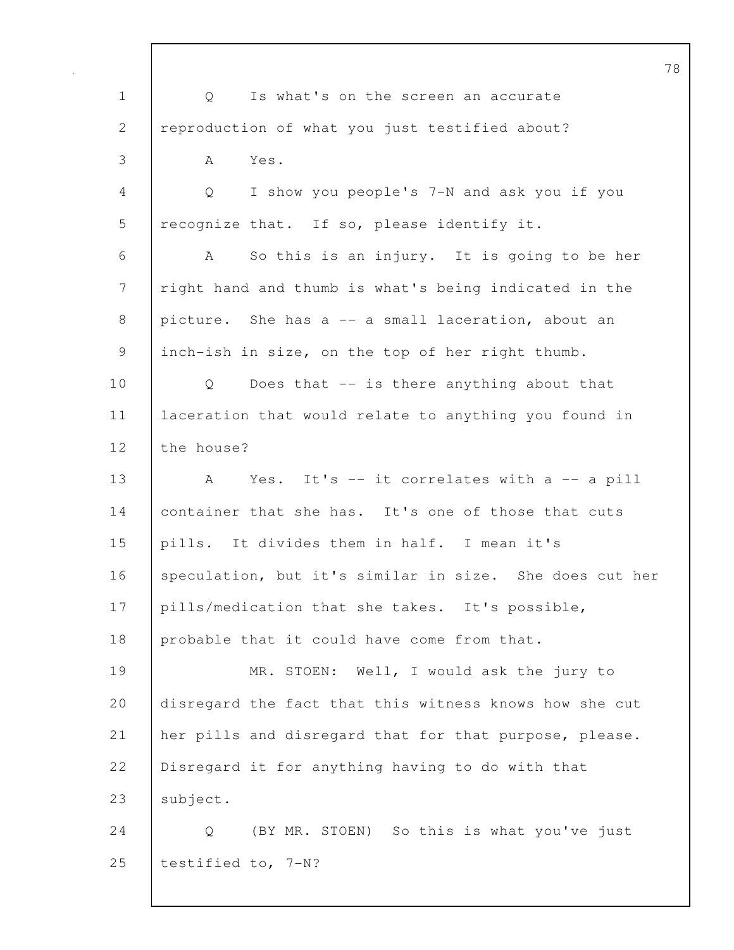78 1 | Q Is what's on the screen an accurate 2 reproduction of what you just testified about? 3 A Yes. 4 Q I show you people's 7-N and ask you if you 5 | recognize that. If so, please identify it. 6 A So this is an injury. It is going to be her 7 | right hand and thumb is what's being indicated in the 8 picture. She has a -- a small laceration, about an 9 inch-ish in size, on the top of her right thumb. 10 | Q Does that -- is there anything about that 11 laceration that would relate to anything you found in 12 the house? 13 A Yes. It's -- it correlates with a -- a pill 14 container that she has. It's one of those that cuts 15 pills. It divides them in half. I mean it's 16 speculation, but it's similar in size. She does cut her 17 | pills/medication that she takes. It's possible, 18 probable that it could have come from that. 19 MR. STOEN: Well, I would ask the jury to 20 disregard the fact that this witness knows how she cut 21 her pills and disregard that for that purpose, please. 22 Disregard it for anything having to do with that 23 | subject. 24 | Q (BY MR. STOEN) So this is what you've just 25 testified to, 7-N?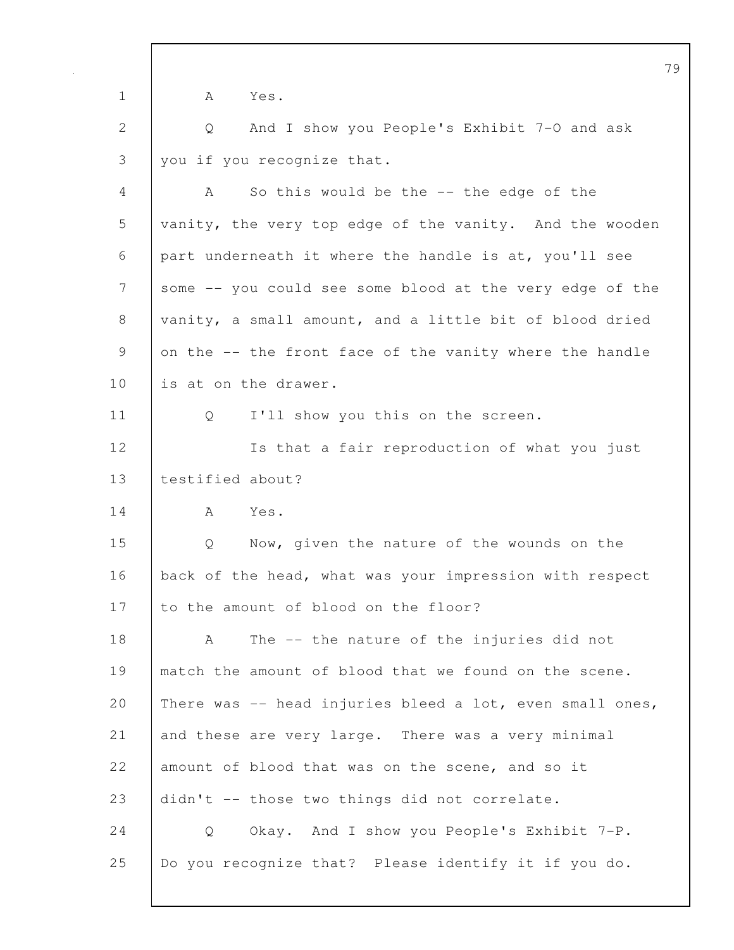|              | 79                                                       |
|--------------|----------------------------------------------------------|
| $\mathbf 1$  | A<br>Yes.                                                |
| $\mathbf{2}$ | And I show you People's Exhibit 7-0 and ask<br>Q         |
| 3            | you if you recognize that.                               |
| 4            | So this would be the -- the edge of the<br>A             |
| 5            | vanity, the very top edge of the vanity. And the wooden  |
| 6            | part underneath it where the handle is at, you'll see    |
| 7            | some -- you could see some blood at the very edge of the |
| 8            | vanity, a small amount, and a little bit of blood dried  |
| 9            | on the -- the front face of the vanity where the handle  |
| 10           | is at on the drawer.                                     |
| 11           | I'll show you this on the screen.<br>Q                   |
| 12           | Is that a fair reproduction of what you just             |
| 13           | testified about?                                         |
| 14           | Yes.<br>A                                                |
| 15           | Now, given the nature of the wounds on the<br>Q          |
| 16           | back of the head, what was your impression with respect  |
| 17           | to the amount of blood on the floor?                     |
| 18           | The -- the nature of the injuries did not<br>A           |
| 19           | match the amount of blood that we found on the scene.    |
| 20           | There was -- head injuries bleed a lot, even small ones, |
| 21           | and these are very large. There was a very minimal       |
| 22           | amount of blood that was on the scene, and so it         |
| 23           | didn't -- those two things did not correlate.            |
| 24           | Okay. And I show you People's Exhibit 7-P.<br>Q          |
| 25           | Do you recognize that? Please identify it if you do.     |
|              |                                                          |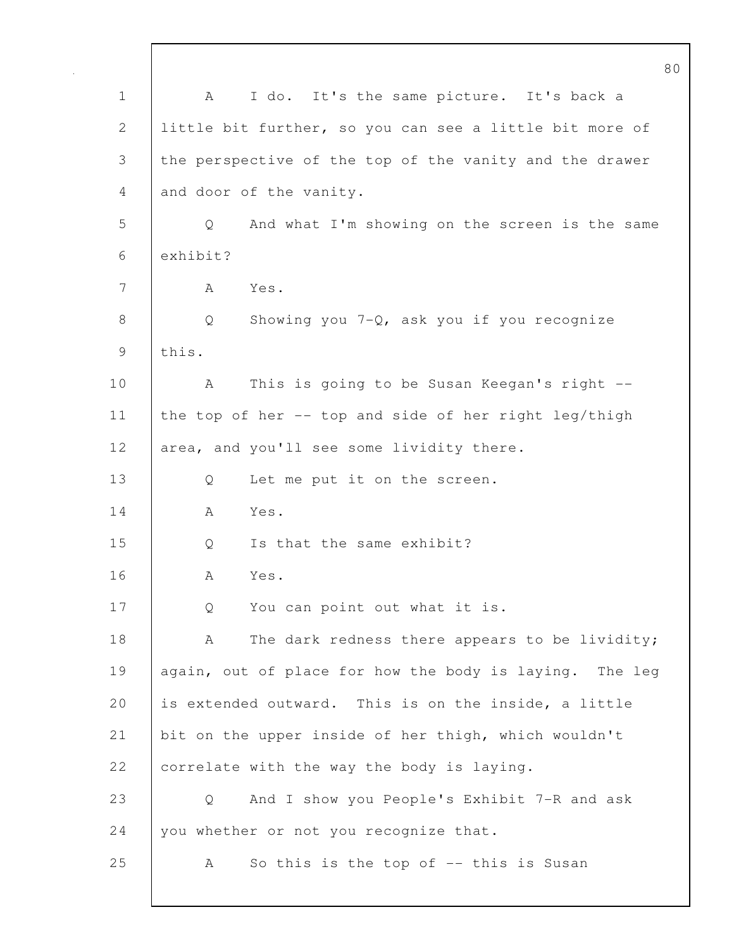80 1 A I do. It's the same picture. It's back a 2 little bit further, so you can see a little bit more of 3 the perspective of the top of the vanity and the drawer 4 and door of the vanity. 5 Q And what I'm showing on the screen is the same 6 exhibit? 7 A Yes. 8 | Q Showing you 7-Q, ask you if you recognize 9 this. 10 | A This is going to be Susan Keegan's right --11 the top of her -- top and side of her right leg/thigh 12 area, and you'll see some lividity there. 13 Q Let me put it on the screen. 14 A Yes. 15 | 0 Is that the same exhibit? 16 A Yes. 17 Q You can point out what it is. 18 | A The dark redness there appears to be lividity; 19 again, out of place for how the body is laying. The leg 20 is extended outward. This is on the inside, a little 21 bit on the upper inside of her thigh, which wouldn't 22 correlate with the way the body is laying. 23 Q And I show you People's Exhibit 7-R and ask 24 you whether or not you recognize that. 25 A So this is the top of -- this is Susan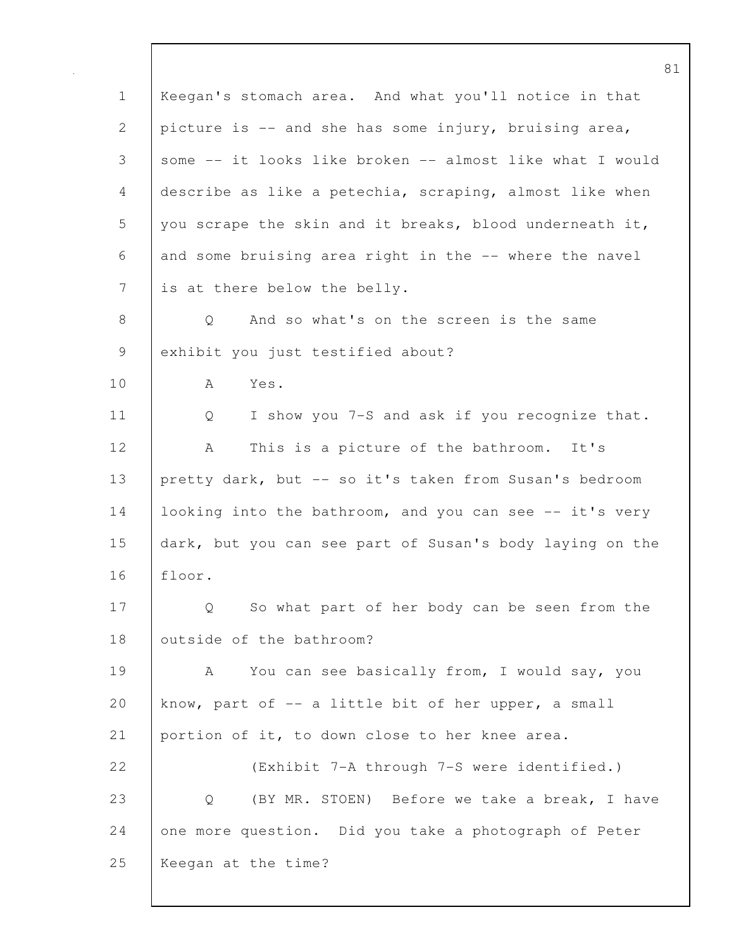1 Keegan's stomach area. And what you'll notice in that 2 picture is -- and she has some injury, bruising area, 3 some -- it looks like broken -- almost like what I would 4 describe as like a petechia, scraping, almost like when 5 you scrape the skin and it breaks, blood underneath it, 6 and some bruising area right in the -- where the navel 7 is at there below the belly. 8 | O And so what's on the screen is the same 9 exhibit you just testified about? 10 A Yes. 11 | Q I show you 7-S and ask if you recognize that. 12 | A This is a picture of the bathroom. It's 13 pretty dark, but -- so it's taken from Susan's bedroom 14 looking into the bathroom, and you can see -- it's very 15 dark, but you can see part of Susan's body laying on the 16 floor. 17 | Q So what part of her body can be seen from the 18 | outside of the bathroom? 19 | A You can see basically from, I would say, you 20 know, part of -- a little bit of her upper, a small 21 portion of it, to down close to her knee area. 22 (Exhibit 7-A through 7-S were identified.) 23 Q (BY MR. STOEN) Before we take a break, I have 24 one more question. Did you take a photograph of Peter 25 Keegan at the time?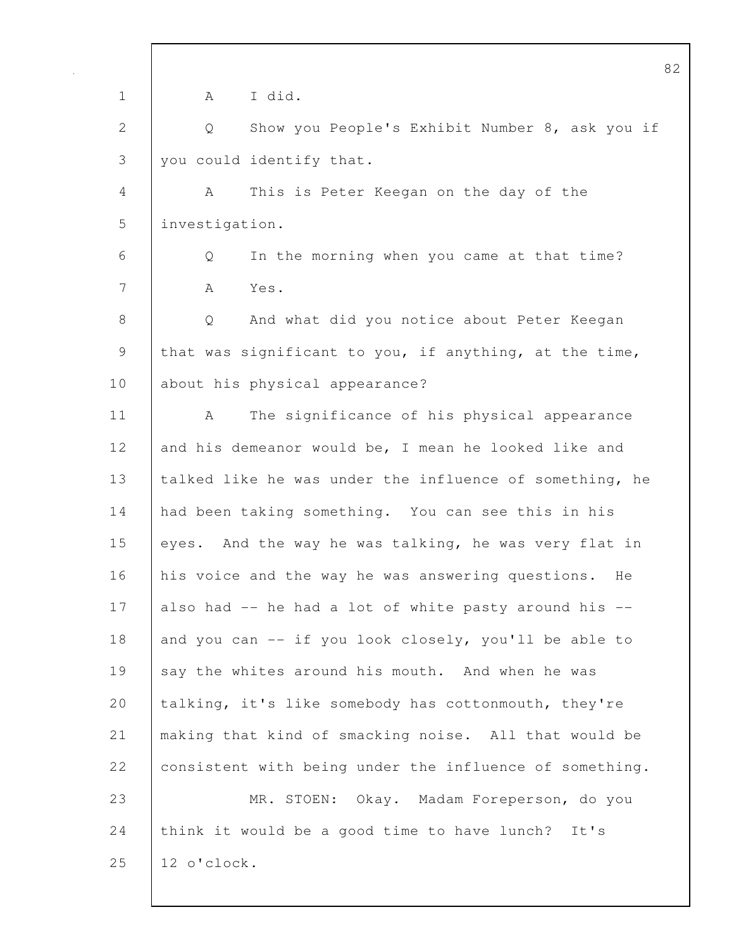| $\mathbf 1$  | I did.<br>A                                             |
|--------------|---------------------------------------------------------|
| $\mathbf{2}$ | Show you People's Exhibit Number 8, ask you if<br>Q     |
| 3            | you could identify that.                                |
| 4            | This is Peter Keegan on the day of the<br>A             |
| 5            | investigation.                                          |
| 6            | In the morning when you came at that time?<br>Q         |
| 7            | A<br>Yes.                                               |
| 8            | And what did you notice about Peter Keegan<br>Q         |
| $\mathsf 9$  | that was significant to you, if anything, at the time,  |
| 10           | about his physical appearance?                          |
| 11           | The significance of his physical appearance<br>A        |
| 12           | and his demeanor would be, I mean he looked like and    |
| 13           | talked like he was under the influence of something, he |
| 14           | had been taking something. You can see this in his      |
| 15           | eyes. And the way he was talking, he was very flat in   |
| 16           | his voice and the way he was answering questions.<br>He |
| 17           | also had -- he had a lot of white pasty around his --   |
| 18           | and you can -- if you look closely, you'll be able to   |
| 19           | say the whites around his mouth. And when he was        |
| 20           | talking, it's like somebody has cottonmouth, they're    |
| 21           | making that kind of smacking noise. All that would be   |
| 22           | consistent with being under the influence of something. |
| 23           | MR. STOEN: Okay. Madam Foreperson, do you               |
| 24           | think it would be a good time to have lunch?<br>It's    |
| 25           | 12 o'clock.                                             |
|              |                                                         |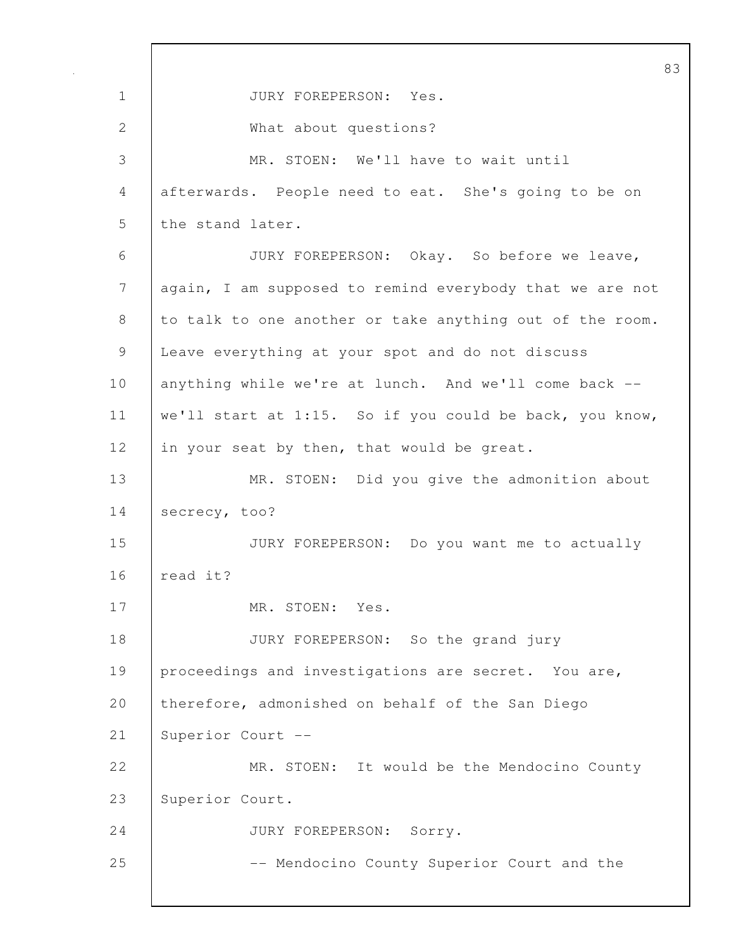|                |                                                          | 83 |
|----------------|----------------------------------------------------------|----|
| $\mathbf 1$    | JURY FOREPERSON: Yes.                                    |    |
| $\mathbf{2}$   | What about questions?                                    |    |
| 3              | MR. STOEN: We'll have to wait until                      |    |
| 4              | afterwards. People need to eat. She's going to be on     |    |
| 5              | the stand later.                                         |    |
| 6              | JURY FOREPERSON: Okay. So before we leave,               |    |
| $\overline{7}$ | again, I am supposed to remind everybody that we are not |    |
| 8              | to talk to one another or take anything out of the room. |    |
| 9              | Leave everything at your spot and do not discuss         |    |
| 10             | anything while we're at lunch. And we'll come back --    |    |
| 11             | we'll start at 1:15. So if you could be back, you know,  |    |
| 12             | in your seat by then, that would be great.               |    |
| 13             | MR. STOEN: Did you give the admonition about             |    |
| 14             | secrecy, too?                                            |    |
| 15             | JURY FOREPERSON: Do you want me to actually              |    |
| 16             | read it?                                                 |    |
| 17             | MR. STOEN: Yes.                                          |    |
| 18             | JURY FOREPERSON: So the grand jury                       |    |
| 19             | proceedings and investigations are secret. You are,      |    |
| 20             | therefore, admonished on behalf of the San Diego         |    |
| 21             | Superior Court --                                        |    |
| 22             | MR. STOEN: It would be the Mendocino County              |    |
| 23             | Superior Court.                                          |    |
| 24             | JURY FOREPERSON: Sorry.                                  |    |
| 25             | -- Mendocino County Superior Court and the               |    |
|                |                                                          |    |

 $\mathbf{I}$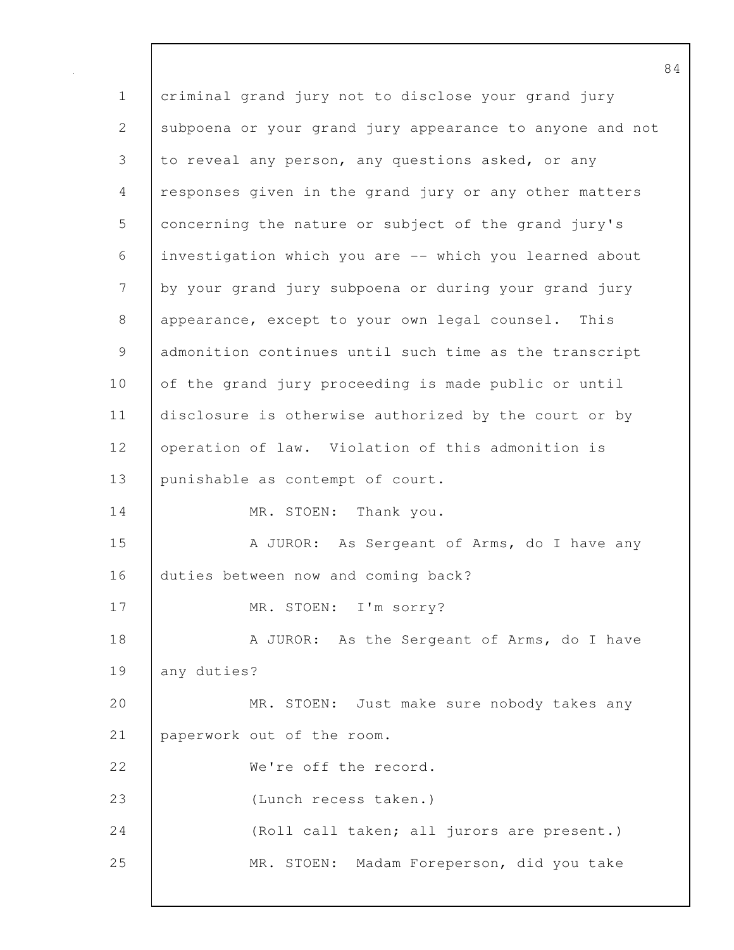1 criminal grand jury not to disclose your grand jury 2 subpoena or your grand jury appearance to anyone and not 3 to reveal any person, any questions asked, or any 4 responses given in the grand jury or any other matters 5 concerning the nature or subject of the grand jury's 6 investigation which you are -- which you learned about 7 by your grand jury subpoena or during your grand jury 8 appearance, except to your own legal counsel. This 9 admonition continues until such time as the transcript 10 of the grand jury proceeding is made public or until 11 disclosure is otherwise authorized by the court or by 12 operation of law. Violation of this admonition is 13 | punishable as contempt of court. 14 | MR. STOEN: Thank you. 15 | A JUROR: As Sergeant of Arms, do I have any 16 duties between now and coming back? 17 MR. STOEN: I'm sorry? 18 A JUROR: As the Sergeant of Arms, do I have 19 any duties? 20 MR. STOEN: Just make sure nobody takes any 21 paperwork out of the room. 22 We're off the record. 23 (Lunch recess taken.) 24 (Roll call taken; all jurors are present.) 25 MR. STOEN: Madam Foreperson, did you take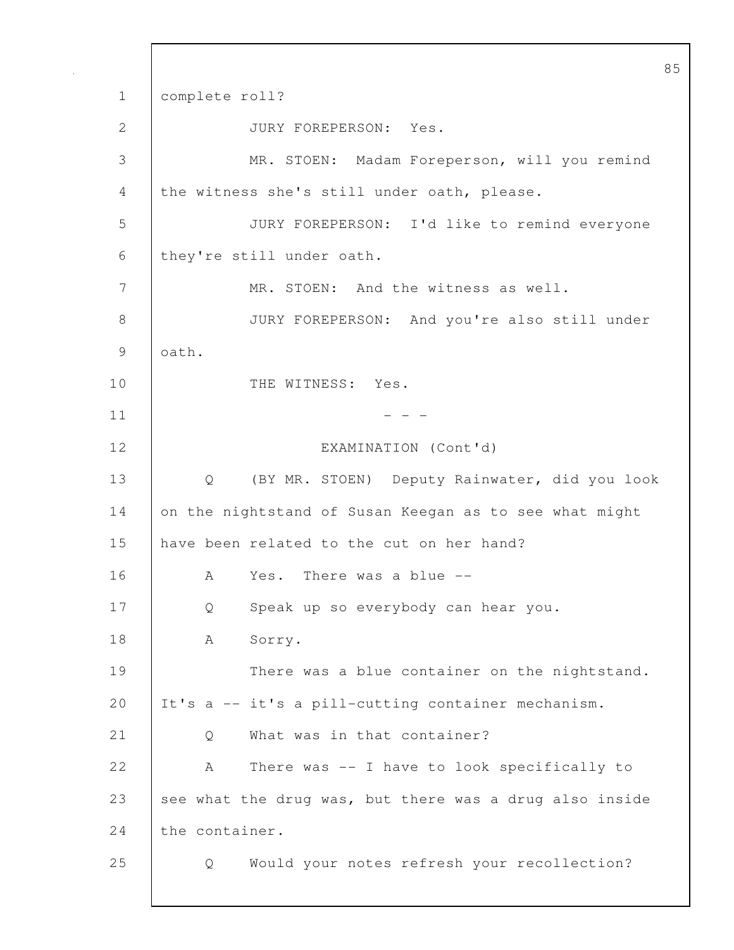85 1 complete roll? 2 JURY FOREPERSON: Yes. 3 MR. STOEN: Madam Foreperson, will you remind 4 the witness she's still under oath, please. 5 JURY FOREPERSON: I'd like to remind everyone 6 they're still under oath. 7 MR. STOEN: And the witness as well. 8 JURY FOREPERSON: And you're also still under 9 oath. 10 | THE WITNESS: Yes.  $11$   $-$ 12 EXAMINATION (Cont'd) 13 Q (BY MR. STOEN) Deputy Rainwater, did you look 14 on the nightstand of Susan Keegan as to see what might 15 have been related to the cut on her hand? 16 A Yes. There was a blue -- 17 Q Speak up so everybody can hear you. 18 | A Sorry. 19 There was a blue container on the nightstand. 20 | It's a -- it's a pill-cutting container mechanism. 21 | O What was in that container? 22 A There was -- I have to look specifically to 23 see what the drug was, but there was a drug also inside 24 the container. 25 Q Would your notes refresh your recollection?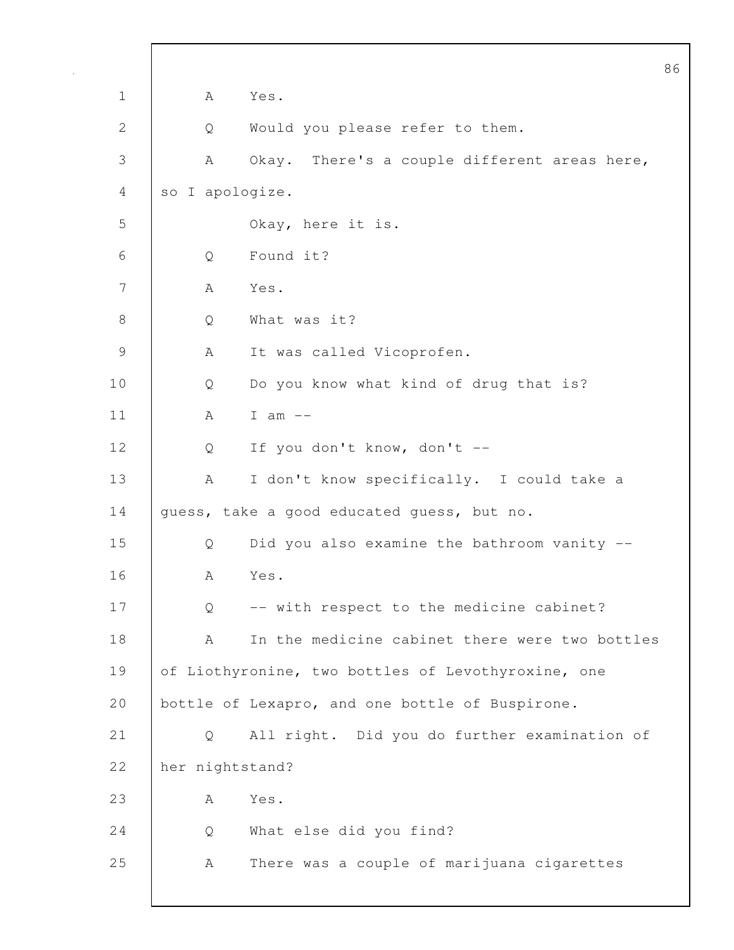|             |                 |                                                    | 86 |
|-------------|-----------------|----------------------------------------------------|----|
| $\mathbf 1$ | Α               | Yes.                                               |    |
| 2           | Q               | Would you please refer to them.                    |    |
| 3           | Α               | Okay. There's a couple different areas here,       |    |
| 4           | so I apologize. |                                                    |    |
| 5           |                 | Okay, here it is.                                  |    |
| 6           | Q               | Found it?                                          |    |
| 7           | А               | Yes.                                               |    |
| 8           | Q               | What was it?                                       |    |
| $\mathsf 9$ | A               | It was called Vicoprofen.                          |    |
| 10          | Q               | Do you know what kind of drug that is?             |    |
| 11          | A               | I am $--$                                          |    |
| 12          | Q               | If you don't know, don't --                        |    |
| 13          | A               | I don't know specifically. I could take a          |    |
| 14          |                 | guess, take a good educated guess, but no.         |    |
| 15          | Q               | Did you also examine the bathroom vanity --        |    |
| 16          | Α               | Yes.                                               |    |
| 17          | Q               | -- with respect to the medicine cabinet?           |    |
| 18          | А               | In the medicine cabinet there were two bottles     |    |
| 19          |                 | of Liothyronine, two bottles of Levothyroxine, one |    |
| 20          |                 | bottle of Lexapro, and one bottle of Buspirone.    |    |
| 21          | Q               | All right. Did you do further examination of       |    |
| 22          | her nightstand? |                                                    |    |
| 23          | А               | Yes.                                               |    |
| 24          | Q               | What else did you find?                            |    |
| 25          | А               | There was a couple of marijuana cigarettes         |    |
|             |                 |                                                    |    |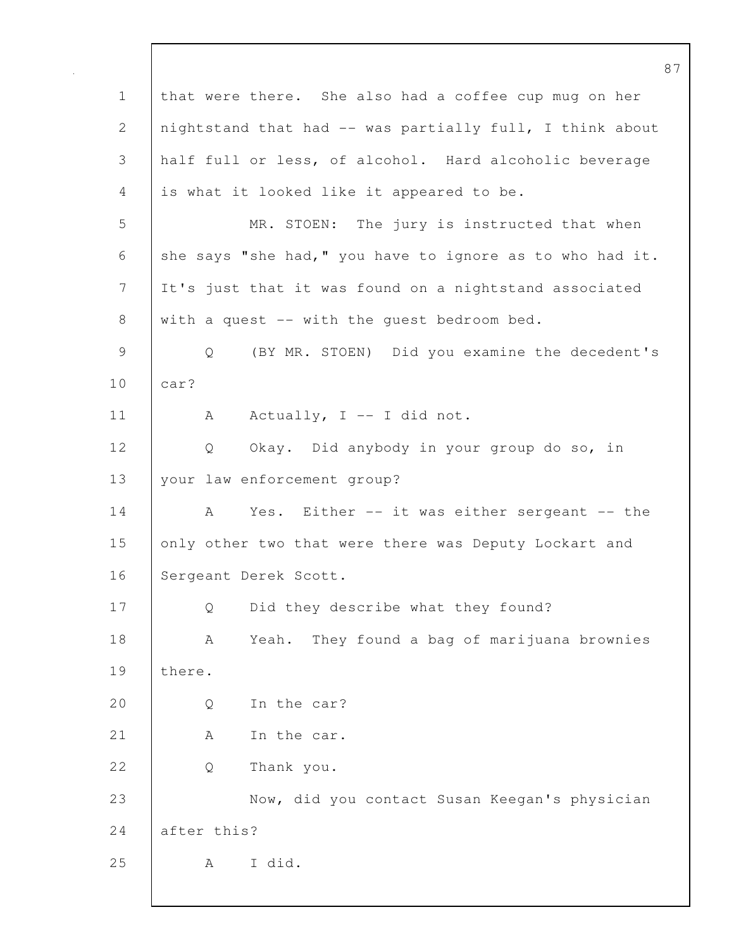87 1 that were there. She also had a coffee cup mug on her 2 | nightstand that had -- was partially full, I think about 3 half full or less, of alcohol. Hard alcoholic beverage 4 is what it looked like it appeared to be. 5 MR. STOEN: The jury is instructed that when 6 she says "she had," you have to ignore as to who had it. 7 It's just that it was found on a nightstand associated 8 with a quest -- with the quest bedroom bed. 9 Q (BY MR. STOEN) Did you examine the decedent's 10 car? 11 | A Actually, I -- I did not. 12 Q Okay. Did anybody in your group do so, in 13 your law enforcement group? 14 A Yes. Either -- it was either sergeant -- the 15 only other two that were there was Deputy Lockart and 16 Sergeant Derek Scott. 17 Q Did they describe what they found? 18 A Yeah. They found a bag of marijuana brownies 19 there. 20 | O In the car? 21 | A In the car. 22 | O Thank you. 23 Now, did you contact Susan Keegan's physician 24 after this? 25 A I did.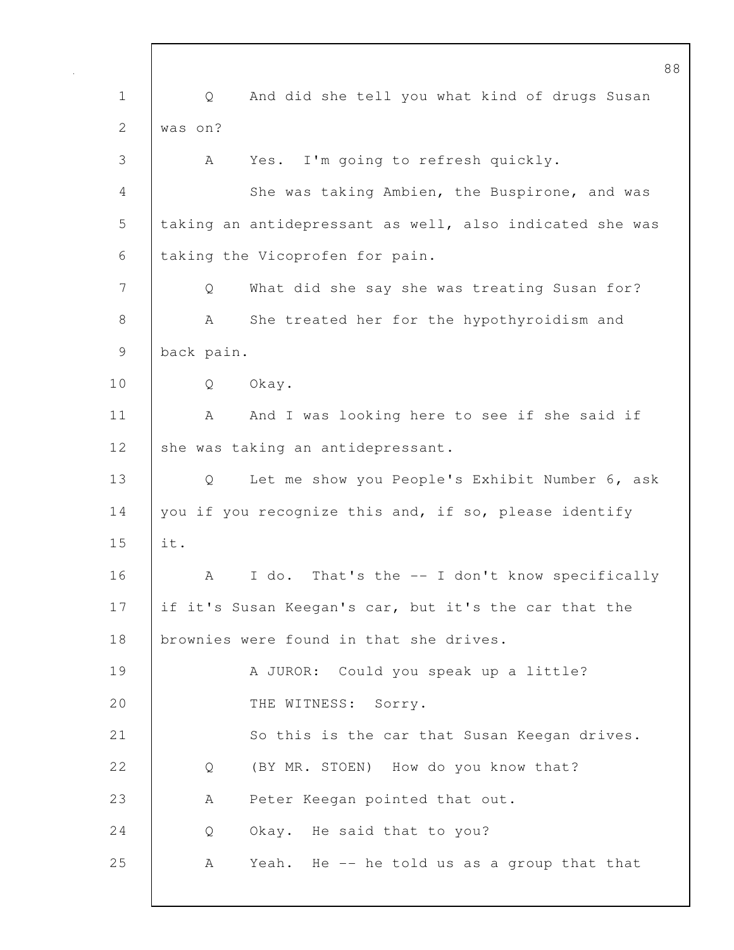| $\mathbf 1$  | And did she tell you what kind of drugs Susan<br>Q       |
|--------------|----------------------------------------------------------|
| $\mathbf{2}$ | was on?                                                  |
| 3            | Yes. I'm going to refresh quickly.<br>A                  |
| 4            | She was taking Ambien, the Buspirone, and was            |
| 5            | taking an antidepressant as well, also indicated she was |
| 6            | taking the Vicoprofen for pain.                          |
| 7            | What did she say she was treating Susan for?<br>Q        |
| $8\,$        | She treated her for the hypothyroidism and<br>A          |
| $\mathsf 9$  | back pain.                                               |
| 10           | Okay.<br>Q                                               |
| 11           | And I was looking here to see if she said if<br>A        |
| 12           | she was taking an antidepressant.                        |
| 13           | Let me show you People's Exhibit Number 6, ask<br>Q      |
| 14           | you if you recognize this and, if so, please identify    |
| 15           | it.                                                      |
| 16           | I do. That's the -- I don't know specifically<br>A       |
| 17           | if it's Susan Keegan's car, but it's the car that the    |
| 18           | brownies were found in that she drives.                  |
| 19           | A JUROR: Could you speak up a little?                    |
| 20           | THE WITNESS: Sorry.                                      |
| 21           | So this is the car that Susan Keegan drives.             |
| 22           | (BY MR. STOEN) How do you know that?<br>Q                |
| 23           | Peter Keegan pointed that out.<br>A                      |
| 24           | Okay. He said that to you?<br>Q                          |
| 25           | Yeah. He -- he told us as a group that that<br>А         |
|              |                                                          |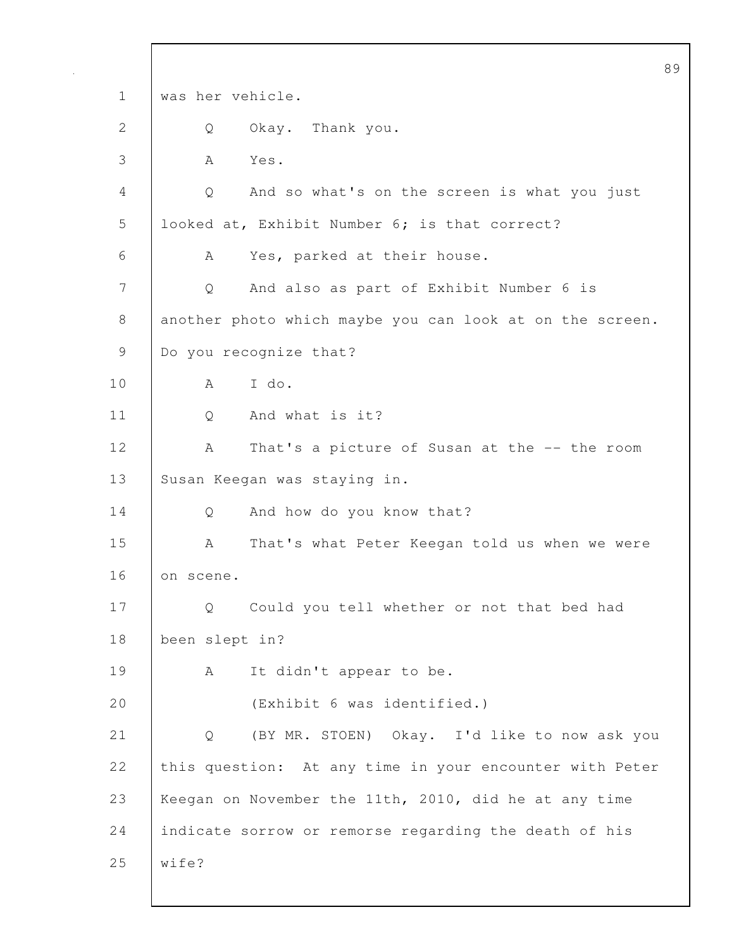89 1 was her vehicle. 2 Q Okay. Thank you. 3 A Yes. 4 Q And so what's on the screen is what you just 5 looked at, Exhibit Number 6; is that correct? 6 A Yes, parked at their house. 7 Q And also as part of Exhibit Number 6 is 8 another photo which maybe you can look at on the screen. 9 Do you recognize that? 10 A I do. 11 | 0 And what is it? 12 | A That's a picture of Susan at the -- the room 13 Susan Keegan was staying in. 14 Q And how do you know that? 15 | A That's what Peter Keegan told us when we were 16 on scene. 17 | Q Could you tell whether or not that bed had 18 been slept in? 19 | A It didn't appear to be. 20 (Exhibit 6 was identified.) 21 Q (BY MR. STOEN) Okay. I'd like to now ask you 22 this question: At any time in your encounter with Peter 23 Keegan on November the 11th, 2010, did he at any time 24 | indicate sorrow or remorse regarding the death of his 25 wife?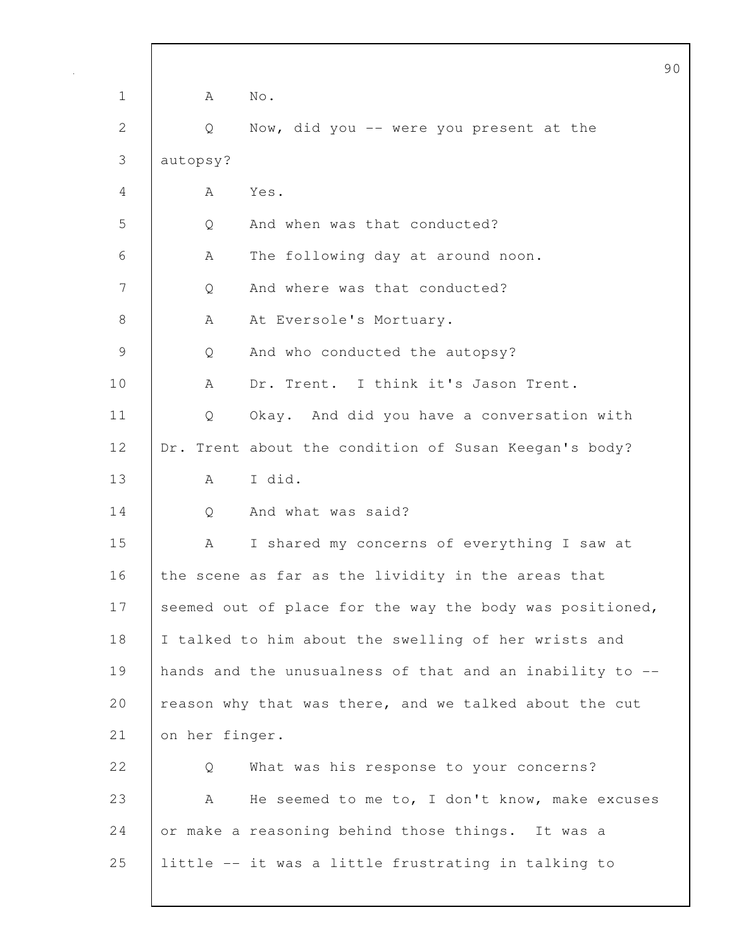|               | Č                                                        |
|---------------|----------------------------------------------------------|
| $\mathbf 1$   | No.<br>А                                                 |
| $\mathbf{2}$  | Now, did you -- were you present at the<br>Q             |
| 3             | autopsy?                                                 |
| 4             | Yes.<br>A                                                |
| 5             | And when was that conducted?<br>Q                        |
| 6             | The following day at around noon.<br>A                   |
| 7             | And where was that conducted?<br>Q                       |
| 8             | At Eversole's Mortuary.<br>A                             |
| $\mathcal{G}$ | And who conducted the autopsy?<br>Q                      |
| 10            | Dr. Trent. I think it's Jason Trent.<br>A                |
| 11            | Okay. And did you have a conversation with<br>Q          |
| 12            | Dr. Trent about the condition of Susan Keegan's body?    |
| 13            | I did.<br>A                                              |
| 14            | And what was said?<br>Q                                  |
| 15            | I shared my concerns of everything I saw at<br>A         |
| 16            | the scene as far as the lividity in the areas that       |
| 17            | seemed out of place for the way the body was positioned, |
| 18            | I talked to him about the swelling of her wrists and     |
| 19            | hands and the unusualness of that and an inability to -- |
| 20            | reason why that was there, and we talked about the cut   |
| 21            | on her finger.                                           |
| 22            | What was his response to your concerns?<br>Q             |
| 23            | He seemed to me to, I don't know, make excuses<br>A      |
| 24            | or make a reasoning behind those things. It was a        |
| 25            | little -- it was a little frustrating in talking to      |
|               |                                                          |

 $\mathbf l$ 

 $\overline{0}$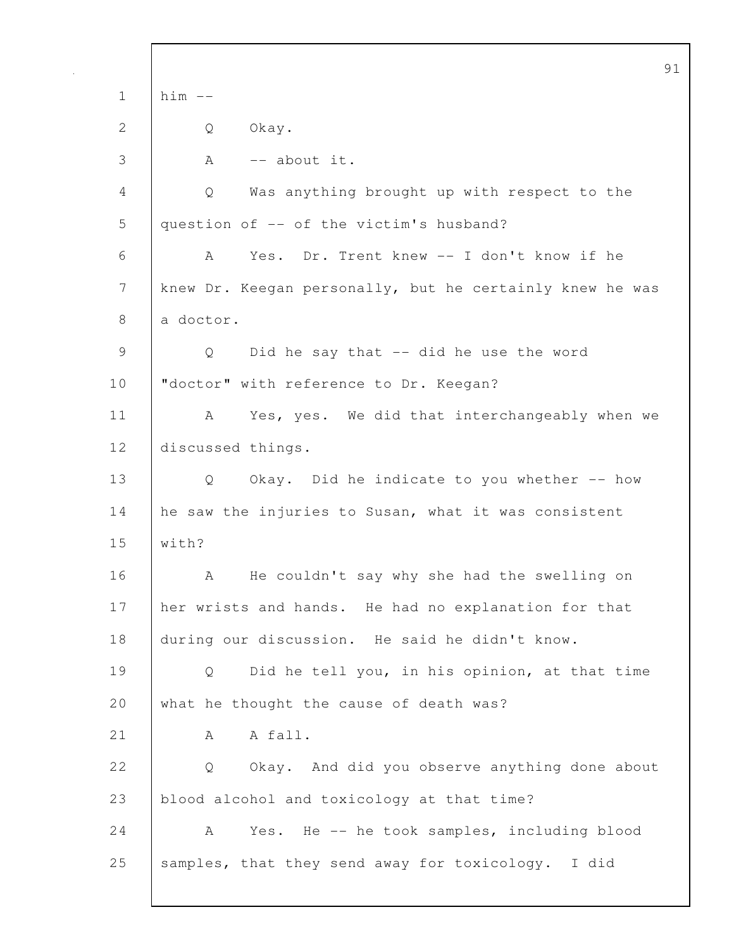|              |                                                          | 91 |
|--------------|----------------------------------------------------------|----|
| $\mathbf 1$  | $him$ $--$                                               |    |
| $\mathbf{2}$ | Okay.<br>Q                                               |    |
| 3            | -- about it.<br>Α                                        |    |
| 4            | Was anything brought up with respect to the<br>Q         |    |
| 5            | question of -- of the victim's husband?                  |    |
| 6            | Yes. Dr. Trent knew -- I don't know if he<br>A           |    |
| 7            | knew Dr. Keegan personally, but he certainly knew he was |    |
| 8            | a doctor.                                                |    |
| 9            | Did he say that -- did he use the word<br>Q              |    |
| 10           | "doctor" with reference to Dr. Keegan?                   |    |
| 11           | Yes, yes. We did that interchangeably when we<br>A       |    |
| 12           | discussed things.                                        |    |
| 13           | Okay. Did he indicate to you whether -- how<br>Q         |    |
| 14           | he saw the injuries to Susan, what it was consistent     |    |
| 15           | with?                                                    |    |
| 16           | He couldn't say why she had the swelling on<br>А         |    |
| 17           | her wrists and hands. He had no explanation for that     |    |
| 18           | during our discussion. He said he didn't know.           |    |
| 19           | Did he tell you, in his opinion, at that time<br>Q       |    |
| 20           | what he thought the cause of death was?                  |    |
| 21           | A fall.<br>A                                             |    |
| 22           | Okay. And did you observe anything done about<br>Q       |    |
| 23           | blood alcohol and toxicology at that time?               |    |
| 24           | Yes. He -- he took samples, including blood<br>A         |    |
| 25           | samples, that they send away for toxicology. I did       |    |
|              |                                                          |    |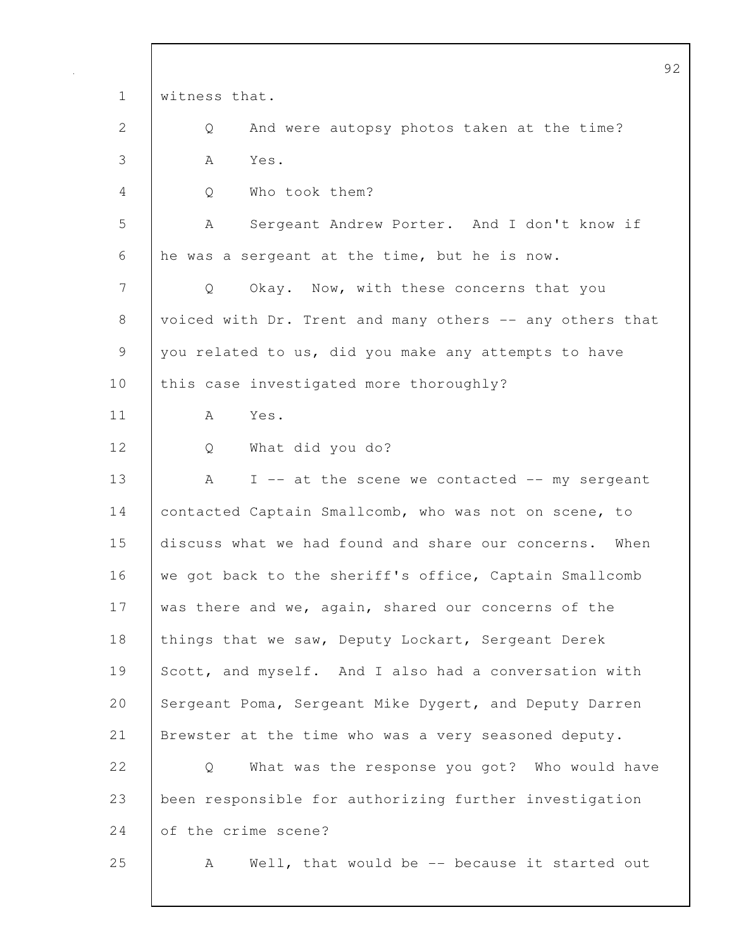|              | 92                                                        |
|--------------|-----------------------------------------------------------|
| $\mathbf 1$  | witness that.                                             |
| $\mathbf{2}$ | And were autopsy photos taken at the time?<br>Q           |
| 3            | Yes.<br>A                                                 |
| 4            | Who took them?<br>Q                                       |
| 5            | Sergeant Andrew Porter. And I don't know if<br>A          |
| 6            | he was a sergeant at the time, but he is now.             |
| 7            | Okay. Now, with these concerns that you<br>Q              |
| 8            | voiced with Dr. Trent and many others -- any others that  |
| 9            | you related to us, did you make any attempts to have      |
| 10           | this case investigated more thoroughly?                   |
| 11           | Yes.<br>A                                                 |
| 12           | What did you do?<br>Q                                     |
| 13           | I -- at the scene we contacted -- my sergeant<br>A        |
| 14           | contacted Captain Smallcomb, who was not on scene, to     |
| 15           | discuss what we had found and share our concerns.<br>When |
| 16           | we got back to the sheriff's office, Captain Smallcomb    |
| 17           | was there and we, again, shared our concerns of the       |
| 18           | things that we saw, Deputy Lockart, Sergeant Derek        |
| 19           | Scott, and myself. And I also had a conversation with     |
| 20           | Sergeant Poma, Sergeant Mike Dygert, and Deputy Darren    |
| 21           | Brewster at the time who was a very seasoned deputy.      |
| 22           | What was the response you got? Who would have<br>Q        |
| 23           | been responsible for authorizing further investigation    |
| 24           | of the crime scene?                                       |
| 25           | Well, that would be -- because it started out<br>A        |
|              |                                                           |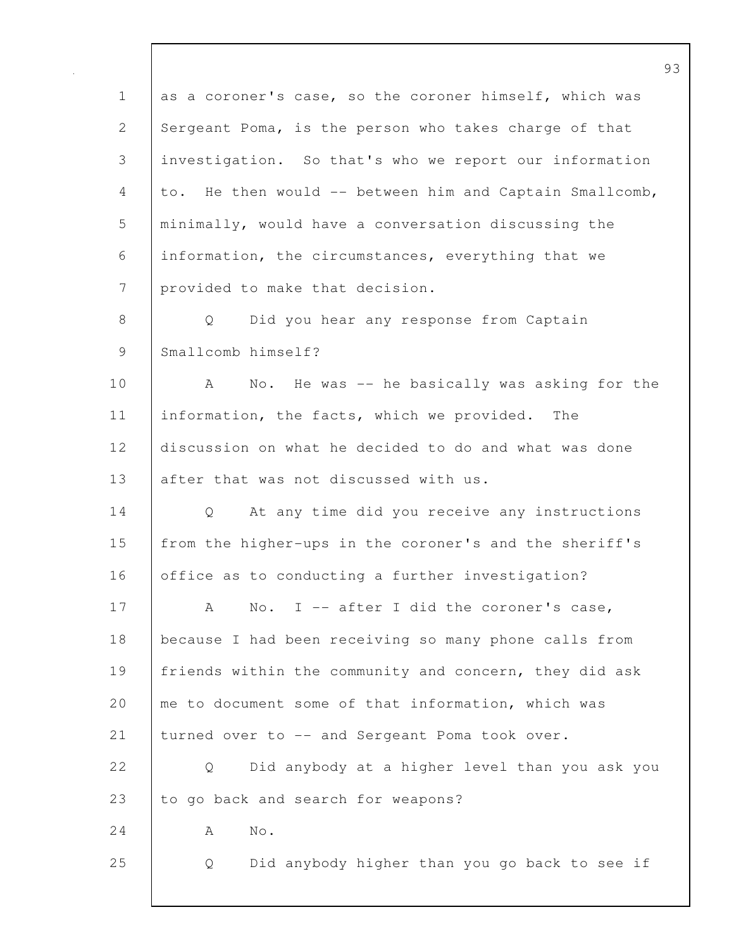93 1 as a coroner's case, so the coroner himself, which was 2 Sergeant Poma, is the person who takes charge of that 3 investigation. So that's who we report our information 4 to. He then would -- between him and Captain Smallcomb, 5 minimally, would have a conversation discussing the 6 information, the circumstances, everything that we 7 provided to make that decision. 8 Q Did you hear any response from Captain 9 Smallcomb himself? 10 A No. He was -- he basically was asking for the 11 | information, the facts, which we provided. The 12 discussion on what he decided to do and what was done 13 after that was not discussed with us. 14 Q At any time did you receive any instructions 15 from the higher-ups in the coroner's and the sheriff's 16 office as to conducting a further investigation? 17 | A No. I -- after I did the coroner's case, 18 because I had been receiving so many phone calls from 19 friends within the community and concern, they did ask 20 me to document some of that information, which was 21 turned over to -- and Sergeant Poma took over. 22 Q Did anybody at a higher level than you ask you 23 to go back and search for weapons?  $24$  A No. 25 Q Did anybody higher than you go back to see if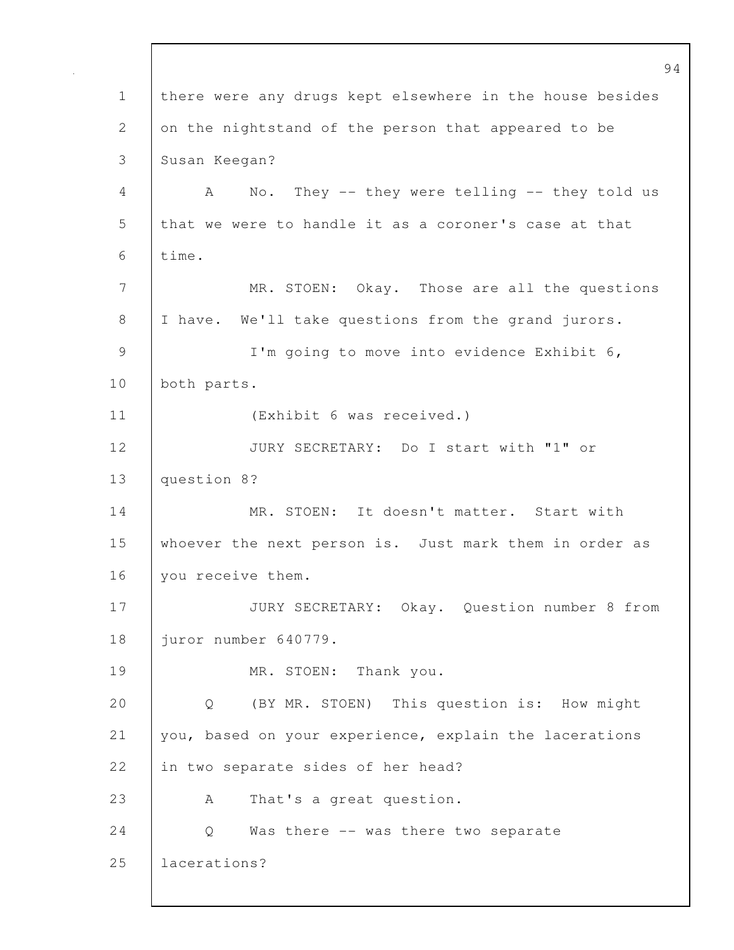94 1 there were any drugs kept elsewhere in the house besides 2 on the nightstand of the person that appeared to be 3 Susan Keegan? 4 A No. They -- they were telling -- they told us 5 that we were to handle it as a coroner's case at that 6 time. 7 MR. STOEN: Okay. Those are all the questions 8 I have. We'll take questions from the grand jurors. 9 | I'm going to move into evidence Exhibit 6, 10 both parts. 11 (Exhibit 6 was received.) 12 JURY SECRETARY: Do I start with "1" or 13 question 8? 14 MR. STOEN: It doesn't matter. Start with 15 whoever the next person is. Just mark them in order as 16 | you receive them. 17 | JURY SECRETARY: Okay. Question number 8 from 18 juror number 640779. 19 | MR. STOEN: Thank you. 20 Q (BY MR. STOEN) This question is: How might 21 you, based on your experience, explain the lacerations 22 | in two separate sides of her head? 23 A That's a great question. 24 Q Was there -- was there two separate 25 lacerations?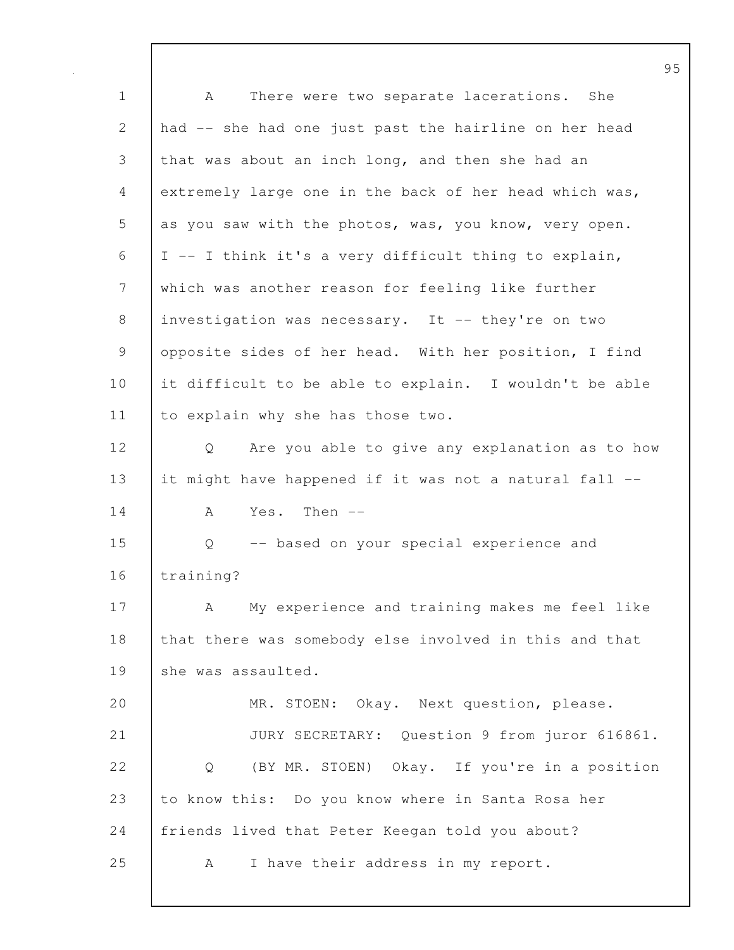95 1 | A There were two separate lacerations. She 2 had -- she had one just past the hairline on her head 3 that was about an inch long, and then she had an 4 extremely large one in the back of her head which was, 5 as you saw with the photos, was, you know, very open.  $6$  | I -- I think it's a very difficult thing to explain, 7 which was another reason for feeling like further 8 investigation was necessary. It -- they're on two 9 opposite sides of her head. With her position, I find 10 it difficult to be able to explain. I wouldn't be able 11 to explain why she has those two. 12 Q Are you able to give any explanation as to how 13 it might have happened if it was not a natural fall --  $14$   $\overline{A}$  Yes. Then  $\overline{A}$ 15 Q -- based on your special experience and 16 training? 17 | A My experience and training makes me feel like 18 that there was somebody else involved in this and that 19 She was assaulted. 20 MR. STOEN: Okay. Next question, please. 21 JURY SECRETARY: Question 9 from juror 616861. 22 | Q (BY MR. STOEN) Okay. If you're in a position 23 to know this: Do you know where in Santa Rosa her 24 | friends lived that Peter Keegan told you about? 25 | A I have their address in my report.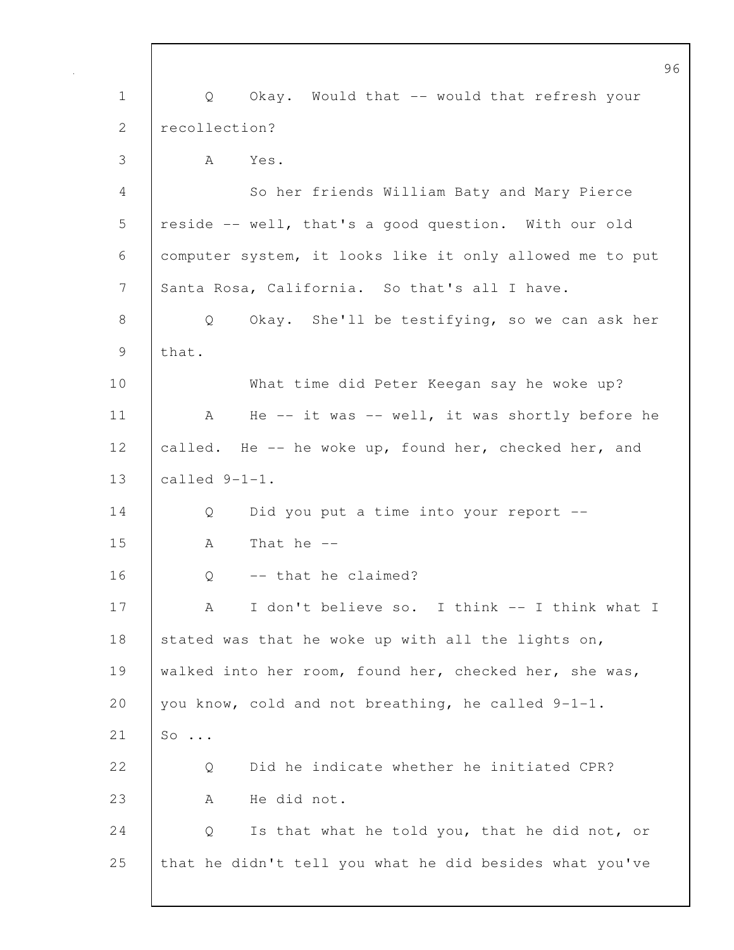|              | 96                                                       |
|--------------|----------------------------------------------------------|
| $\mathbf 1$  | Okay. Would that -- would that refresh your<br>Q         |
| $\mathbf{2}$ | recollection?                                            |
| 3            | A<br>Yes.                                                |
| 4            | So her friends William Baty and Mary Pierce              |
| 5            | reside -- well, that's a good question. With our old     |
| 6            | computer system, it looks like it only allowed me to put |
| 7            | Santa Rosa, California. So that's all I have.            |
| 8            | Okay. She'll be testifying, so we can ask her<br>Q       |
| 9            | that.                                                    |
| 10           | What time did Peter Keegan say he woke up?               |
| 11           | He -- it was -- well, it was shortly before he<br>A      |
| 12           | called. He -- he woke up, found her, checked her, and    |
| 13           | called 9-1-1.                                            |
| 14           | Did you put a time into your report --<br>Q              |
| 15           | That he $--$<br>A                                        |
| 16           | -- that he claimed?<br>Q                                 |
| 17           | I don't believe so. I think -- I think what I<br>А       |
| 18           | stated was that he woke up with all the lights on,       |
| 19           | walked into her room, found her, checked her, she was,   |
| 20           | you know, cold and not breathing, he called 9-1-1.       |
| 21           | $\mathsf{SO}$                                            |
| 22           | Did he indicate whether he initiated CPR?<br>Q           |
| 23           | He did not.<br>A                                         |
| 24           | Is that what he told you, that he did not, or<br>Q       |
| 25           | that he didn't tell you what he did besides what you've  |
|              |                                                          |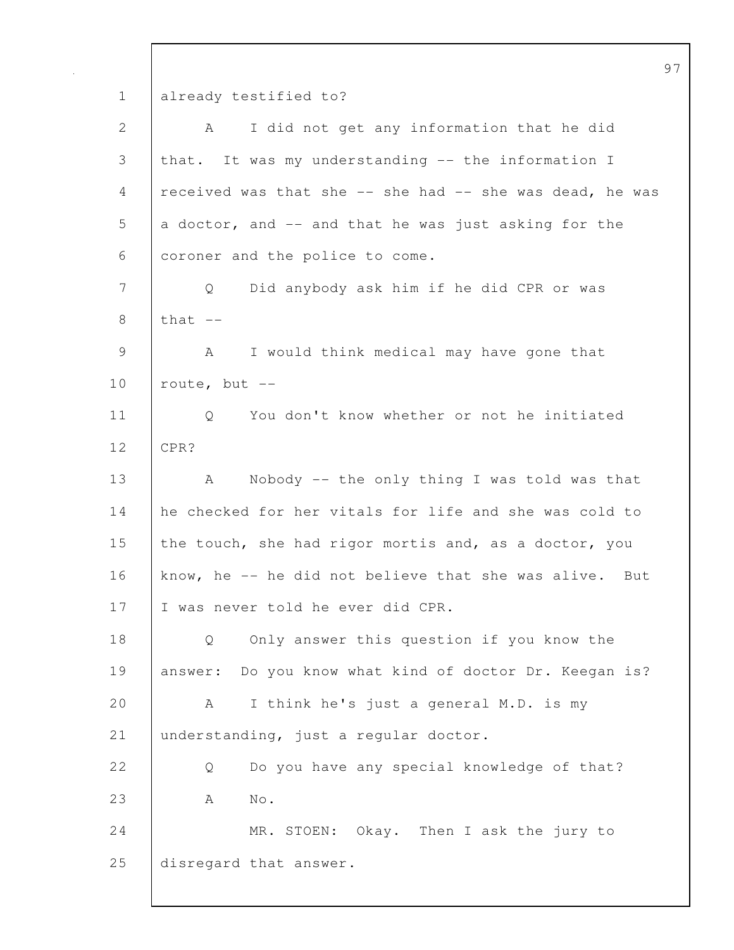1 already testified to?

| $\mathbf{2}$   | I did not get any information that he did<br>A            |
|----------------|-----------------------------------------------------------|
| $\mathfrak{Z}$ | that. It was my understanding -- the information I        |
| 4              | received was that she -- she had -- she was dead, he was  |
| 5              | a doctor, and -- and that he was just asking for the      |
| 6              | coroner and the police to come.                           |
| 7              | Did anybody ask him if he did CPR or was<br>Q             |
| $8\,$          | that $--$                                                 |
| 9              | I would think medical may have gone that<br>A             |
| 10             | route, but $--$                                           |
| 11             | You don't know whether or not he initiated<br>Q           |
| 12             | CPR?                                                      |
| 13             | Nobody -- the only thing I was told was that<br>A         |
| 14             | he checked for her vitals for life and she was cold to    |
| 15             | the touch, she had rigor mortis and, as a doctor, you     |
| 16             | know, he -- he did not believe that she was alive.<br>But |
| 17             | I was never told he ever did CPR.                         |
| 18             | Only answer this question if you know the<br>Q            |
| 19             | answer: Do you know what kind of doctor Dr. Keegan is?    |
| 20             | I think he's just a general M.D. is my<br>A               |
| 21             | understanding, just a regular doctor.                     |
| 22             | Do you have any special knowledge of that?<br>Q           |
| 23             | $\mathrm{No}$ .<br>Α                                      |
| 24             | MR. STOEN: Okay. Then I ask the jury to                   |
| 25             | disregard that answer.                                    |
|                |                                                           |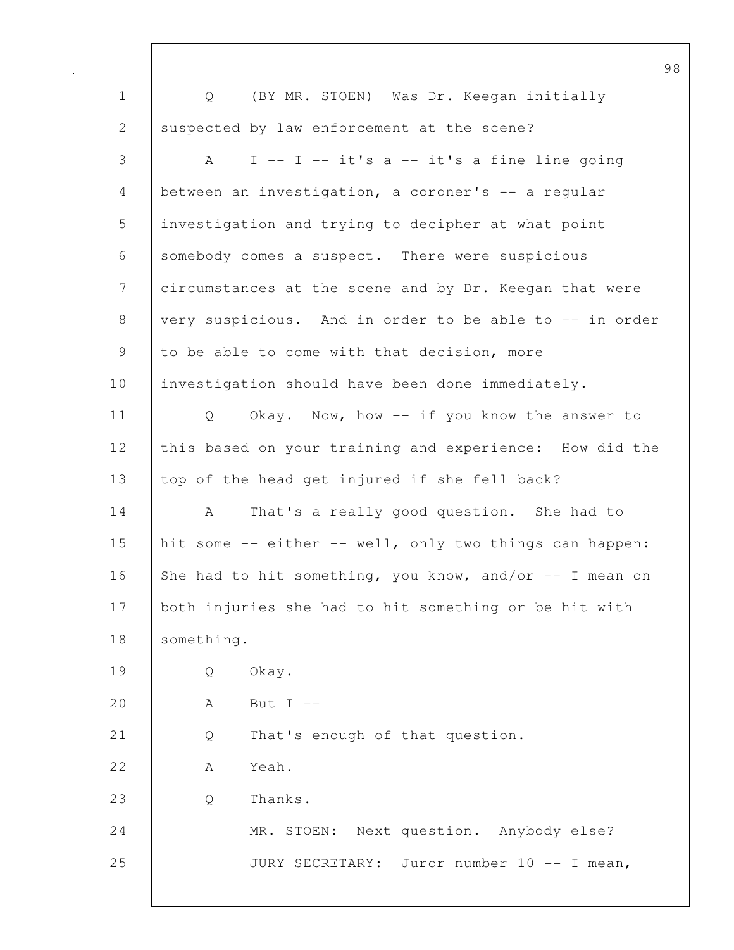98 1 Q (BY MR. STOEN) Was Dr. Keegan initially 2 suspected by law enforcement at the scene? 3 A I -- I -- it's a -- it's a fine line going 4 between an investigation, a coroner's -- a regular 5 investigation and trying to decipher at what point 6 somebody comes a suspect. There were suspicious 7 circumstances at the scene and by Dr. Keegan that were 8 very suspicious. And in order to be able to -- in order 9 to be able to come with that decision, more 10 | investigation should have been done immediately. 11 | Q Okay. Now, how -- if you know the answer to 12 this based on your training and experience: How did the 13 top of the head get injured if she fell back? 14 A That's a really good question. She had to 15 hit some -- either -- well, only two things can happen: 16 She had to hit something, you know, and/or  $-$ - I mean on 17 both injuries she had to hit something or be hit with 18 | something. 19 Q Okay. 20  $A$  But I --21 Q That's enough of that question. 22 A Yeah. 23 Q Thanks. 24 MR. STOEN: Next question. Anybody else? 25 JURY SECRETARY: Juror number 10 -- I mean,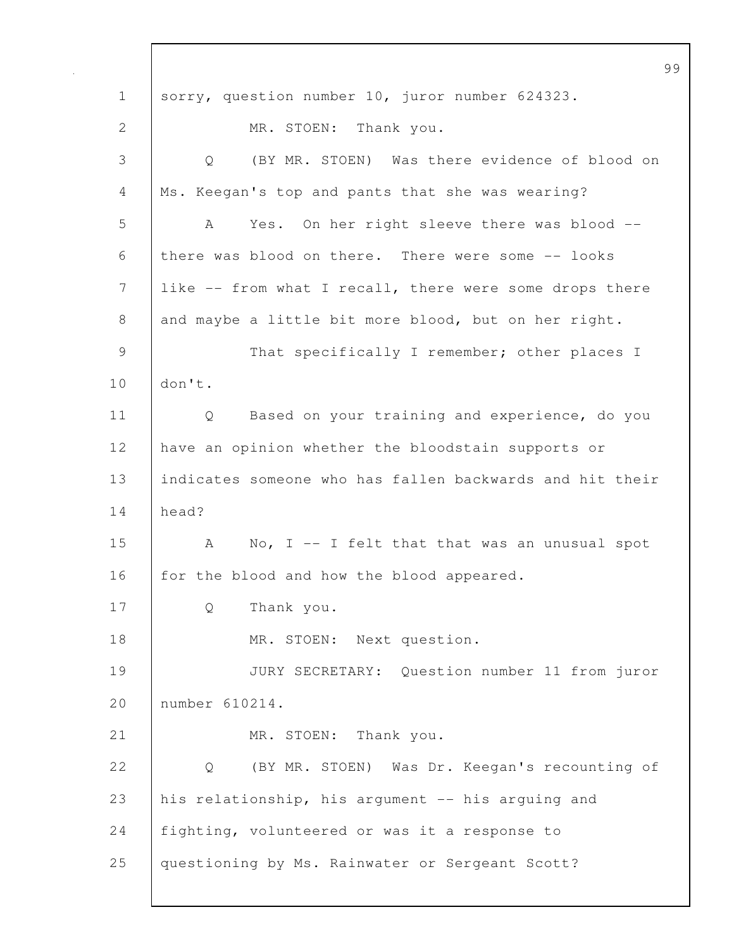99 1 sorry, question number 10, juror number 624323. 2 MR. STOEN: Thank you. 3 Q (BY MR. STOEN) Was there evidence of blood on 4 | Ms. Keegan's top and pants that she was wearing? 5 A Yes. On her right sleeve there was blood -- 6 there was blood on there. There were some -- looks 7 like -- from what I recall, there were some drops there 8 and maybe a little bit more blood, but on her right. 9 That specifically I remember; other places I 10 don't. 11 | Q Based on your training and experience, do you 12 have an opinion whether the bloodstain supports or 13 indicates someone who has fallen backwards and hit their 14 head? 15 | A No, I -- I felt that that was an unusual spot 16 for the blood and how the blood appeared. 17 Q Thank you. 18 MR. STOEN: Next question. 19 JURY SECRETARY: Question number 11 from juror 20 number 610214. 21 | MR. STOEN: Thank you. 22 Q (BY MR. STOEN) Was Dr. Keegan's recounting of 23 his relationship, his argument -- his arguing and 24 fighting, volunteered or was it a response to 25 questioning by Ms. Rainwater or Sergeant Scott?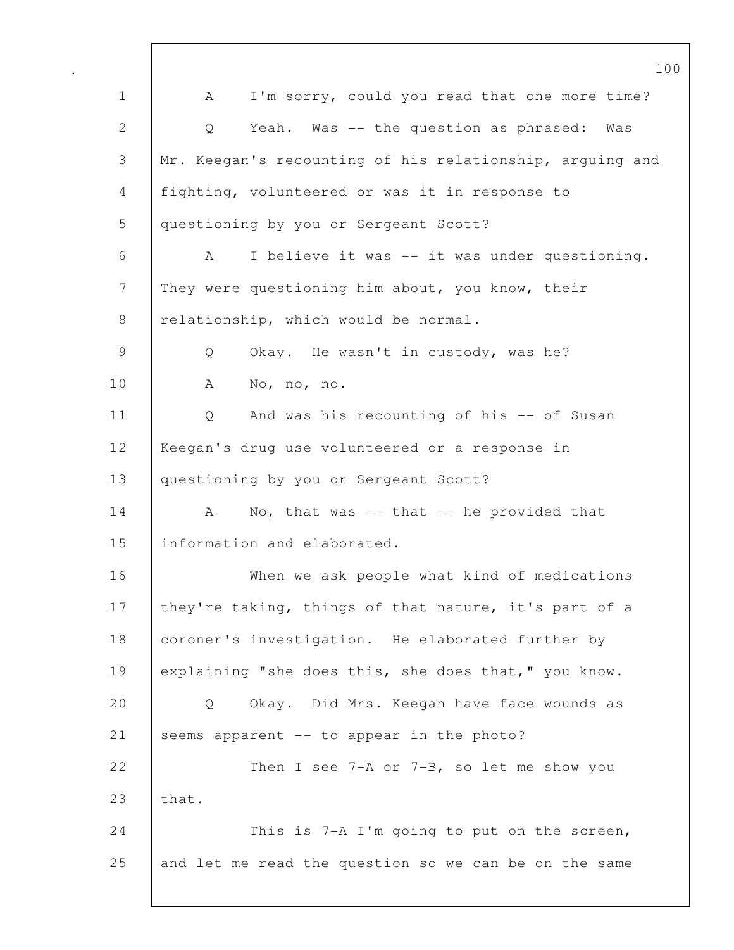100 1 | A I'm sorry, could you read that one more time? 2 Q Yeah. Was -- the question as phrased: Was 3 Mr. Keegan's recounting of his relationship, arguing and 4 fighting, volunteered or was it in response to 5 questioning by you or Sergeant Scott? 6 A I believe it was -- it was under questioning. 7 They were questioning him about, you know, their 8 relationship, which would be normal. 9 Q Okay. He wasn't in custody, was he? 10 A No, no, no. 11 | Q And was his recounting of his -- of Susan 12 Keegan's drug use volunteered or a response in 13 questioning by you or Sergeant Scott? 14 A No, that was -- that -- he provided that 15 information and elaborated. 16 When we ask people what kind of medications 17 | they're taking, things of that nature, it's part of a 18 coroner's investigation. He elaborated further by 19 explaining "she does this, she does that," you know. 20 Q Okay. Did Mrs. Keegan have face wounds as 21 Seems apparent -- to appear in the photo? 22 Then I see 7-A or 7-B, so let me show you 23 that. 24 This is 7-A I'm going to put on the screen, 25 and let me read the question so we can be on the same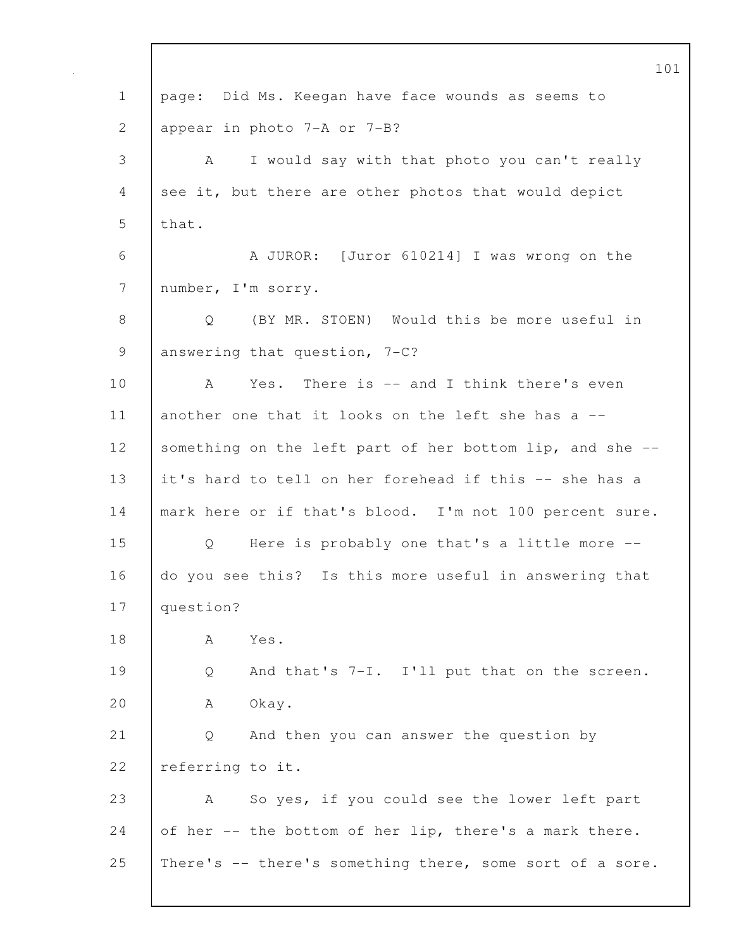101 1 | page: Did Ms. Keegan have face wounds as seems to 2 appear in photo 7-A or 7-B? 3 A I would say with that photo you can't really 4 see it, but there are other photos that would depict  $5$  | that. 6 A JUROR: [Juror 610214] I was wrong on the 7 number, I'm sorry. 8 Q (BY MR. STOEN) Would this be more useful in 9 answering that question, 7-C? 10 | A Yes. There is -- and I think there's even 11 another one that it looks on the left she has a --12 Something on the left part of her bottom lip, and she --13 it's hard to tell on her forehead if this -- she has a 14 | mark here or if that's blood. I'm not 100 percent sure. 15 Q Here is probably one that's a little more -- 16 do you see this? Is this more useful in answering that 17 question? 18 | A Yes. 19 Q And that's 7-I. I'll put that on the screen. 20 A Okay. 21 Q And then you can answer the question by 22 referring to it. 23 A So yes, if you could see the lower left part 24 of her  $-$  the bottom of her lip, there's a mark there. 25 | There's -- there's something there, some sort of a sore.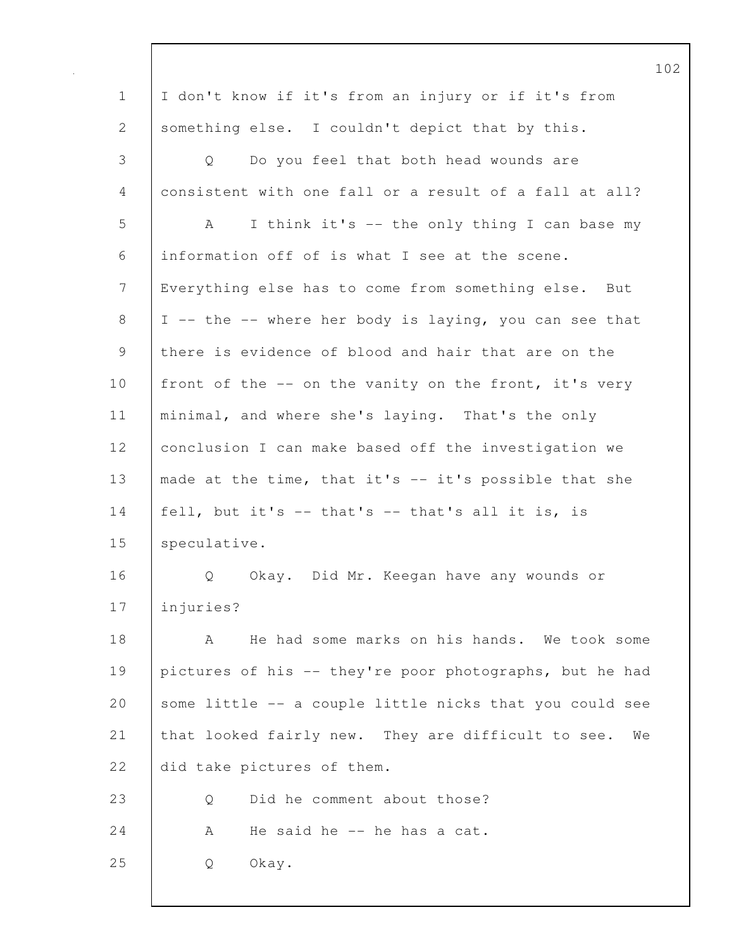|              |                                                          | 102 |
|--------------|----------------------------------------------------------|-----|
| $\mathbf 1$  | I don't know if it's from an injury or if it's from      |     |
| $\mathbf{2}$ | something else. I couldn't depict that by this.          |     |
| 3            | Do you feel that both head wounds are<br>Q               |     |
| 4            | consistent with one fall or a result of a fall at all?   |     |
| 5            | I think it's -- the only thing I can base my<br>A        |     |
| 6            | information off of is what I see at the scene.           |     |
| 7            | Everything else has to come from something else. But     |     |
| 8            | I -- the -- where her body is laying, you can see that   |     |
| 9            | there is evidence of blood and hair that are on the      |     |
| 10           | front of the -- on the vanity on the front, it's very    |     |
| 11           | minimal, and where she's laying. That's the only         |     |
| 12           | conclusion I can make based off the investigation we     |     |
| 13           | made at the time, that it's -- it's possible that she    |     |
| 14           | fell, but it's $-$ that's $-$ that's all it is, is       |     |
| 15           | speculative.                                             |     |
| 16           | Q<br>Okay. Did Mr. Keegan have any wounds or             |     |
| 17           | injuries?                                                |     |
| 18           | He had some marks on his hands. We took some<br>A        |     |
| 19           | pictures of his -- they're poor photographs, but he had  |     |
| 20           | some little -- a couple little nicks that you could see  |     |
| 21           | that looked fairly new. They are difficult to see.<br>We |     |
| 22           | did take pictures of them.                               |     |
| 23           | Did he comment about those?<br>Q                         |     |
| 24           | He said he -- he has a cat.<br>A                         |     |
| 25           | Okay.<br>Q                                               |     |
|              |                                                          |     |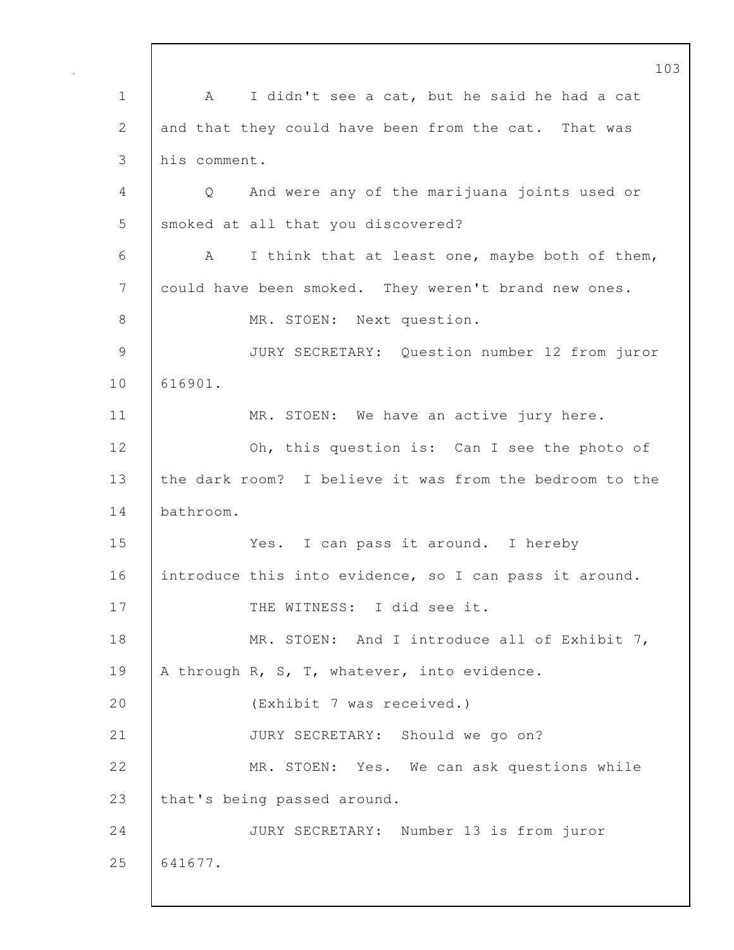103 1 A I didn't see a cat, but he said he had a cat 2 and that they could have been from the cat. That was 3 his comment. 4 Q And were any of the marijuana joints used or 5 smoked at all that you discovered? 6 A I think that at least one, maybe both of them, 7 could have been smoked. They weren't brand new ones. 8 MR. STOEN: Next question. 9 JURY SECRETARY: Question number 12 from juror 10 616901. 11 | MR. STOEN: We have an active jury here. 12 **Oh, this question is:** Can I see the photo of 13 the dark room? I believe it was from the bedroom to the 14 bathroom. 15 Yes. I can pass it around. I hereby 16 introduce this into evidence, so I can pass it around. 17 THE WITNESS: I did see it. 18 | MR. STOEN: And I introduce all of Exhibit 7, 19 | A through R, S, T, whatever, into evidence. 20 (Exhibit 7 was received.) 21 | JURY SECRETARY: Should we go on? 22 MR. STOEN: Yes. We can ask questions while 23 that's being passed around. 24 JURY SECRETARY: Number 13 is from juror 25 641677.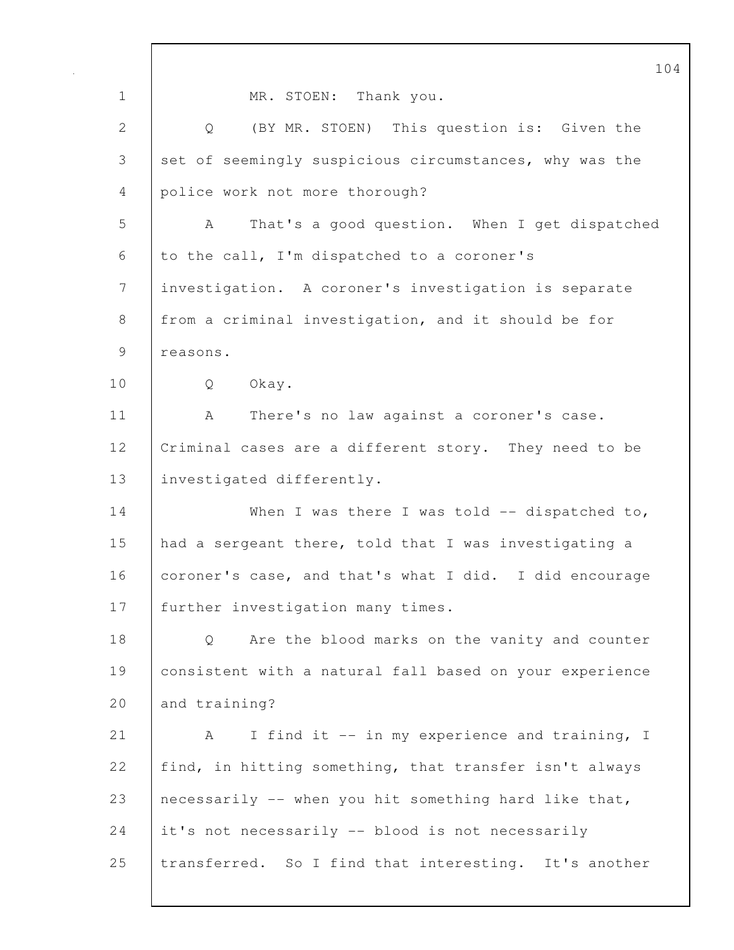|              | 104                                                     |
|--------------|---------------------------------------------------------|
| $\mathbf 1$  | MR. STOEN: Thank you.                                   |
| $\mathbf{2}$ | Q (BY MR. STOEN) This question is: Given the            |
| 3            | set of seemingly suspicious circumstances, why was the  |
| 4            | police work not more thorough?                          |
| 5            | That's a good question. When I get dispatched<br>A      |
| 6            | to the call, I'm dispatched to a coroner's              |
| 7            | investigation. A coroner's investigation is separate    |
| 8            | from a criminal investigation, and it should be for     |
| 9            | reasons.                                                |
| 10           | Okay.<br>Q                                              |
| 11           | There's no law against a coroner's case.<br>A           |
| 12           | Criminal cases are a different story. They need to be   |
| 13           | investigated differently.                               |
| 14           | When I was there I was told $-$ dispatched to,          |
| 15           | had a sergeant there, told that I was investigating a   |
| 16           | coroner's case, and that's what I did. I did encourage  |
| 17           | further investigation many times.                       |
| 18           | Are the blood marks on the vanity and counter<br>Q      |
| 19           | consistent with a natural fall based on your experience |
| 20           | and training?                                           |
| 21           | I find it -- in my experience and training, I<br>A      |
| 22           | find, in hitting something, that transfer isn't always  |
| 23           | necessarily -- when you hit something hard like that,   |
| 24           | it's not necessarily -- blood is not necessarily        |
| 25           | transferred. So I find that interesting. It's another   |
|              |                                                         |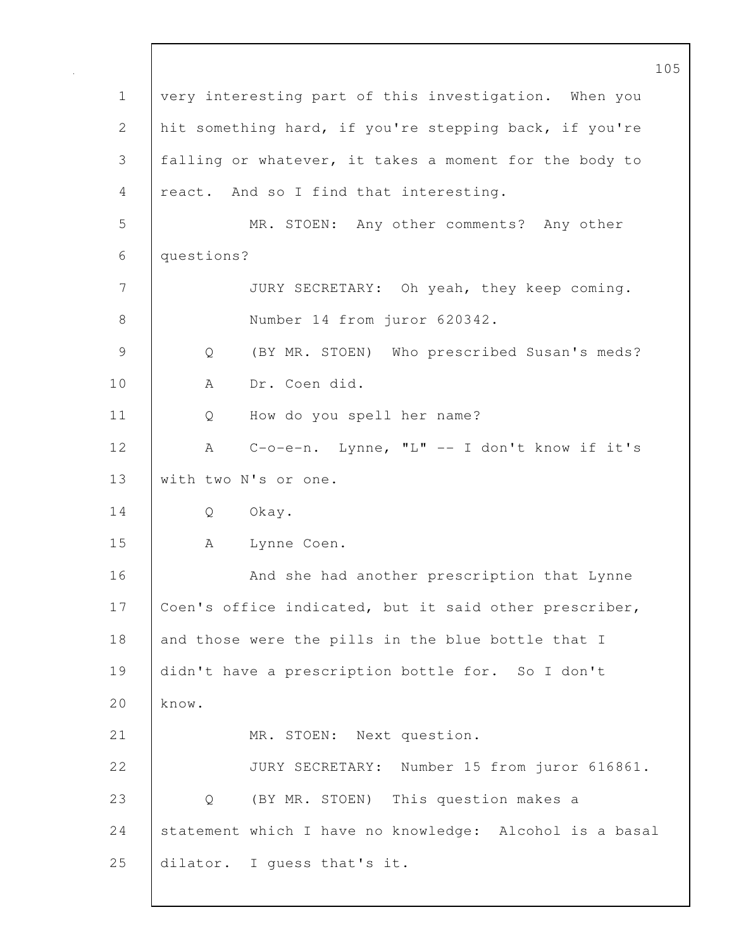|                                                         | 105 |
|---------------------------------------------------------|-----|
| very interesting part of this investigation. When you   |     |
| hit something hard, if you're stepping back, if you're  |     |
| falling or whatever, it takes a moment for the body to  |     |
| react. And so I find that interesting.                  |     |
| MR. STOEN: Any other comments? Any other                |     |
| questions?                                              |     |
| JURY SECRETARY: Oh yeah, they keep coming.              |     |
| Number 14 from juror 620342.                            |     |
| (BY MR. STOEN) Who prescribed Susan's meds?<br>Q        |     |
| Dr. Coen did.<br>A                                      |     |
| How do you spell her name?<br>Q                         |     |
| $C-o-e-n$ . Lynne, "L" -- I don't know if it's<br>A     |     |
| with two N's or one.                                    |     |
| Q<br>Okay.                                              |     |
| Lynne Coen.<br>A                                        |     |
| And she had another prescription that Lynne             |     |
| Coen's office indicated, but it said other prescriber,  |     |
| and those were the pills in the blue bottle that I      |     |
| didn't have a prescription bottle for. So I don't       |     |
| know.                                                   |     |
| MR. STOEN: Next question.                               |     |
| JURY SECRETARY: Number 15 from juror 616861.            |     |
| Q (BY MR. STOEN) This question makes a                  |     |
| statement which I have no knowledge: Alcohol is a basal |     |
| dilator. I guess that's it.                             |     |
|                                                         |     |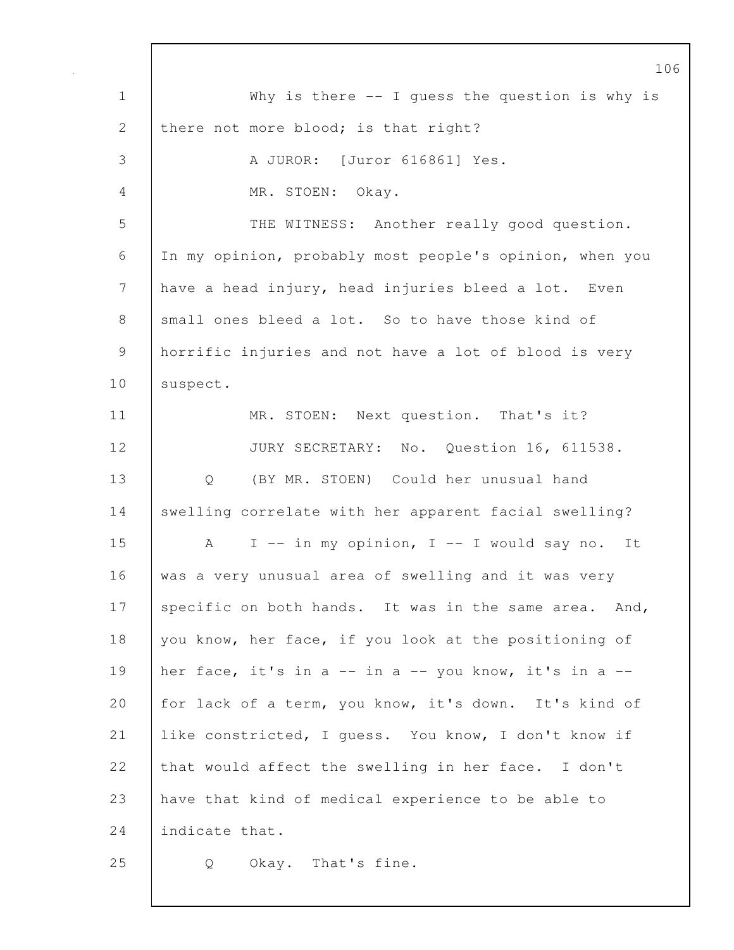1 Why is there -- I guess the question is why is 2 there not more blood; is that right? 3 A JUROR: [Juror 616861] Yes. 4 MR. STOEN: Okay. 5 | THE WITNESS: Another really good question. 6 In my opinion, probably most people's opinion, when you 7 have a head injury, head injuries bleed a lot. Even 8 small ones bleed a lot. So to have those kind of 9 horrific injuries and not have a lot of blood is very 10 | suspect. 11 | MR. STOEN: Next question. That's it? 12 JURY SECRETARY: No. Question 16, 611538. 13 Q (BY MR. STOEN) Could her unusual hand 14 Swelling correlate with her apparent facial swelling? 15 A I -- in my opinion, I -- I would say no. It 16 was a very unusual area of swelling and it was very 17 specific on both hands. It was in the same area. And, 18 you know, her face, if you look at the positioning of 19 her face, it's in a -- in a -- you know, it's in a --20 for lack of a term, you know, it's down. It's kind of 21 like constricted, I quess. You know, I don't know if 22 that would affect the swelling in her face. I don't 23 have that kind of medical experience to be able to 24 lindicate that. 25 | Q Okay. That's fine.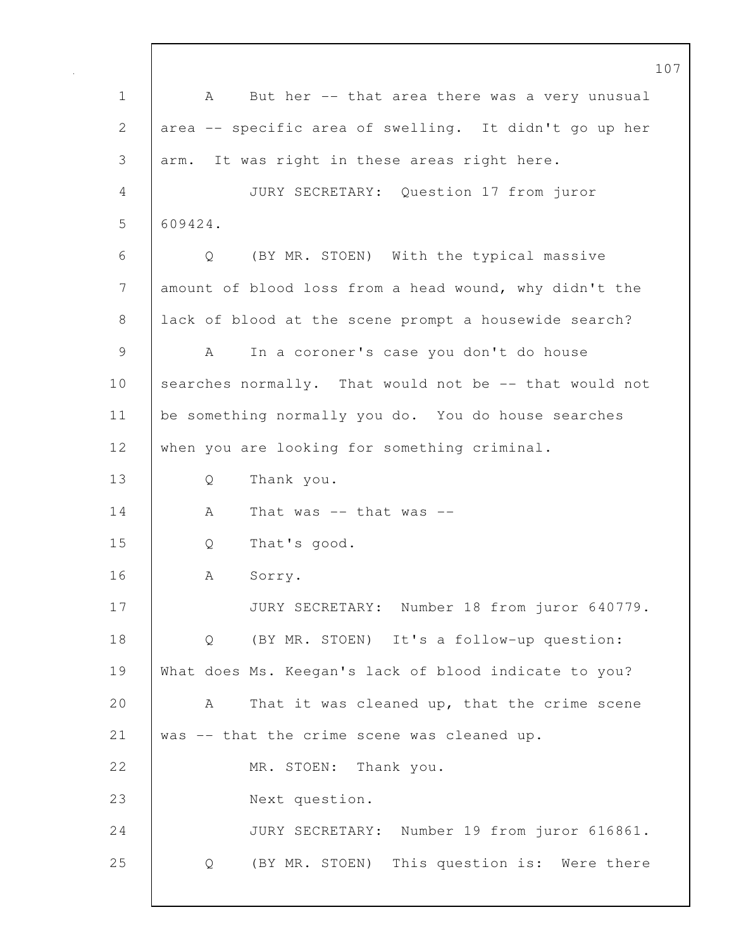107 1 | A But her -- that area there was a very unusual 2 area -- specific area of swelling. It didn't go up her 3 arm. It was right in these areas right here. 4 JURY SECRETARY: Question 17 from juror 5 609424. 6 Q (BY MR. STOEN) With the typical massive 7 amount of blood loss from a head wound, why didn't the 8 lack of blood at the scene prompt a housewide search? 9 A In a coroner's case you don't do house 10 | searches normally. That would not be -- that would not 11 be something normally you do. You do house searches 12 when you are looking for something criminal. 13 Q Thank you.  $14$   $\phantom{1}$  A That was -- that was --15 Q That's good. 16 | A Sorry. 17 | JURY SECRETARY: Number 18 from juror 640779. 18 Q (BY MR. STOEN) It's a follow-up question: 19 What does Ms. Keegan's lack of blood indicate to you? 20 A That it was cleaned up, that the crime scene 21 was -- that the crime scene was cleaned up. 22 MR. STOEN: Thank you. 23 Next question. 24 JURY SECRETARY: Number 19 from juror 616861. 25 Q (BY MR. STOEN) This question is: Were there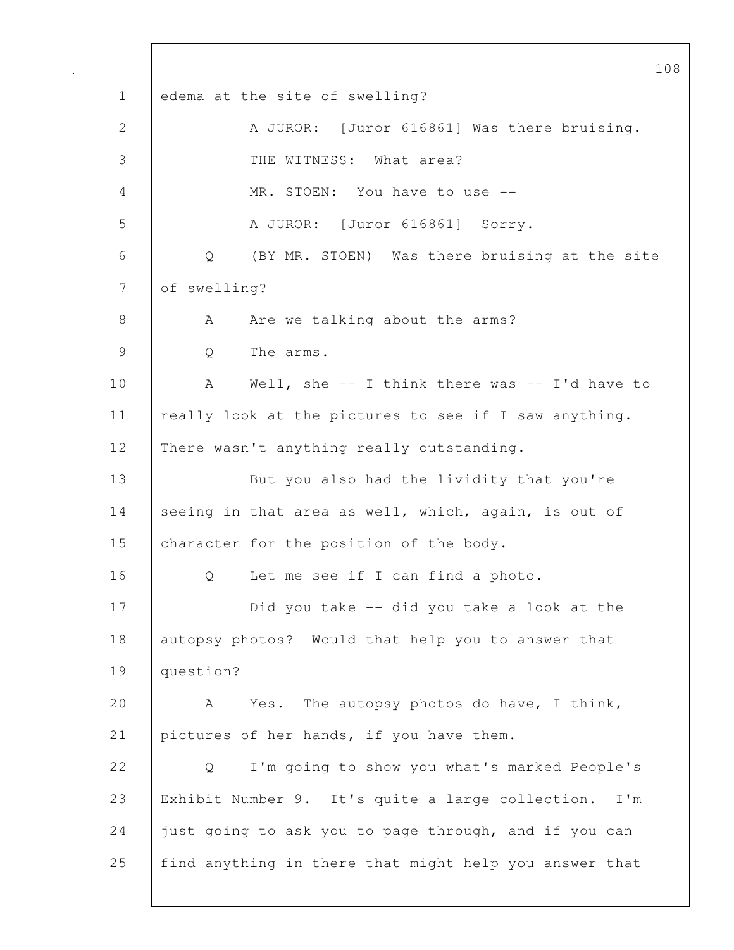108 1 edema at the site of swelling? 2 A JUROR: [Juror 616861] Was there bruising. 3 THE WITNESS: What area? 4 MR. STOEN: You have to use -- 5 A JUROR: [Juror 616861] Sorry. 6 Q (BY MR. STOEN) Was there bruising at the site 7 of swelling? 8 A Are we talking about the arms? 9 | O The arms. 10 | A Well, she -- I think there was -- I'd have to 11 | really look at the pictures to see if I saw anything. 12 | There wasn't anything really outstanding. 13 | But you also had the lividity that you're 14 seeing in that area as well, which, again, is out of 15 character for the position of the body. 16 | 0 Let me see if I can find a photo. 17 **Did you take -- did you take a look at the** 18 autopsy photos? Would that help you to answer that 19 question? 20 A Yes. The autopsy photos do have, I think, 21 pictures of her hands, if you have them. 22 | O I'm going to show you what's marked People's 23 Exhibit Number 9. It's quite a large collection. I'm 24 just going to ask you to page through, and if you can 25 find anything in there that might help you answer that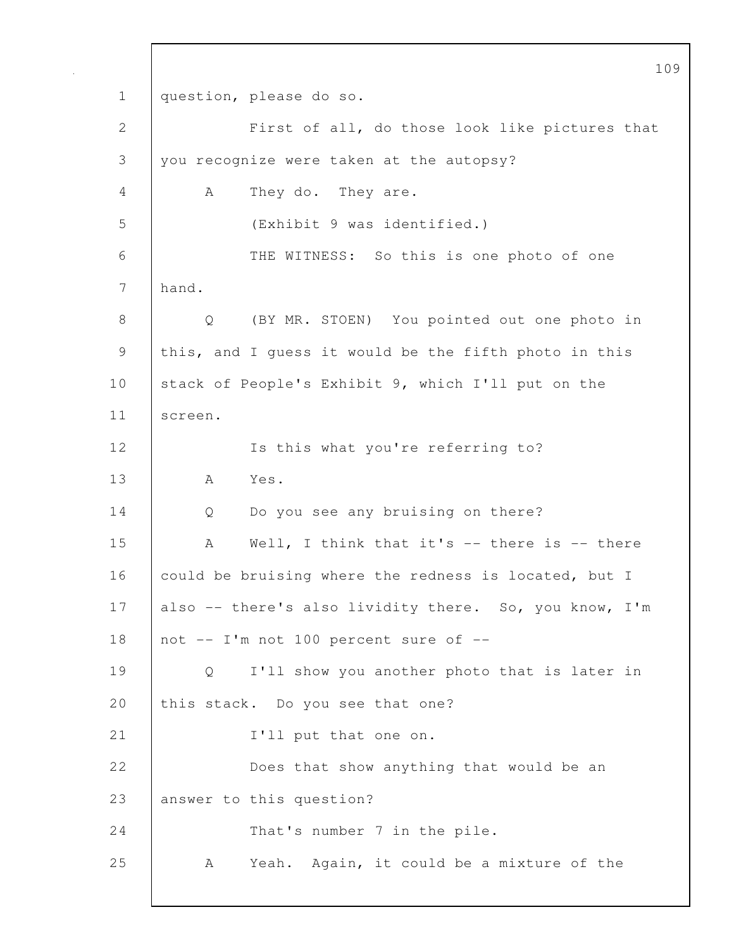109 1 question, please do so. 2 First of all, do those look like pictures that 3 you recognize were taken at the autopsy? 4 A They do. They are. 5 (Exhibit 9 was identified.) 6 THE WITNESS: So this is one photo of one 7 hand. 8 Q (BY MR. STOEN) You pointed out one photo in 9 this, and I guess it would be the fifth photo in this 10 stack of People's Exhibit 9, which I'll put on the 11 screen. 12 | Is this what you're referring to? 13 A Yes. 14 Q Do you see any bruising on there? 15 A Well, I think that it's -- there is -- there 16 could be bruising where the redness is located, but I 17 also -- there's also lividity there. So, you know, I'm 18  $\vert$  not -- I'm not 100 percent sure of --19 Q I'll show you another photo that is later in 20 this stack. Do you see that one? 21 | I'll put that one on. 22 **Does that show anything that would be an** 23 answer to this question? 24 That's number 7 in the pile. 25 A Yeah. Again, it could be a mixture of the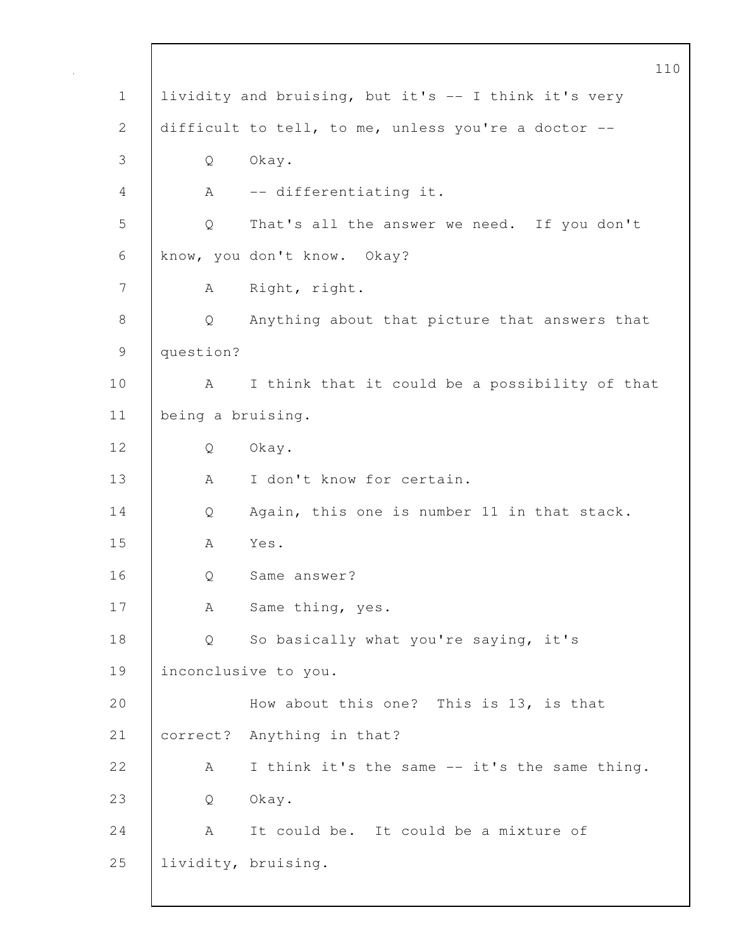|               |                   | 110                                                  |
|---------------|-------------------|------------------------------------------------------|
| $\mathbf 1$   |                   | lividity and bruising, but it's -- I think it's very |
| $\mathbf{2}$  |                   | difficult to tell, to me, unless you're a doctor --  |
| 3             | Q                 | Okay.                                                |
| 4             | A                 | -- differentiating it.                               |
| 5             | Q                 | That's all the answer we need. If you don't          |
| 6             |                   | know, you don't know. Okay?                          |
| 7             | A                 | Right, right.                                        |
| $8\,$         | Q                 | Anything about that picture that answers that        |
| $\mathcal{G}$ | question?         |                                                      |
| 10            | A                 | I think that it could be a possibility of that       |
| 11            | being a bruising. |                                                      |
| 12            | Q                 | Okay.                                                |
| 13            | A                 | I don't know for certain.                            |
| 14            | Q                 | Again, this one is number 11 in that stack.          |
| 15            | А                 | Yes.                                                 |
| 16            | Q                 | Same answer?                                         |
| 17            | А                 | Same thing, yes.                                     |
| 18            | Q                 | So basically what you're saying, it's                |
| 19            |                   | inconclusive to you.                                 |
| 20            |                   | How about this one? This is 13, is that              |
| 21            |                   | correct? Anything in that?                           |
| 22            | A                 | I think it's the same -- it's the same thing.        |
| 23            | Q                 | Okay.                                                |
| 24            | A                 | It could be. It could be a mixture of                |
| 25            |                   | lividity, bruising.                                  |
|               |                   |                                                      |

 $\mathbf l$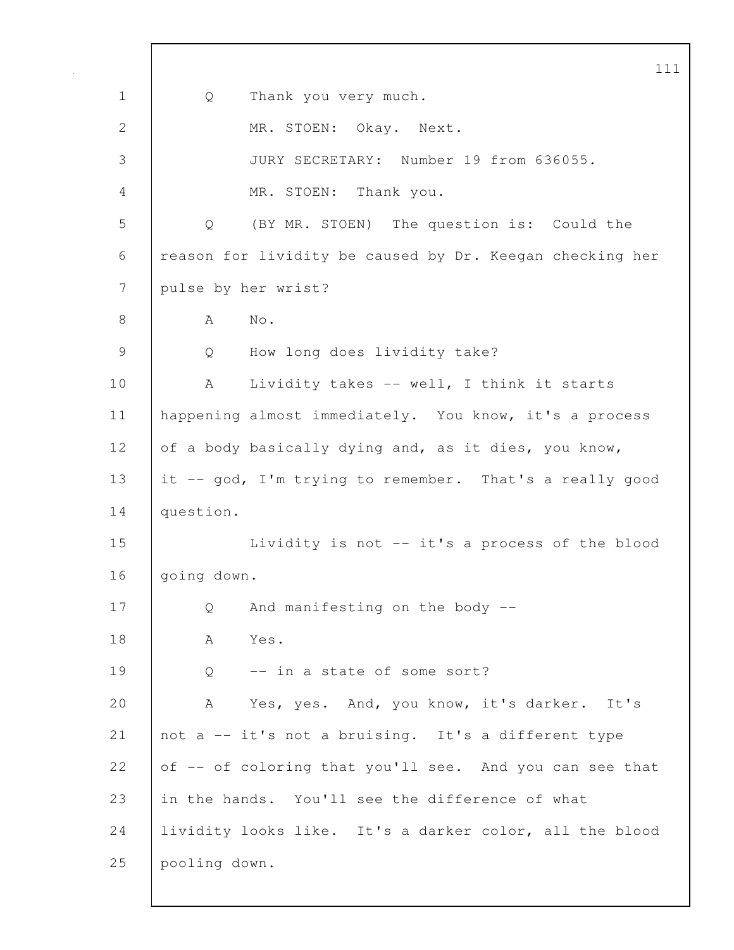|               | 11                                                       |
|---------------|----------------------------------------------------------|
| $\mathbf 1$   | Thank you very much.<br>Q                                |
| $\mathbf{2}$  | MR. STOEN: Okay. Next.                                   |
| 3             | JURY SECRETARY: Number 19 from 636055.                   |
| 4             | MR. STOEN: Thank you.                                    |
| 5             | (BY MR. STOEN) The question is: Could the<br>Q           |
| 6             | reason for lividity be caused by Dr. Keegan checking her |
| 7             | pulse by her wrist?                                      |
| 8             | No.<br>A                                                 |
| $\mathcal{G}$ | How long does lividity take?<br>Q                        |
| 10            | Lividity takes -- well, I think it starts<br>A           |
| 11            | happening almost immediately. You know, it's a process   |
| 12            | of a body basically dying and, as it dies, you know,     |
| 13            | it -- god, I'm trying to remember. That's a really good  |
| 14            | question.                                                |
| 15            | Lividity is not -- it's a process of the blood           |
| 16            | going down.                                              |
| 17            | Q<br>And manifesting on the body --                      |
| 18            | Yes.<br>А                                                |
| 19            | -- in a state of some sort?<br>Q                         |
| 20            | Yes, yes. And, you know, it's darker. It's<br>A          |
| 21            | not a -- it's not a bruising. It's a different type      |
| 22            | of -- of coloring that you'll see. And you can see that  |
| 23            | in the hands. You'll see the difference of what          |
| 24            | lividity looks like. It's a darker color, all the blood  |
| 25            | pooling down.                                            |
|               |                                                          |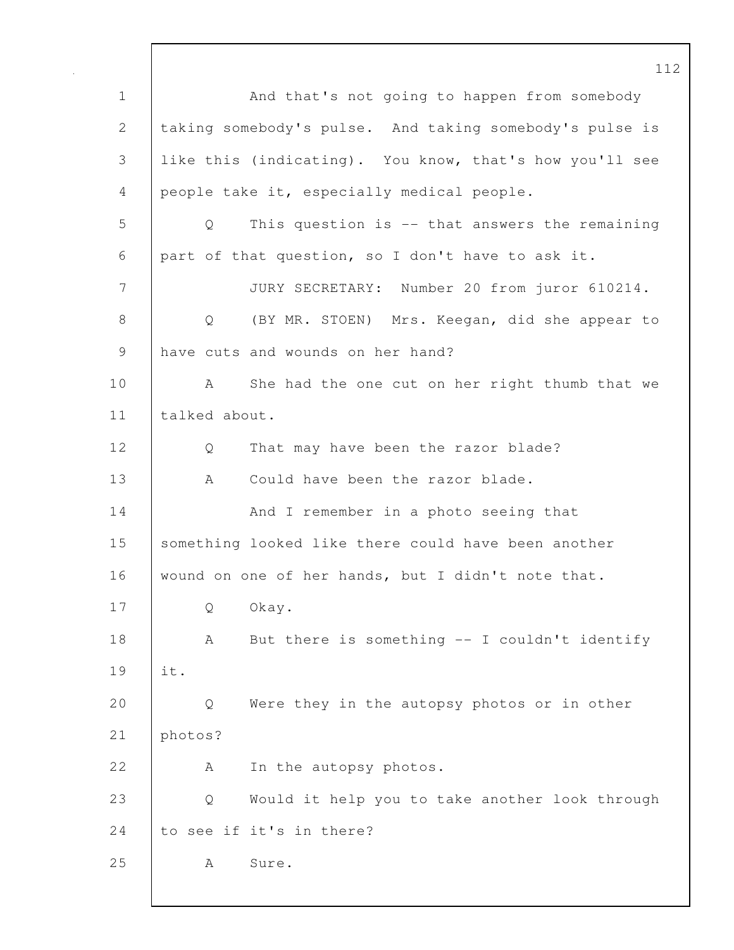112 1 | And that's not going to happen from somebody 2 taking somebody's pulse. And taking somebody's pulse is 3 like this (indicating). You know, that's how you'll see 4 people take it, especially medical people. 5 Q This question is -- that answers the remaining 6 part of that question, so I don't have to ask it. 7 JURY SECRETARY: Number 20 from juror 610214. 8 Q (BY MR. STOEN) Mrs. Keegan, did she appear to 9 have cuts and wounds on her hand? 10 A She had the one cut on her right thumb that we 11 | talked about. 12 Q That may have been the razor blade? 13 A Could have been the razor blade. 14 | And I remember in a photo seeing that 15 something looked like there could have been another 16 wound on one of her hands, but I didn't note that. 17 Q Okay. 18 | A But there is something -- I couldn't identify 19 it. 20 Q Were they in the autopsy photos or in other 21 photos? 22 A In the autopsy photos. 23 Q Would it help you to take another look through 24 to see if it's in there? 25 | A Sure.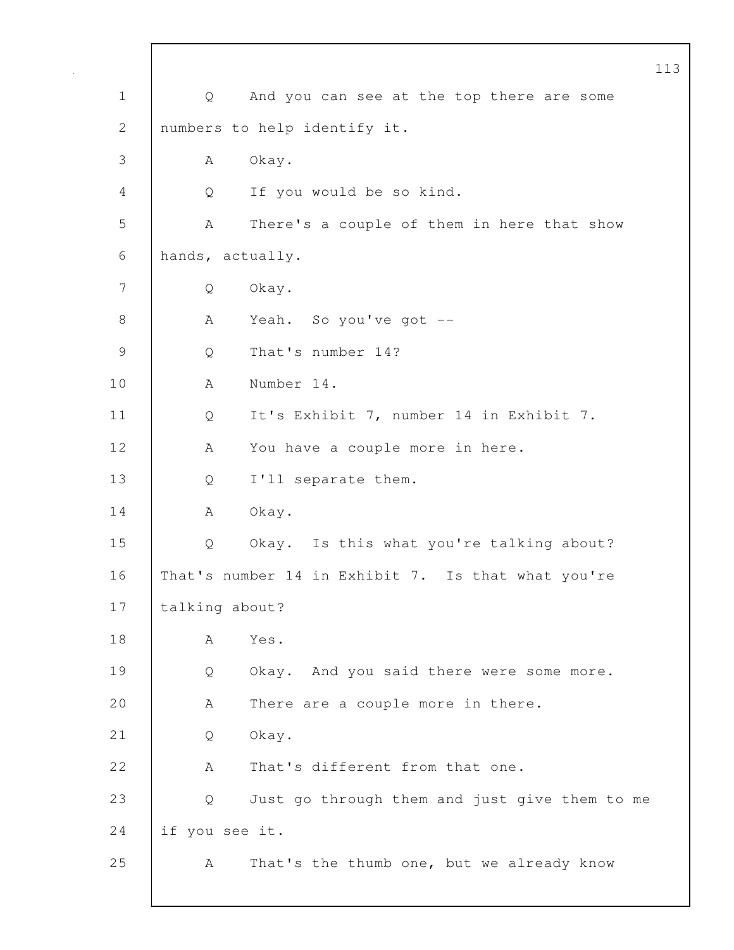|             |                  |                                                    | 113 |
|-------------|------------------|----------------------------------------------------|-----|
| $\mathbf 1$ | Q                | And you can see at the top there are some          |     |
| 2           |                  | numbers to help identify it.                       |     |
| 3           | А                | Okay.                                              |     |
| 4           | Q                | If you would be so kind.                           |     |
| 5           | Α                | There's a couple of them in here that show         |     |
| 6           | hands, actually. |                                                    |     |
| 7           | Q                | Okay.                                              |     |
| 8           | A                | Yeah. So you've got --                             |     |
| 9           | Q                | That's number 14?                                  |     |
| 10          | A                | Number 14.                                         |     |
| 11          | Q                | It's Exhibit 7, number 14 in Exhibit 7.            |     |
| 12          | Α                | You have a couple more in here.                    |     |
| 13          | Q                | I'll separate them.                                |     |
| 14          | Α                | Okay.                                              |     |
| 15          | Q                | Okay. Is this what you're talking about?           |     |
| 16          |                  | That's number 14 in Exhibit 7. Is that what you're |     |
| 17          | talking about?   |                                                    |     |
| 18          | А                | Yes.                                               |     |
| 19          | Q                | Okay. And you said there were some more.           |     |
| 20          | A                | There are a couple more in there.                  |     |
| 21          | Q                | Okay.                                              |     |
| 22          | А                | That's different from that one.                    |     |
| 23          | Q                | Just go through them and just give them to me      |     |
| 24          | if you see it.   |                                                    |     |
| 25          | A                | That's the thumb one, but we already know          |     |
|             |                  |                                                    |     |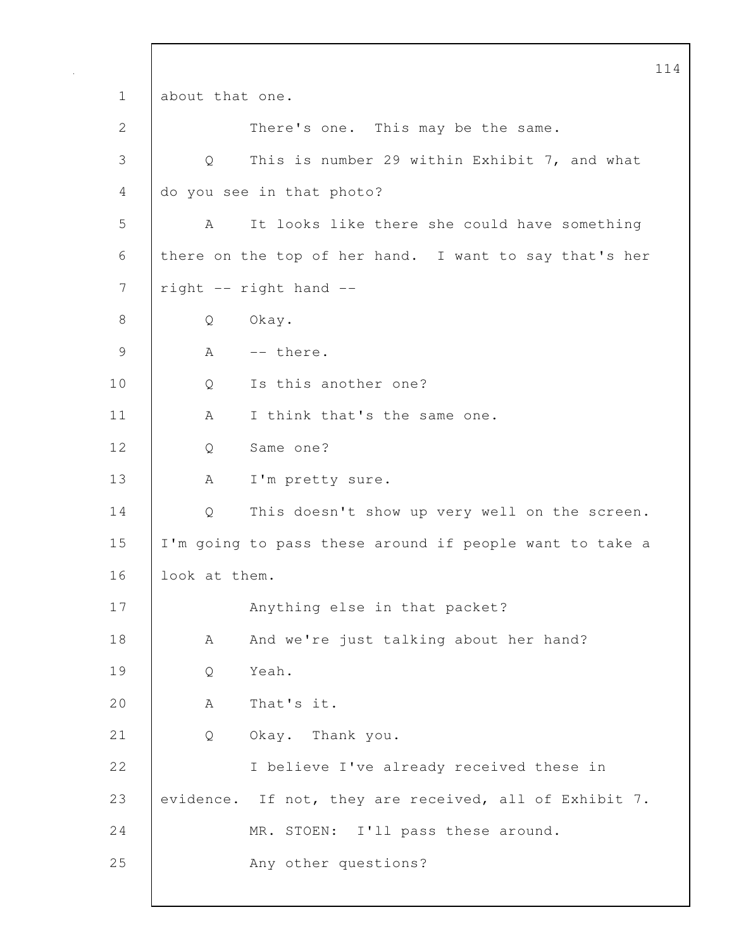114 1 about that one. 2 There's one. This may be the same. 3 Q This is number 29 within Exhibit 7, and what 4 do you see in that photo? 5 A It looks like there she could have something 6 there on the top of her hand. I want to say that's her 7 right -- right hand --8 Q Okay.  $9$   $A$   $-$  there. 10 | Q Is this another one? 11 | A I think that's the same one. 12 Q Same one? 13 | A I'm pretty sure. 14 Q This doesn't show up very well on the screen. 15 I'm going to pass these around if people want to take a 16 | look at them. 17 Anything else in that packet? 18 | A And we're just talking about her hand? 19 | O Yeah. 20 A That's it. 21 Q Okay. Thank you. 22 | I believe I've already received these in 23 evidence. If not, they are received, all of Exhibit 7. 24 MR. STOEN: I'll pass these around. 25 | Any other questions?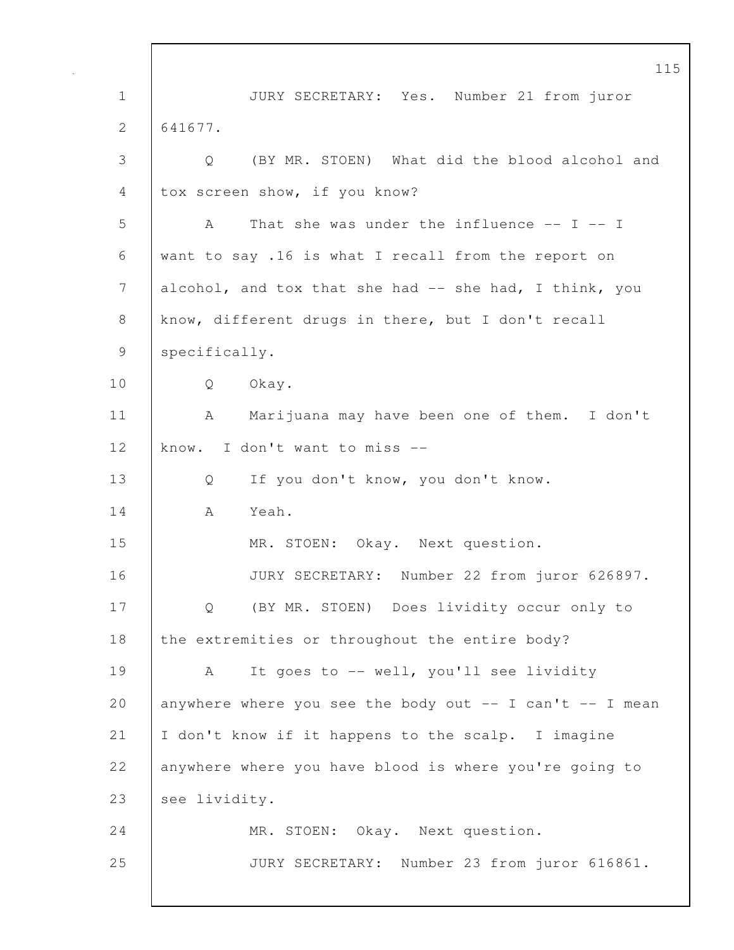115 1 JURY SECRETARY: Yes. Number 21 from juror 2 641677. 3 Q (BY MR. STOEN) What did the blood alcohol and 4 tox screen show, if you know? 5 A That she was under the influence -- I -- I 6 want to say .16 is what I recall from the report on 7 alcohol, and tox that she had -- she had, I think, you 8 know, different drugs in there, but I don't recall 9 | specifically. 10 Q Okay. 11 | A Marijuana may have been one of them. I don't 12 know. I don't want to miss -- 13 Q If you don't know, you don't know. 14 A Yeah. 15 | MR. STOEN: Okay. Next question. 16 JURY SECRETARY: Number 22 from juror 626897. 17 | Q (BY MR. STOEN) Does lividity occur only to 18 the extremities or throughout the entire body? 19 | A It goes to -- well, you'll see lividity 20 anywhere where you see the body out  $-$  I can't  $-$  I mean 21 I don't know if it happens to the scalp. I imagine 22 anywhere where you have blood is where you're going to 23 see lividity. 24 | MR. STOEN: Okay. Next question. 25 JURY SECRETARY: Number 23 from juror 616861.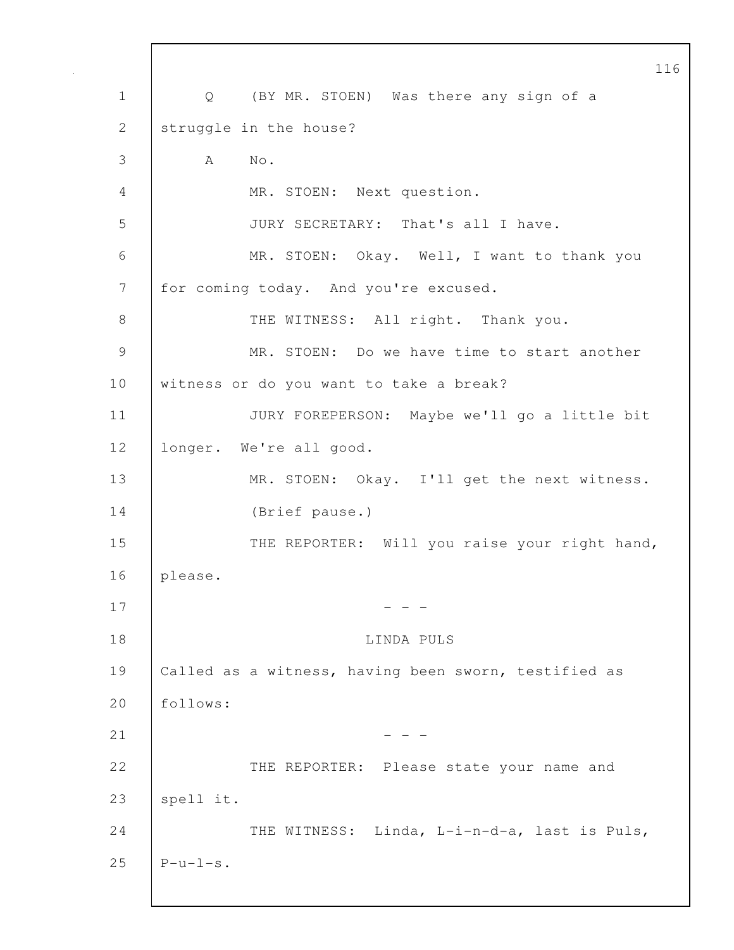116 1 | Q (BY MR. STOEN) Was there any sign of a 2 struggle in the house? 3 A No. 4 MR. STOEN: Next question. 5 JURY SECRETARY: That's all I have. 6 MR. STOEN: Okay. Well, I want to thank you 7 for coming today. And you're excused. 8 | THE WITNESS: All right. Thank you. 9 MR. STOEN: Do we have time to start another 10 witness or do you want to take a break? 11 JURY FOREPERSON: Maybe we'll go a little bit 12 longer. We're all good. 13 | MR. STOEN: Okay. I'll get the next witness. 14 (Brief pause.) 15 THE REPORTER: Will you raise your right hand, 16 please.  $17$  - - -18 LINDA PULS 19 Called as a witness, having been sworn, testified as 20 follows:  $21$  - - -22 THE REPORTER: Please state your name and 23  $|$  spell it. 24 THE WITNESS: Linda, L-i-n-d-a, last is Puls, 25  $\vert$  P-u-l-s.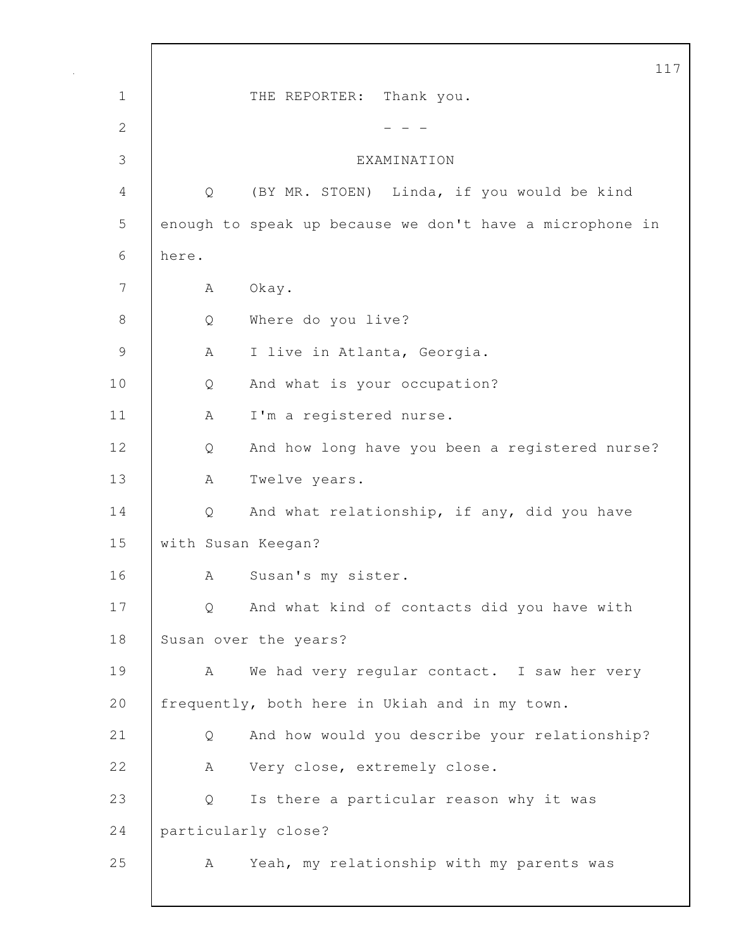|               |       |                                                          | 117 |
|---------------|-------|----------------------------------------------------------|-----|
| $\mathbf 1$   |       | Thank you.<br>THE REPORTER:                              |     |
| $\mathbf{2}$  |       |                                                          |     |
| 3             |       | EXAMINATION                                              |     |
| 4             | Q     | (BY MR. STOEN) Linda, if you would be kind               |     |
| 5             |       | enough to speak up because we don't have a microphone in |     |
| 6             | here. |                                                          |     |
| 7             | А     | Okay.                                                    |     |
| $8\,$         | Q     | Where do you live?                                       |     |
| $\mathcal{G}$ | А     | I live in Atlanta, Georgia.                              |     |
| 10            | Q     | And what is your occupation?                             |     |
| 11            | A     | I'm a registered nurse.                                  |     |
| 12            | Q     | And how long have you been a registered nurse?           |     |
| 13            | A     | Twelve years.                                            |     |
| 14            | Q     | And what relationship, if any, did you have              |     |
| 15            |       | with Susan Keegan?                                       |     |
| 16            | А     | Susan's my sister.                                       |     |
| 17            | Q     | And what kind of contacts did you have with              |     |
| 18            |       | Susan over the years?                                    |     |
| 19            | A     | We had very regular contact. I saw her very              |     |
| 20            |       | frequently, both here in Ukiah and in my town.           |     |
| 21            | Q     | And how would you describe your relationship?            |     |
| 22            | A     | Very close, extremely close.                             |     |
| 23            | Q     | Is there a particular reason why it was                  |     |
| 24            |       | particularly close?                                      |     |
| 25            | A     | Yeah, my relationship with my parents was                |     |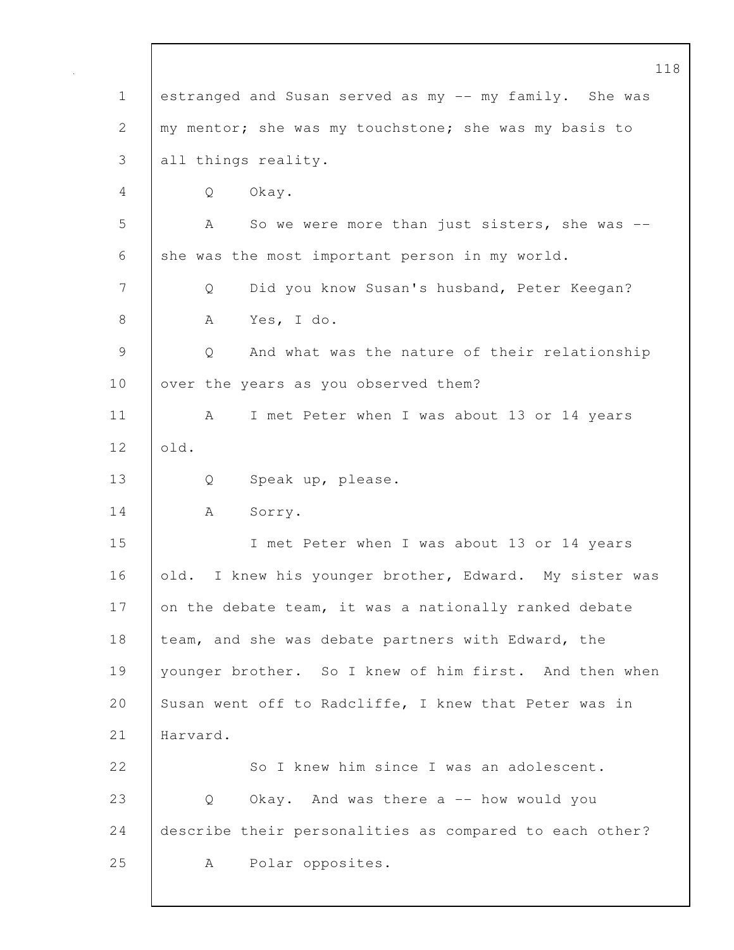|              | 118                                                     |
|--------------|---------------------------------------------------------|
| $\mathbf 1$  | estranged and Susan served as my -- my family. She was  |
| $\mathbf{2}$ | my mentor; she was my touchstone; she was my basis to   |
| 3            | all things reality.                                     |
| 4            | Okay.<br>Q                                              |
| 5            | So we were more than just sisters, she was --<br>A      |
| 6            | she was the most important person in my world.          |
| 7            | Did you know Susan's husband, Peter Keegan?<br>Q        |
| $\,8\,$      | Yes, I do.<br>A                                         |
| 9            | Q<br>And what was the nature of their relationship      |
| 10           | over the years as you observed them?                    |
| 11           | I met Peter when I was about 13 or 14 years<br>A        |
| 12           | old.                                                    |
| 13           | Speak up, please.<br>Q                                  |
| 14           | Sorry.<br>A                                             |
| 15           | I met Peter when I was about 13 or 14 years             |
| 16           | old. I knew his younger brother, Edward. My sister was  |
| 17           | on the debate team, it was a nationally ranked debate   |
| 18           | team, and she was debate partners with Edward, the      |
| 19           | younger brother. So I knew of him first. And then when  |
| 20           | Susan went off to Radcliffe, I knew that Peter was in   |
| 21           | Harvard.                                                |
| 22           | So I knew him since I was an adolescent.                |
| 23           | Okay. And was there a -- how would you<br>Q             |
| 24           | describe their personalities as compared to each other? |
| 25           | Polar opposites.<br>A                                   |
|              |                                                         |

 $\mathbf{I}$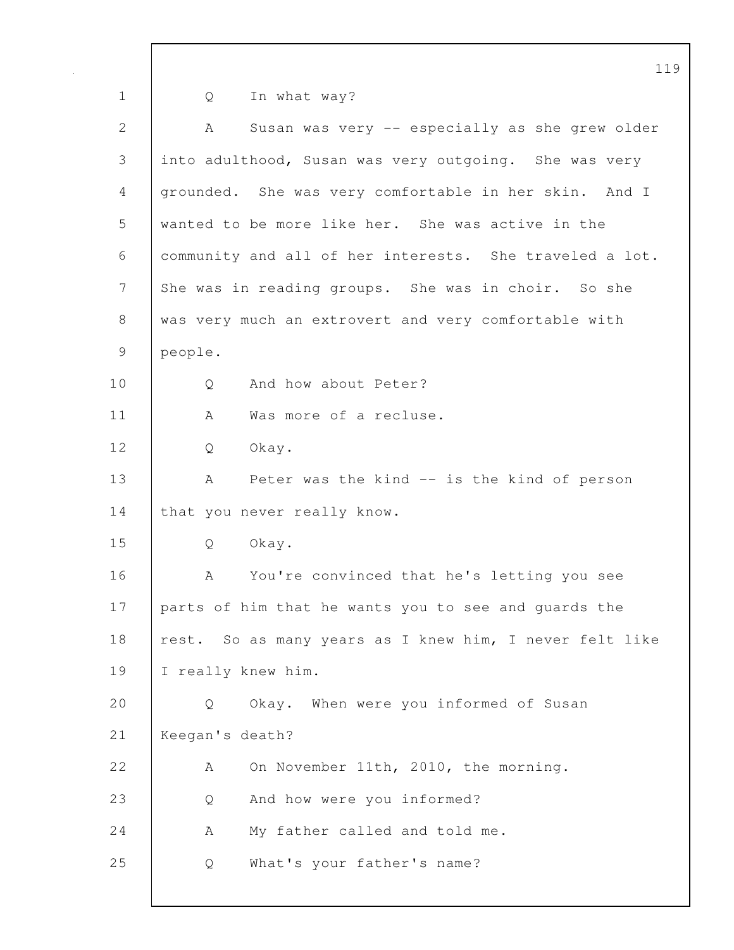1 Q In what way? 2 A Susan was very -- especially as she grew older 3 into adulthood, Susan was very outgoing. She was very 4 grounded. She was very comfortable in her skin. And I 5 wanted to be more like her. She was active in the 6 community and all of her interests. She traveled a lot. 7 She was in reading groups. She was in choir. So she 8 was very much an extrovert and very comfortable with 9 people. 10 | 0 And how about Peter? 11 | A Was more of a recluse. 12 Q Okay. 13 | A Peter was the kind -- is the kind of person 14 that you never really know. 15 Q Okay. 16 A You're convinced that he's letting you see 17 parts of him that he wants you to see and guards the 18 | rest. So as many years as I knew him, I never felt like 19 | I really knew him. 20 Q Okay. When were you informed of Susan 21 Keegan's death? 22 A On November 11th, 2010, the morning. 23 Q And how were you informed? 24 A My father called and told me. 25 Q What's your father's name?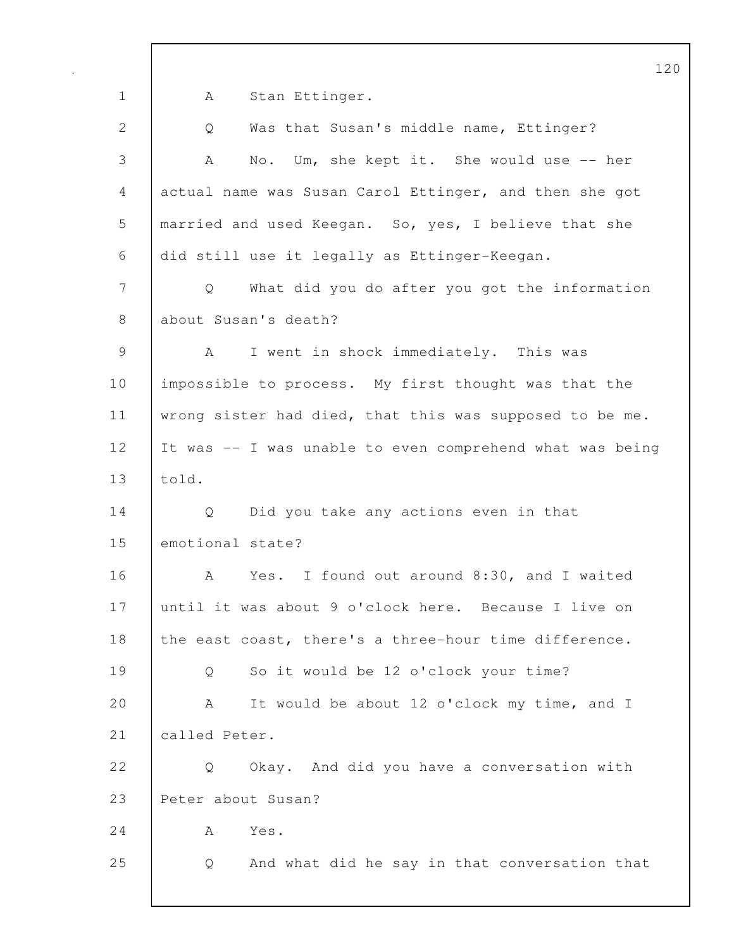120 1 | A Stan Ettinger. 2 Q Was that Susan's middle name, Ettinger? 3 A No. Um, she kept it. She would use -- her 4 actual name was Susan Carol Ettinger, and then she got 5 married and used Keegan. So, yes, I believe that she 6 did still use it legally as Ettinger-Keegan. 7 Q What did you do after you got the information 8 about Susan's death? 9 | A I went in shock immediately. This was 10 | impossible to process. My first thought was that the 11 | wrong sister had died, that this was supposed to be me. 12 It was -- I was unable to even comprehend what was being 13 told. 14 Q Did you take any actions even in that 15 emotional state? 16 A Yes. I found out around 8:30, and I waited 17 until it was about 9 o'clock here. Because I live on 18 the east coast, there's a three-hour time difference. 19 Q So it would be 12 o'clock your time? 20 A It would be about 12 o'clock my time, and I 21 | called Peter. 22 | Q Okay. And did you have a conversation with 23 Peter about Susan? 24 A Yes. 25 Q And what did he say in that conversation that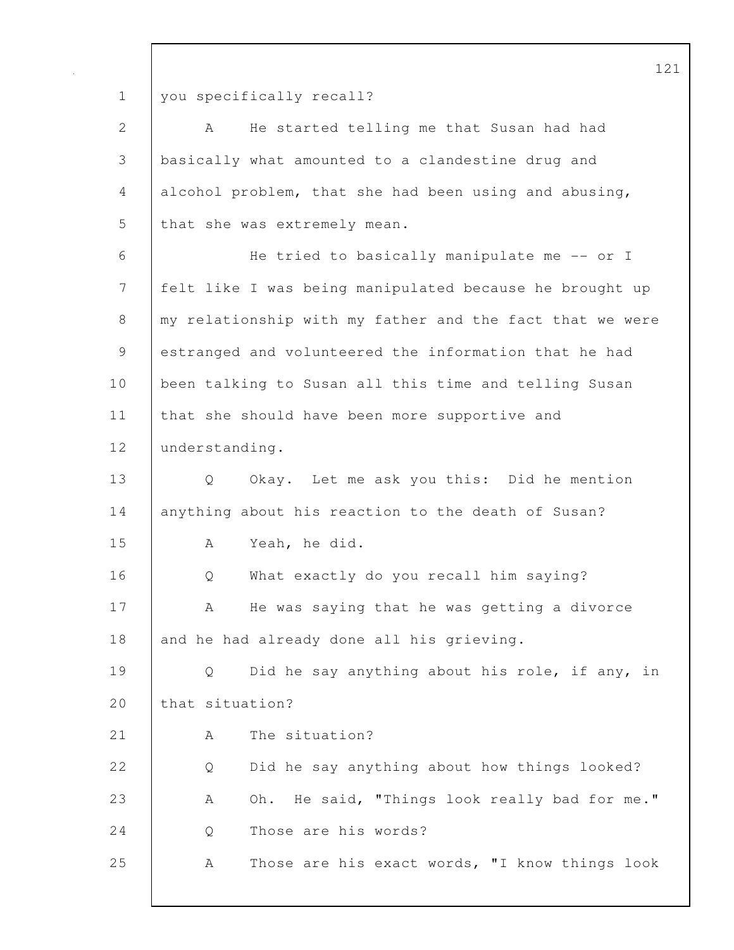1 you specifically recall?

| $\mathbf{2}$   | He started telling me that Susan had had<br>A            |
|----------------|----------------------------------------------------------|
| $\mathfrak{Z}$ | basically what amounted to a clandestine drug and        |
| $\overline{4}$ | alcohol problem, that she had been using and abusing,    |
| 5              | that she was extremely mean.                             |
| 6              | He tried to basically manipulate me -- or I              |
| $\overline{7}$ | felt like I was being manipulated because he brought up  |
| $8\,$          | my relationship with my father and the fact that we were |
| $\mathsf 9$    | estranged and volunteered the information that he had    |
| 10             | been talking to Susan all this time and telling Susan    |
| 11             | that she should have been more supportive and            |
| 12             | understanding.                                           |
| 13             | Q<br>Okay. Let me ask you this: Did he mention           |
| 14             | anything about his reaction to the death of Susan?       |
| 15             | Yeah, he did.<br>Α                                       |
| 16             | What exactly do you recall him saying?<br>Q              |
| 17             | He was saying that he was getting a divorce<br>Α         |
| 18             | and he had already done all his grieving.                |
| 19             | Did he say anything about his role, if any, in<br>Q      |
| 20             | that situation?                                          |
| 21             | The situation?<br>А                                      |
| 22             | Did he say anything about how things looked?<br>Q        |
| 23             | Oh. He said, "Things look really bad for me."<br>Α       |
| 24             | Those are his words?<br>Q                                |
| 25             | Those are his exact words, "I know things look<br>Α      |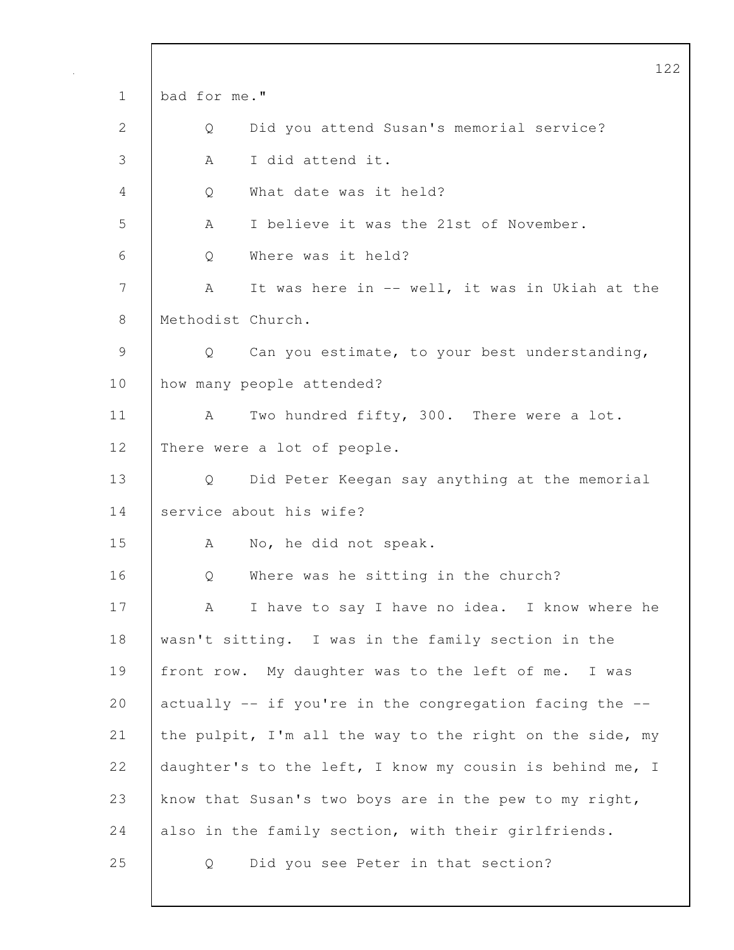|               | 122                                                      |
|---------------|----------------------------------------------------------|
| $\mathbf 1$   | bad for me."                                             |
| 2             | Did you attend Susan's memorial service?<br>Q            |
| 3             | I did attend it.<br>A                                    |
| 4             | What date was it held?<br>Q                              |
| 5             | I believe it was the 21st of November.<br>A              |
| 6             | Where was it held?<br>Q                                  |
| 7             | It was here in -- well, it was in Ukiah at the<br>A      |
| 8             | Methodist Church.                                        |
| $\mathcal{G}$ | Can you estimate, to your best understanding,<br>Q       |
| 10            | how many people attended?                                |
| 11            | Two hundred fifty, 300. There were a lot.<br>A           |
| 12            | There were a lot of people.                              |
| 13            | Did Peter Keegan say anything at the memorial<br>Q       |
| 14            | service about his wife?                                  |
| 15            | No, he did not speak.<br>A                               |
| 16            | Where was he sitting in the church?<br>Q                 |
| 17            | I have to say I have no idea. I know where he<br>A       |
| 18            | wasn't sitting. I was in the family section in the       |
| 19            | front row. My daughter was to the left of me. I was      |
| 20            | actually -- if you're in the congregation facing the --  |
| 21            | the pulpit, I'm all the way to the right on the side, my |
| 22            | daughter's to the left, I know my cousin is behind me, I |
| 23            | know that Susan's two boys are in the pew to my right,   |
| 24            | also in the family section, with their girlfriends.      |
| 25            | Did you see Peter in that section?<br>Q                  |
|               |                                                          |

 $\mathsf{l}$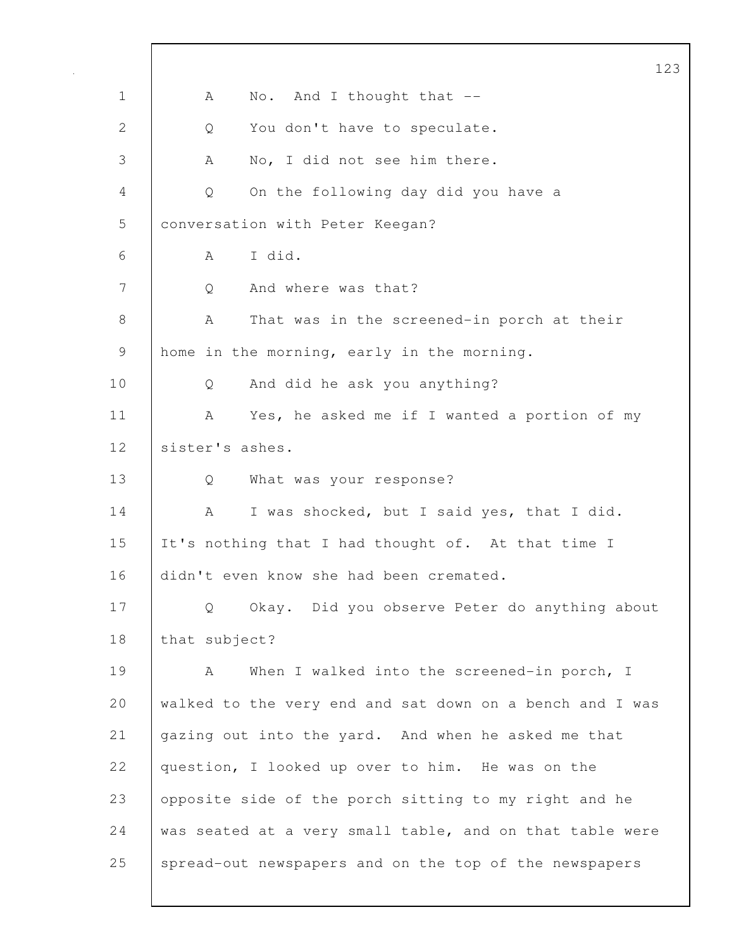123 1 | A No. And I thought that --2 | Q You don't have to speculate. 3 | A No, I did not see him there. 4 Q On the following day did you have a 5 | conversation with Peter Keegan? 6 A I did. 7 | O And where was that? 8 A That was in the screened-in porch at their 9 home in the morning, early in the morning. 10 Q And did he ask you anything? 11 | A Yes, he asked me if I wanted a portion of my 12 | sister's ashes. 13 Q What was your response? 14 | A I was shocked, but I said yes, that I did. 15 It's nothing that I had thought of. At that time I 16 didn't even know she had been cremated. 17 Q Okay. Did you observe Peter do anything about 18 | that subject? 19 | A When I walked into the screened-in porch, I 20 walked to the very end and sat down on a bench and I was 21 gazing out into the yard. And when he asked me that 22 | question, I looked up over to him. He was on the 23 opposite side of the porch sitting to my right and he 24 was seated at a very small table, and on that table were 25 spread-out newspapers and on the top of the newspapers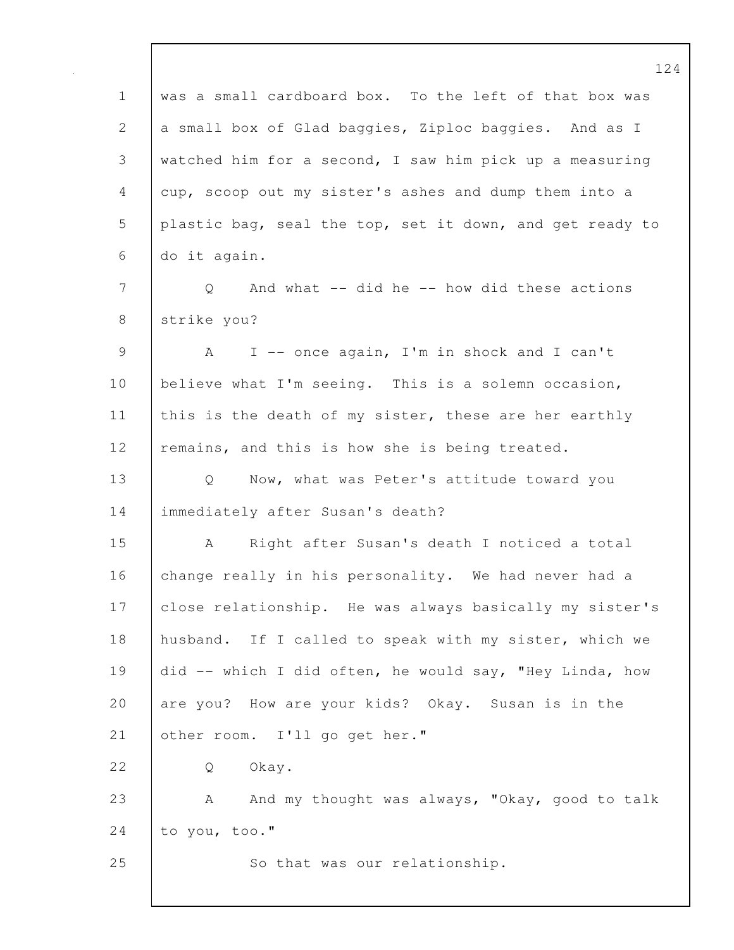124 1 was a small cardboard box. To the left of that box was 2 a small box of Glad baggies, Ziploc baggies. And as I 3 watched him for a second, I saw him pick up a measuring 4 cup, scoop out my sister's ashes and dump them into a 5 plastic bag, seal the top, set it down, and get ready to 6 do it again. 7 | Q And what -- did he -- how did these actions 8 strike you? 9 A I -- once again, I'm in shock and I can't 10 | believe what I'm seeing. This is a solemn occasion, 11 | this is the death of my sister, these are her earthly 12 | remains, and this is how she is being treated. 13 | Q Now, what was Peter's attitude toward you 14 | immediately after Susan's death? 15 A Right after Susan's death I noticed a total 16 change really in his personality. We had never had a 17 close relationship. He was always basically my sister's 18 husband. If I called to speak with my sister, which we 19 did -- which I did often, he would say, "Hey Linda, how 20 are you? How are your kids? Okay. Susan is in the 21 | other room. I'll go get her." 22 | O Okay. 23 A And my thought was always, "Okay, good to talk 24 to you, too." 25 So that was our relationship.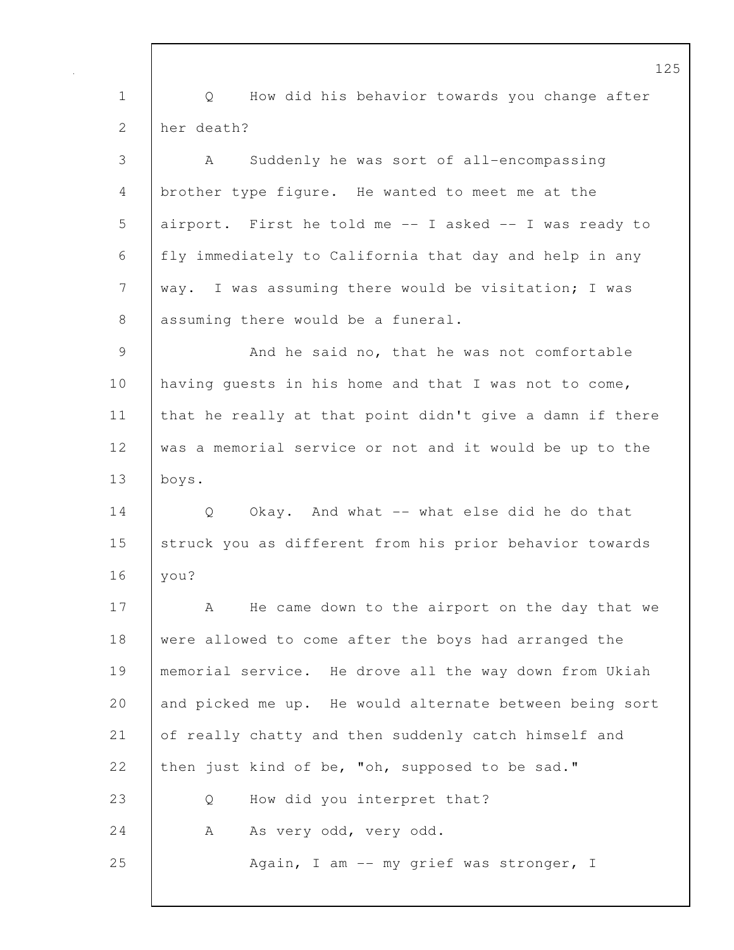125 1 Q How did his behavior towards you change after 2 her death? 3 A Suddenly he was sort of all-encompassing 4 brother type figure. He wanted to meet me at the 5 airport. First he told me -- I asked -- I was ready to 6 fly immediately to California that day and help in any 7 | way. I was assuming there would be visitation; I was 8 assuming there would be a funeral. 9 And he said no, that he was not comfortable 10 | having quests in his home and that I was not to come, 11 that he really at that point didn't give a damn if there 12 was a memorial service or not and it would be up to the 13 boys. 14 | O Okay. And what -- what else did he do that 15 struck you as different from his prior behavior towards 16 you? 17 | A He came down to the airport on the day that we 18 were allowed to come after the boys had arranged the 19 memorial service. He drove all the way down from Ukiah 20 and picked me up. He would alternate between being sort 21 of really chatty and then suddenly catch himself and 22 then just kind of be, "oh, supposed to be sad." 23 Q How did you interpret that? 24 A As very odd, very odd. 25 Again, I am -- my grief was stronger, I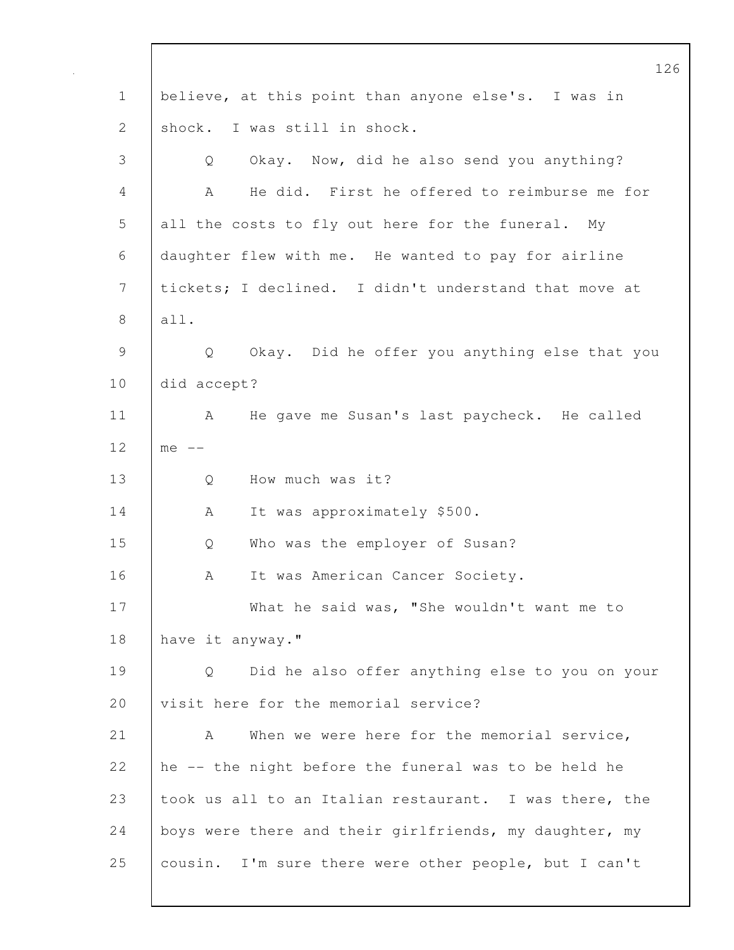|               | 12                                                                 |
|---------------|--------------------------------------------------------------------|
| $\mathbf 1$   | believe, at this point than anyone else's. I was in                |
| 2             | shock. I was still in shock.                                       |
| 3             | Okay. Now, did he also send you anything?<br>Q                     |
| 4             | He did. First he offered to reimburse me for<br>A                  |
| 5             | all the costs to fly out here for the funeral. My                  |
| 6             | daughter flew with me. He wanted to pay for airline                |
| 7             | tickets; I declined. I didn't understand that move at              |
| 8             | all.                                                               |
| $\mathcal{G}$ | Okay. Did he offer you anything else that you<br>$Q \qquad \qquad$ |
| 10            | did accept?                                                        |
| 11            | He gave me Susan's last paycheck. He called<br>A                   |
| 12            | $me$ $--$                                                          |
| 13            | How much was it?<br>Q                                              |
| 14            | It was approximately \$500.<br>A                                   |
| 15            | Who was the employer of Susan?<br>Q                                |
| 16            | It was American Cancer Society.<br>A                               |
| 17            | What he said was, "She wouldn't want me to                         |
| 18            | have it anyway."                                                   |
| 19            | Did he also offer anything else to you on your<br>Q                |
| 20            | visit here for the memorial service?                               |
| 21            | When we were here for the memorial service,<br>A                   |
| 22            | he -- the night before the funeral was to be held he               |
| 23            | took us all to an Italian restaurant. I was there, the             |
| 24            | boys were there and their girlfriends, my daughter, my             |
| 25            | cousin. I'm sure there were other people, but I can't              |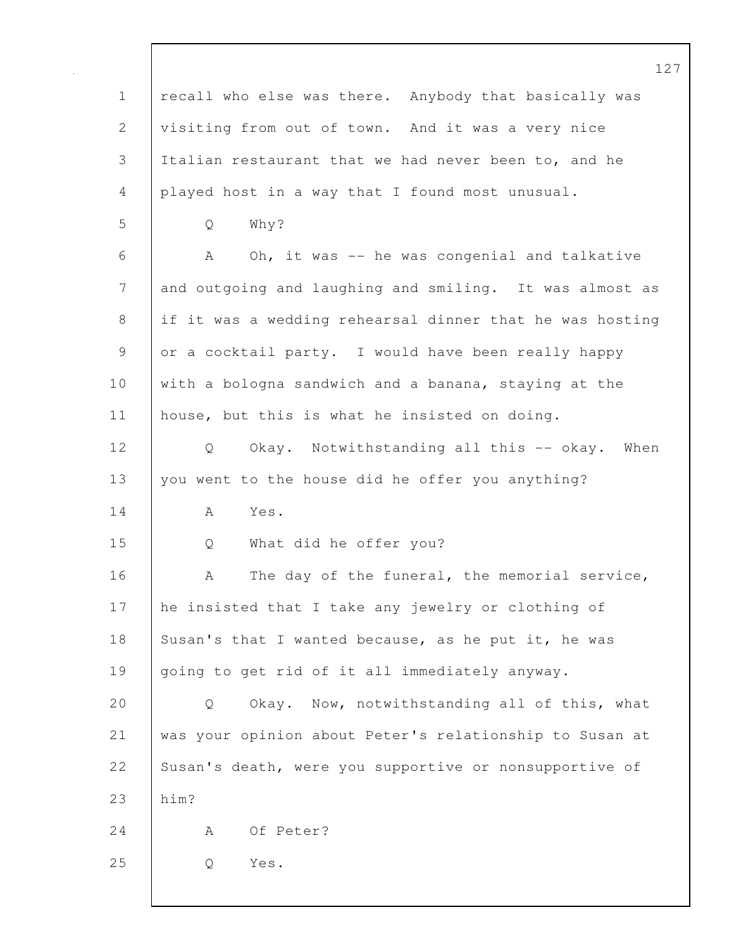|                | 12                                                       |
|----------------|----------------------------------------------------------|
| $\mathbf 1$    | recall who else was there. Anybody that basically was    |
| 2              | visiting from out of town. And it was a very nice        |
| $\mathfrak{Z}$ | Italian restaurant that we had never been to, and he     |
| 4              | played host in a way that I found most unusual.          |
| 5              | Why?<br>Q                                                |
| 6              | Oh, it was -- he was congenial and talkative<br>A        |
| 7              | and outgoing and laughing and smiling. It was almost as  |
| $\,8\,$        | if it was a wedding rehearsal dinner that he was hosting |
| $\mathsf 9$    | or a cocktail party. I would have been really happy      |
| 10             | with a bologna sandwich and a banana, staying at the     |
| 11             | house, but this is what he insisted on doing.            |
| 12             | Okay. Notwithstanding all this -- okay.<br>When<br>Q     |
| 13             | you went to the house did he offer you anything?         |
| 14             | Yes.<br>A                                                |
| 15             | What did he offer you?<br>Q                              |
| 16             | The day of the funeral, the memorial service,<br>A       |
| 17             | he insisted that I take any jewelry or clothing of       |
| 18             | Susan's that I wanted because, as he put it, he was      |
| 19             | going to get rid of it all immediately anyway.           |
| 20             | Okay. Now, notwithstanding all of this, what<br>Q        |
| 21             | was your opinion about Peter's relationship to Susan at  |
| 22             | Susan's death, were you supportive or nonsupportive of   |
| 23             | him?                                                     |
| 24             | Of Peter?<br>A                                           |
| 25             | Yes.<br>Q                                                |
|                |                                                          |

 $\mathbf I$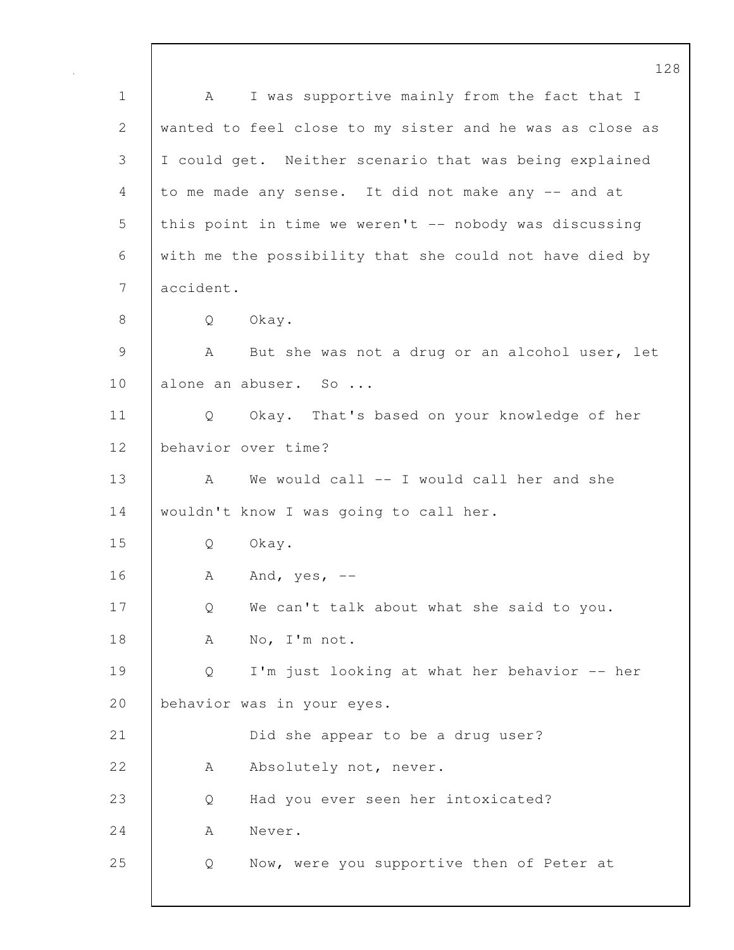128 1 | A I was supportive mainly from the fact that I 2 wanted to feel close to my sister and he was as close as 3 I could get. Neither scenario that was being explained 4 to me made any sense. It did not make any -- and at 5 this point in time we weren't -- nobody was discussing 6 with me the possibility that she could not have died by 7 accident. 8 Q Okay. 9 | A But she was not a drug or an alcohol user, let 10 | alone an abuser. So ... 11 Q Okay. That's based on your knowledge of her 12 behavior over time? 13 A We would call -- I would call her and she 14 | wouldn't know I was going to call her. 15 Q Okay. 16 | A And, yes, --17 Q We can't talk about what she said to you. 18 | A No, I'm not. 19 | Q I'm just looking at what her behavior -- her 20 behavior was in your eyes. 21 **Did she appear to be a drug user?** 22 A Absolutely not, never. 23 Q Had you ever seen her intoxicated? 24 A Never. 25 Q Now, were you supportive then of Peter at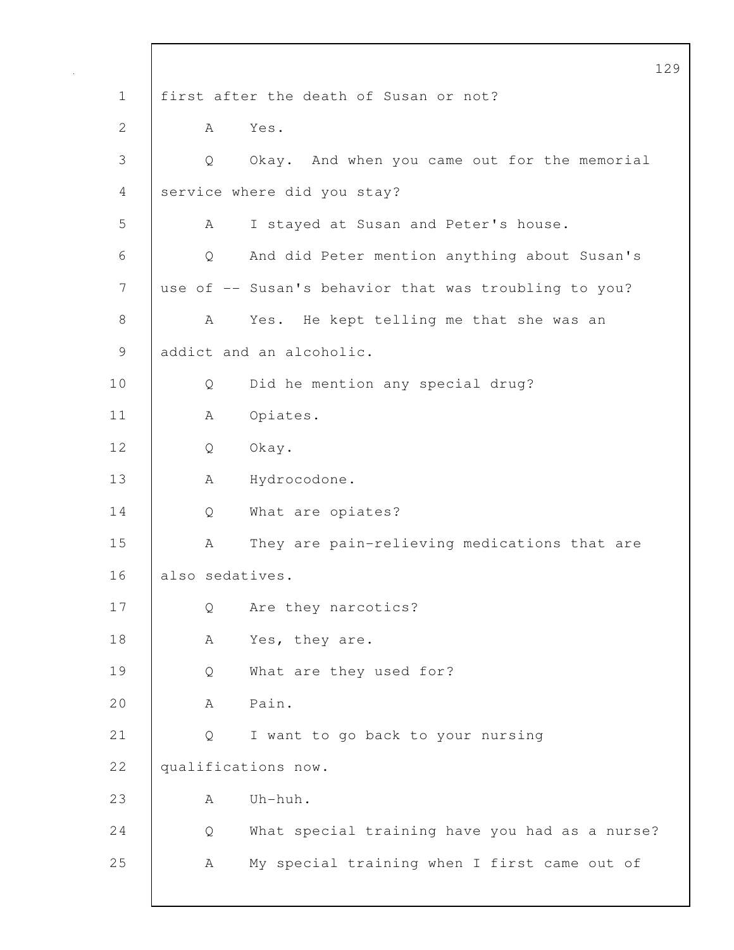|              |                 |                                                       | 12 |
|--------------|-----------------|-------------------------------------------------------|----|
| $\mathbf 1$  |                 | first after the death of Susan or not?                |    |
| $\mathbf{2}$ | A               | Yes.                                                  |    |
| 3            | Q               | Okay. And when you came out for the memorial          |    |
| 4            |                 | service where did you stay?                           |    |
| 5            | A               | I stayed at Susan and Peter's house.                  |    |
| 6            | $\mathsf{Q}$    | And did Peter mention anything about Susan's          |    |
| 7            |                 | use of -- Susan's behavior that was troubling to you? |    |
| $8\,$        | A               | Yes. He kept telling me that she was an               |    |
| $\mathsf 9$  |                 | addict and an alcoholic.                              |    |
| 10           | Q               | Did he mention any special drug?                      |    |
| 11           | A               | Opiates.                                              |    |
| 12           | Q               | Okay.                                                 |    |
| 13           | A               | Hydrocodone.                                          |    |
| 14           | Q               | What are opiates?                                     |    |
| 15           | А               | They are pain-relieving medications that are          |    |
| 16           | also sedatives. |                                                       |    |
| 17           | Q               | Are they narcotics?                                   |    |
| 18           | Α               | Yes, they are.                                        |    |
| 19           | Q               | What are they used for?                               |    |
| 20           | А               | Pain.                                                 |    |
| 21           | Q               | I want to go back to your nursing                     |    |
| 22           |                 | qualifications now.                                   |    |
| 23           | А               | Uh-huh.                                               |    |
| 24           | Q               | What special training have you had as a nurse?        |    |
| 25           | А               | My special training when I first came out of          |    |
|              |                 |                                                       |    |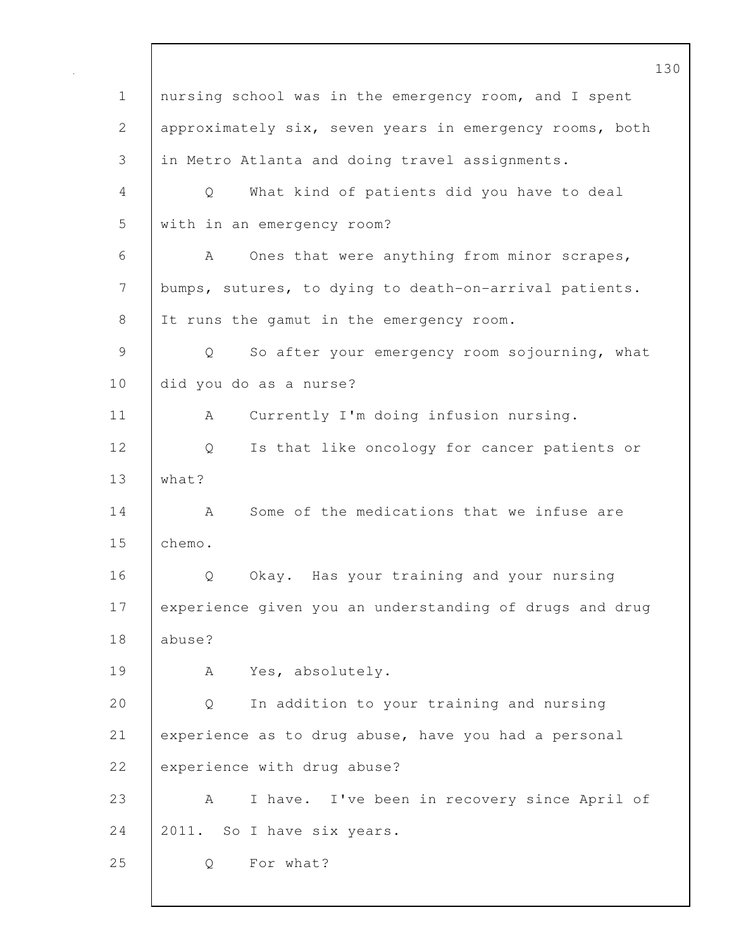130 1 nursing school was in the emergency room, and I spent 2 approximately six, seven years in emergency rooms, both 3 in Metro Atlanta and doing travel assignments. 4 Q What kind of patients did you have to deal 5 with in an emergency room? 6 A Ones that were anything from minor scrapes, 7 bumps, sutures, to dying to death-on-arrival patients. 8 It runs the gamut in the emergency room. 9 Q So after your emergency room sojourning, what 10 did you do as a nurse? 11 | A Currently I'm doing infusion nursing. 12 Q Is that like oncology for cancer patients or 13 what? 14 A Some of the medications that we infuse are 15 chemo. 16 | O Okay. Has your training and your nursing 17 experience given you an understanding of drugs and drug 18 abuse? 19 | A Yes, absolutely. 20 Q In addition to your training and nursing 21 experience as to drug abuse, have you had a personal 22 experience with drug abuse? 23 A I have. I've been in recovery since April of 24 2011. So I have six years. 25 Q For what?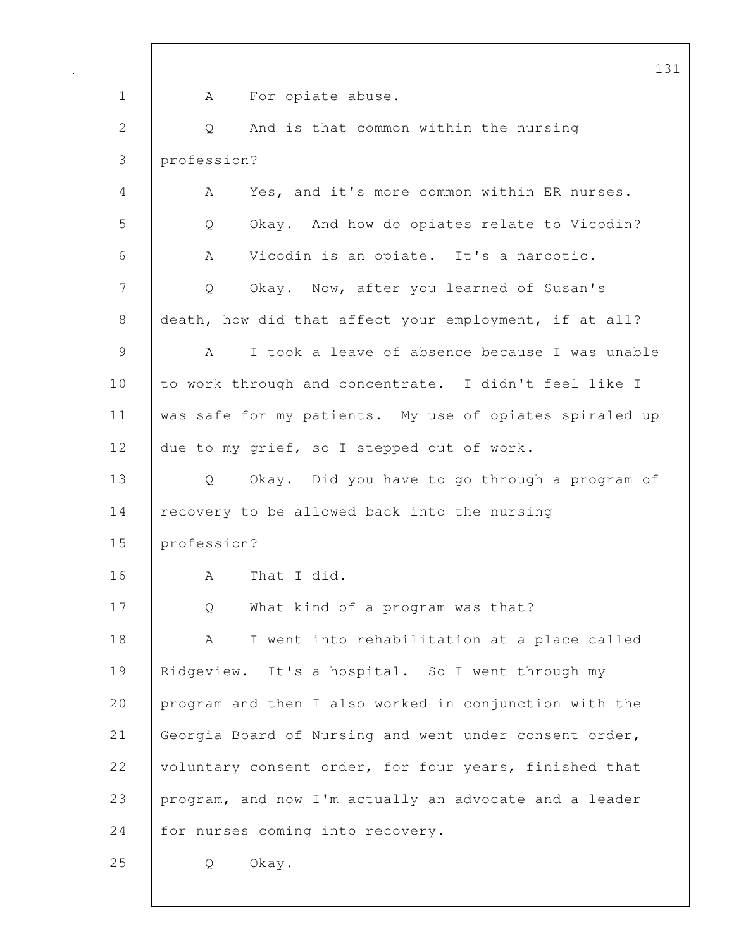|               | 13                                                                 |
|---------------|--------------------------------------------------------------------|
| $\mathbf 1$   | For opiate abuse.<br>A                                             |
| $\mathbf{2}$  | And is that common within the nursing<br>Q                         |
| 3             | profession?                                                        |
| 4             | Yes, and it's more common within ER nurses.<br>A                   |
| 5             | Okay. And how do opiates relate to Vicodin?<br>Q                   |
| 6             | Vicodin is an opiate. It's a narcotic.<br>A                        |
| 7             | Okay. Now, after you learned of Susan's<br>Q                       |
| $\,8\,$       | death, how did that affect your employment, if at all?             |
| $\mathcal{G}$ | I took a leave of absence because I was unable<br>A                |
| 10            | to work through and concentrate. I didn't feel like I              |
| 11            | was safe for my patients. My use of opiates spiraled up            |
| 12            | due to my grief, so I stepped out of work.                         |
| 13            | Okay. Did you have to go through a program of<br>$Q \qquad \qquad$ |
| 14            | recovery to be allowed back into the nursing                       |
| 15            | profession?                                                        |
| 16            | That I did.<br>А                                                   |
| 17            | What kind of a program was that?<br>Q                              |
| 18            | I went into rehabilitation at a place called<br>A                  |
| 19            | Ridgeview. It's a hospital. So I went through my                   |
| 20            | program and then I also worked in conjunction with the             |
| 21            | Georgia Board of Nursing and went under consent order,             |
| 22            | voluntary consent order, for four years, finished that             |
| 23            | program, and now I'm actually an advocate and a leader             |
| 24            | for nurses coming into recovery.                                   |
| 25            | Okay.<br>Q                                                         |
|               |                                                                    |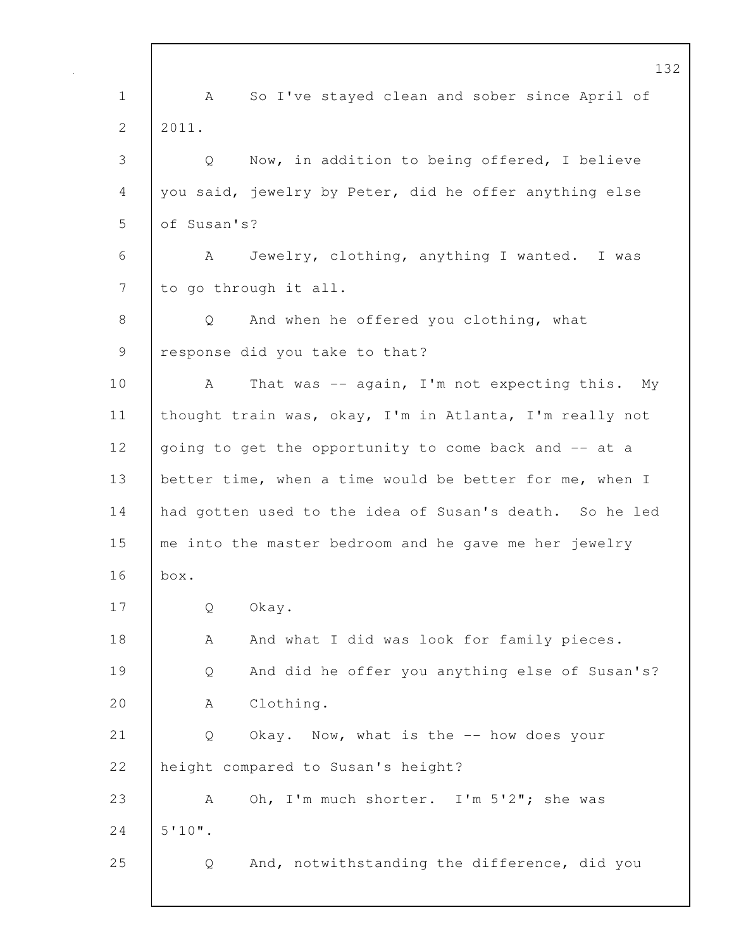132 1 | A So I've stayed clean and sober since April of  $2 \mid 2011$ . 3 Q Now, in addition to being offered, I believe 4 you said, jewelry by Peter, did he offer anything else 5 of Susan's? 6 A Jewelry, clothing, anything I wanted. I was 7 to go through it all. 8 Q And when he offered you clothing, what 9 | response did you take to that? 10 | A That was -- again, I'm not expecting this. My 11 thought train was, okay, I'm in Atlanta, I'm really not 12 going to get the opportunity to come back and -- at a 13 better time, when a time would be better for me, when I 14 had gotten used to the idea of Susan's death. So he led 15 me into the master bedroom and he gave me her jewelry 16 box. 17 Q Okay. 18 | A And what I did was look for family pieces. 19 Q And did he offer you anything else of Susan's? 20 | A Clothing. 21 | Q Okay. Now, what is the -- how does your 22 | height compared to Susan's height? 23 A Oh, I'm much shorter. I'm 5'2"; she was  $24$  5'10". 25 Q And, notwithstanding the difference, did you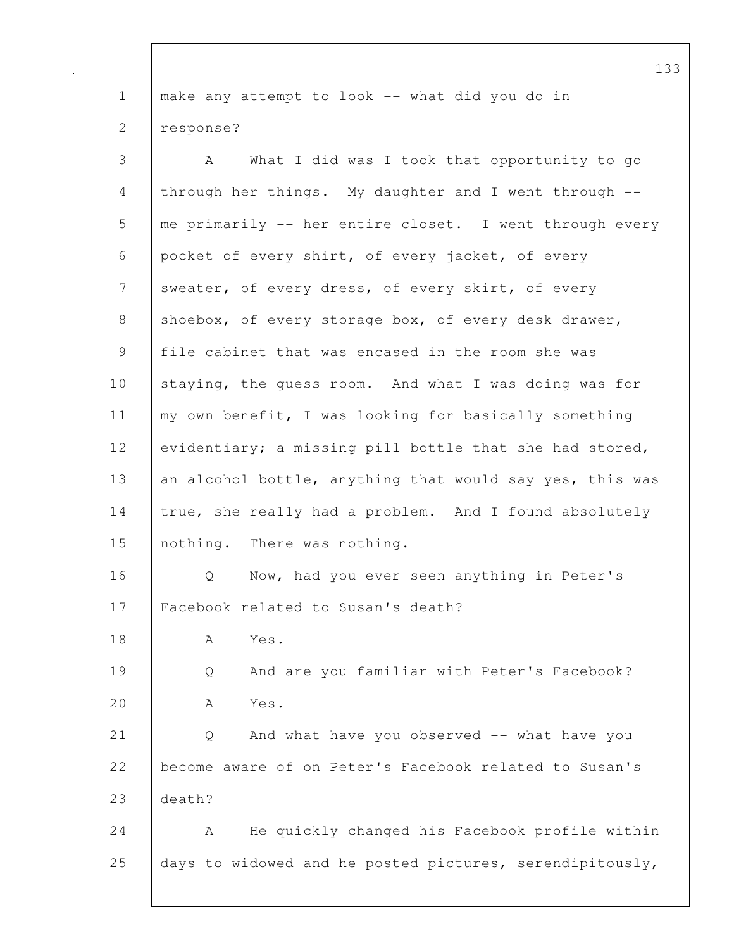1 | make any attempt to look -- what did you do in 2 response?

3 A What I did was I took that opportunity to go 4 through her things. My daughter and I went through -- 5 me primarily -- her entire closet. I went through every 6 pocket of every shirt, of every jacket, of every 7 sweater, of every dress, of every skirt, of every 8 shoebox, of every storage box, of every desk drawer, 9 file cabinet that was encased in the room she was 10 staying, the guess room. And what I was doing was for 11 my own benefit, I was looking for basically something 12 evidentiary; a missing pill bottle that she had stored, 13 an alcohol bottle, anything that would say yes, this was 14 true, she really had a problem. And I found absolutely 15 nothing. There was nothing. 16 Q Now, had you ever seen anything in Peter's 17 Facebook related to Susan's death? 18 A Yes. 19 Q And are you familiar with Peter's Facebook? 20 A Yes. 21 Q And what have you observed -- what have you 22 become aware of on Peter's Facebook related to Susan's 23 death? 24 | A He quickly changed his Facebook profile within 25 days to widowed and he posted pictures, serendipitously,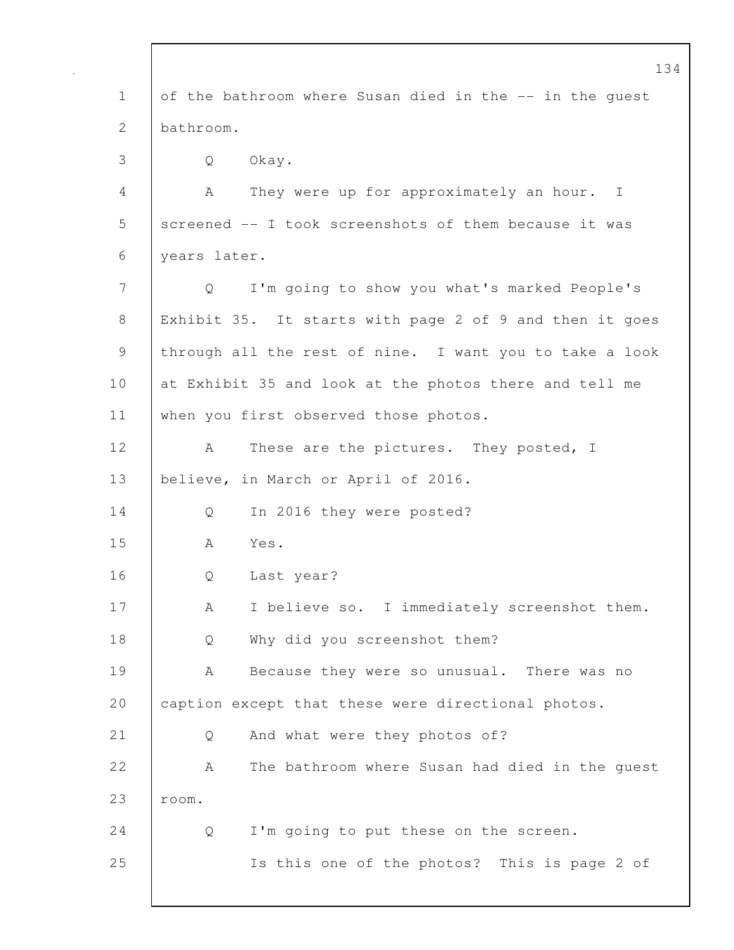|             | 134                                                     |
|-------------|---------------------------------------------------------|
| $\mathbf 1$ | of the bathroom where Susan died in the -- in the quest |
| 2           | bathroom.                                               |
| 3           | Okay.<br>Q                                              |
| 4           | They were up for approximately an hour. I<br>A          |
| 5           | screened -- I took screenshots of them because it was   |
| 6           | years later.                                            |
| 7           | I'm going to show you what's marked People's<br>Q       |
| 8           | Exhibit 35. It starts with page 2 of 9 and then it goes |
| 9           | through all the rest of nine. I want you to take a look |
| 10          | at Exhibit 35 and look at the photos there and tell me  |
| 11          | when you first observed those photos.                   |
| 12          | These are the pictures. They posted, I<br>A             |
| 13          | believe, in March or April of 2016.                     |
| 14          | In 2016 they were posted?<br>Q                          |
| 15          | Yes.<br>A                                               |
| 16          | Last year?<br>Q                                         |
| 17          | I believe so. I immediately screenshot them.<br>А       |
| 18          | Why did you screenshot them?<br>Q                       |
| 19          | Because they were so unusual. There was no<br>А         |
| 20          | caption except that these were directional photos.      |
| 21          | And what were they photos of?<br>Q                      |
| 22          | The bathroom where Susan had died in the guest<br>А     |
| 23          | room.                                                   |
| 24          | I'm going to put these on the screen.<br>Q              |
| 25          | Is this one of the photos? This is page 2 of            |
|             |                                                         |

 $\mathbf I$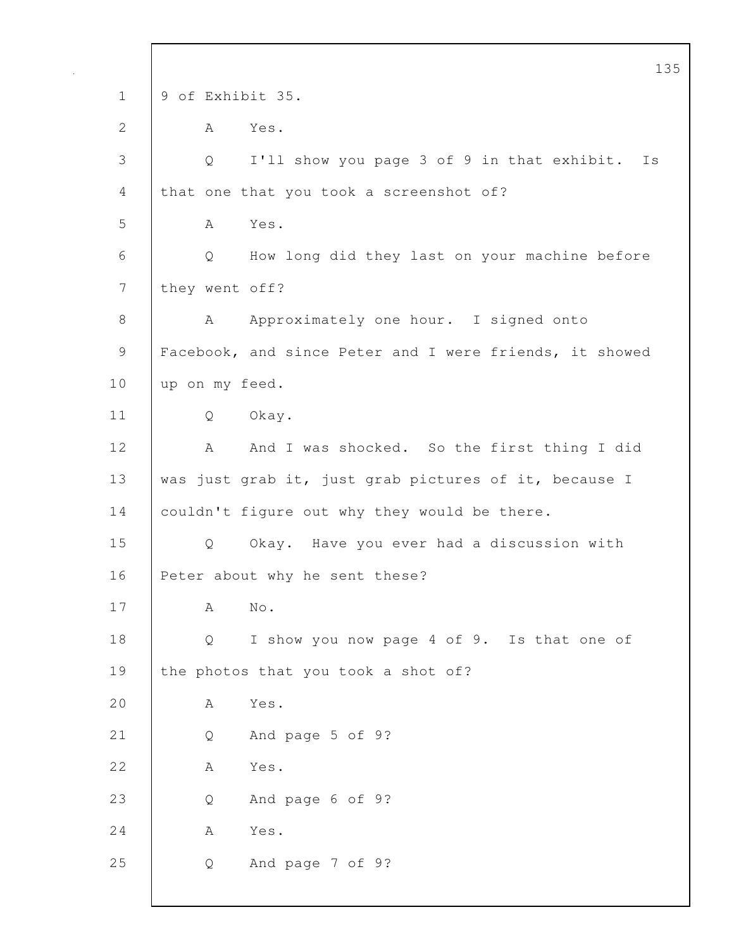135 1 9 of Exhibit 35. 2 A Yes. 3 Q I'll show you page 3 of 9 in that exhibit. Is 4 that one that you took a screenshot of? 5 A Yes. 6 Q How long did they last on your machine before 7 they went off? 8 A Approximately one hour. I signed onto 9 | Facebook, and since Peter and I were friends, it showed 10 up on my feed. 11 Q Okay. 12 | A And I was shocked. So the first thing I did 13 was just grab it, just grab pictures of it, because I 14 couldn't figure out why they would be there. 15 Q Okay. Have you ever had a discussion with 16 | Peter about why he sent these? 17 A No. 18 Q I show you now page 4 of 9. Is that one of 19 the photos that you took a shot of? 20 A Yes. 21 Q And page 5 of 9? 22 A Yes. 23 Q And page 6 of 9? 24 A Yes. 25 Q And page 7 of 9?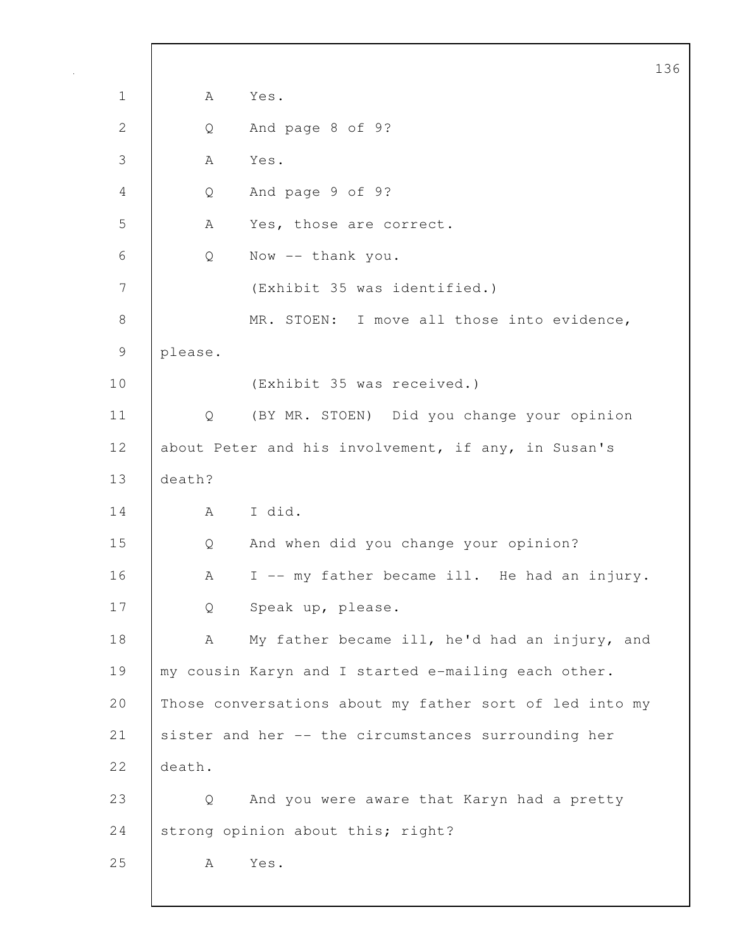|               |                                                     |                                                         | 136 |
|---------------|-----------------------------------------------------|---------------------------------------------------------|-----|
| $\mathbf 1$   | Α                                                   | Yes.                                                    |     |
| $\mathbf{2}$  | Q                                                   | And page 8 of 9?                                        |     |
| 3             | Α                                                   | Yes.                                                    |     |
| 4             | Q                                                   | And page 9 of 9?                                        |     |
| 5             | А                                                   | Yes, those are correct.                                 |     |
| 6             | Q                                                   | Now -- thank you.                                       |     |
| 7             |                                                     | (Exhibit 35 was identified.)                            |     |
| $8\,$         |                                                     | MR. STOEN: I move all those into evidence,              |     |
| $\mathcal{G}$ | please.                                             |                                                         |     |
| 10            |                                                     | (Exhibit 35 was received.)                              |     |
| 11            | Q                                                   | (BY MR. STOEN) Did you change your opinion              |     |
| 12            | about Peter and his involvement, if any, in Susan's |                                                         |     |
| 13            | death?                                              |                                                         |     |
| 14            | А                                                   | I did.                                                  |     |
| 15            | Q                                                   | And when did you change your opinion?                   |     |
| 16            | Α                                                   | I -- my father became ill. He had an injury.            |     |
| 17            | Q                                                   | Speak up, please.                                       |     |
| 18            | А                                                   | My father became ill, he'd had an injury, and           |     |
| 19            |                                                     | my cousin Karyn and I started e-mailing each other.     |     |
| 20            |                                                     | Those conversations about my father sort of led into my |     |
| 21            |                                                     | sister and her -- the circumstances surrounding her     |     |
| 22            | death.                                              |                                                         |     |
| 23            | Q                                                   | And you were aware that Karyn had a pretty              |     |
| 24            |                                                     | strong opinion about this; right?                       |     |
| 25            | A                                                   | Yes.                                                    |     |
|               |                                                     |                                                         |     |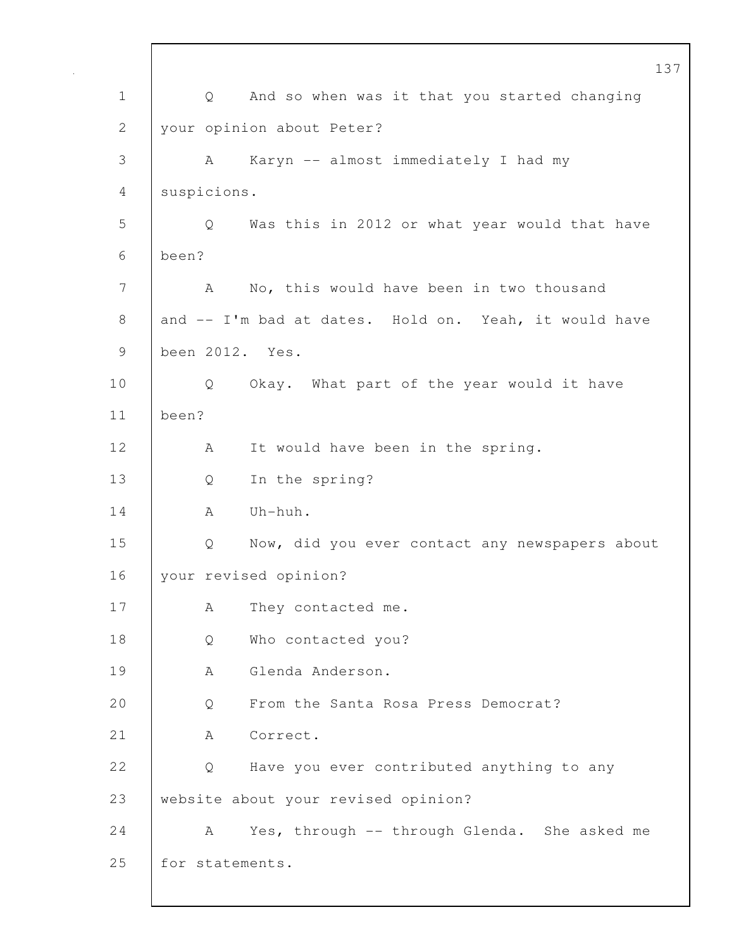|             |                 | 13                                                    |
|-------------|-----------------|-------------------------------------------------------|
| $\mathbf 1$ | Q               | And so when was it that you started changing          |
| 2           |                 | your opinion about Peter?                             |
| 3           | A               | Karyn -- almost immediately I had my                  |
| 4           | suspicions.     |                                                       |
| 5           | Q               | Was this in 2012 or what year would that have         |
| 6           | been?           |                                                       |
| 7           | A               | No, this would have been in two thousand              |
| 8           |                 | and -- I'm bad at dates. Hold on. Yeah, it would have |
| $\mathsf 9$ | been 2012. Yes. |                                                       |
| 10          | Q               | Okay. What part of the year would it have             |
| 11          | been?           |                                                       |
| 12          | A               | It would have been in the spring.                     |
| 13          | Q               | In the spring?                                        |
| 14          | A               | Uh-huh.                                               |
| 15          | Q               | Now, did you ever contact any newspapers about        |
| 16          |                 | your revised opinion?                                 |
| 17          | Α               | They contacted me.                                    |
| 18          | Q               | Who contacted you?                                    |
| 19          | А               | Glenda Anderson.                                      |
| 20          | Q               | From the Santa Rosa Press Democrat?                   |
| 21          | А               | Correct.                                              |
| 22          | Q               | Have you ever contributed anything to any             |
| 23          |                 | website about your revised opinion?                   |
| 24          | A               | Yes, through -- through Glenda. She asked me          |
| 25          | for statements. |                                                       |
|             |                 |                                                       |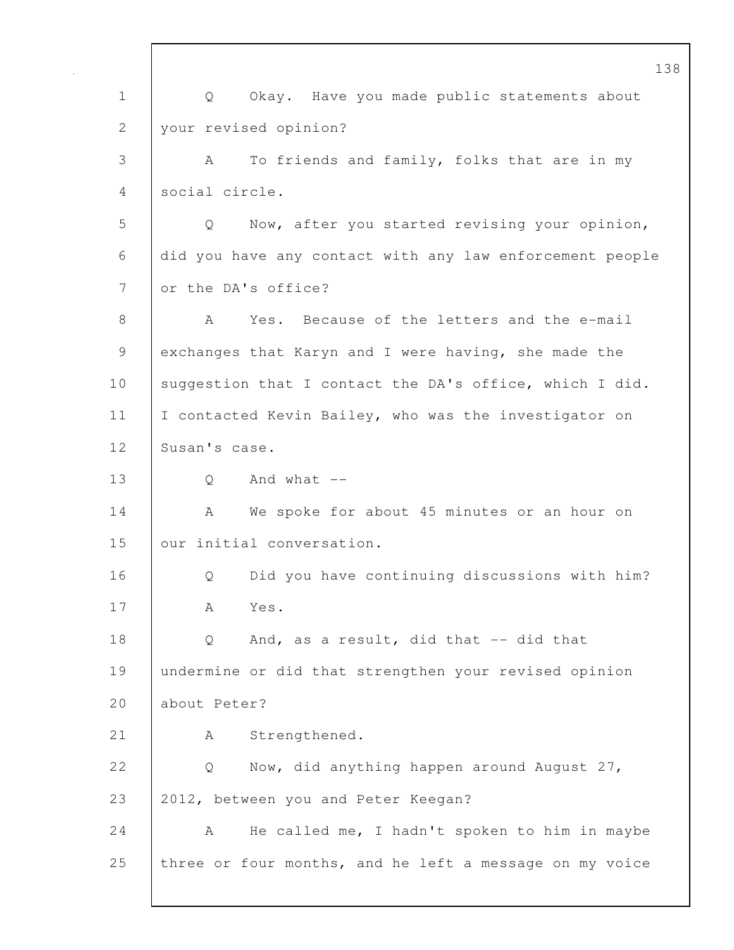138 1 Q Okay. Have you made public statements about 2 your revised opinion? 3 A To friends and family, folks that are in my 4 social circle. 5 Q Now, after you started revising your opinion, 6 did you have any contact with any law enforcement people 7 or the DA's office? 8 A Yes. Because of the letters and the e-mail 9 exchanges that Karyn and I were having, she made the 10 suggestion that I contact the DA's office, which I did. 11 | I contacted Kevin Bailey, who was the investigator on 12 Susan's case.  $13 \quad$  O And what  $-$ 14 | A We spoke for about 45 minutes or an hour on 15 | our initial conversation. 16 | O Did you have continuing discussions with him? 17 A Yes. 18 | Q And, as a result, did that -- did that 19 undermine or did that strengthen your revised opinion 20 about Peter? 21 | A Strengthened. 22 | Q Now, did anything happen around August 27, 23 2012, between you and Peter Keegan? 24 A He called me, I hadn't spoken to him in maybe 25 three or four months, and he left a message on my voice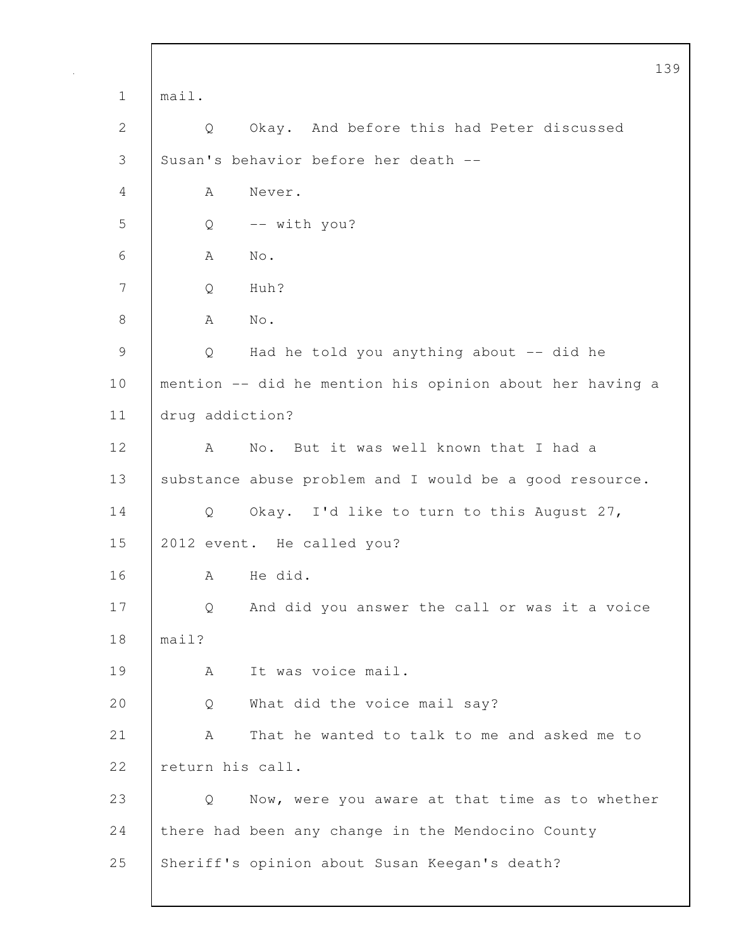|               |                  |                                                          | 13 |
|---------------|------------------|----------------------------------------------------------|----|
| $\mathbf 1$   | mail.            |                                                          |    |
| 2             | Q                | Okay. And before this had Peter discussed                |    |
| 3             |                  | Susan's behavior before her death --                     |    |
| 4             | Α                | Never.                                                   |    |
| 5             | Q                | -- with you?                                             |    |
| 6             | A                | $\mathrm{No}$ .                                          |    |
| 7             | Q                | Huh?                                                     |    |
| $8\,$         | Α                | $\mathrm{No}$ .                                          |    |
| $\mathcal{G}$ | Q                | Had he told you anything about -- did he                 |    |
| 10            |                  | mention -- did he mention his opinion about her having a |    |
| 11            | drug addiction?  |                                                          |    |
| 12            | A                | No. But it was well known that I had a                   |    |
| 13            |                  | substance abuse problem and I would be a good resource.  |    |
| 14            | Q                | Okay. I'd like to turn to this August 27,                |    |
| 15            |                  | 2012 event. He called you?                               |    |
| 16            | А                | He did.                                                  |    |
| 17            | Q                | And did you answer the call or was it a voice            |    |
| 18            | main?            |                                                          |    |
| 19            | А                | It was voice mail.                                       |    |
| 20            | Q                | What did the voice mail say?                             |    |
| 21            | Α                | That he wanted to talk to me and asked me to             |    |
| 22            | return his call. |                                                          |    |
| 23            | Q                | Now, were you aware at that time as to whether           |    |
| 24            |                  | there had been any change in the Mendocino County        |    |
| 25            |                  | Sheriff's opinion about Susan Keegan's death?            |    |
|               |                  |                                                          |    |

 $\mathsf{l}$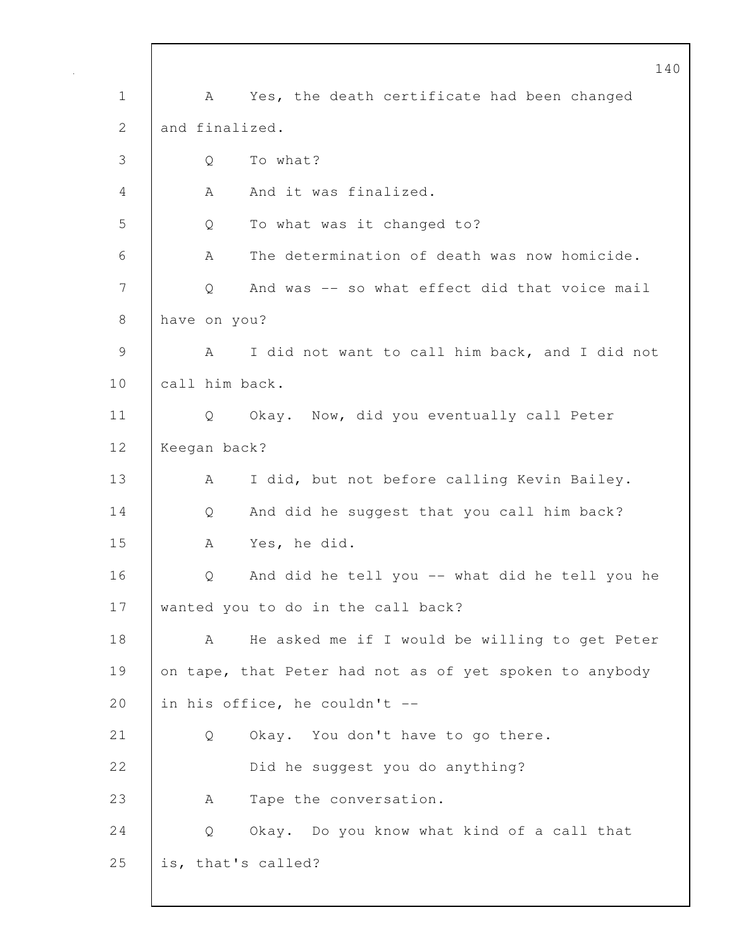140 1 | A Yes, the death certificate had been changed 2 and finalized. 3 Q To what? 4 A And it was finalized. 5 Q To what was it changed to? 6 A The determination of death was now homicide. 7 | Q And was -- so what effect did that voice mail 8 have on you? 9 | A I did not want to call him back, and I did not 10 call him back. 11 Q Okay. Now, did you eventually call Peter 12 Keegan back? 13 | A I did, but not before calling Kevin Bailey. 14 Q And did he suggest that you call him back? 15 A Yes, he did. 16 Q And did he tell you -- what did he tell you he 17 wanted you to do in the call back? 18 | A He asked me if I would be willing to get Peter 19 on tape, that Peter had not as of yet spoken to anybody 20  $\vert$  in his office, he couldn't --21 | Q Okay. You don't have to go there. 22 Did he suggest you do anything? 23 A Tape the conversation. 24 Q Okay. Do you know what kind of a call that 25 is, that's called?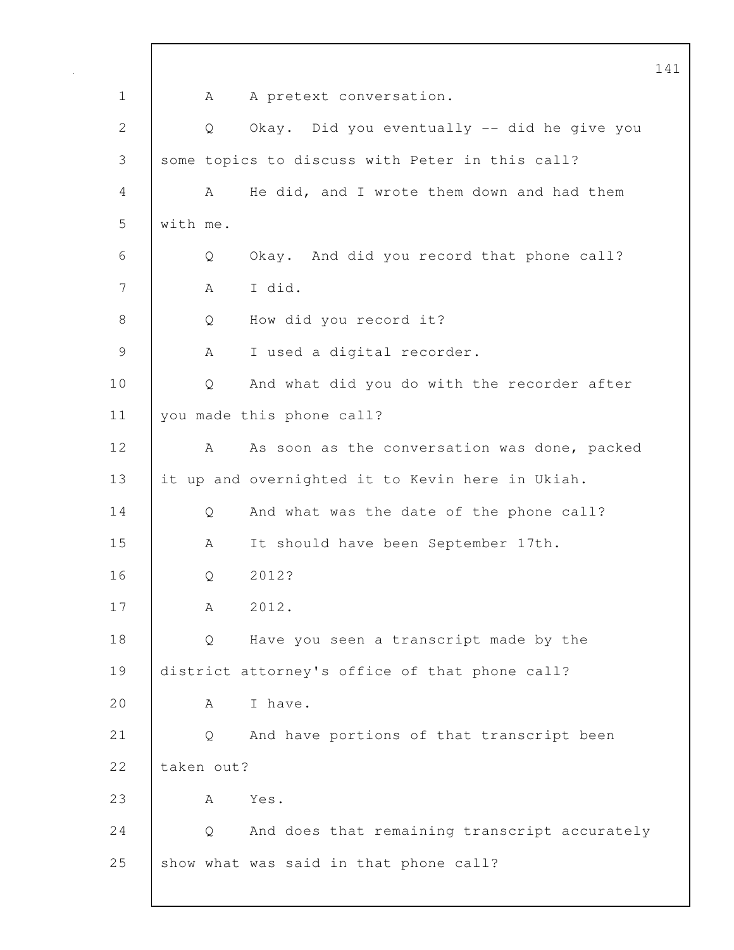141 1 A A pretext conversation. 2 Q Okay. Did you eventually -- did he give you 3 some topics to discuss with Peter in this call? 4 A He did, and I wrote them down and had them 5 with me. 6 Q Okay. And did you record that phone call? 7 A I did. 8 Q How did you record it? 9 | A I used a digital recorder. 10 | Q And what did you do with the recorder after 11 you made this phone call? 12 | A As soon as the conversation was done, packed 13 it up and overnighted it to Kevin here in Ukiah. 14 Q And what was the date of the phone call? 15 A It should have been September 17th. 16 | 0 2012? 17 | A 2012. 18 | Q Have you seen a transcript made by the 19 district attorney's office of that phone call? 20 A I have. 21 Q And have portions of that transcript been 22 taken out? 23 A Yes. 24 Q And does that remaining transcript accurately 25 show what was said in that phone call?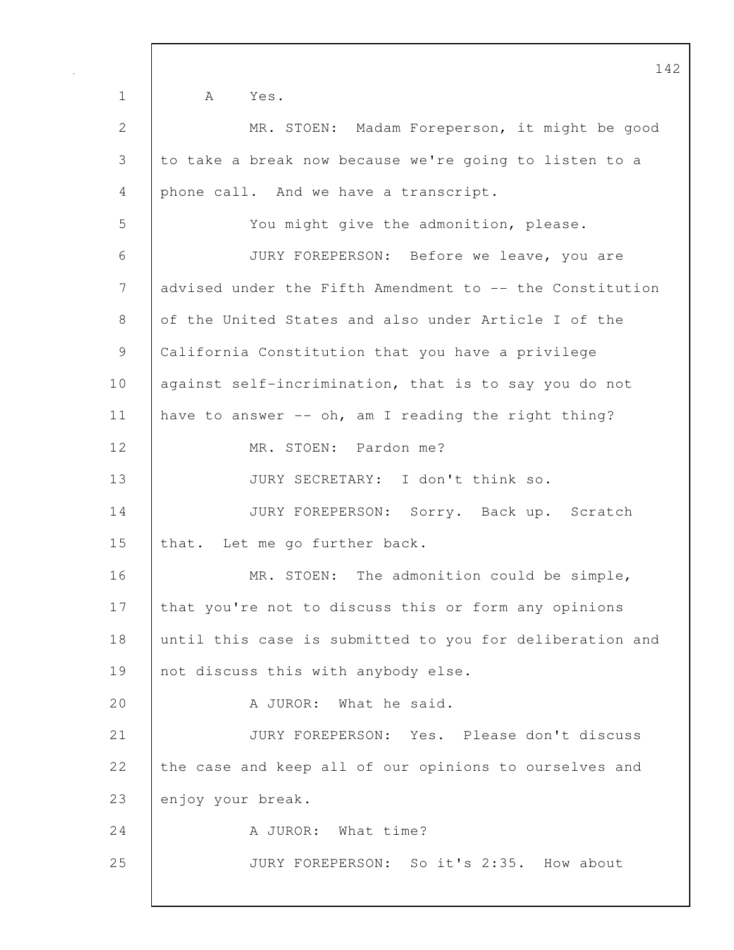1 A Yes. 2 MR. STOEN: Madam Foreperson, it might be good 3 to take a break now because we're going to listen to a 4 phone call. And we have a transcript. 5 You might give the admonition, please. 6 JURY FOREPERSON: Before we leave, you are 7 advised under the Fifth Amendment to -- the Constitution 8 of the United States and also under Article I of the 9 California Constitution that you have a privilege 10 | against self-incrimination, that is to say you do not 11 have to answer -- oh, am I reading the right thing? 12 MR. STOEN: Pardon me? 13 JURY SECRETARY: I don't think so. 14 JURY FOREPERSON: Sorry. Back up. Scratch 15 that. Let me go further back. 16 MR. STOEN: The admonition could be simple, 17 that you're not to discuss this or form any opinions 18 until this case is submitted to you for deliberation and 19 | not discuss this with anybody else. 20 A JUROR: What he said. 21 JURY FOREPERSON: Yes. Please don't discuss 22 the case and keep all of our opinions to ourselves and 23 enjoy your break. 24 | A JUROR: What time? 25 JURY FOREPERSON: So it's 2:35. How about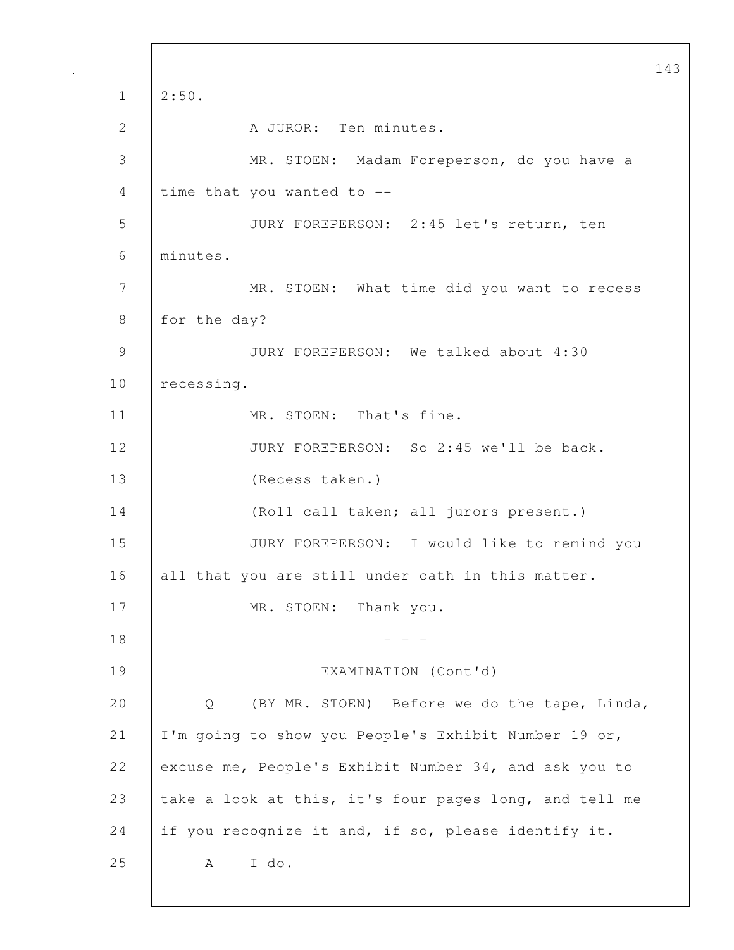143  $1 \mid 2:50.$ 2 | A JUROR: Ten minutes. 3 MR. STOEN: Madam Foreperson, do you have a 4 time that you wanted to -- 5 JURY FOREPERSON: 2:45 let's return, ten 6 minutes. 7 | MR. STOEN: What time did you want to recess 8 for the day? 9 JURY FOREPERSON: We talked about 4:30 10 recessing. 11 | MR. STOEN: That's fine. 12 **JURY FOREPERSON:** So 2:45 we'll be back. 13 (Recess taken.) 14 (Roll call taken; all jurors present.) 15 JURY FOREPERSON: I would like to remind you 16 all that you are still under oath in this matter. 17 MR. STOEN: Thank you.  $18$  - - -19 EXAMINATION (Cont'd) 20 Q (BY MR. STOEN) Before we do the tape, Linda, 21 I'm going to show you People's Exhibit Number 19 or, 22 excuse me, People's Exhibit Number 34, and ask you to 23 take a look at this, it's four pages long, and tell me 24 if you recognize it and, if so, please identify it. 25 A I do.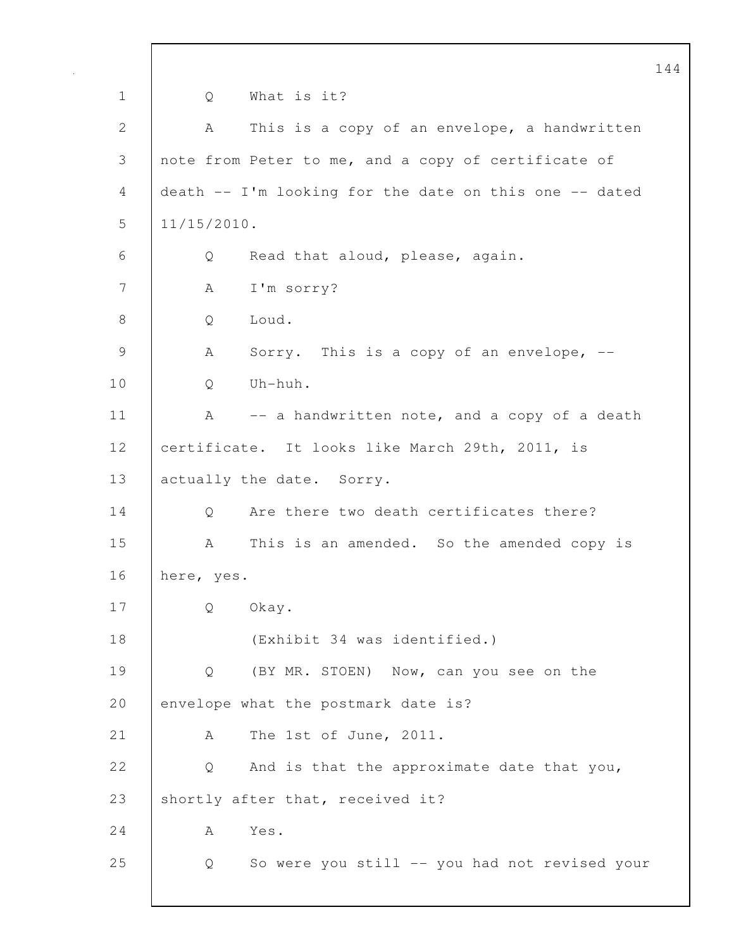|                 |                                                        | 144 |  |  |
|-----------------|--------------------------------------------------------|-----|--|--|
| $\mathbf 1$     | What is it?<br>Q                                       |     |  |  |
| $\mathbf{2}$    | This is a copy of an envelope, a handwritten<br>A      |     |  |  |
| 3               | note from Peter to me, and a copy of certificate of    |     |  |  |
| 4               | death -- I'm looking for the date on this one -- dated |     |  |  |
| 5               | $11/15/2010$ .                                         |     |  |  |
| 6               | Read that aloud, please, again.<br>Q                   |     |  |  |
| $7\phantom{.0}$ | I'm sorry?<br>А                                        |     |  |  |
| 8               | Loud.<br>Q                                             |     |  |  |
| $\mathcal{G}$   | Sorry. This is a copy of an envelope, --<br>A          |     |  |  |
| 10              | Uh-huh.<br>Q                                           |     |  |  |
| 11              | -- a handwritten note, and a copy of a death<br>A      |     |  |  |
| 12              | certificate. It looks like March 29th, 2011, is        |     |  |  |
| 13              | actually the date. Sorry.                              |     |  |  |
| 14              | Are there two death certificates there?<br>Q           |     |  |  |
| 15              | This is an amended. So the amended copy is<br>A        |     |  |  |
| 16              | here, yes.                                             |     |  |  |
| 17              | Okay.<br>Q                                             |     |  |  |
| 18              | (Exhibit 34 was identified.)                           |     |  |  |
| 19              | (BY MR. STOEN) Now, can you see on the<br>Q            |     |  |  |
| 20              | envelope what the postmark date is?                    |     |  |  |
| 21              | The 1st of June, 2011.<br>A                            |     |  |  |
| 22              | And is that the approximate date that you,<br>Q        |     |  |  |
| 23              | shortly after that, received it?                       |     |  |  |
| 24              | Yes.<br>A                                              |     |  |  |
| 25              | So were you still -- you had not revised your<br>Q     |     |  |  |
|                 |                                                        |     |  |  |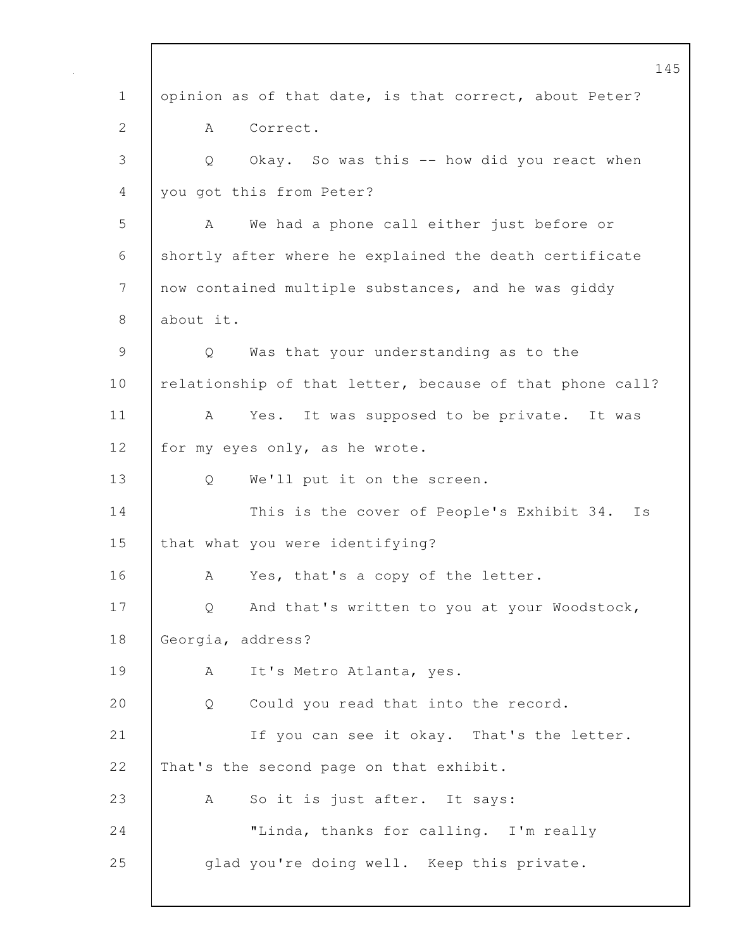145 1 opinion as of that date, is that correct, about Peter? 2 A Correct. 3 Q Okay. So was this -- how did you react when 4 you got this from Peter? 5 A We had a phone call either just before or 6 shortly after where he explained the death certificate 7 | now contained multiple substances, and he was giddy 8 about it. 9 Q Was that your understanding as to the 10 relationship of that letter, because of that phone call? 11 | A Yes. It was supposed to be private. It was 12 for my eyes only, as he wrote. 13 Q We'll put it on the screen. 14 This is the cover of People's Exhibit 34. Is 15 | that what you were identifying? 16 A Yes, that's a copy of the letter. 17 | Q And that's written to you at your Woodstock, 18 Georgia, address? 19 | A It's Metro Atlanta, yes. 20 Q Could you read that into the record. 21 | If you can see it okay. That's the letter. 22 That's the second page on that exhibit. 23 A So it is just after. It says: 24 | "Linda, thanks for calling. I'm really 25 glad you're doing well. Keep this private.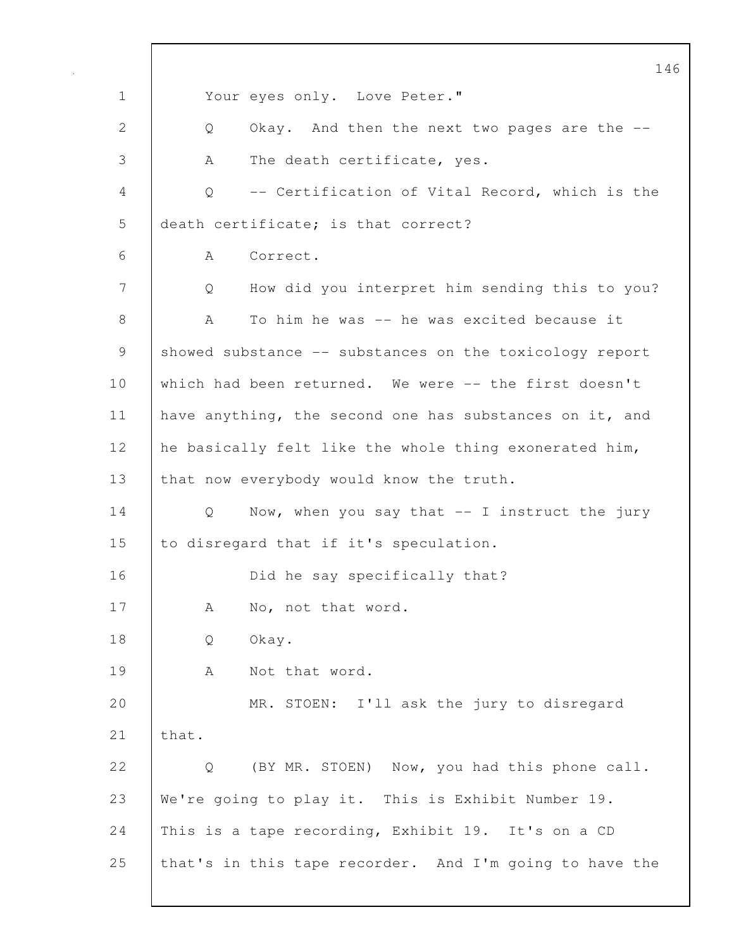146 1 Your eyes only. Love Peter." 2 | Q Okay. And then the next two pages are the --3 A The death certificate, yes. 4 Q -- Certification of Vital Record, which is the 5 death certificate; is that correct? 6 A Correct. 7 Q How did you interpret him sending this to you? 8 A To him he was -- he was excited because it 9 showed substance -- substances on the toxicology report 10 which had been returned. We were -- the first doesn't 11 | have anything, the second one has substances on it, and 12 he basically felt like the whole thing exonerated him, 13 that now everybody would know the truth. 14 | Q Now, when you say that -- I instruct the jury 15 to disregard that if it's speculation. 16 **Did he say specifically that?** 17 | A No, not that word. 18 Q Okay. 19 | A Not that word. 20 MR. STOEN: I'll ask the jury to disregard  $21$  that. 22 |  $\circ$  (BY MR. STOEN) Now, you had this phone call. 23 We're going to play it. This is Exhibit Number 19. 24 This is a tape recording, Exhibit 19. It's on a CD 25 | that's in this tape recorder. And I'm going to have the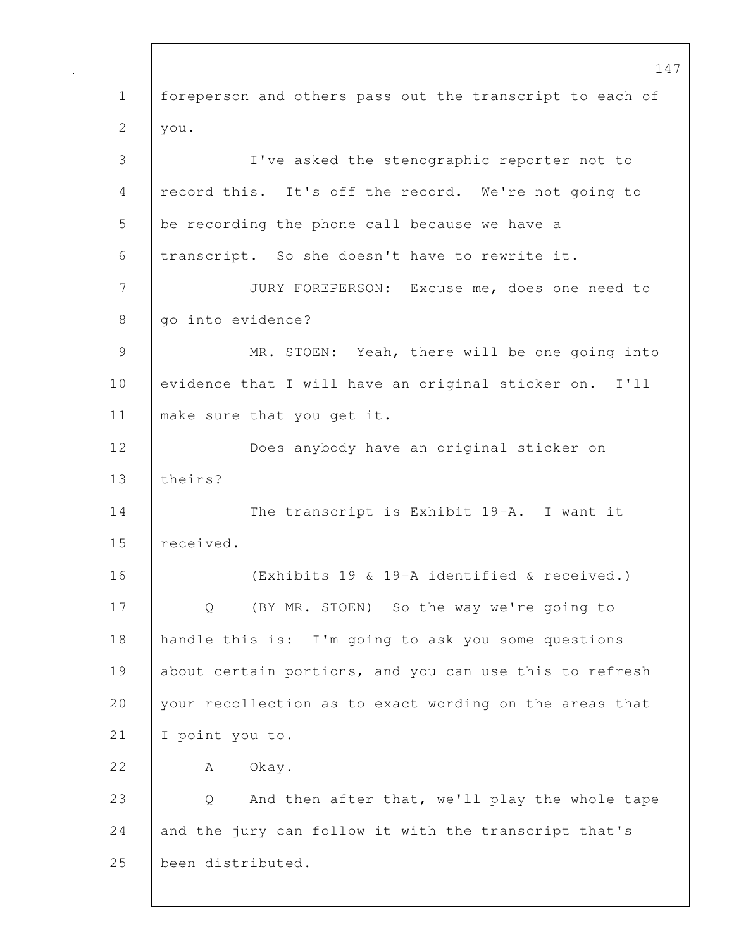147 1 foreperson and others pass out the transcript to each of 2  $|$  you. 3 I've asked the stenographic reporter not to 4 record this. It's off the record. We're not going to 5 be recording the phone call because we have a 6 transcript. So she doesn't have to rewrite it. 7 JURY FOREPERSON: Excuse me, does one need to 8 | go into evidence? 9 | MR. STOEN: Yeah, there will be one going into 10 evidence that I will have an original sticker on. I'll 11 | make sure that you get it. 12 Does anybody have an original sticker on 13 theirs? 14 The transcript is Exhibit 19-A. I want it 15 received. 16 (Exhibits 19 & 19-A identified & received.) 17 | Q (BY MR. STOEN) So the way we're going to 18 handle this is: I'm going to ask you some questions 19 about certain portions, and you can use this to refresh 20 your recollection as to exact wording on the areas that 21 I point you to. 22 A Okay. 23 Q And then after that, we'll play the whole tape 24  $\parallel$  and the jury can follow it with the transcript that's 25 been distributed.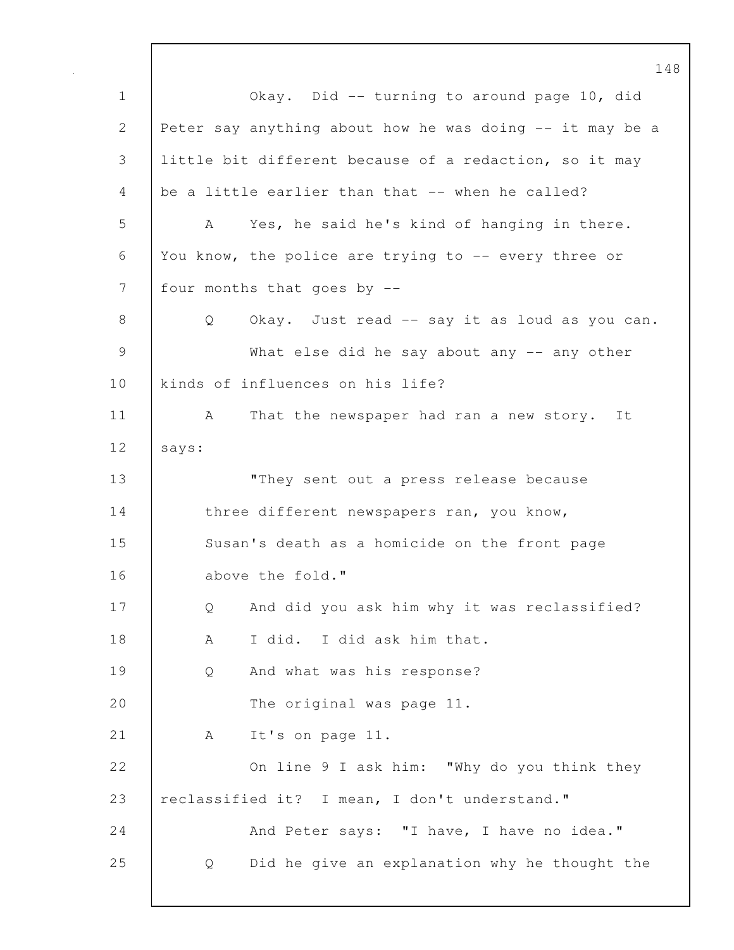148 1 Okay. Did -- turning to around page 10, did 2 Peter say anything about how he was doing -- it may be a 3 little bit different because of a redaction, so it may 4 be a little earlier than that -- when he called? 5 A Yes, he said he's kind of hanging in there. 6 You know, the police are trying to -- every three or 7 | four months that goes by --8 | Q Okay. Just read -- say it as loud as you can. 9 What else did he say about any -- any other 10 kinds of influences on his life? 11 | A That the newspaper had ran a new story. It 12 says: 13 **They sent out a press release because** 14 three different newspapers ran, you know, 15 Susan's death as a homicide on the front page 16 above the fold." 17 | Q And did you ask him why it was reclassified? 18 A I did. I did ask him that. 19 Q And what was his response? 20 The original was page 11. 21 | A It's on page 11. 22 On line 9 I ask him: "Why do you think they 23 reclassified it? I mean, I don't understand." 24 And Peter says: "I have, I have no idea." 25 Q Did he give an explanation why he thought the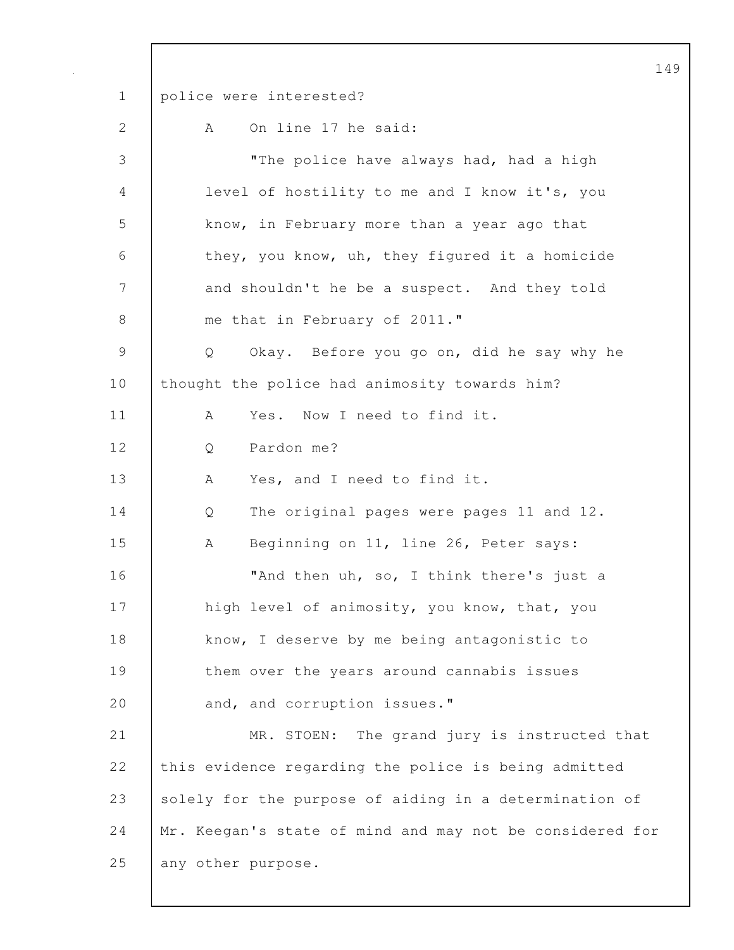149 1 police were interested? 2 A On line 17 he said: 3 "The police have always had, had a high 4 level of hostility to me and I know it's, you 5 know, in February more than a year ago that 6 they, you know, uh, they figured it a homicide 7 and shouldn't he be a suspect. And they told 8 me that in February of 2011." 9 Q Okay. Before you go on, did he say why he 10 | thought the police had animosity towards him? 11 | A Yes. Now I need to find it. 12 | O Pardon me? 13 A Yes, and I need to find it. 14 Q The original pages were pages 11 and 12. 15 | A Beginning on 11, line 26, Peter says: 16 **Wand then uh, so, I think there's just a** 17 | high level of animosity, you know, that, you 18 know, I deserve by me being antagonistic to 19 **them over the years around cannabis issues** 20 and, and corruption issues." 21 MR. STOEN: The grand jury is instructed that 22 this evidence regarding the police is being admitted 23 solely for the purpose of aiding in a determination of 24 | Mr. Keegan's state of mind and may not be considered for 25 any other purpose.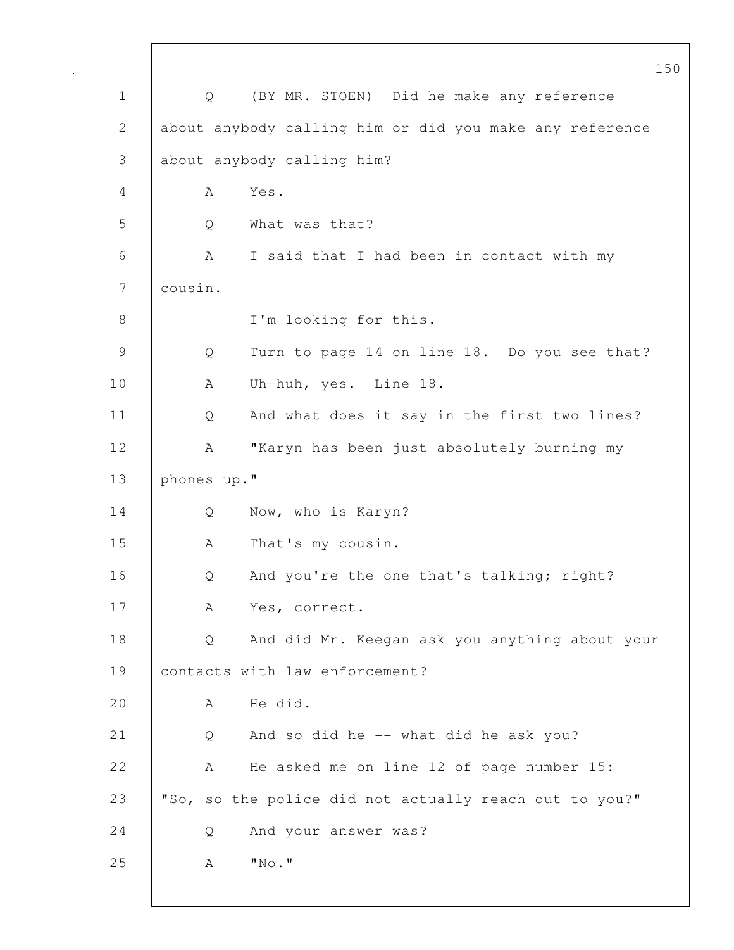|              | 150                                                     |
|--------------|---------------------------------------------------------|
| $\mathbf 1$  | (BY MR. STOEN) Did he make any reference<br>Q           |
| $\mathbf{2}$ | about anybody calling him or did you make any reference |
| 3            | about anybody calling him?                              |
| 4            | Yes.<br>A                                               |
| 5            | What was that?<br>Q                                     |
| 6            | I said that I had been in contact with my<br>A          |
| 7            | cousin.                                                 |
| $8\,$        | I'm looking for this.                                   |
| 9            | Turn to page 14 on line 18. Do you see that?<br>Q       |
| 10           | Uh-huh, yes. Line 18.<br>A                              |
| 11           | And what does it say in the first two lines?<br>Q       |
| 12           | "Karyn has been just absolutely burning my<br>А         |
| 13           | phones up."                                             |
| 14           | Now, who is Karyn?<br>Q                                 |
| 15           | That's my cousin.<br>А                                  |
| 16           | And you're the one that's talking; right?<br>Q          |
| 17           | Yes, correct.<br>А                                      |
| 18           | And did Mr. Keegan ask you anything about your<br>Q     |
| 19           | contacts with law enforcement?                          |
| 20           | He did.<br>A                                            |
| 21           | And so did he -- what did he ask you?<br>Q              |
| 22           | He asked me on line 12 of page number 15:<br>А          |
| 23           | "So, so the police did not actually reach out to you?"  |
| 24           | And your answer was?<br>Q                               |
| 25           | $"$ No."<br>Α                                           |
|              |                                                         |

 $\mathsf{I}$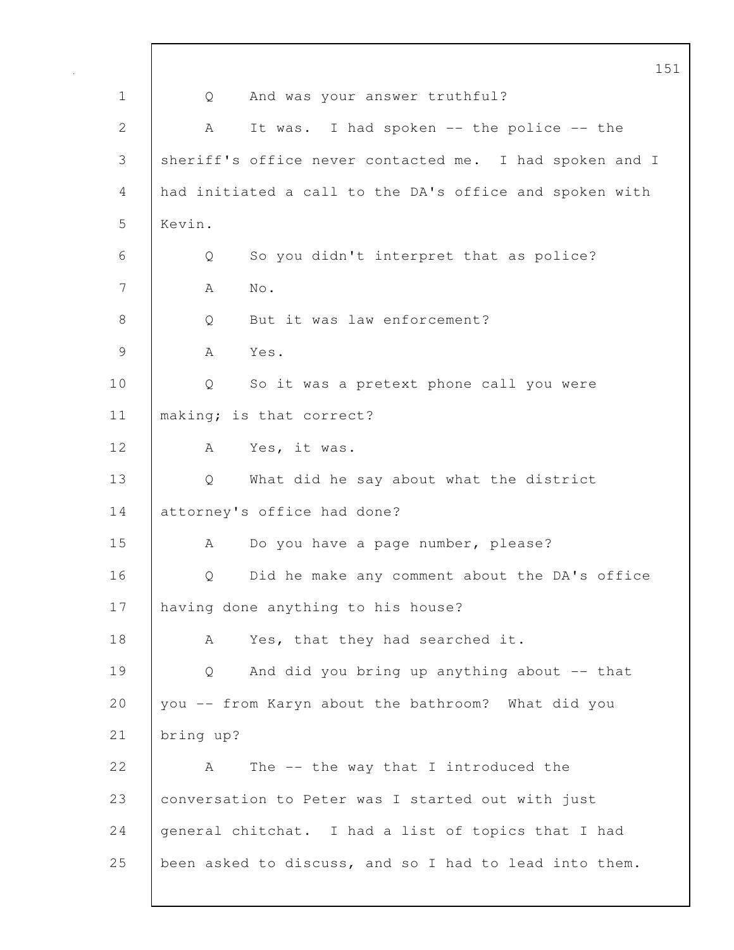|                | 151                                                     |
|----------------|---------------------------------------------------------|
| $\mathbf 1$    | And was your answer truthful?<br>Q                      |
| $\overline{2}$ | It was. I had spoken -- the police -- the<br>А          |
| 3              | sheriff's office never contacted me. I had spoken and I |
| 4              | had initiated a call to the DA's office and spoken with |
| 5              | Kevin.                                                  |
| 6              | So you didn't interpret that as police?<br>Q            |
| 7              | Α<br>No.                                                |
| 8              | But it was law enforcement?<br>Q                        |
| 9              | Yes.<br>A                                               |
| 10             | So it was a pretext phone call you were<br>Q            |
| 11             | making; is that correct?                                |
| 12             | Yes, it was.<br>A                                       |
| 13             | What did he say about what the district<br>Q            |
| 14             | attorney's office had done?                             |
| 15             | Do you have a page number, please?<br>A                 |
| 16             | Did he make any comment about the DA's office<br>Q      |
| 17             | having done anything to his house?                      |
| 18             | Yes, that they had searched it.<br>A                    |
| 19             | And did you bring up anything about -- that<br>Q        |
| 20             | you -- from Karyn about the bathroom? What did you      |
| 21             | bring up?                                               |
| 22             | The $--$ the way that I introduced the<br>A             |
| 23             | conversation to Peter was I started out with just       |
| 24             | general chitchat. I had a list of topics that I had     |
| 25             | been asked to discuss, and so I had to lead into them.  |
|                |                                                         |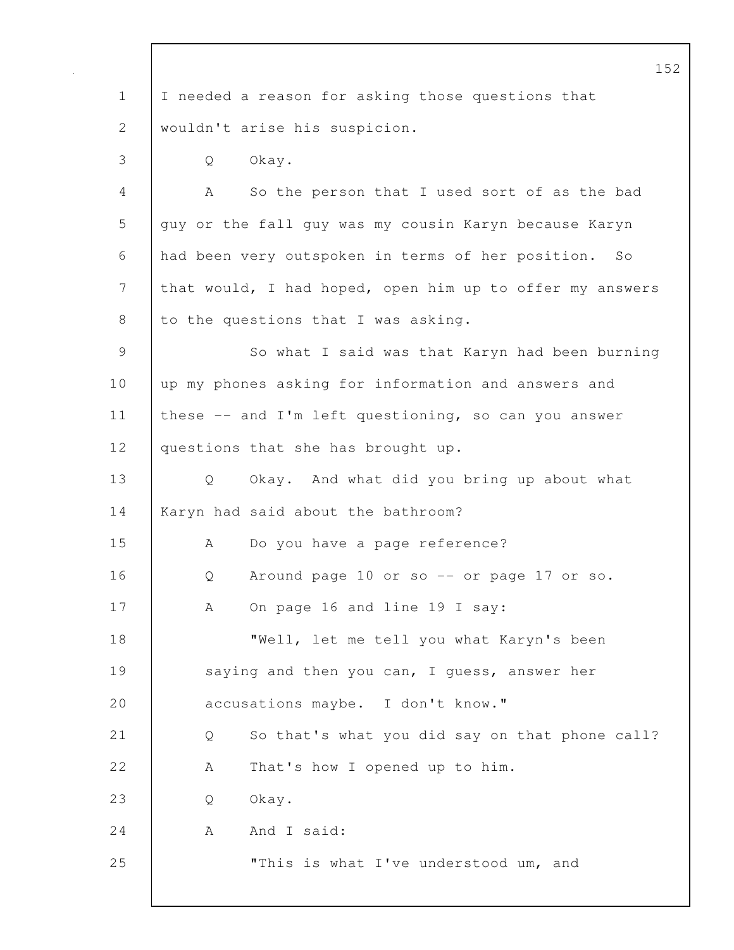|               | 152                                                      |
|---------------|----------------------------------------------------------|
| $\mathbf 1$   | I needed a reason for asking those questions that        |
| $\mathbf{2}$  | wouldn't arise his suspicion.                            |
| 3             | Okay.<br>Q                                               |
| 4             | So the person that I used sort of as the bad<br>А        |
| 5             | guy or the fall guy was my cousin Karyn because Karyn    |
| 6             | had been very outspoken in terms of her position.<br>SO  |
| 7             | that would, I had hoped, open him up to offer my answers |
| 8             | to the questions that I was asking.                      |
| $\mathcal{G}$ | So what I said was that Karyn had been burning           |
| 10            | up my phones asking for information and answers and      |
| 11            | these -- and I'm left questioning, so can you answer     |
| 12            | questions that she has brought up.                       |
| 13            | Okay. And what did you bring up about what<br>Q          |
| 14            | Karyn had said about the bathroom?                       |
| 15            | Do you have a page reference?<br>А                       |
| 16            | Around page 10 or so -- or page 17 or so.<br>Q           |
| 17            | On page 16 and line 19 I say:<br>A                       |
| 18            | "Well, let me tell you what Karyn's been                 |
| 19            | saying and then you can, I guess, answer her             |
| 20            | accusations maybe. I don't know."                        |
| 21            | So that's what you did say on that phone call?<br>Q      |
| 22            | That's how I opened up to him.<br>A                      |
| 23            | Okay.<br>Q                                               |
| 24            | And I said:<br>A                                         |
| 25            | "This is what I've understood um, and                    |
|               |                                                          |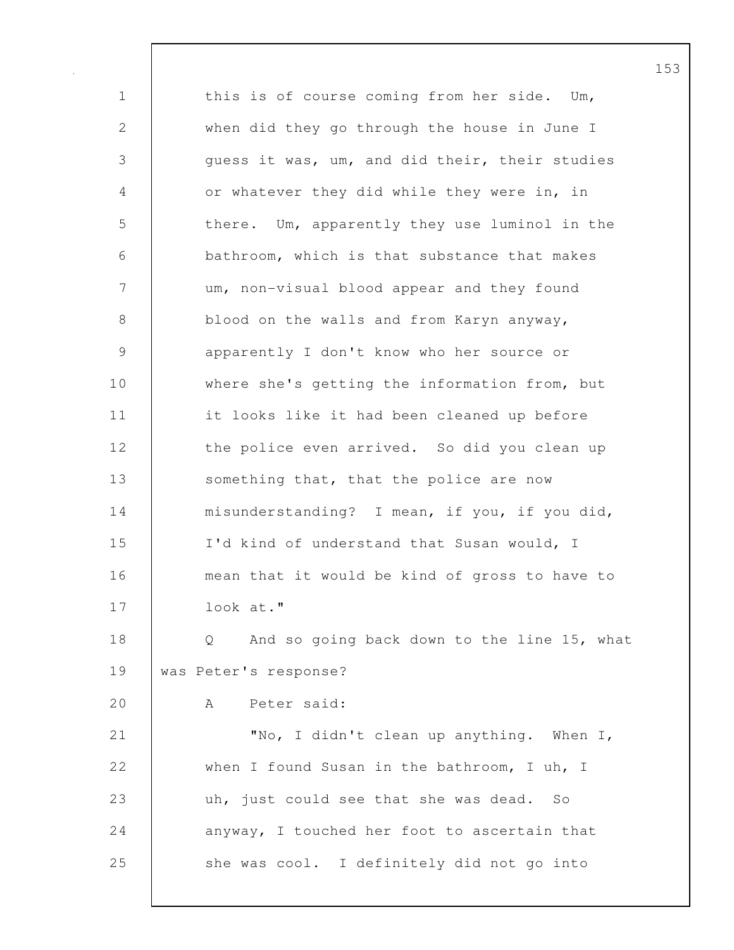1 this is of course coming from her side. Um, 2 when did they go through the house in June I 3 guess it was, um, and did their, their studies 4 or whatever they did while they were in, in 5 there. Um, apparently they use luminol in the 6 bathroom, which is that substance that makes 7 um, non-visual blood appear and they found 8 blood on the walls and from Karyn anyway, 9 apparently I don't know who her source or 10 where she's getting the information from, but 11 | it looks like it had been cleaned up before 12 the police even arrived. So did you clean up 13 Something that, that the police are now 14 misunderstanding? I mean, if you, if you did, 15 I'd kind of understand that Susan would, I 16 mean that it would be kind of gross to have to 17 look at." 18 | Q And so going back down to the line 15, what 19 was Peter's response? 20 A Peter said: 21 "No, I didn't clean up anything. When I, 22 when I found Susan in the bathroom, I uh, I 23 uh, just could see that she was dead. So 24 anyway, I touched her foot to ascertain that 25 she was cool. I definitely did not go into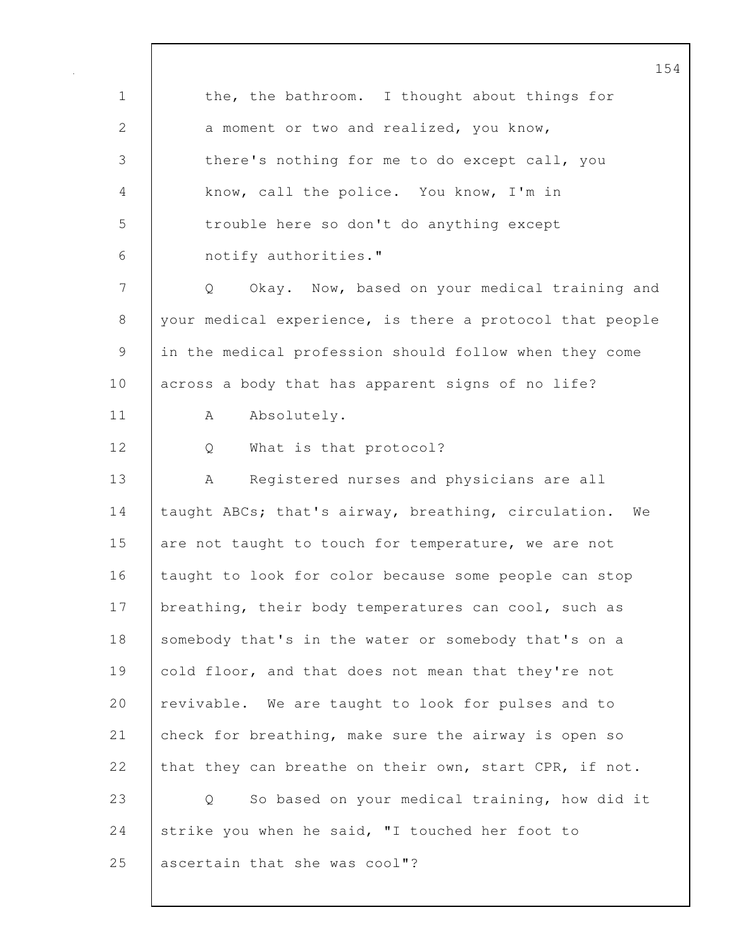154 1 the, the bathroom. I thought about things for 2 a moment or two and realized, you know, 3 there's nothing for me to do except call, you 4 know, call the police. You know, I'm in 5 trouble here so don't do anything except 6 notify authorities." 7 Q Okay. Now, based on your medical training and 8 your medical experience, is there a protocol that people 9 in the medical profession should follow when they come 10 across a body that has apparent signs of no life? 11 | A Absolutely. 12 Q What is that protocol? 13 | A Registered nurses and physicians are all 14 taught ABCs; that's airway, breathing, circulation. We 15 are not taught to touch for temperature, we are not 16 taught to look for color because some people can stop 17 | breathing, their body temperatures can cool, such as 18 somebody that's in the water or somebody that's on a 19 cold floor, and that does not mean that they're not 20 revivable. We are taught to look for pulses and to 21 check for breathing, make sure the airway is open so 22 that they can breathe on their own, start CPR, if not. 23 Q So based on your medical training, how did it 24 Strike you when he said, "I touched her foot to 25 ascertain that she was cool"?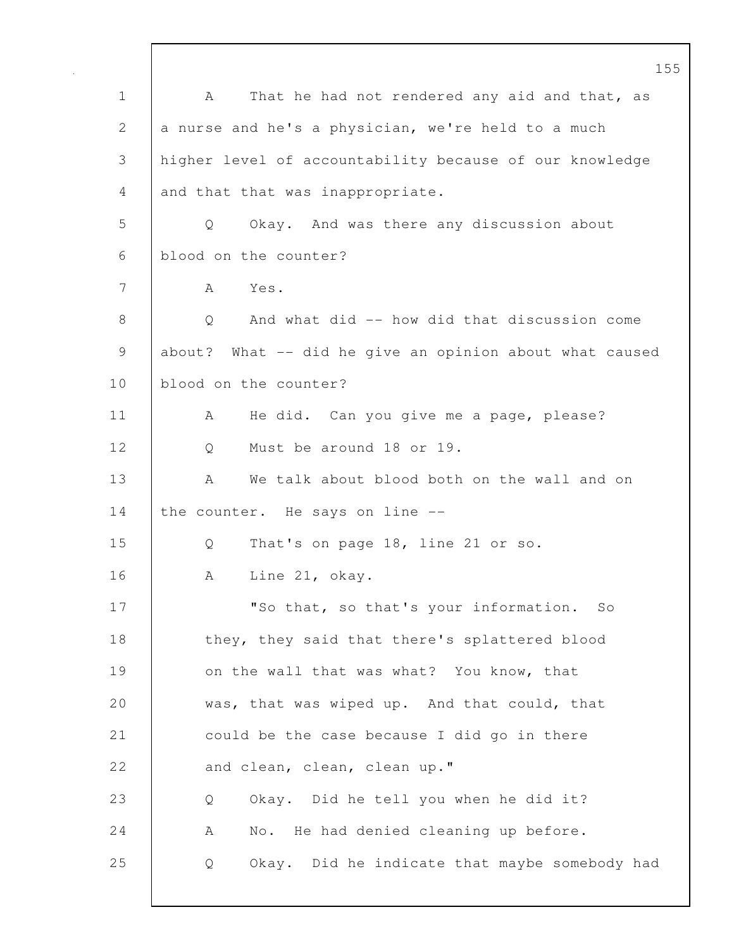155 1 | A That he had not rendered any aid and that, as 2 a nurse and he's a physician, we're held to a much 3 higher level of accountability because of our knowledge 4 and that that was inappropriate. 5 Q Okay. And was there any discussion about 6 blood on the counter? 7 A Yes. 8 Q And what did -- how did that discussion come 9 about? What -- did he give an opinion about what caused 10 blood on the counter? 11 | A He did. Can you give me a page, please? 12 Q Must be around 18 or 19. 13 A We talk about blood both on the wall and on 14 the counter. He says on line --15 Q That's on page 18, line 21 or so. 16 | A Line 21, okay. 17 | "So that, so that's your information. So 18 they, they said that there's splattered blood 19 on the wall that was what? You know, that 20 was, that was wiped up. And that could, that 21 could be the case because I did go in there 22 and clean, clean, clean up." 23 Q Okay. Did he tell you when he did it? 24 | A No. He had denied cleaning up before. 25 Q Okay. Did he indicate that maybe somebody had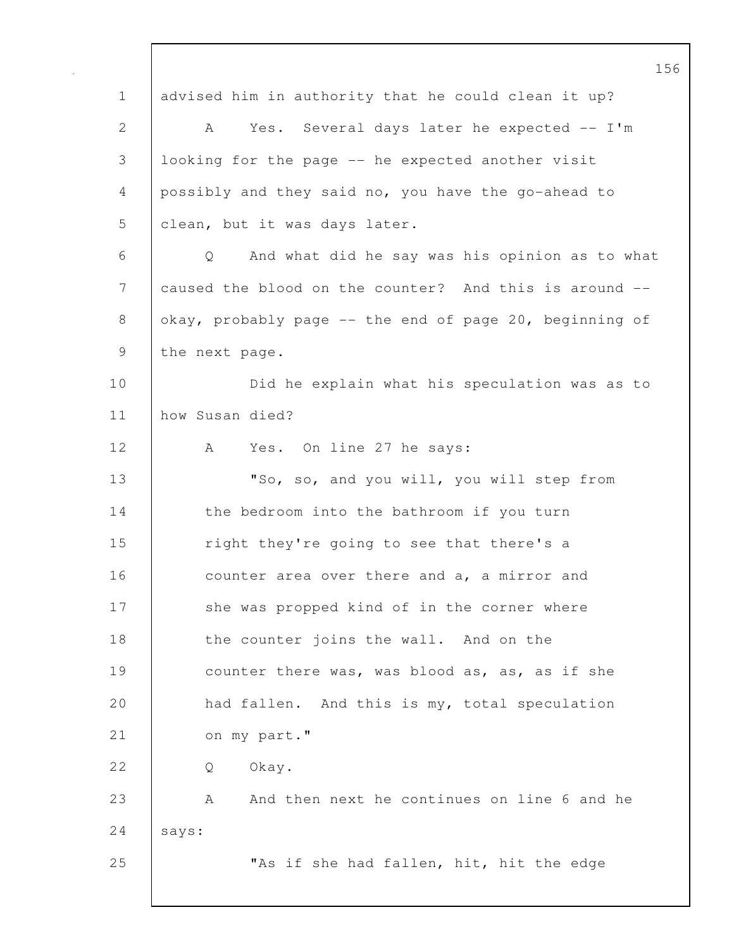156 1 | advised him in authority that he could clean it up? 2 A Yes. Several days later he expected -- I'm 3 looking for the page -- he expected another visit 4 possibly and they said no, you have the go-ahead to 5 clean, but it was days later. 6 Q And what did he say was his opinion as to what 7 caused the blood on the counter? And this is around --8 okay, probably page -- the end of page 20, beginning of 9 the next page. 10 | Did he explain what his speculation was as to 11 how Susan died? 12 A Yes. On line 27 he says: 13 | "So, so, and you will, you will step from 14 the bedroom into the bathroom if you turn 15 Tight they're going to see that there's a 16 counter area over there and a, a mirror and 17 she was propped kind of in the corner where 18 the counter joins the wall. And on the 19 counter there was, was blood as, as, as if she 20 had fallen. And this is my, total speculation 21 on my part." 22 | O Okay. 23 A And then next he continues on line 6 and he 24 says: 25 **No. 1.** The if she had fallen, hit, hit the edge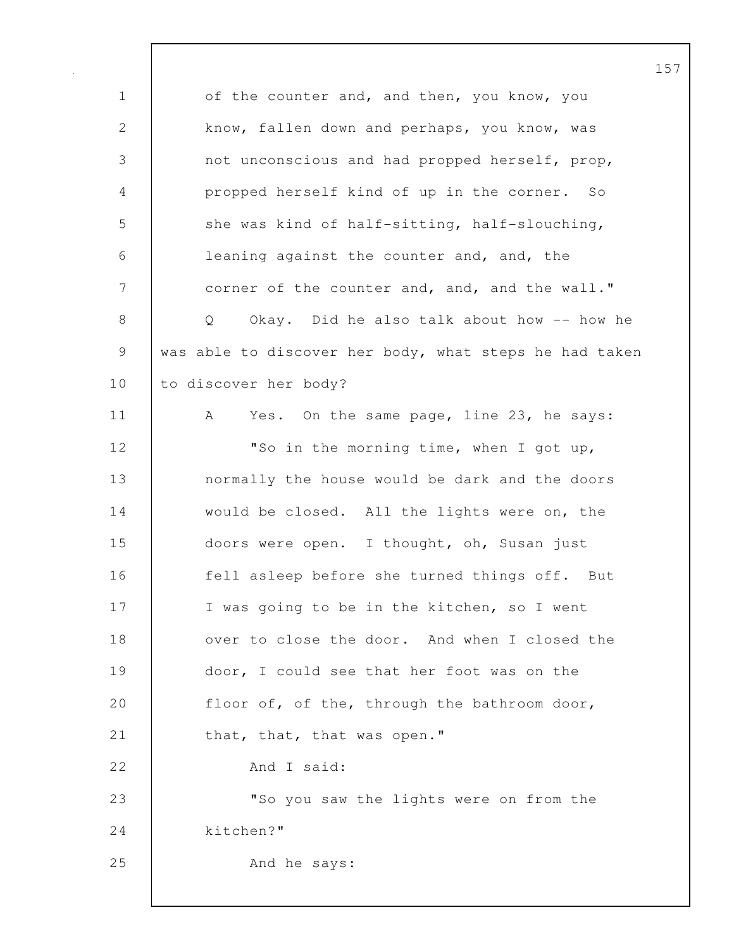1 of the counter and, and then, you know, you 2 know, fallen down and perhaps, you know, was 3 not unconscious and had propped herself, prop, 4 propped herself kind of up in the corner. So 5 she was kind of half-sitting, half-slouching, 6 leaning against the counter and, and, the 7 corner of the counter and, and, and the wall." 8 | Q Okay. Did he also talk about how -- how he 9 was able to discover her body, what steps he had taken 10 to discover her body? 11 | A Yes. On the same page, line 23, he says: 12 | TSo in the morning time, when I got up, 13 normally the house would be dark and the doors 14 would be closed. All the lights were on, the 15 doors were open. I thought, oh, Susan just 16 **fell asleep before she turned things off.** But 17 | I was going to be in the kitchen, so I went 18 ver to close the door. And when I closed the 19 door, I could see that her foot was on the 20 | floor of, of the, through the bathroom door, 21 that, that, that was open." 22 And I said: 23 **WALK** 23 **WALK** 23 **WALK** 23 **WALK** 23 **WALK** 23 24 kitchen?" 25 | And he says: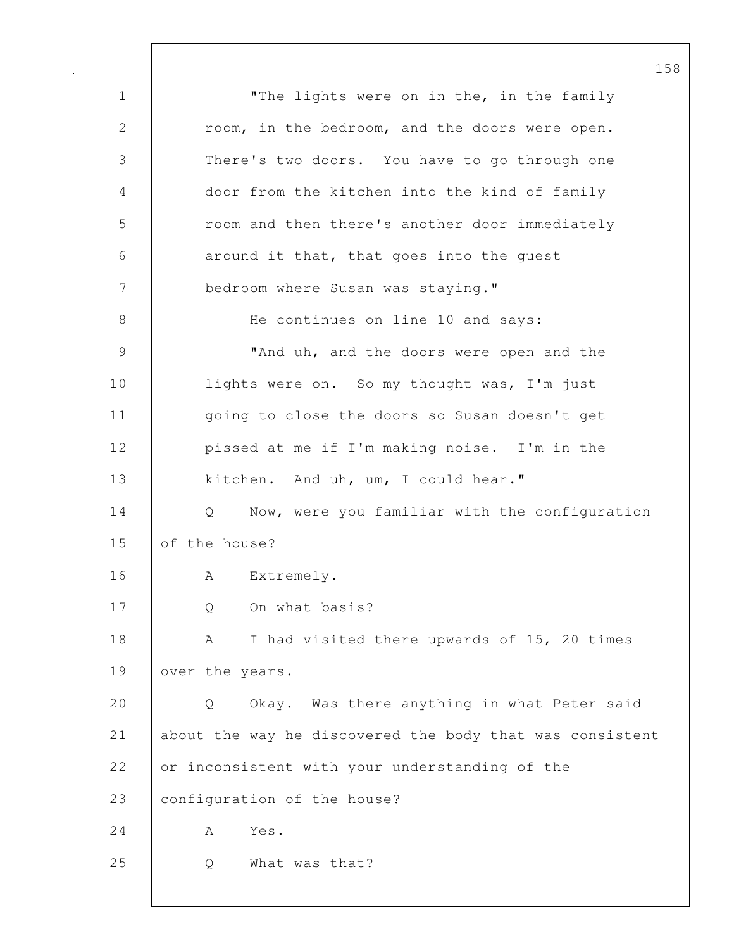1 | The lights were on in the, in the family 2 room, in the bedroom, and the doors were open. 3 There's two doors. You have to go through one 4 door from the kitchen into the kind of family 5 com and then there's another door immediately 6 around it that, that goes into the quest 7 | bedroom where Susan was staying." 8 | He continues on line 10 and says: 9 **WALLER II** Thand uh, and the doors were open and the 10 | lights were on. So my thought was, I'm just 11 | going to close the doors so Susan doesn't get 12 | pissed at me if I'm making noise. I'm in the 13 kitchen. And uh, um, I could hear." 14 Q Now, were you familiar with the configuration 15 of the house? 16 | A Extremely. 17 | Q On what basis? 18 A I had visited there upwards of 15, 20 times 19 over the years. 20 Q Okay. Was there anything in what Peter said 21 about the way he discovered the body that was consistent 22 or inconsistent with your understanding of the 23 | configuration of the house? 24 A Yes. 25 Q What was that?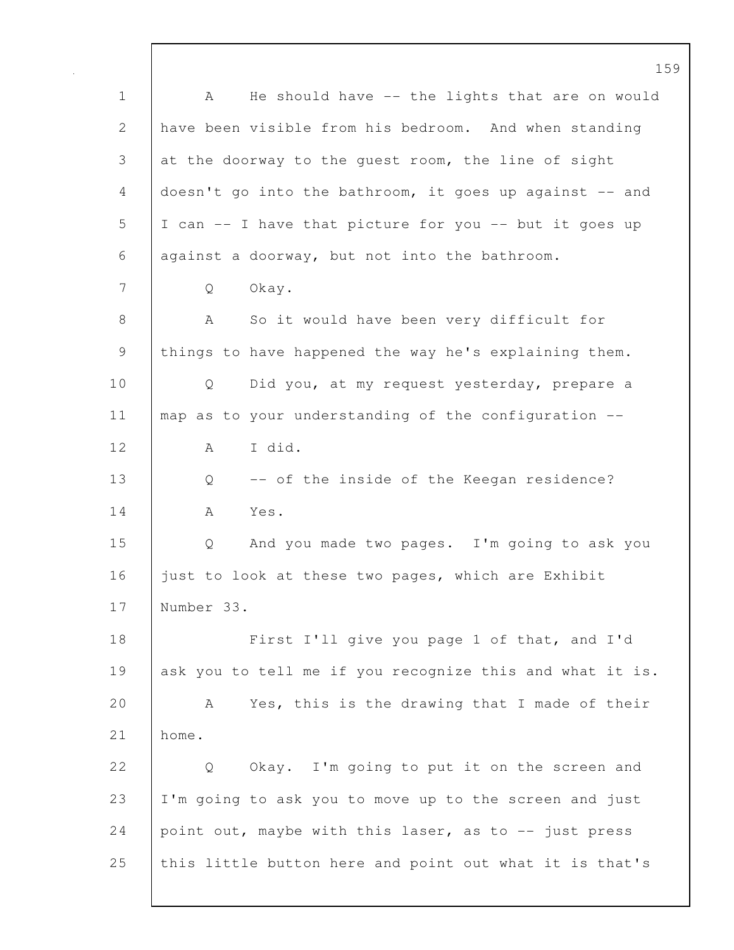159 1 | A He should have -- the lights that are on would 2 have been visible from his bedroom. And when standing 3 at the doorway to the quest room, the line of sight 4 doesn't go into the bathroom, it goes up against -- and 5 I can -- I have that picture for you -- but it goes up 6 against a doorway, but not into the bathroom. 7 Q Okay. 8 | A So it would have been very difficult for 9 things to have happened the way he's explaining them. 10 | Q Did you, at my request yesterday, prepare a 11 | map as to your understanding of the configuration --12 A I did. 13 Q -- of the inside of the Keegan residence? 14 A Yes. 15 Q And you made two pages. I'm going to ask you 16 iust to look at these two pages, which are Exhibit 17 Number 33. 18 First I'll give you page 1 of that, and I'd 19 ask you to tell me if you recognize this and what it is. 20 A Yes, this is the drawing that I made of their 21 home. 22 | O Okay. I'm going to put it on the screen and 23 I'm going to ask you to move up to the screen and just 24 point out, maybe with this laser, as to  $-$  just press 25 | this little button here and point out what it is that's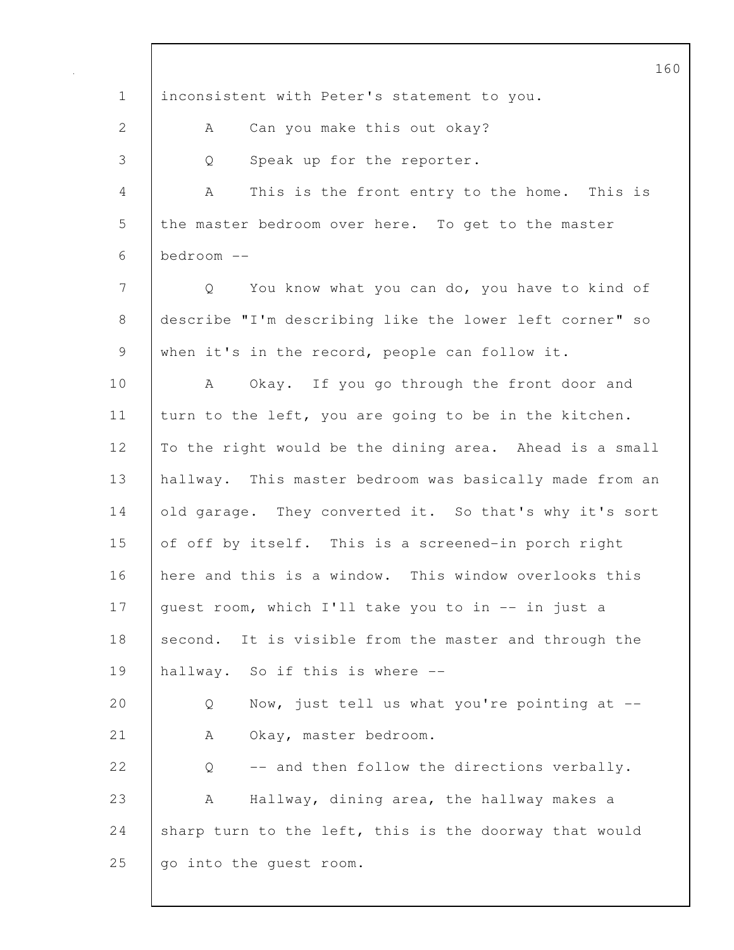160 1 inconsistent with Peter's statement to you. 2 A Can you make this out okay? 3 Q Speak up for the reporter. 4 A This is the front entry to the home. This is 5 the master bedroom over here. To get to the master 6 bedroom -- 7 Q You know what you can do, you have to kind of 8 describe "I'm describing like the lower left corner" so 9 when it's in the record, people can follow it. 10 A Okay. If you go through the front door and 11 turn to the left, you are going to be in the kitchen. 12 To the right would be the dining area. Ahead is a small 13 hallway. This master bedroom was basically made from an 14 old garage. They converted it. So that's why it's sort 15 of off by itself. This is a screened-in porch right 16 here and this is a window. This window overlooks this 17 guest room, which I'll take you to in -- in just a 18 second. It is visible from the master and through the 19 hallway. So if this is where -- 20 Q Now, just tell us what you're pointing at --21 | A Okay, master bedroom. 22  $\vert$  0 -- and then follow the directions verbally. 23 A Hallway, dining area, the hallway makes a 24 sharp turn to the left, this is the doorway that would 25 | go into the quest room.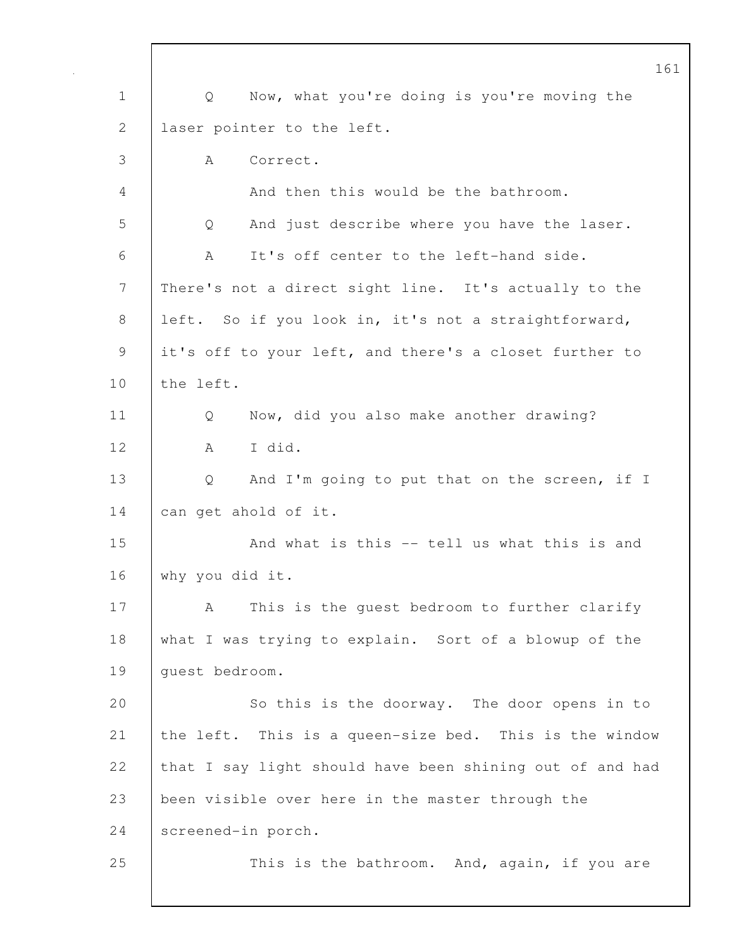161 1 Q Now, what you're doing is you're moving the 2 laser pointer to the left. 3 A Correct. 4 And then this would be the bathroom. 5 Q And just describe where you have the laser. 6 A It's off center to the left-hand side. 7 | There's not a direct sight line. It's actually to the 8 left. So if you look in, it's not a straightforward, 9 it's off to your left, and there's a closet further to 10 the left. 11 | Q Now, did you also make another drawing? 12 A I did. 13 Q And I'm going to put that on the screen, if I 14 can get ahold of it. 15 And what is this -- tell us what this is and 16 why you did it. 17 | A This is the quest bedroom to further clarify 18 what I was trying to explain. Sort of a blowup of the 19 quest bedroom. 20 So this is the doorway. The door opens in to 21 the left. This is a queen-size bed. This is the window 22 that I say light should have been shining out of and had 23 been visible over here in the master through the 24 screened-in porch. 25 | This is the bathroom. And, again, if you are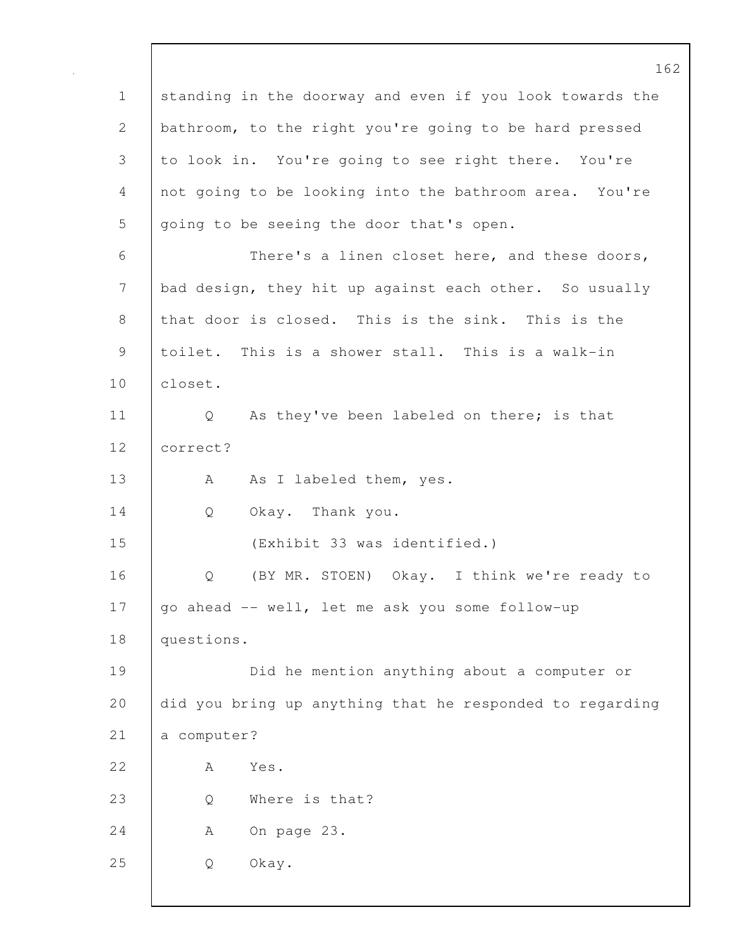162 1 standing in the doorway and even if you look towards the 2 bathroom, to the right you're going to be hard pressed 3 to look in. You're going to see right there. You're 4 not going to be looking into the bathroom area. You're 5 going to be seeing the door that's open. 6 There's a linen closet here, and these doors, 7 bad design, they hit up against each other. So usually 8 that door is closed. This is the sink. This is the 9 toilet. This is a shower stall. This is a walk-in 10 closet. 11 | Q As they've been labeled on there; is that 12 correct? 13 A As I labeled them, yes. 14 Q Okay. Thank you. 15 (Exhibit 33 was identified.) 16 Q (BY MR. STOEN) Okay. I think we're ready to 17 | go ahead -- well, let me ask you some follow-up 18 questions. 19 Did he mention anything about a computer or 20 did you bring up anything that he responded to regarding 21 a computer? 22 A Yes. 23 Q Where is that? 24 A On page 23. 25 Q Okay.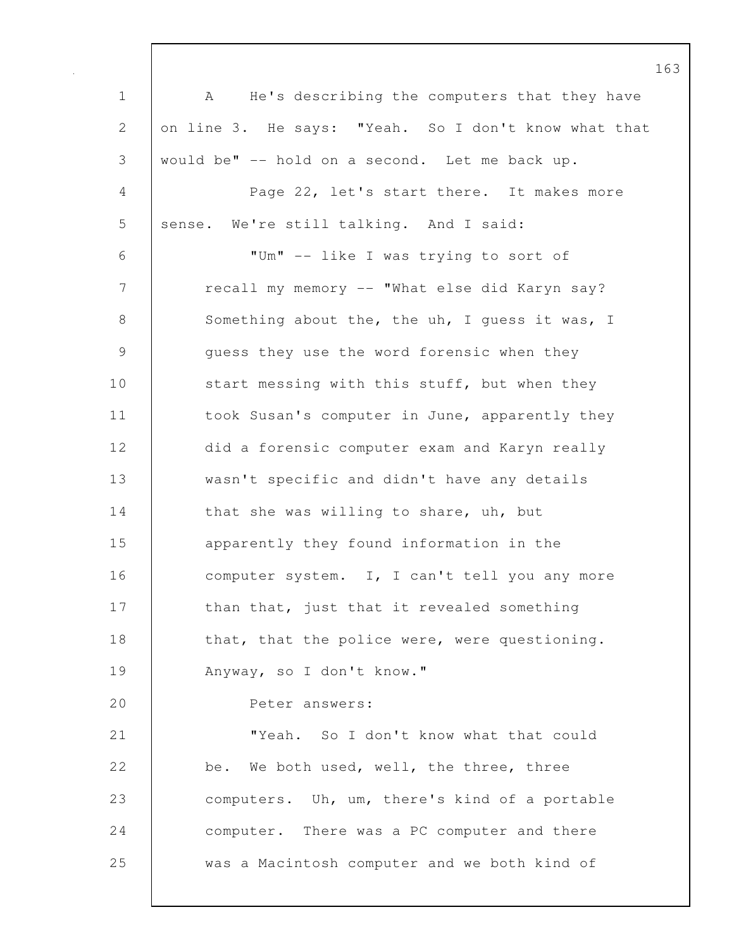1 | A He's describing the computers that they have 2 on line 3. He says: "Yeah. So I don't know what that 3 would be" -- hold on a second. Let me back up. 4 Page 22, let's start there. It makes more 5 sense. We're still talking. And I said: 6 "Um" -- like I was trying to sort of 7 | recall my memory -- "What else did Karyn say? 8 Something about the, the uh, I quess it was, I 9 guess they use the word forensic when they 10 start messing with this stuff, but when they 11 | took Susan's computer in June, apparently they 12 did a forensic computer exam and Karyn really 13 wasn't specific and didn't have any details 14 that she was willing to share, uh, but 15 **apparently they found information in the** 16 computer system. I, I can't tell you any more 17 | than that, just that it revealed something 18 that, that the police were, were questioning. 19 Anyway, so I don't know." 20 Peter answers: 21 **WALLER I** Treah. So I don't know what that could 22 be. We both used, well, the three, three 23 computers. Uh, um, there's kind of a portable 24 **computer.** There was a PC computer and there 25 was a Macintosh computer and we both kind of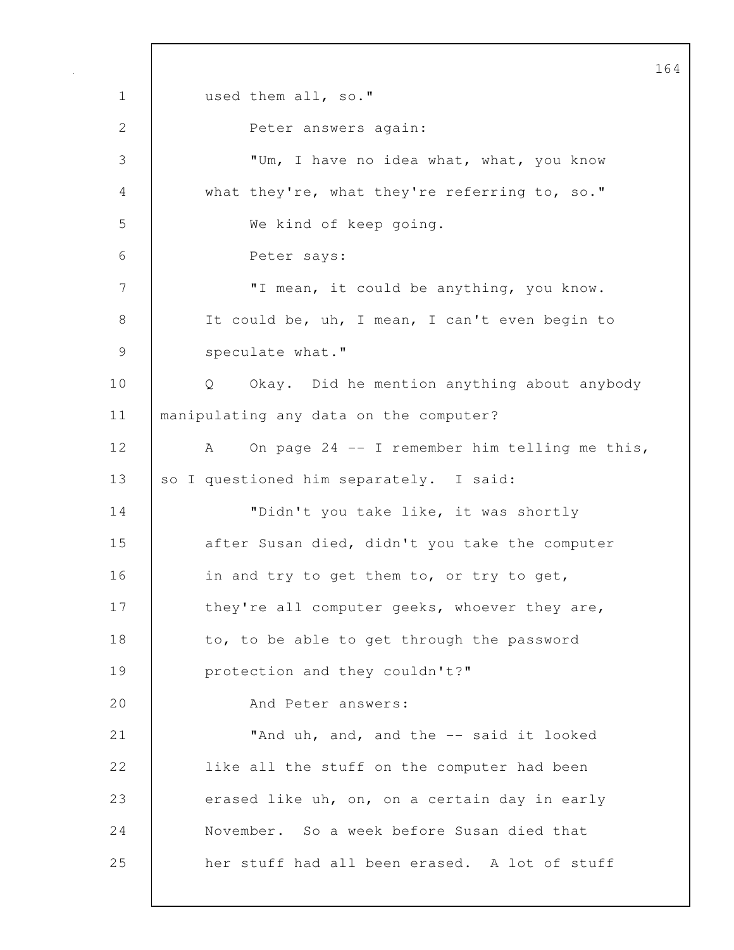164 1 used them all, so." 2 Peter answers again: 3 "Um, I have no idea what, what, you know 4 what they're, what they're referring to, so." 5 We kind of keep going. 6 Peter says: 7 | T mean, it could be anything, you know. 8 It could be, uh, I mean, I can't even begin to 9 speculate what." 10 Q Okay. Did he mention anything about anybody 11 manipulating any data on the computer? 12 A On page 24 -- I remember him telling me this, 13 so I questioned him separately. I said: 14 | "Didn't you take like, it was shortly 15 **decive** after Susan died, didn't you take the computer 16 **in and try to get them to, or try to get,** 17 | they're all computer geeks, whoever they are, 18 to, to be able to get through the password 19 **protection and they couldn't?"** 20 | And Peter answers: 21 **Wand uh, and, and the -- said it looked** 22 **like all the stuff on the computer had been** 23 erased like uh, on, on a certain day in early 24 November. So a week before Susan died that 25 her stuff had all been erased. A lot of stuff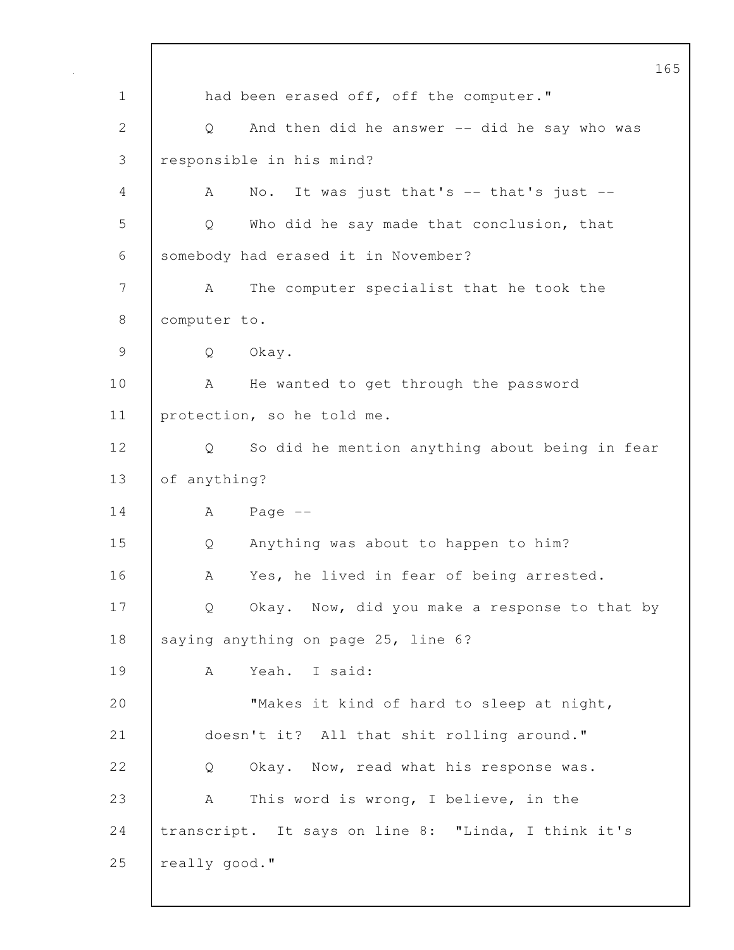165 1 had been erased off, off the computer." 2 Q And then did he answer -- did he say who was 3 responsible in his mind? 4 A No. It was just that's -- that's just -- 5 Q Who did he say made that conclusion, that 6 somebody had erased it in November? 7 | A The computer specialist that he took the 8 | computer to. 9 Q Okay. 10 | A He wanted to get through the password 11 | protection, so he told me. 12 Q So did he mention anything about being in fear 13 of anything?  $14$   $A$   $Page$   $-$ 15 Q Anything was about to happen to him? 16 | A Yes, he lived in fear of being arrested. 17 | Q Okay. Now, did you make a response to that by 18 saying anything on page 25, line 6? 19 A Yeah. I said: 20 Whakes it kind of hard to sleep at night, 21 doesn't it? All that shit rolling around." 22 | O Okay. Now, read what his response was. 23 A This word is wrong, I believe, in the 24 transcript. It says on line 8: "Linda, I think it's 25 | really good."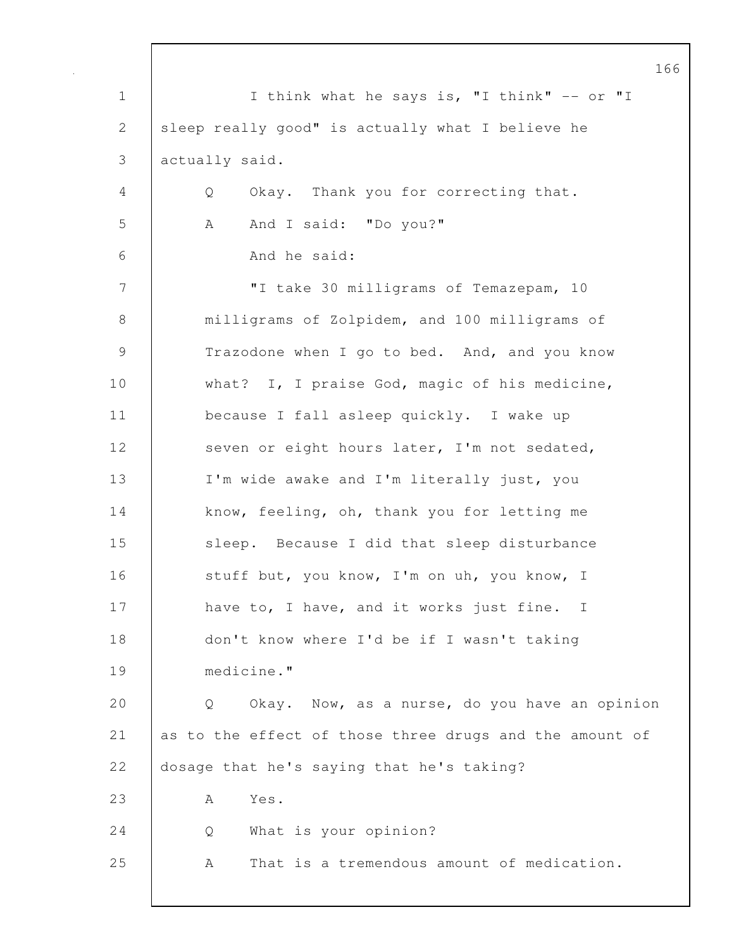166 1 | I think what he says is, "I think" -- or "I 2 sleep really good" is actually what I believe he 3 actually said. 4 Q Okay. Thank you for correcting that. 5 A And I said: "Do you?" 6 And he said: 7 | The Titake 30 milligrams of Temazepam, 10 8 milligrams of Zolpidem, and 100 milligrams of 9 Trazodone when I go to bed. And, and you know 10 what? I, I praise God, magic of his medicine, 11 | because I fall asleep quickly. I wake up 12 seven or eight hours later, I'm not sedated, 13 I'm wide awake and I'm literally just, you 14 know, feeling, oh, thank you for letting me 15 | sleep. Because I did that sleep disturbance 16 stuff but, you know, I'm on uh, you know, I 17 have to, I have, and it works just fine. I 18 don't know where I'd be if I wasn't taking 19 medicine." 20 Q Okay. Now, as a nurse, do you have an opinion 21 as to the effect of those three drugs and the amount of 22 dosage that he's saying that he's taking? 23 | A Yes. 24 Q What is your opinion? 25 A That is a tremendous amount of medication.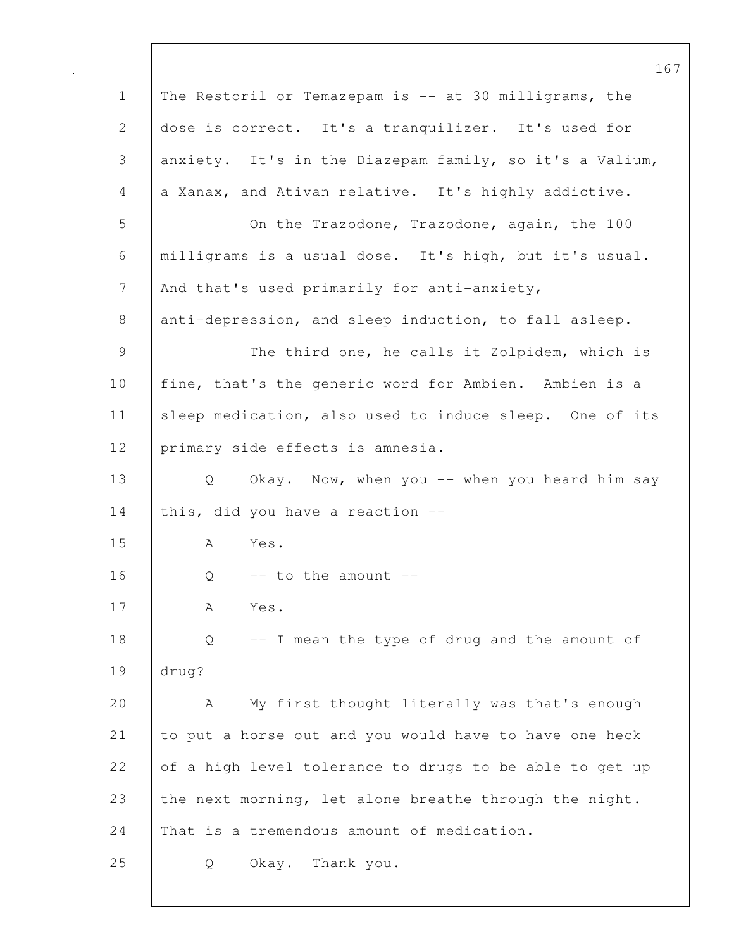|               | 16                                                                 |
|---------------|--------------------------------------------------------------------|
| $\mathbf 1$   | The Restoril or Temazepam is -- at 30 milligrams, the              |
| $\mathbf{2}$  | dose is correct. It's a tranquilizer. It's used for                |
| 3             | anxiety. It's in the Diazepam family, so it's a Valium,            |
| 4             | a Xanax, and Ativan relative. It's highly addictive.               |
| 5             | On the Trazodone, Trazodone, again, the 100                        |
| 6             | milligrams is a usual dose. It's high, but it's usual.             |
| 7             | And that's used primarily for anti-anxiety,                        |
| 8             | anti-depression, and sleep induction, to fall asleep.              |
| $\mathcal{G}$ | The third one, he calls it Zolpidem, which is                      |
| 10            | fine, that's the generic word for Ambien. Ambien is a              |
| 11            | sleep medication, also used to induce sleep. One of its            |
| 12            | primary side effects is amnesia.                                   |
| 13            | Okay. Now, when you -- when you heard him say<br>$Q \qquad \qquad$ |
| 14            | this, did you have a reaction --                                   |
| 15            | Yes.<br>A                                                          |
| 16            | $--$ to the amount $--$<br>Q                                       |
| 17            | А<br>Yes.                                                          |
| 18            | -- I mean the type of drug and the amount of<br>Q                  |
| 19            | drug?                                                              |
| 20            | My first thought literally was that's enough<br>A                  |
| 21            | to put a horse out and you would have to have one heck             |
| 22            | of a high level tolerance to drugs to be able to get up            |
| 23            | the next morning, let alone breathe through the night.             |
| 24            | That is a tremendous amount of medication.                         |
| 25            | Okay. Thank you.<br>Q                                              |
|               |                                                                    |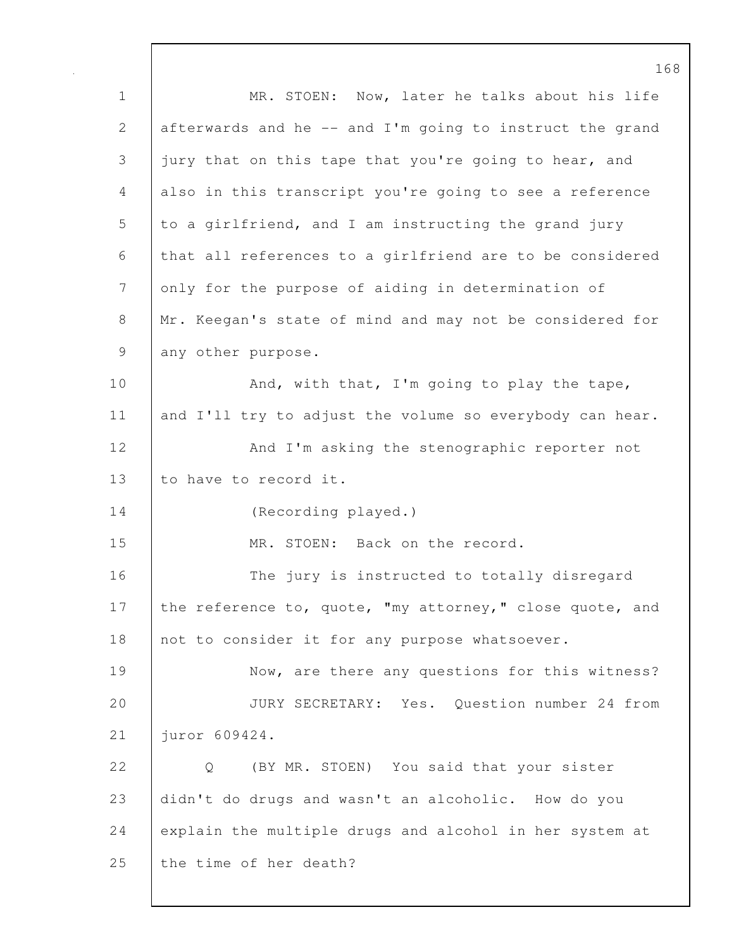168 1 MR. STOEN: Now, later he talks about his life 2 afterwards and he -- and I'm going to instruct the grand 3 jury that on this tape that you're going to hear, and 4 also in this transcript you're going to see a reference 5 to a girlfriend, and I am instructing the grand jury 6 that all references to a girlfriend are to be considered 7 only for the purpose of aiding in determination of 8 Mr. Keegan's state of mind and may not be considered for 9 any other purpose. 10 And, with that, I'm going to play the tape, 11 and I'll try to adjust the volume so everybody can hear. 12 | And I'm asking the stenographic reporter not 13 to have to record it. 14 (Recording played.) 15 MR. STOEN: Back on the record. 16 The jury is instructed to totally disregard 17 the reference to, quote, "my attorney," close quote, and 18 not to consider it for any purpose whatsoever. 19 Now, are there any questions for this witness? 20 JURY SECRETARY: Yes. Question number 24 from 21 juror 609424. 22 |  $O$  (BY MR. STOEN) You said that your sister 23 didn't do drugs and wasn't an alcoholic. How do you 24 explain the multiple drugs and alcohol in her system at 25 the time of her death?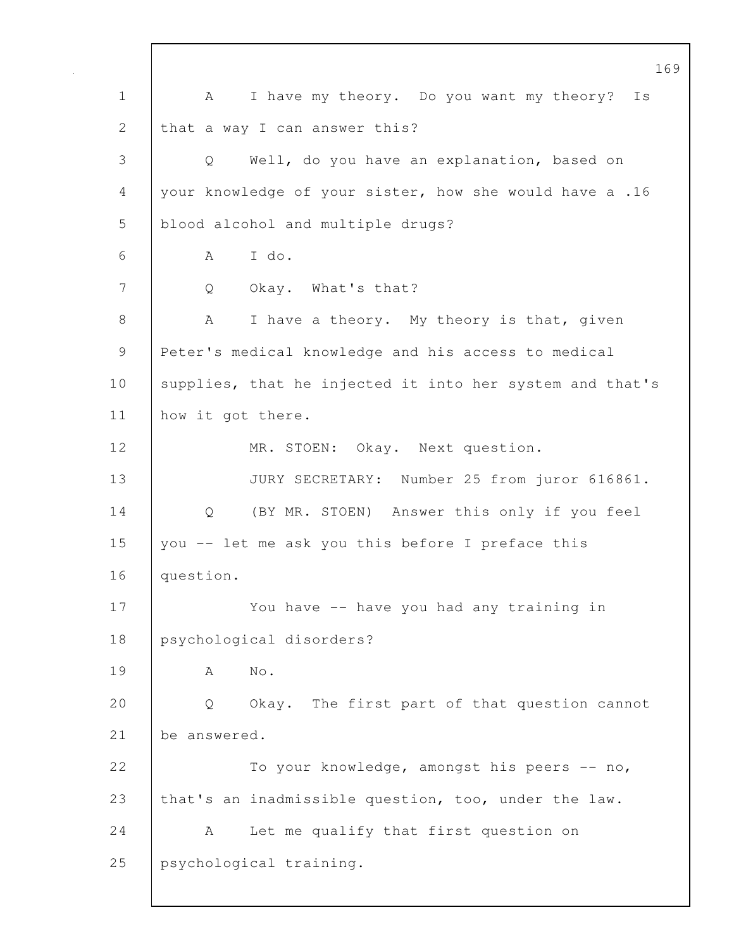169 1 | A I have my theory. Do you want my theory? Is 2 | that a way I can answer this? 3 Q Well, do you have an explanation, based on 4 your knowledge of your sister, how she would have a .16 5 blood alcohol and multiple drugs? 6 A I do. 7 Q Okay. What's that? 8 A I have a theory. My theory is that, given 9 Peter's medical knowledge and his access to medical 10 | supplies, that he injected it into her system and that's 11 how it got there. 12 | MR. STOEN: Okay. Next question. 13 JURY SECRETARY: Number 25 from juror 616861. 14 Q (BY MR. STOEN) Answer this only if you feel 15 you -- let me ask you this before I preface this 16 question. 17 | You have -- have you had any training in 18 psychological disorders? 19 A No. 20 | Q Okay. The first part of that question cannot 21 be answered. 22 To your knowledge, amongst his peers -- no, 23 that's an inadmissible question, too, under the law. 24 A Let me qualify that first question on 25 psychological training.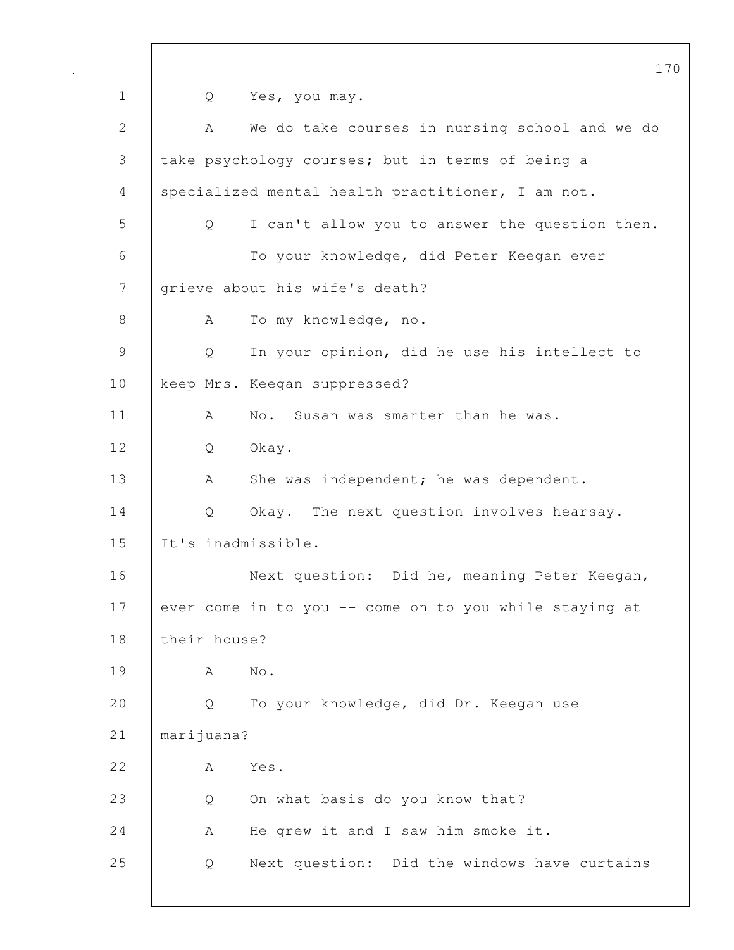170 1 Q Yes, you may. 2 A We do take courses in nursing school and we do 3 take psychology courses; but in terms of being a 4 specialized mental health practitioner, I am not. 5 Q I can't allow you to answer the question then. 6 To your knowledge, did Peter Keegan ever 7 grieve about his wife's death? 8 | A To my knowledge, no. 9 Q In your opinion, did he use his intellect to 10 keep Mrs. Keegan suppressed? 11 | A No. Susan was smarter than he was. 12 Q Okay. 13 A She was independent; he was dependent. 14 Q Okay. The next question involves hearsay. 15 It's inadmissible. 16 Next question: Did he, meaning Peter Keegan, 17 ever come in to you -- come on to you while staying at 18 their house? 19 A No. 20 Q To your knowledge, did Dr. Keegan use 21 marijuana? 22 A Yes. 23 Q On what basis do you know that? 24 A He grew it and I saw him smoke it. 25 Q Next question: Did the windows have curtains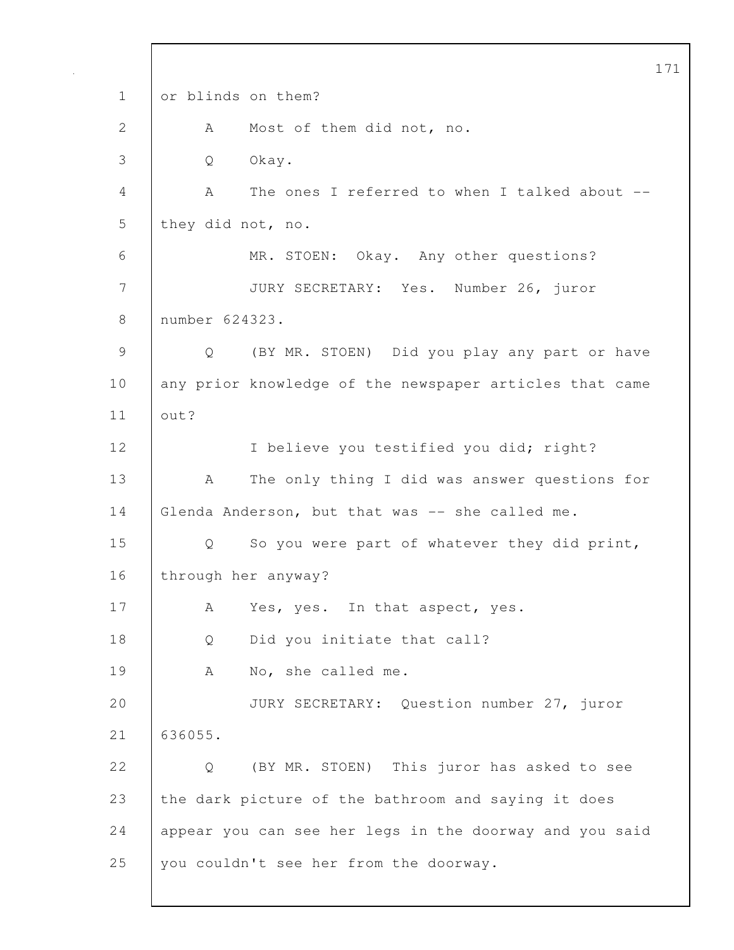171 1 or blinds on them? 2 A Most of them did not, no. 3 Q Okay. 4 A The ones I referred to when I talked about -- 5 they did not, no. 6 MR. STOEN: Okay. Any other questions? 7 JURY SECRETARY: Yes. Number 26, juror 8 number 624323. 9 Q (BY MR. STOEN) Did you play any part or have 10 any prior knowledge of the newspaper articles that came 11 out? 12 I believe you testified you did; right? 13 | A The only thing I did was answer questions for 14 Glenda Anderson, but that was -- she called me. 15 | Q So you were part of whatever they did print, 16 through her anyway? 17 | A Yes, yes. In that aspect, yes. 18 | Q Did you initiate that call? 19 | A No, she called me. 20 JURY SECRETARY: Question number 27, juror 21 636055. 22 | O (BY MR. STOEN) This juror has asked to see 23 the dark picture of the bathroom and saying it does 24 appear you can see her legs in the doorway and you said 25 you couldn't see her from the doorway.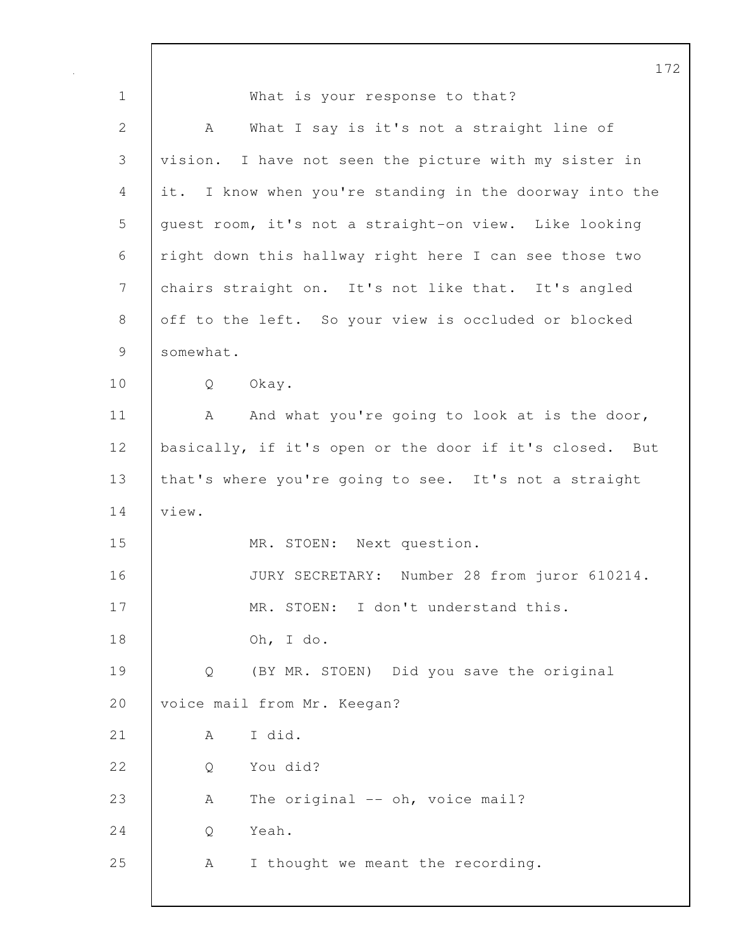172 1 What is your response to that? 2 | A What I say is it's not a straight line of 3 vision. I have not seen the picture with my sister in 4 it. I know when you're standing in the doorway into the 5 guest room, it's not a straight-on view. Like looking 6 right down this hallway right here I can see those two 7 chairs straight on. It's not like that. It's angled 8 off to the left. So your view is occluded or blocked 9 somewhat. 10 Q Okay. 11 | A And what you're going to look at is the door, 12 | basically, if it's open or the door if it's closed. But 13 | that's where you're going to see. It's not a straight 14 view. 15 MR. STOEN: Next question. 16 JURY SECRETARY: Number 28 from juror 610214. 17 | MR. STOEN: I don't understand this. 18 Oh, I do. 19 Q (BY MR. STOEN) Did you save the original 20 | voice mail from Mr. Keegan?  $21$   $A$   $T$  did. 22 | O You did? 23 A The original -- oh, voice mail? 24 | O Yeah. 25 A I thought we meant the recording.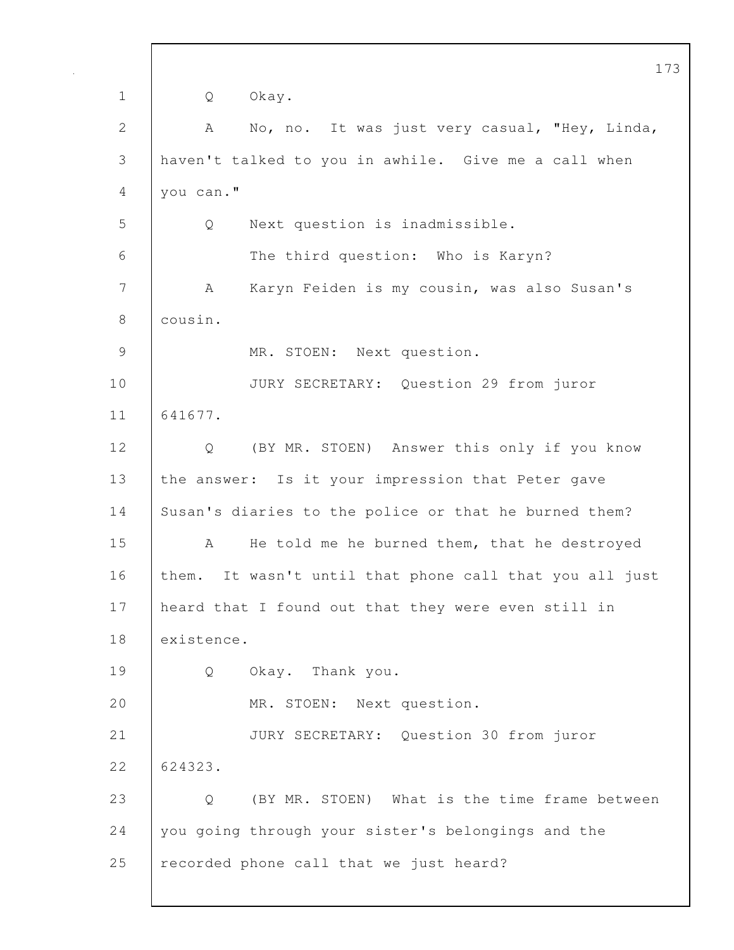173 1 Q Okay. 2 A No, no. It was just very casual, "Hey, Linda, 3 haven't talked to you in awhile. Give me a call when 4 you can." 5 Q Next question is inadmissible. 6 The third question: Who is Karyn? 7 A Karyn Feiden is my cousin, was also Susan's 8 cousin. 9 MR. STOEN: Next question. 10 JURY SECRETARY: Question 29 from juror 11 641677. 12 Q (BY MR. STOEN) Answer this only if you know 13 the answer: Is it your impression that Peter gave 14 Susan's diaries to the police or that he burned them? 15 | A He told me he burned them, that he destroyed 16 them. It wasn't until that phone call that you all just 17 heard that I found out that they were even still in 18 existence. 19 Q Okay. Thank you. 20 MR. STOEN: Next question. 21 JURY SECRETARY: Question 30 from juror 22 624323. 23 Q (BY MR. STOEN) What is the time frame between 24 you going through your sister's belongings and the 25 recorded phone call that we just heard?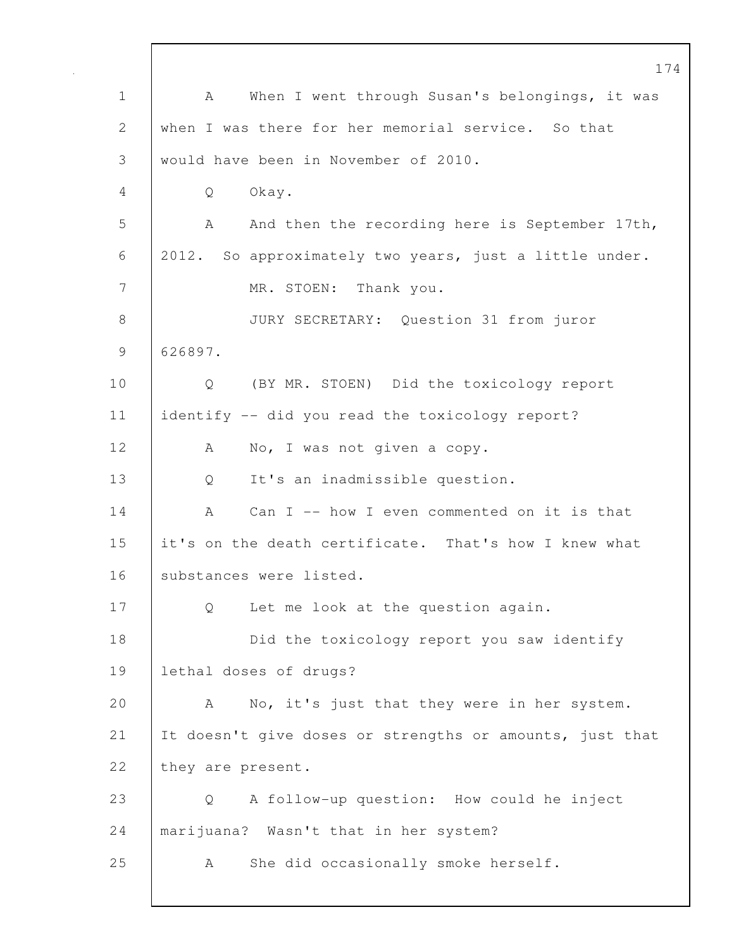174 1 | A When I went through Susan's belongings, it was 2 when I was there for her memorial service. So that 3 would have been in November of 2010. 4 Q Okay. 5 A And then the recording here is September 17th, 6 2012. So approximately two years, just a little under. 7 MR. STOEN: Thank you. 8 JURY SECRETARY: Question 31 from juror 9 626897. 10 Q (BY MR. STOEN) Did the toxicology report 11 identify -- did you read the toxicology report? 12 | A No, I was not given a copy. 13 | Q It's an inadmissible question. 14 A Can I -- how I even commented on it is that 15 it's on the death certificate. That's how I knew what 16 | substances were listed. 17 Q Let me look at the question again. 18 **Did the toxicology report you saw identify** 19 lethal doses of drugs? 20 A No, it's just that they were in her system. 21 It doesn't give doses or strengths or amounts, just that 22 they are present. 23 Q A follow-up question: How could he inject 24 marijuana? Wasn't that in her system? 25 | A She did occasionally smoke herself.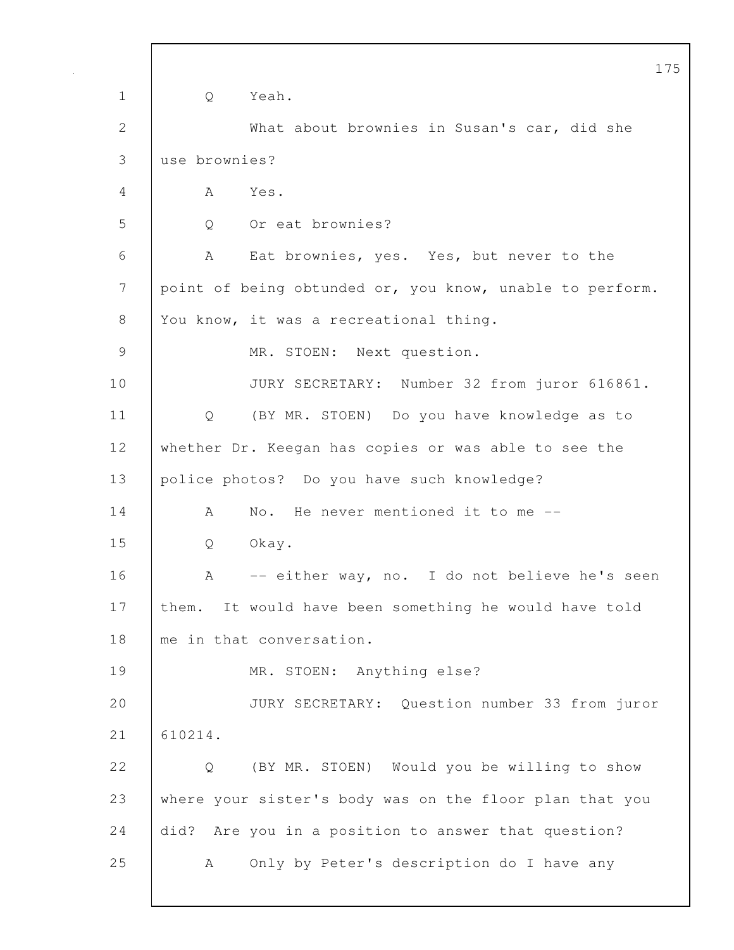|                | 175                                                      |
|----------------|----------------------------------------------------------|
| $\mathbf 1$    | Yeah.<br>Q                                               |
| $\overline{2}$ | What about brownies in Susan's car, did she              |
| 3              | use brownies?                                            |
| 4              | Yes.<br>A                                                |
| 5              | Or eat brownies?<br>Q                                    |
| 6              | Eat brownies, yes. Yes, but never to the<br>A            |
| 7              | point of being obtunded or, you know, unable to perform. |
| 8              | You know, it was a recreational thing.                   |
| 9              | MR. STOEN: Next question.                                |
| 10             | JURY SECRETARY: Number 32 from juror 616861.             |
| 11             | (BY MR. STOEN) Do you have knowledge as to<br>Q          |
| 12             | whether Dr. Keegan has copies or was able to see the     |
| 13             | police photos? Do you have such knowledge?               |
| 14             | No. He never mentioned it to me --<br>A                  |
| 15             | Okay.<br>Q                                               |
| 16             | -- either way, no. I do not believe he's seen<br>A       |
| 17             | It would have been something he would have told<br>them. |
| 18             | me in that conversation.                                 |
| 19             | MR. STOEN: Anything else?                                |
| 20             | JURY SECRETARY: Question number 33 from juror            |
| 21             | 610214.                                                  |
| 22             | (BY MR. STOEN) Would you be willing to show<br>Q         |
| 23             | where your sister's body was on the floor plan that you  |
| 24             | did? Are you in a position to answer that question?      |
| 25             | Only by Peter's description do I have any<br>A           |
|                |                                                          |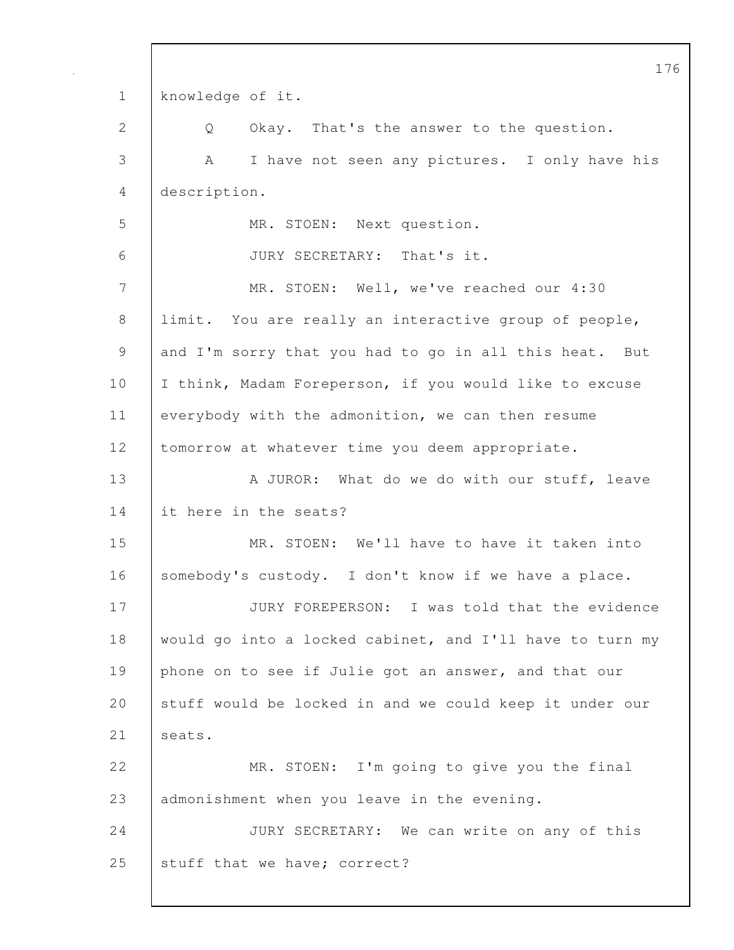176 1 knowledge of it. 2 Q Okay. That's the answer to the question. 3 A I have not seen any pictures. I only have his 4 description. 5 MR. STOEN: Next question. 6 JURY SECRETARY: That's it. 7 MR. STOEN: Well, we've reached our 4:30 8 limit. You are really an interactive group of people, 9 and I'm sorry that you had to go in all this heat. But 10 | I think, Madam Foreperson, if you would like to excuse 11 everybody with the admonition, we can then resume 12 | tomorrow at whatever time you deem appropriate. 13 A JUROR: What do we do with our stuff, leave 14 it here in the seats? 15 MR. STOEN: We'll have to have it taken into 16 somebody's custody. I don't know if we have a place. 17 JURY FOREPERSON: I was told that the evidence 18 would go into a locked cabinet, and I'll have to turn my 19 phone on to see if Julie got an answer, and that our 20 Stuff would be locked in and we could keep it under our 21 | seats. 22 MR. STOEN: I'm going to give you the final 23 admonishment when you leave in the evening. 24 JURY SECRETARY: We can write on any of this 25 stuff that we have; correct?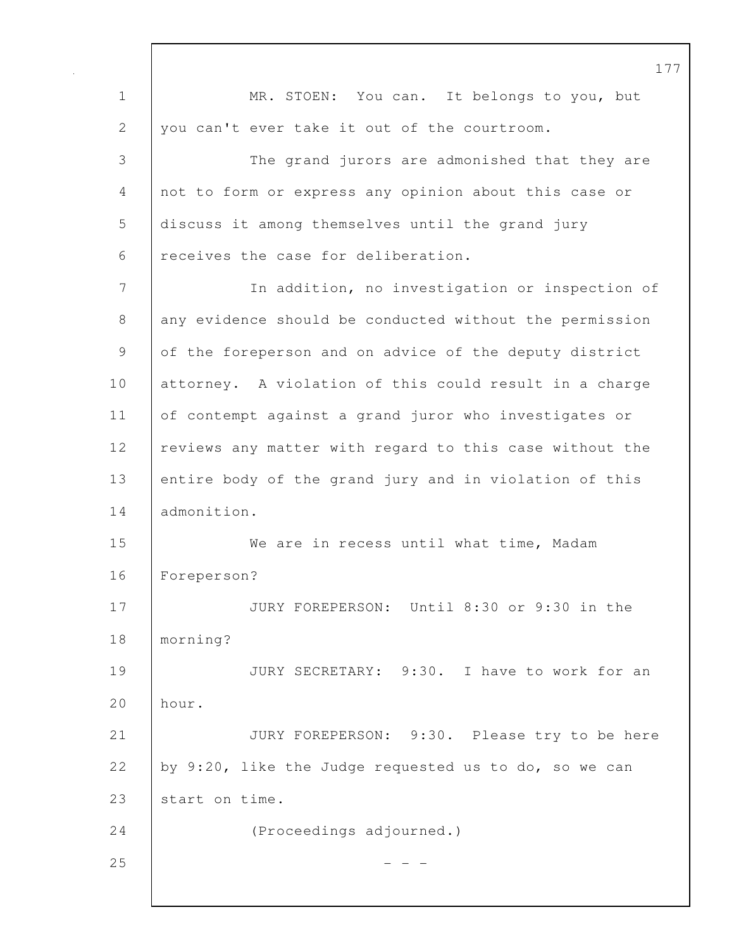1 MR. STOEN: You can. It belongs to you, but 2 you can't ever take it out of the courtroom. 3 The grand jurors are admonished that they are 4 not to form or express any opinion about this case or 5 discuss it among themselves until the grand jury 6 receives the case for deliberation. 7 In addition, no investigation or inspection of 8 any evidence should be conducted without the permission 9 of the foreperson and on advice of the deputy district 10 attorney. A violation of this could result in a charge 11 of contempt against a grand juror who investigates or 12 | reviews any matter with regard to this case without the 13 entire body of the grand jury and in violation of this 14 admonition. 15 We are in recess until what time, Madam 16 Foreperson? 17 JURY FOREPERSON: Until 8:30 or 9:30 in the 18 morning? 19 JURY SECRETARY: 9:30. I have to work for an 20 hour. 21 | JURY FOREPERSON: 9:30. Please try to be here 22 by 9:20, like the Judge requested us to do, so we can 23 start on time. 24 (Proceedings adjourned.)  $25$  - - -